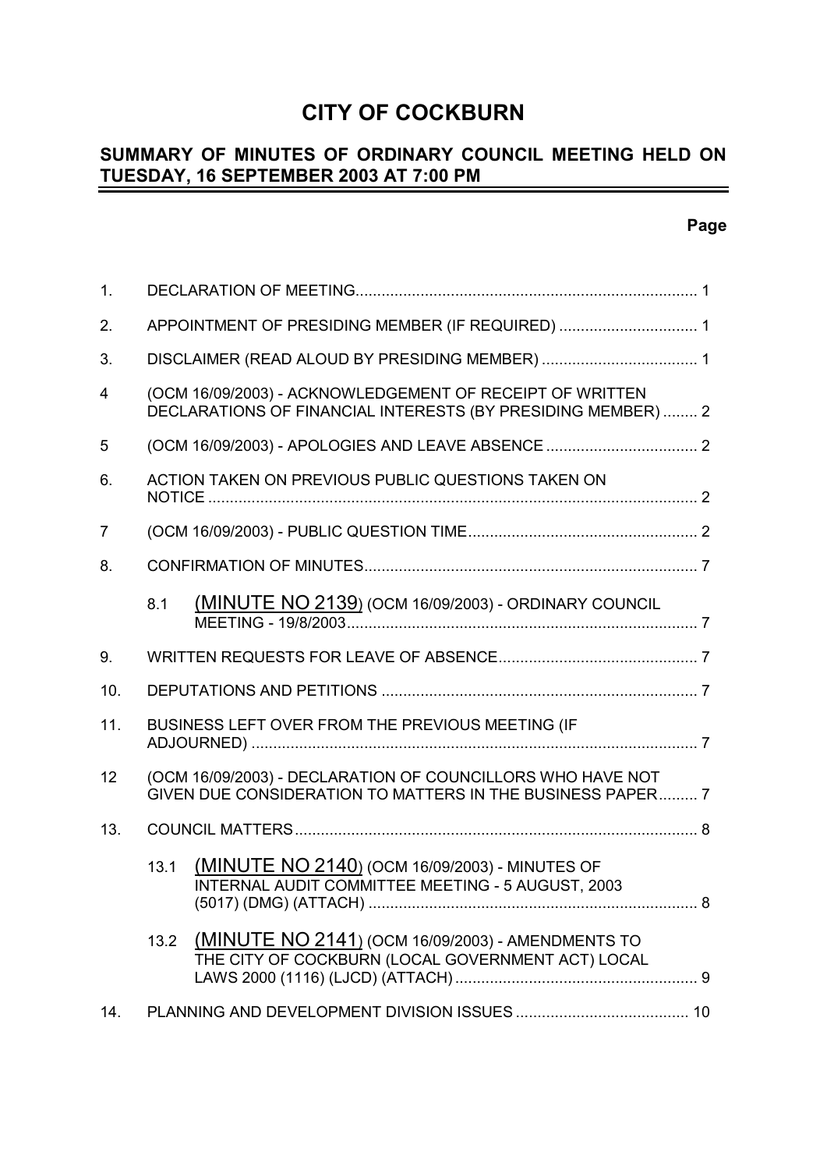# **CITY OF COCKBURN**

#### **SUMMARY OF MINUTES OF ORDINARY COUNCIL MEETING HELD ON TUESDAY, 16 SEPTEMBER 2003 AT 7:00 PM** -

| 1.             |                                                                                                                          |   |  |
|----------------|--------------------------------------------------------------------------------------------------------------------------|---|--|
| 2.             | APPOINTMENT OF PRESIDING MEMBER (IF REQUIRED)  1                                                                         |   |  |
| 3.             |                                                                                                                          |   |  |
| $\overline{4}$ | (OCM 16/09/2003) - ACKNOWLEDGEMENT OF RECEIPT OF WRITTEN<br>DECLARATIONS OF FINANCIAL INTERESTS (BY PRESIDING MEMBER)  2 |   |  |
| 5              |                                                                                                                          |   |  |
| 6.             | ACTION TAKEN ON PREVIOUS PUBLIC QUESTIONS TAKEN ON                                                                       |   |  |
| 7              |                                                                                                                          |   |  |
| 8.             |                                                                                                                          |   |  |
|                | (MINUTE NO 2139) (OCM 16/09/2003) - ORDINARY COUNCIL<br>8.1                                                              |   |  |
| 9.             |                                                                                                                          |   |  |
| 10.            |                                                                                                                          |   |  |
| 11.            | BUSINESS LEFT OVER FROM THE PREVIOUS MEETING (IF                                                                         |   |  |
| 12             | (OCM 16/09/2003) - DECLARATION OF COUNCILLORS WHO HAVE NOT<br>GIVEN DUE CONSIDERATION TO MATTERS IN THE BUSINESS PAPER 7 |   |  |
| 13.            |                                                                                                                          |   |  |
|                | (MINUTE NO 2140) (OCM 16/09/2003) - MINUTES OF<br>13.1<br>INTERNAL AUDIT COMMITTEE MEETING - 5 AUGUST, 2003              | 8 |  |
|                | (MINUTE NO 2141) (OCM 16/09/2003) - AMENDMENTS TO<br>13.2<br>THE CITY OF COCKBURN (LOCAL GOVERNMENT ACT) LOCAL           |   |  |
| 14.            |                                                                                                                          |   |  |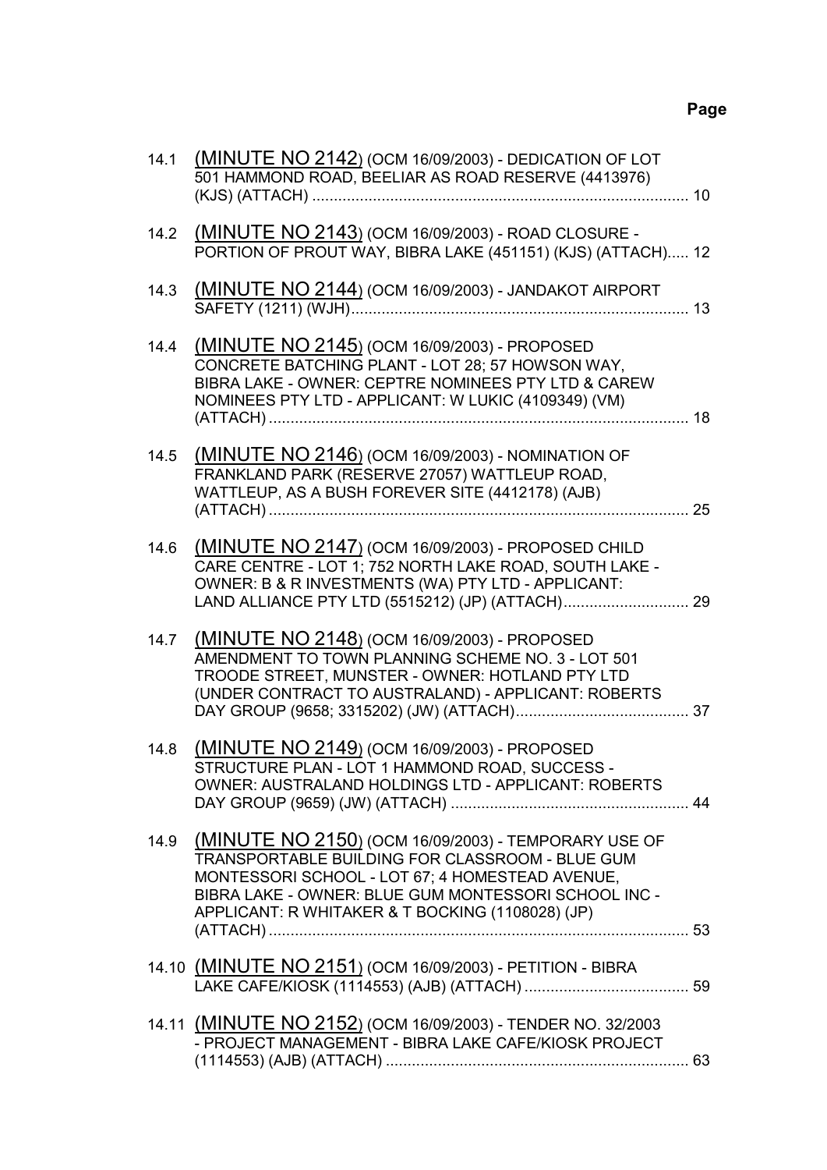| 14.1 | (MINUTE NO 2142) (OCM 16/09/2003) - DEDICATION OF LOT<br>501 HAMMOND ROAD, BEELIAR AS ROAD RESERVE (4413976)                                                                                                                                                                |  |
|------|-----------------------------------------------------------------------------------------------------------------------------------------------------------------------------------------------------------------------------------------------------------------------------|--|
| 14.2 | (MINUTE NO 2143) (OCM 16/09/2003) - ROAD CLOSURE -<br>PORTION OF PROUT WAY, BIBRA LAKE (451151) (KJS) (ATTACH) 12                                                                                                                                                           |  |
| 14.3 | <b>(MINUTE NO 2144) (OCM 16/09/2003) - JANDAKOT AIRPORT</b>                                                                                                                                                                                                                 |  |
| 14.4 | (MINUTE NO 2145) (OCM 16/09/2003) - PROPOSED<br>CONCRETE BATCHING PLANT - LOT 28; 57 HOWSON WAY,<br>BIBRA LAKE - OWNER: CEPTRE NOMINEES PTY LTD & CAREW<br>NOMINEES PTY LTD - APPLICANT: W LUKIC (4109349) (VM)                                                             |  |
| 14.5 | (MINUTE NO 2146) (OCM 16/09/2003) - NOMINATION OF<br>FRANKLAND PARK (RESERVE 27057) WATTLEUP ROAD,<br>WATTLEUP, AS A BUSH FOREVER SITE (4412178) (AJB)                                                                                                                      |  |
| 14.6 | (MINUTE NO 2147) (OCM 16/09/2003) - PROPOSED CHILD<br>CARE CENTRE - LOT 1; 752 NORTH LAKE ROAD, SOUTH LAKE -<br>OWNER: B & R INVESTMENTS (WA) PTY LTD - APPLICANT:                                                                                                          |  |
| 14.7 | (MINUTE NO 2148) (OCM 16/09/2003) - PROPOSED<br>AMENDMENT TO TOWN PLANNING SCHEME NO. 3 - LOT 501<br>TROODE STREET, MUNSTER - OWNER: HOTLAND PTY LTD<br>(UNDER CONTRACT TO AUSTRALAND) - APPLICANT: ROBERTS                                                                 |  |
| 14.8 | (MINUTE NO 2149) (OCM 16/09/2003) - PROPOSED<br>STRUCTURE PLAN - LOT 1 HAMMOND ROAD, SUCCESS -<br>OWNER: AUSTRALAND HOLDINGS LTD - APPLICANT: ROBERTS                                                                                                                       |  |
|      | 14.9 (MINUTE NO 2150) (OCM 16/09/2003) - TEMPORARY USE OF<br>TRANSPORTABLE BUILDING FOR CLASSROOM - BLUE GUM<br>MONTESSORI SCHOOL - LOT 67; 4 HOMESTEAD AVENUE,<br>BIBRA LAKE - OWNER: BLUE GUM MONTESSORI SCHOOL INC -<br>APPLICANT: R WHITAKER & T BOCKING (1108028) (JP) |  |
|      | 14.10 (MINUTE NO 2151) (OCM 16/09/2003) - PETITION - BIBRA                                                                                                                                                                                                                  |  |
|      | 14.11 (MINUTE NO 2152) (OCM 16/09/2003) - TENDER NO. 32/2003<br>- PROJECT MANAGEMENT - BIBRA LAKE CAFE/KIOSK PROJECT                                                                                                                                                        |  |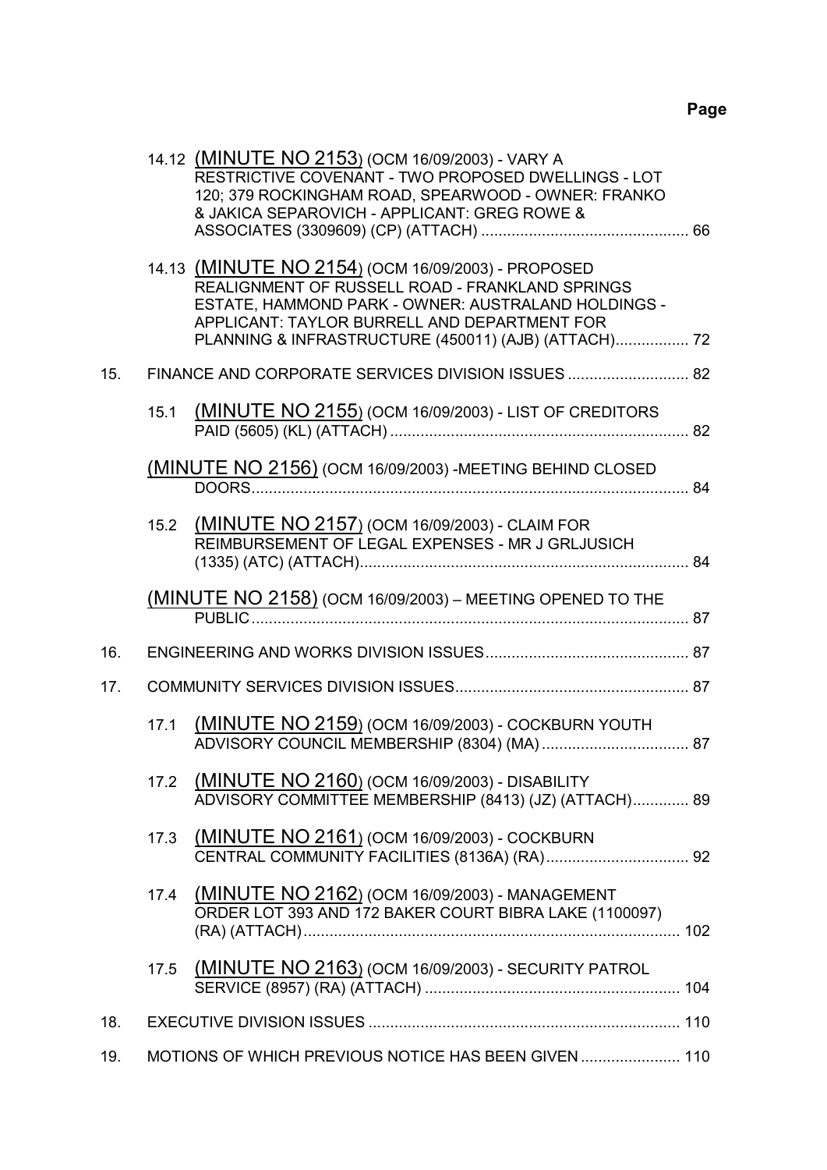|     | 14.12 (MINUTE NO 2153) (OCM 16/09/2003) - VARY A<br>RESTRICTIVE COVENANT - TWO PROPOSED DWELLINGS - LOT<br>120; 379 ROCKINGHAM ROAD, SPEARWOOD - OWNER: FRANKO<br>& JAKICA SEPAROVICH - APPLICANT: GREG ROWE &                                                       |  |
|-----|----------------------------------------------------------------------------------------------------------------------------------------------------------------------------------------------------------------------------------------------------------------------|--|
|     | 14.13 (MINUTE NO 2154) (OCM 16/09/2003) - PROPOSED<br>REALIGNMENT OF RUSSELL ROAD - FRANKLAND SPRINGS<br>ESTATE, HAMMOND PARK - OWNER: AUSTRALAND HOLDINGS -<br>APPLICANT: TAYLOR BURRELL AND DEPARTMENT FOR<br>PLANNING & INFRASTRUCTURE (450011) (AJB) (ATTACH) 72 |  |
| 15. |                                                                                                                                                                                                                                                                      |  |
|     | 15.1 (MINUTE NO 2155) (OCM 16/09/2003) - LIST OF CREDITORS                                                                                                                                                                                                           |  |
|     | (MINUTE NO 2156) (OCM 16/09/2003) - MEETING BEHIND CLOSED                                                                                                                                                                                                            |  |
|     | 15.2 (MINUTE NO 2157) (OCM 16/09/2003) - CLAIM FOR<br>REIMBURSEMENT OF LEGAL EXPENSES - MR J GRLJUSICH                                                                                                                                                               |  |
|     | <b>(MINUTE NO 2158)</b> (OCM 16/09/2003) – MEETING OPENED TO THE<br>PUBLIC                                                                                                                                                                                           |  |
| 16. |                                                                                                                                                                                                                                                                      |  |
| 17. |                                                                                                                                                                                                                                                                      |  |
|     | 17.1 (MINUTE NO 2159) (OCM 16/09/2003) - COCKBURN YOUTH                                                                                                                                                                                                              |  |
|     | 17.2 (MINUTE NO 2160) (OCM 16/09/2003) - DISABILITY<br>ADVISORY COMMITTEE MEMBERSHIP (8413) (JZ) (ATTACH) 89                                                                                                                                                         |  |
|     | 17.3 (MINUTE NO 2161) (OCM 16/09/2003) - COCKBURN                                                                                                                                                                                                                    |  |
|     | 17.4 (MINUTE NO 2162) (OCM 16/09/2003) - MANAGEMENT<br>ORDER LOT 393 AND 172 BAKER COURT BIBRA LAKE (1100097)                                                                                                                                                        |  |
|     | 17.5 (MINUTE NO 2163) (OCM 16/09/2003) - SECURITY PATROL                                                                                                                                                                                                             |  |
| 18. |                                                                                                                                                                                                                                                                      |  |
| 19. | MOTIONS OF WHICH PREVIOUS NOTICE HAS BEEN GIVEN  110                                                                                                                                                                                                                 |  |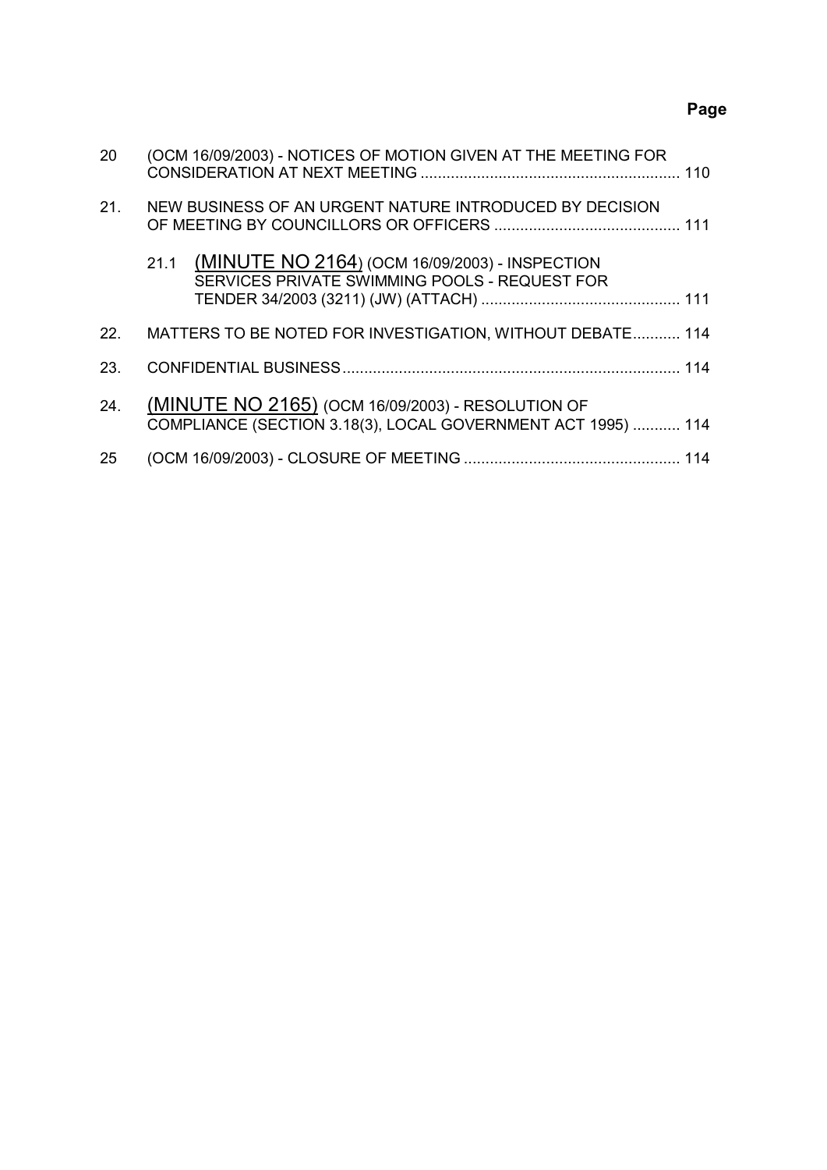# **Page**

| 20  | (OCM 16/09/2003) - NOTICES OF MOTION GIVEN AT THE MEETING FOR                                                     |  |
|-----|-------------------------------------------------------------------------------------------------------------------|--|
| 21. | NEW BUSINESS OF AN URGENT NATURE INTRODUCED BY DECISION                                                           |  |
|     | 21.1 (MINUTE NO 2164) (OCM 16/09/2003) - INSPECTION<br>SERVICES PRIVATE SWIMMING POOLS - REQUEST FOR              |  |
| 22. | MATTERS TO BE NOTED FOR INVESTIGATION, WITHOUT DEBATE 114                                                         |  |
| 23. |                                                                                                                   |  |
| 24. | (MINUTE NO 2165) (OCM 16/09/2003) - RESOLUTION OF<br>COMPLIANCE (SECTION 3.18(3), LOCAL GOVERNMENT ACT 1995)  114 |  |
| 25  |                                                                                                                   |  |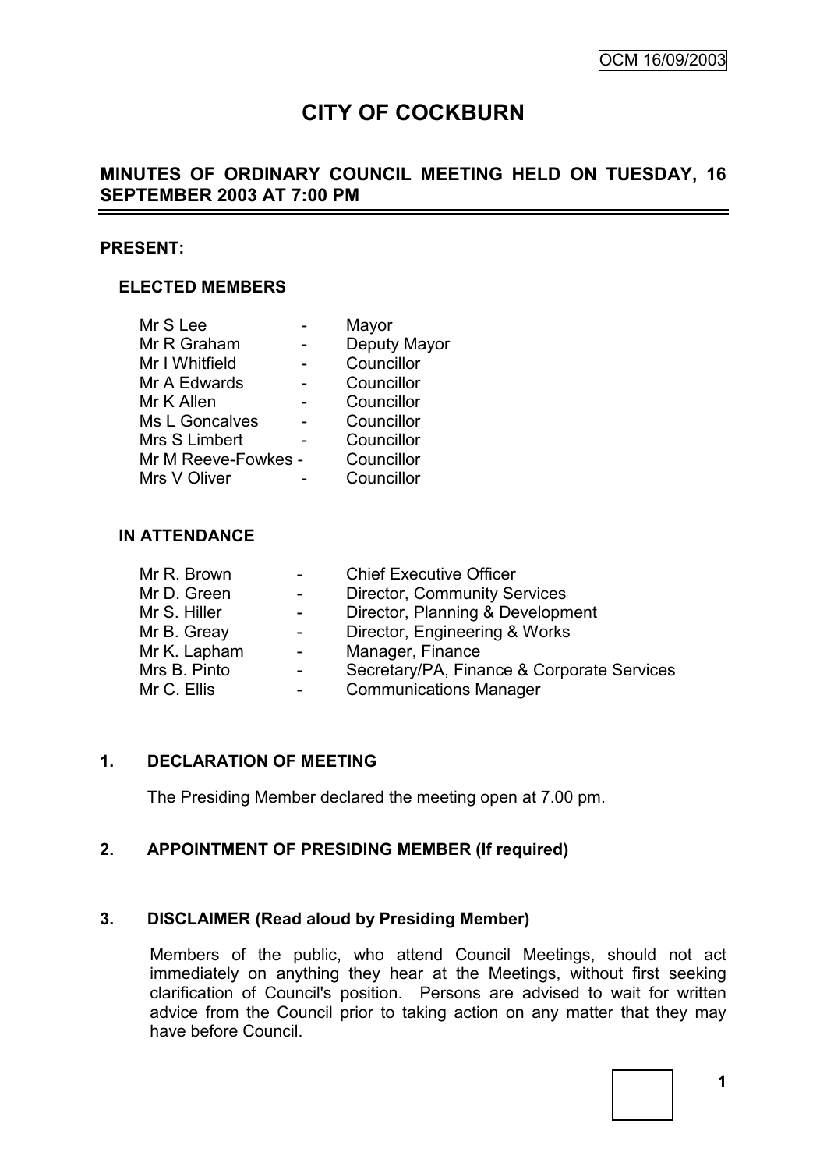# **CITY OF COCKBURN**

# **MINUTES OF ORDINARY COUNCIL MEETING HELD ON TUESDAY, 16 SEPTEMBER 2003 AT 7:00 PM**

#### **PRESENT:**

## **ELECTED MEMBERS**

| Mr S Lee            | Mayor        |
|---------------------|--------------|
| Mr R Graham         | Deputy Mayor |
| Mr I Whitfield      | Councillor   |
| Mr A Edwards        | Councillor   |
| Mr K Allen          | Councillor   |
| Ms L Goncalves      | Councillor   |
| Mrs S Limbert       | Councillor   |
| Mr M Reeve-Fowkes - | Councillor   |
| Mrs V Oliver        | Councillor   |
|                     |              |

#### **IN ATTENDANCE**

| Mr R. Brown  | $\sim$         | <b>Chief Executive Officer</b>             |
|--------------|----------------|--------------------------------------------|
| Mr D. Green  | $\sim$         | <b>Director, Community Services</b>        |
| Mr S. Hiller |                | Director, Planning & Development           |
| Mr B. Greay  | $\sim$         | Director, Engineering & Works              |
| Mr K. Lapham | $\blacksquare$ | Manager, Finance                           |
| Mrs B. Pinto | ۰              | Secretary/PA, Finance & Corporate Services |
| Mr C. Ellis  | -              | <b>Communications Manager</b>              |
|              |                |                                            |

#### **1. DECLARATION OF MEETING**

The Presiding Member declared the meeting open at 7.00 pm.

# **2. APPOINTMENT OF PRESIDING MEMBER (If required)**

### **3. DISCLAIMER (Read aloud by Presiding Member)**

Members of the public, who attend Council Meetings, should not act immediately on anything they hear at the Meetings, without first seeking clarification of Council's position. Persons are advised to wait for written advice from the Council prior to taking action on any matter that they may have before Council.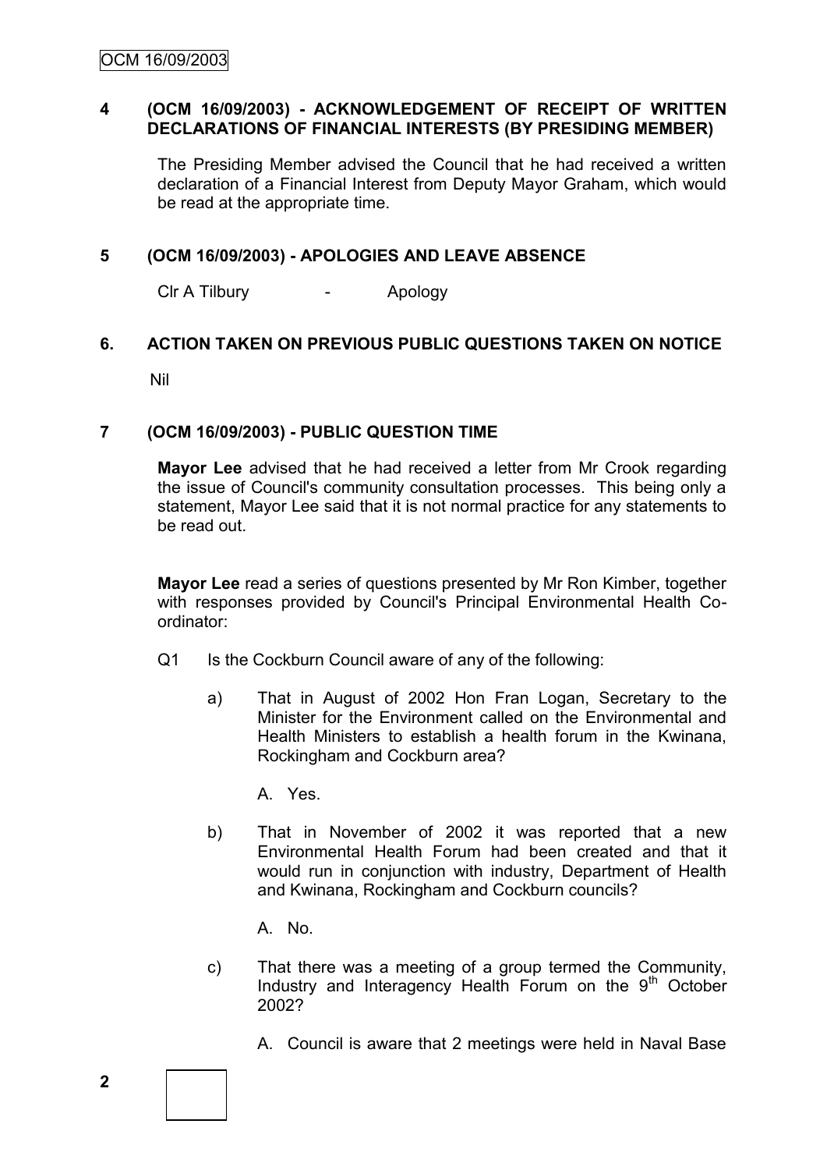### **4 (OCM 16/09/2003) - ACKNOWLEDGEMENT OF RECEIPT OF WRITTEN DECLARATIONS OF FINANCIAL INTERESTS (BY PRESIDING MEMBER)**

The Presiding Member advised the Council that he had received a written declaration of a Financial Interest from Deputy Mayor Graham, which would be read at the appropriate time.

## **5 (OCM 16/09/2003) - APOLOGIES AND LEAVE ABSENCE**

Clr A Tilbury - Apology

### **6. ACTION TAKEN ON PREVIOUS PUBLIC QUESTIONS TAKEN ON NOTICE**

Nil

## **7 (OCM 16/09/2003) - PUBLIC QUESTION TIME**

**Mayor Lee** advised that he had received a letter from Mr Crook regarding the issue of Council's community consultation processes. This being only a statement, Mayor Lee said that it is not normal practice for any statements to be read out.

**Mayor Lee** read a series of questions presented by Mr Ron Kimber, together with responses provided by Council's Principal Environmental Health Coordinator:

- Q1 Is the Cockburn Council aware of any of the following:
	- a) That in August of 2002 Hon Fran Logan, Secretary to the Minister for the Environment called on the Environmental and Health Ministers to establish a health forum in the Kwinana, Rockingham and Cockburn area?

A. Yes.

b) That in November of 2002 it was reported that a new Environmental Health Forum had been created and that it would run in conjunction with industry, Department of Health and Kwinana, Rockingham and Cockburn councils?

A. No.

- c) That there was a meeting of a group termed the Community, Industry and Interagency Health Forum on the  $9<sup>th</sup>$  October 2002?
	- A. Council is aware that 2 meetings were held in Naval Base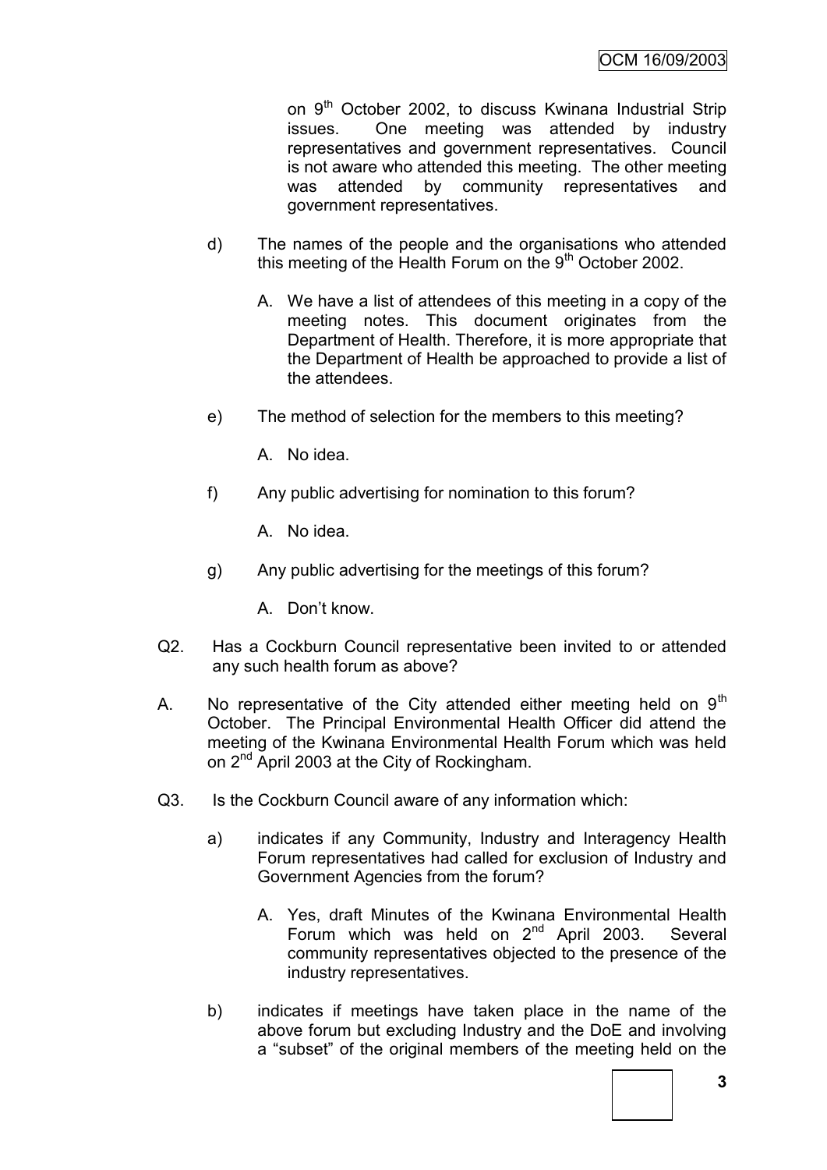on 9<sup>th</sup> October 2002, to discuss Kwinana Industrial Strip issues. One meeting was attended by industry representatives and government representatives. Council is not aware who attended this meeting. The other meeting was attended by community representatives and government representatives.

- d) The names of the people and the organisations who attended this meeting of the Health Forum on the  $9<sup>th</sup>$  October 2002.
	- A. We have a list of attendees of this meeting in a copy of the meeting notes. This document originates from the Department of Health. Therefore, it is more appropriate that the Department of Health be approached to provide a list of the attendees.
- e) The method of selection for the members to this meeting?

A. No idea.

f) Any public advertising for nomination to this forum?

A. No idea.

- g) Any public advertising for the meetings of this forum?
	- A. Don"t know.
- Q2. Has a Cockburn Council representative been invited to or attended any such health forum as above?
- A. No representative of the City attended either meeting held on  $9<sup>th</sup>$ October. The Principal Environmental Health Officer did attend the meeting of the Kwinana Environmental Health Forum which was held on 2<sup>nd</sup> April 2003 at the City of Rockingham.
- Q3. Is the Cockburn Council aware of any information which:
	- a) indicates if any Community, Industry and Interagency Health Forum representatives had called for exclusion of Industry and Government Agencies from the forum?
		- A. Yes, draft Minutes of the Kwinana Environmental Health Forum which was held on  $2^{nd}$  April 2003. Several community representatives objected to the presence of the industry representatives.
	- b) indicates if meetings have taken place in the name of the above forum but excluding Industry and the DoE and involving a "subset" of the original members of the meeting held on the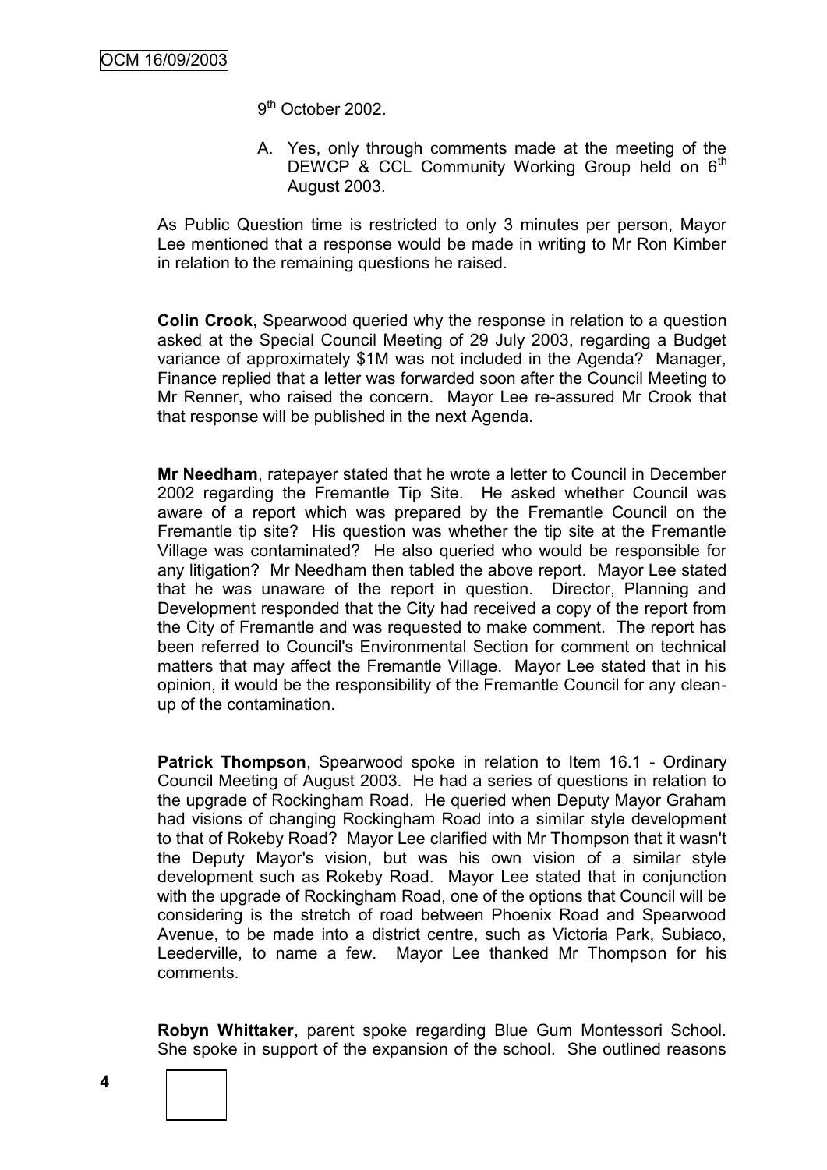9<sup>th</sup> October 2002.

A. Yes, only through comments made at the meeting of the DEWCP & CCL Community Working Group held on  $6<sup>th</sup>$ August 2003.

As Public Question time is restricted to only 3 minutes per person, Mayor Lee mentioned that a response would be made in writing to Mr Ron Kimber in relation to the remaining questions he raised.

**Colin Crook**, Spearwood queried why the response in relation to a question asked at the Special Council Meeting of 29 July 2003, regarding a Budget variance of approximately \$1M was not included in the Agenda? Manager, Finance replied that a letter was forwarded soon after the Council Meeting to Mr Renner, who raised the concern. Mayor Lee re-assured Mr Crook that that response will be published in the next Agenda.

**Mr Needham**, ratepayer stated that he wrote a letter to Council in December 2002 regarding the Fremantle Tip Site. He asked whether Council was aware of a report which was prepared by the Fremantle Council on the Fremantle tip site? His question was whether the tip site at the Fremantle Village was contaminated? He also queried who would be responsible for any litigation? Mr Needham then tabled the above report. Mayor Lee stated that he was unaware of the report in question. Director, Planning and Development responded that the City had received a copy of the report from the City of Fremantle and was requested to make comment. The report has been referred to Council's Environmental Section for comment on technical matters that may affect the Fremantle Village. Mayor Lee stated that in his opinion, it would be the responsibility of the Fremantle Council for any cleanup of the contamination.

**Patrick Thompson**, Spearwood spoke in relation to Item 16.1 - Ordinary Council Meeting of August 2003. He had a series of questions in relation to the upgrade of Rockingham Road. He queried when Deputy Mayor Graham had visions of changing Rockingham Road into a similar style development to that of Rokeby Road? Mayor Lee clarified with Mr Thompson that it wasn't the Deputy Mayor's vision, but was his own vision of a similar style development such as Rokeby Road. Mayor Lee stated that in conjunction with the upgrade of Rockingham Road, one of the options that Council will be considering is the stretch of road between Phoenix Road and Spearwood Avenue, to be made into a district centre, such as Victoria Park, Subiaco, Leederville, to name a few. Mayor Lee thanked Mr Thompson for his comments.

**Robyn Whittaker**, parent spoke regarding Blue Gum Montessori School. She spoke in support of the expansion of the school. She outlined reasons

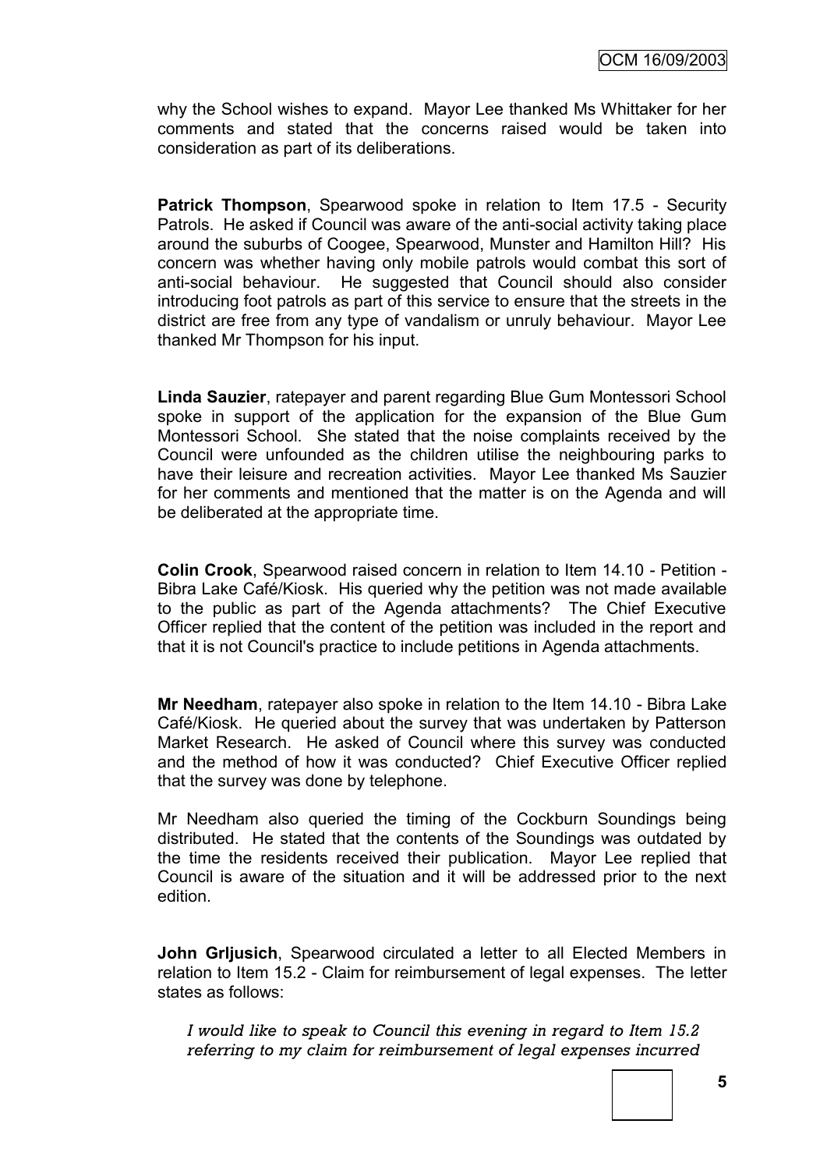why the School wishes to expand. Mayor Lee thanked Ms Whittaker for her comments and stated that the concerns raised would be taken into consideration as part of its deliberations.

**Patrick Thompson**, Spearwood spoke in relation to Item 17.5 - Security Patrols. He asked if Council was aware of the anti-social activity taking place around the suburbs of Coogee, Spearwood, Munster and Hamilton Hill? His concern was whether having only mobile patrols would combat this sort of anti-social behaviour. He suggested that Council should also consider introducing foot patrols as part of this service to ensure that the streets in the district are free from any type of vandalism or unruly behaviour. Mayor Lee thanked Mr Thompson for his input.

**Linda Sauzier**, ratepayer and parent regarding Blue Gum Montessori School spoke in support of the application for the expansion of the Blue Gum Montessori School. She stated that the noise complaints received by the Council were unfounded as the children utilise the neighbouring parks to have their leisure and recreation activities. Mayor Lee thanked Ms Sauzier for her comments and mentioned that the matter is on the Agenda and will be deliberated at the appropriate time.

**Colin Crook**, Spearwood raised concern in relation to Item 14.10 - Petition - Bibra Lake Café/Kiosk. His queried why the petition was not made available to the public as part of the Agenda attachments? The Chief Executive Officer replied that the content of the petition was included in the report and that it is not Council's practice to include petitions in Agenda attachments.

**Mr Needham**, ratepayer also spoke in relation to the Item 14.10 - Bibra Lake Café/Kiosk. He queried about the survey that was undertaken by Patterson Market Research. He asked of Council where this survey was conducted and the method of how it was conducted? Chief Executive Officer replied that the survey was done by telephone.

Mr Needham also queried the timing of the Cockburn Soundings being distributed. He stated that the contents of the Soundings was outdated by the time the residents received their publication. Mayor Lee replied that Council is aware of the situation and it will be addressed prior to the next edition.

**John Grljusich**, Spearwood circulated a letter to all Elected Members in relation to Item 15.2 - Claim for reimbursement of legal expenses. The letter states as follows:

*I would like to speak to Council this evening in regard to Item 15.2 referring to my claim for reimbursement of legal expenses incurred*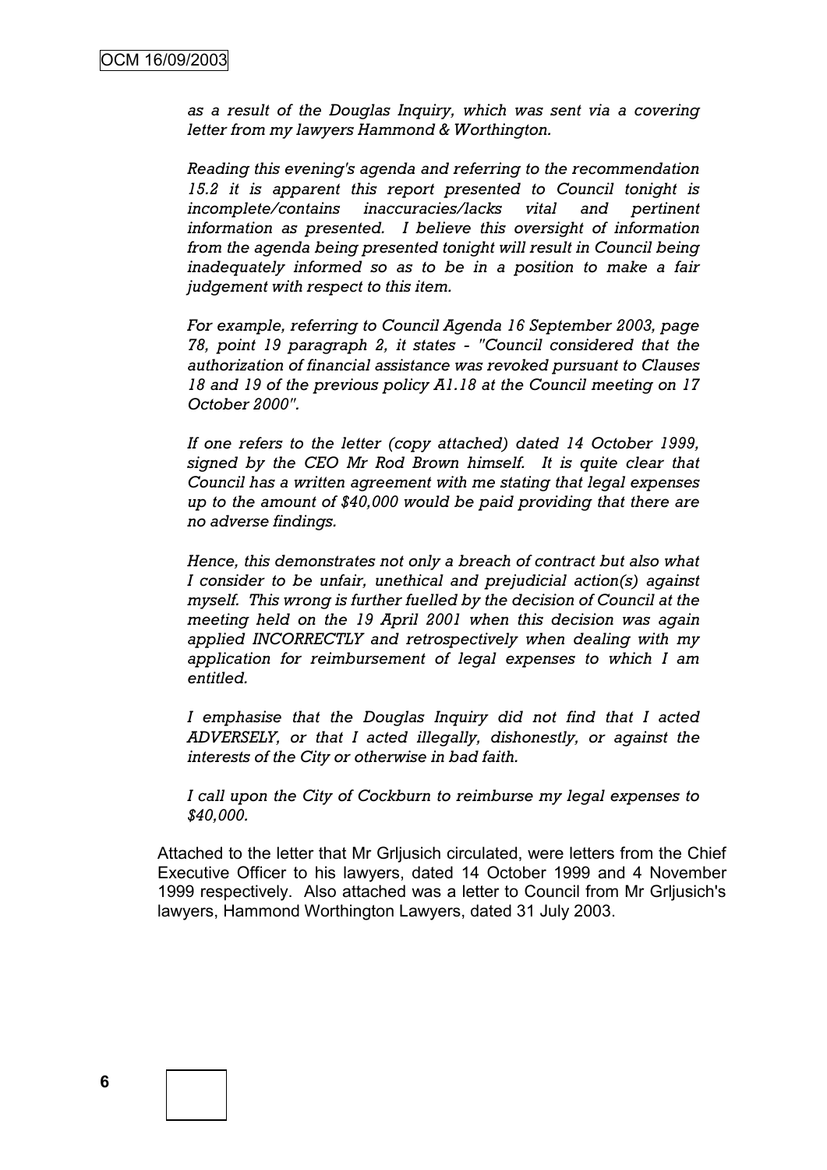*as a result of the Douglas Inquiry, which was sent via a covering letter from my lawyers Hammond & Worthington.*

*Reading this evening's agenda and referring to the recommendation 15.2 it is apparent this report presented to Council tonight is incomplete/contains inaccuracies/lacks vital and pertinent information as presented. I believe this oversight of information from the agenda being presented tonight will result in Council being inadequately informed so as to be in a position to make a fair judgement with respect to this item.*

*For example, referring to Council Agenda 16 September 2003, page 78, point 19 paragraph 2, it states - "Council considered that the authorization of financial assistance was revoked pursuant to Clauses 18 and 19 of the previous policy A1.18 at the Council meeting on 17 October 2000".*

*If one refers to the letter (copy attached) dated 14 October 1999, signed by the CEO Mr Rod Brown himself. It is quite clear that Council has a written agreement with me stating that legal expenses up to the amount of \$40,000 would be paid providing that there are no adverse findings.*

*Hence, this demonstrates not only a breach of contract but also what I consider to be unfair, unethical and prejudicial action(s) against myself. This wrong is further fuelled by the decision of Council at the meeting held on the 19 April 2001 when this decision was again applied INCORRECTLY and retrospectively when dealing with my application for reimbursement of legal expenses to which I am entitled.*

*I emphasise that the Douglas Inquiry did not find that I acted ADVERSELY, or that I acted illegally, dishonestly, or against the interests of the City or otherwise in bad faith.*

*I call upon the City of Cockburn to reimburse my legal expenses to \$40,000.*

Attached to the letter that Mr Grljusich circulated, were letters from the Chief Executive Officer to his lawyers, dated 14 October 1999 and 4 November 1999 respectively. Also attached was a letter to Council from Mr Grljusich's lawyers, Hammond Worthington Lawyers, dated 31 July 2003.

**6**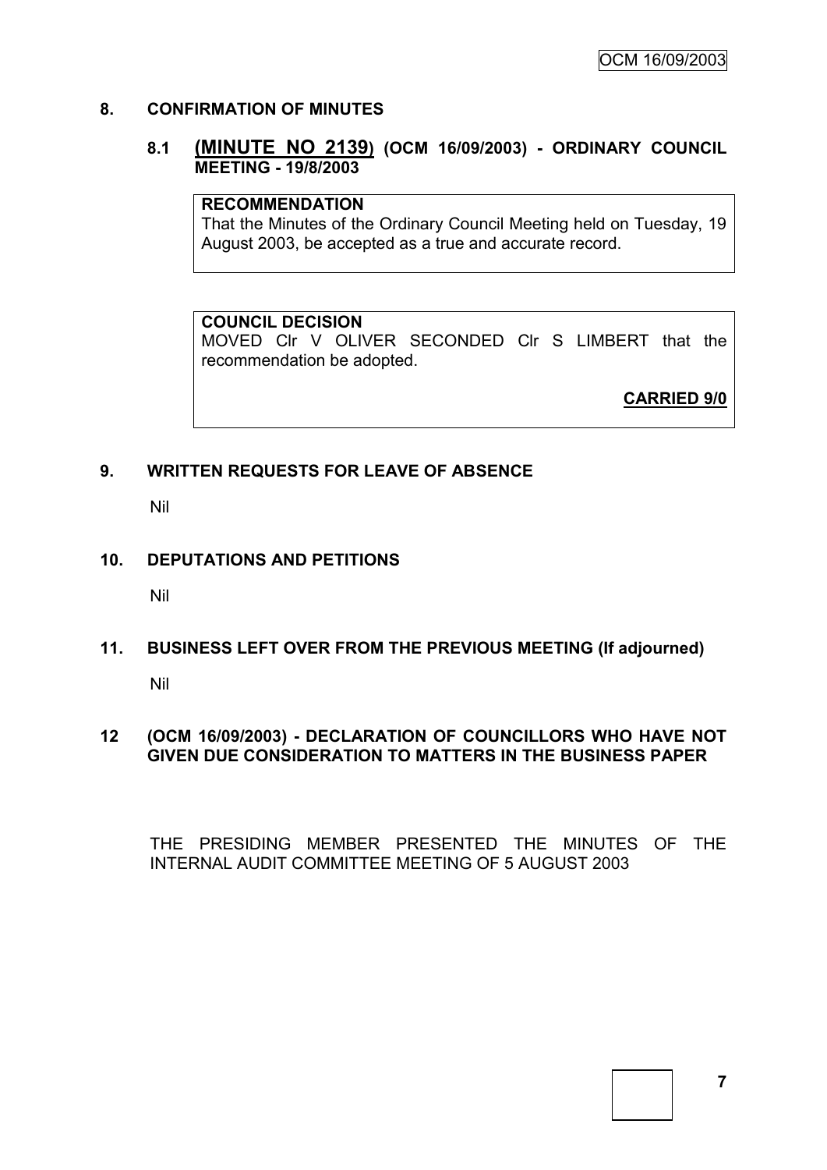### **8. CONFIRMATION OF MINUTES**

### **8.1 (MINUTE NO 2139) (OCM 16/09/2003) - ORDINARY COUNCIL MEETING - 19/8/2003**

#### **RECOMMENDATION**

That the Minutes of the Ordinary Council Meeting held on Tuesday, 19 August 2003, be accepted as a true and accurate record.

#### **COUNCIL DECISION**

MOVED Clr V OLIVER SECONDED Clr S LIMBERT that the recommendation be adopted.

**CARRIED 9/0**

### **9. WRITTEN REQUESTS FOR LEAVE OF ABSENCE**

Nil

#### **10. DEPUTATIONS AND PETITIONS**

Nil

# **11. BUSINESS LEFT OVER FROM THE PREVIOUS MEETING (If adjourned)**

Nil

### **12 (OCM 16/09/2003) - DECLARATION OF COUNCILLORS WHO HAVE NOT GIVEN DUE CONSIDERATION TO MATTERS IN THE BUSINESS PAPER**

THE PRESIDING MEMBER PRESENTED THE MINUTES OF THE INTERNAL AUDIT COMMITTEE MEETING OF 5 AUGUST 2003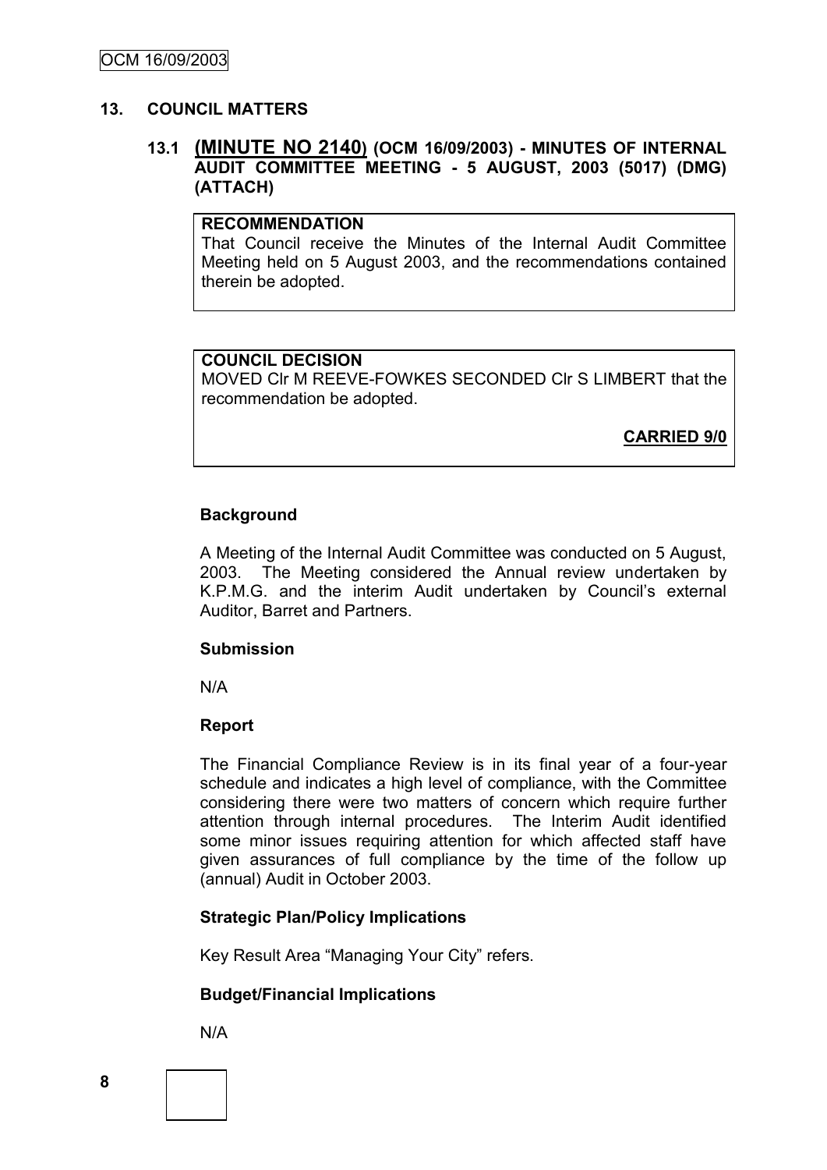#### **13. COUNCIL MATTERS**

## **13.1 (MINUTE NO 2140) (OCM 16/09/2003) - MINUTES OF INTERNAL AUDIT COMMITTEE MEETING - 5 AUGUST, 2003 (5017) (DMG) (ATTACH)**

### **RECOMMENDATION**

That Council receive the Minutes of the Internal Audit Committee Meeting held on 5 August 2003, and the recommendations contained therein be adopted.

### **COUNCIL DECISION**

MOVED Clr M REEVE-FOWKES SECONDED Clr S LIMBERT that the recommendation be adopted.

**CARRIED 9/0**

#### **Background**

A Meeting of the Internal Audit Committee was conducted on 5 August, 2003. The Meeting considered the Annual review undertaken by K.P.M.G. and the interim Audit undertaken by Council"s external Auditor, Barret and Partners.

#### **Submission**

N/A

### **Report**

The Financial Compliance Review is in its final year of a four-year schedule and indicates a high level of compliance, with the Committee considering there were two matters of concern which require further attention through internal procedures. The Interim Audit identified some minor issues requiring attention for which affected staff have given assurances of full compliance by the time of the follow up (annual) Audit in October 2003.

### **Strategic Plan/Policy Implications**

Key Result Area "Managing Your City" refers.

### **Budget/Financial Implications**

N/A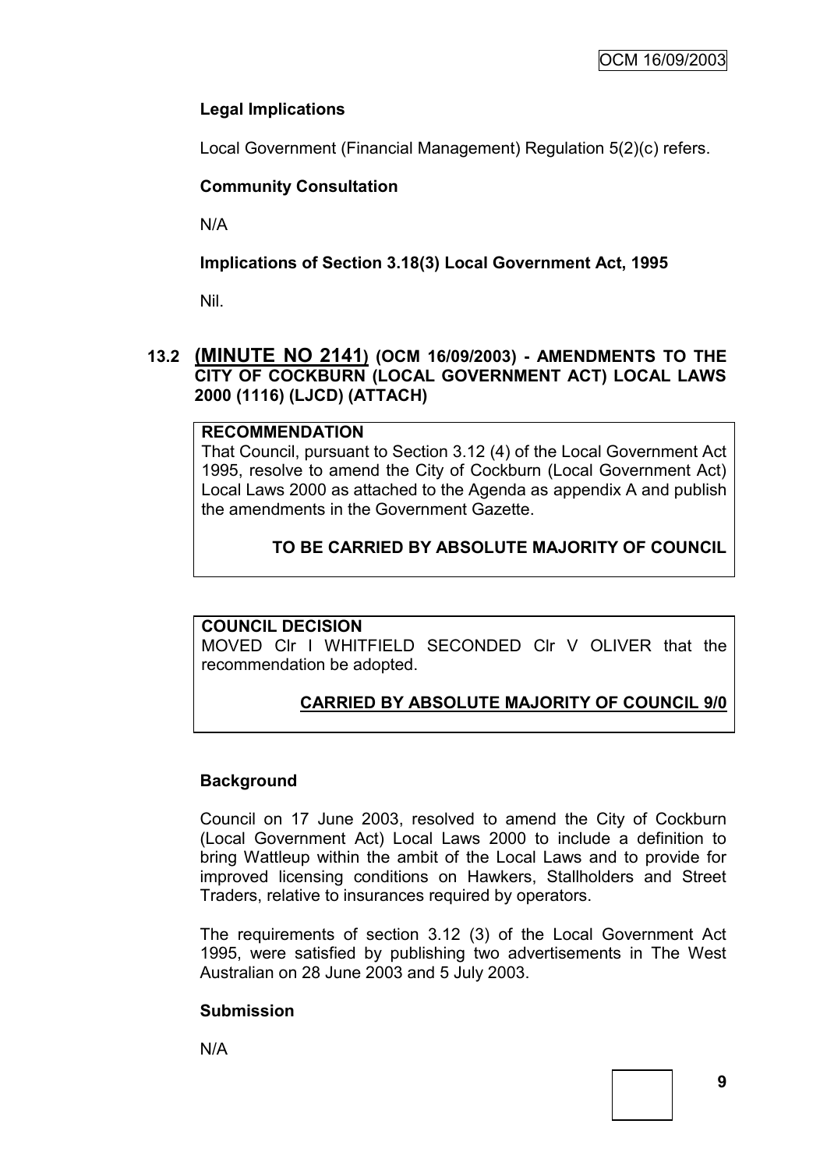# **Legal Implications**

Local Government (Financial Management) Regulation 5(2)(c) refers.

# **Community Consultation**

N/A

# **Implications of Section 3.18(3) Local Government Act, 1995**

Nil.

# **13.2 (MINUTE NO 2141) (OCM 16/09/2003) - AMENDMENTS TO THE CITY OF COCKBURN (LOCAL GOVERNMENT ACT) LOCAL LAWS 2000 (1116) (LJCD) (ATTACH)**

# **RECOMMENDATION**

That Council, pursuant to Section 3.12 (4) of the Local Government Act 1995, resolve to amend the City of Cockburn (Local Government Act) Local Laws 2000 as attached to the Agenda as appendix A and publish the amendments in the Government Gazette.

# **TO BE CARRIED BY ABSOLUTE MAJORITY OF COUNCIL**

# **COUNCIL DECISION**

MOVED Clr I WHITFIELD SECONDED Clr V OLIVER that the recommendation be adopted.

# **CARRIED BY ABSOLUTE MAJORITY OF COUNCIL 9/0**

# **Background**

Council on 17 June 2003, resolved to amend the City of Cockburn (Local Government Act) Local Laws 2000 to include a definition to bring Wattleup within the ambit of the Local Laws and to provide for improved licensing conditions on Hawkers, Stallholders and Street Traders, relative to insurances required by operators.

The requirements of section 3.12 (3) of the Local Government Act 1995, were satisfied by publishing two advertisements in The West Australian on 28 June 2003 and 5 July 2003.

# **Submission**

N/A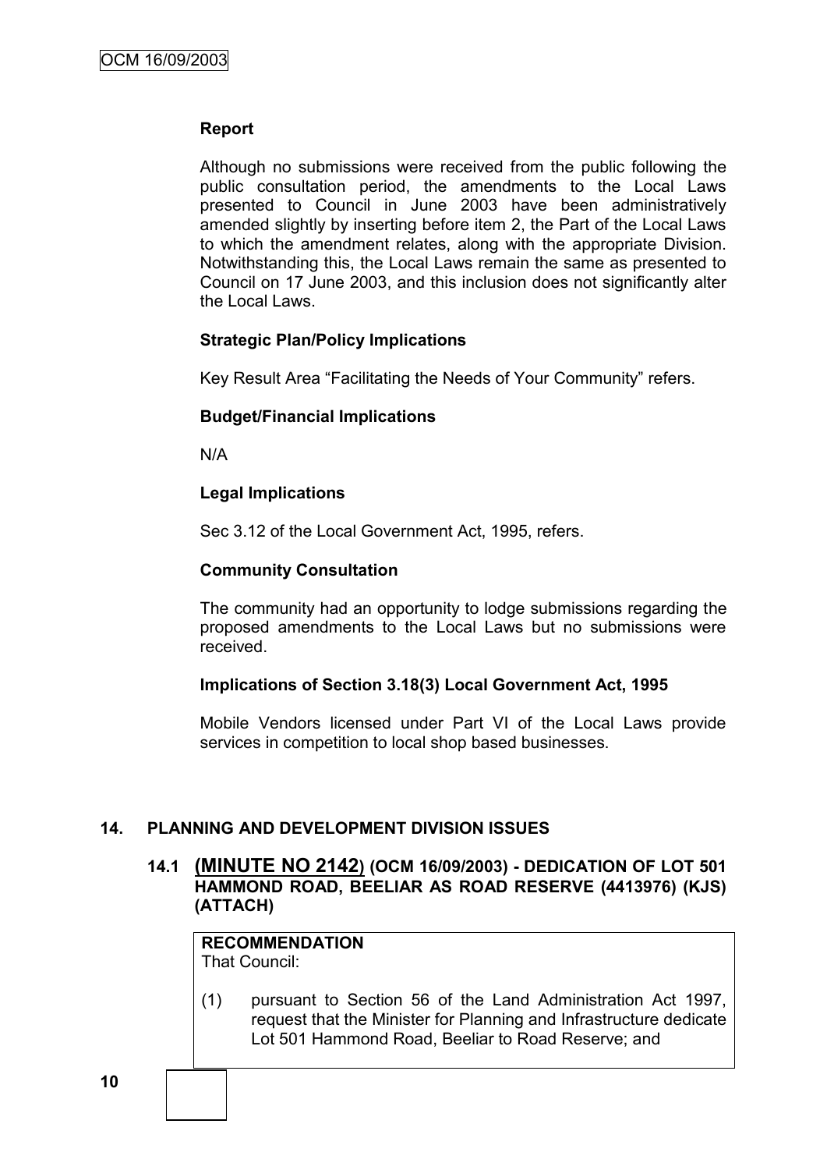### **Report**

Although no submissions were received from the public following the public consultation period, the amendments to the Local Laws presented to Council in June 2003 have been administratively amended slightly by inserting before item 2, the Part of the Local Laws to which the amendment relates, along with the appropriate Division. Notwithstanding this, the Local Laws remain the same as presented to Council on 17 June 2003, and this inclusion does not significantly alter the Local Laws.

#### **Strategic Plan/Policy Implications**

Key Result Area "Facilitating the Needs of Your Community" refers.

#### **Budget/Financial Implications**

N/A

#### **Legal Implications**

Sec 3.12 of the Local Government Act, 1995, refers.

#### **Community Consultation**

The community had an opportunity to lodge submissions regarding the proposed amendments to the Local Laws but no submissions were received.

#### **Implications of Section 3.18(3) Local Government Act, 1995**

Mobile Vendors licensed under Part VI of the Local Laws provide services in competition to local shop based businesses.

### **14. PLANNING AND DEVELOPMENT DIVISION ISSUES**

## **14.1 (MINUTE NO 2142) (OCM 16/09/2003) - DEDICATION OF LOT 501 HAMMOND ROAD, BEELIAR AS ROAD RESERVE (4413976) (KJS) (ATTACH)**

# **RECOMMENDATION**

That Council:

(1) pursuant to Section 56 of the Land Administration Act 1997, request that the Minister for Planning and Infrastructure dedicate Lot 501 Hammond Road, Beeliar to Road Reserve; and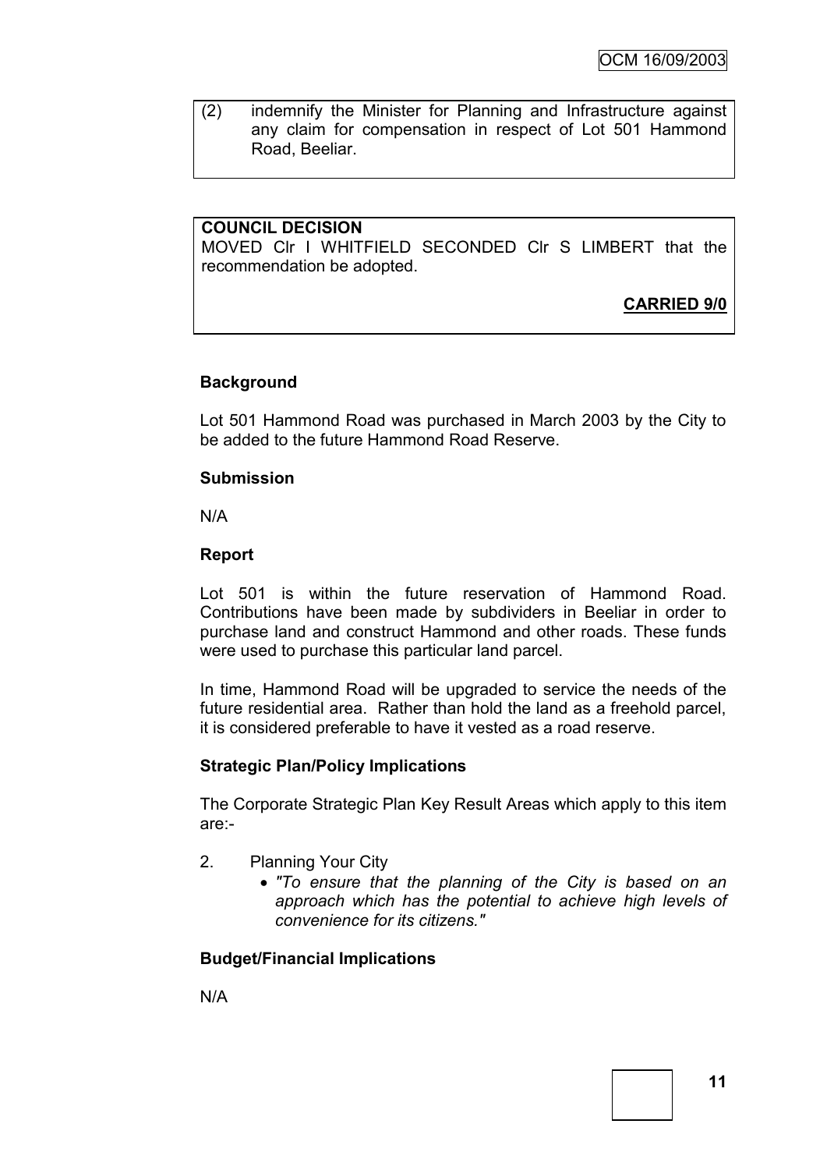(2) indemnify the Minister for Planning and Infrastructure against any claim for compensation in respect of Lot 501 Hammond Road, Beeliar.

## **COUNCIL DECISION**

MOVED Clr I WHITFIELD SECONDED Clr S LIMBERT that the recommendation be adopted.

**CARRIED 9/0**

### **Background**

Lot 501 Hammond Road was purchased in March 2003 by the City to be added to the future Hammond Road Reserve.

### **Submission**

N/A

### **Report**

Lot 501 is within the future reservation of Hammond Road. Contributions have been made by subdividers in Beeliar in order to purchase land and construct Hammond and other roads. These funds were used to purchase this particular land parcel.

In time, Hammond Road will be upgraded to service the needs of the future residential area. Rather than hold the land as a freehold parcel, it is considered preferable to have it vested as a road reserve.

### **Strategic Plan/Policy Implications**

The Corporate Strategic Plan Key Result Areas which apply to this item are:-

- 2. Planning Your City
	- *"To ensure that the planning of the City is based on an approach which has the potential to achieve high levels of convenience for its citizens."*

# **Budget/Financial Implications**

N/A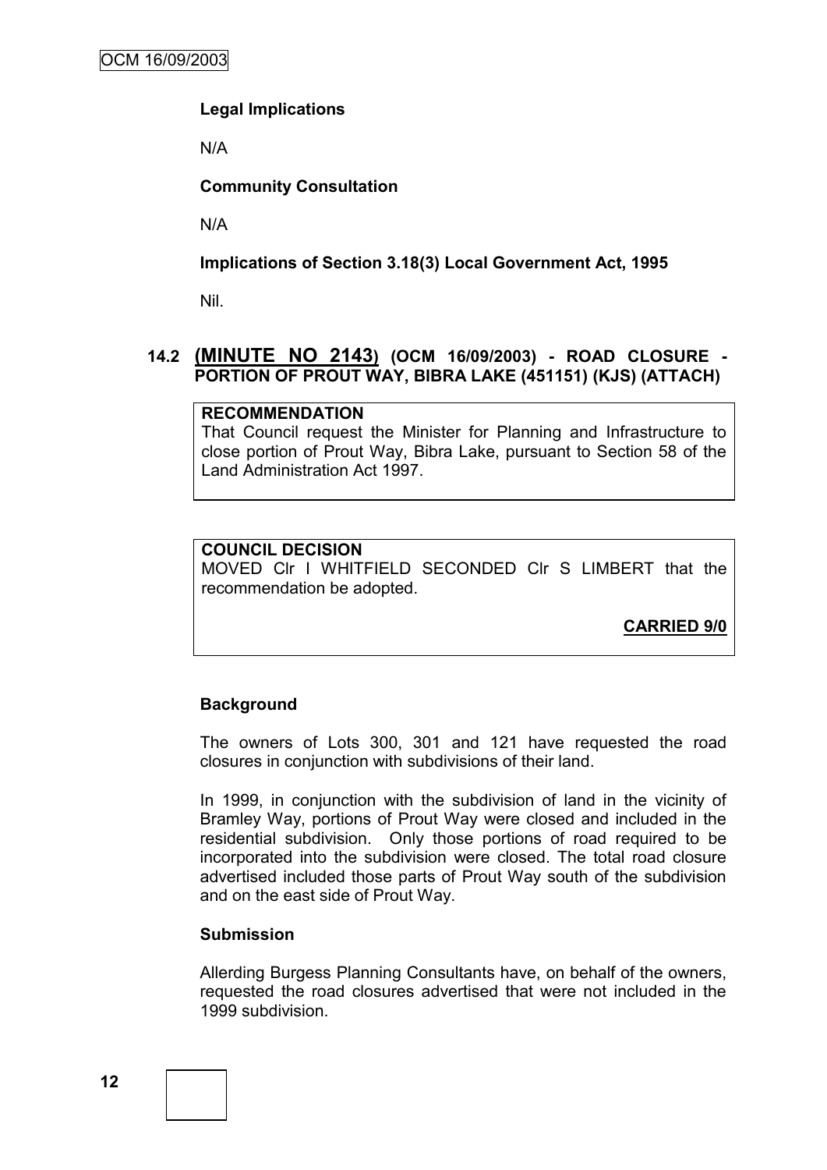## **Legal Implications**

N/A

## **Community Consultation**

N/A

### **Implications of Section 3.18(3) Local Government Act, 1995**

Nil.

## **14.2 (MINUTE NO 2143) (OCM 16/09/2003) - ROAD CLOSURE - PORTION OF PROUT WAY, BIBRA LAKE (451151) (KJS) (ATTACH)**

### **RECOMMENDATION**

That Council request the Minister for Planning and Infrastructure to close portion of Prout Way, Bibra Lake, pursuant to Section 58 of the Land Administration Act 1997.

#### **COUNCIL DECISION**

MOVED Clr I WHITFIELD SECONDED Clr S LIMBERT that the recommendation be adopted.

**CARRIED 9/0**

### **Background**

The owners of Lots 300, 301 and 121 have requested the road closures in conjunction with subdivisions of their land.

In 1999, in conjunction with the subdivision of land in the vicinity of Bramley Way, portions of Prout Way were closed and included in the residential subdivision. Only those portions of road required to be incorporated into the subdivision were closed. The total road closure advertised included those parts of Prout Way south of the subdivision and on the east side of Prout Way.

### **Submission**

Allerding Burgess Planning Consultants have, on behalf of the owners, requested the road closures advertised that were not included in the 1999 subdivision.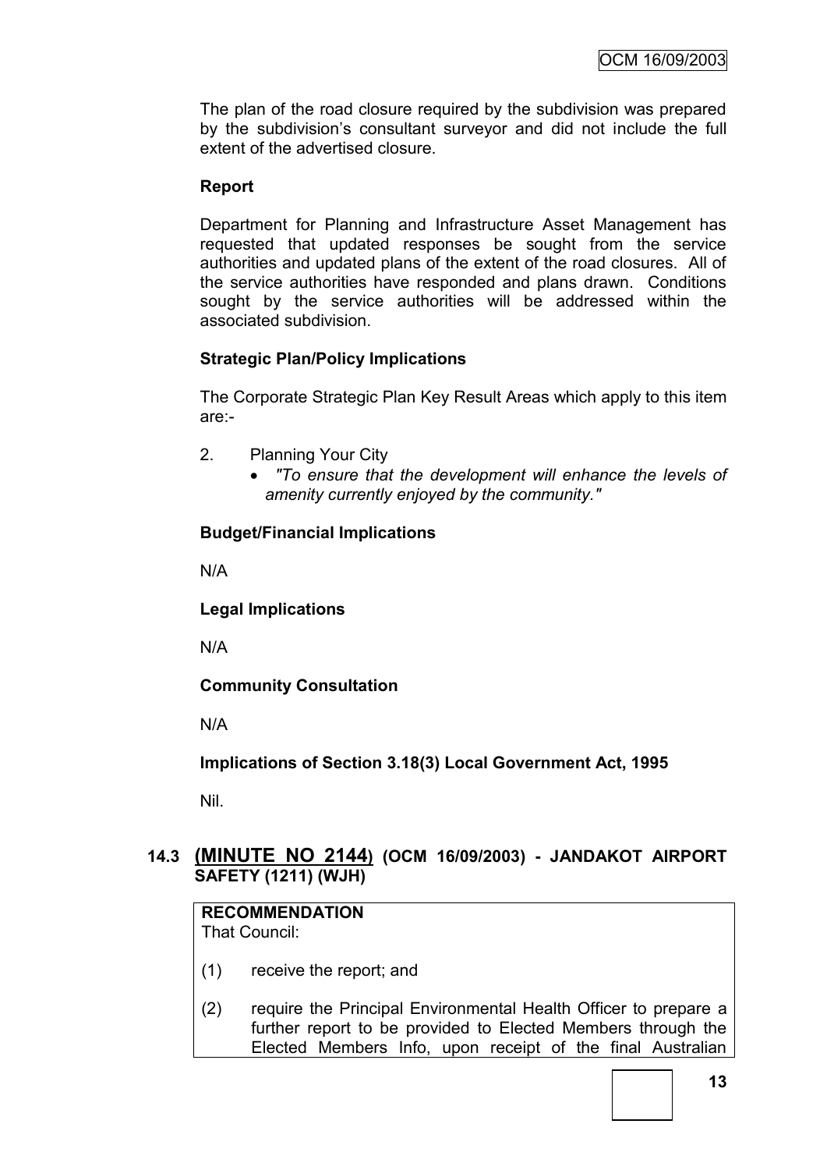The plan of the road closure required by the subdivision was prepared by the subdivision"s consultant surveyor and did not include the full extent of the advertised closure.

### **Report**

Department for Planning and Infrastructure Asset Management has requested that updated responses be sought from the service authorities and updated plans of the extent of the road closures. All of the service authorities have responded and plans drawn. Conditions sought by the service authorities will be addressed within the associated subdivision.

### **Strategic Plan/Policy Implications**

The Corporate Strategic Plan Key Result Areas which apply to this item are:-

- 2. Planning Your City
	- *"To ensure that the development will enhance the levels of amenity currently enjoyed by the community."*

#### **Budget/Financial Implications**

N/A

**Legal Implications**

N/A

**Community Consultation**

N/A

**Implications of Section 3.18(3) Local Government Act, 1995**

Nil.

## **14.3 (MINUTE NO 2144) (OCM 16/09/2003) - JANDAKOT AIRPORT SAFETY (1211) (WJH)**

# **RECOMMENDATION**

That Council:

- (1) receive the report; and
- (2) require the Principal Environmental Health Officer to prepare a further report to be provided to Elected Members through the Elected Members Info, upon receipt of the final Australian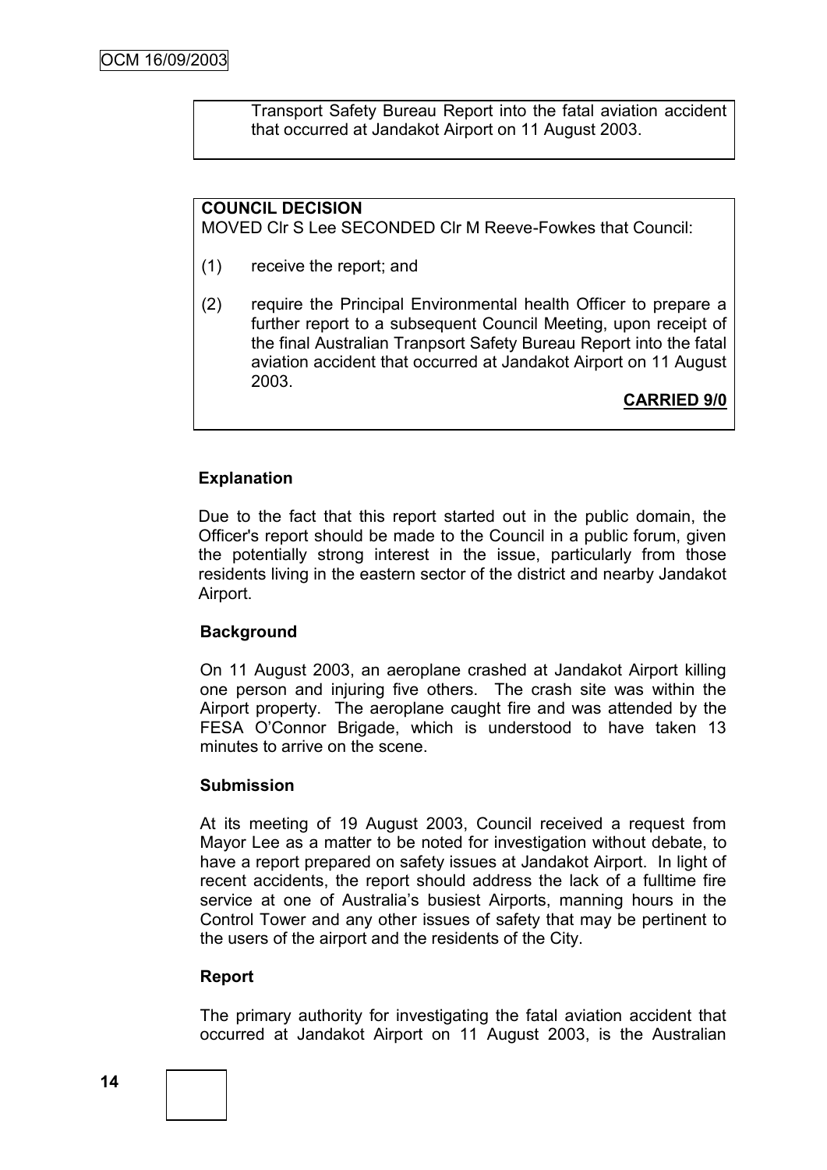Transport Safety Bureau Report into the fatal aviation accident that occurred at Jandakot Airport on 11 August 2003.

## **COUNCIL DECISION**

MOVED Clr S Lee SECONDED Clr M Reeve-Fowkes that Council:

- (1) receive the report; and
- (2) require the Principal Environmental health Officer to prepare a further report to a subsequent Council Meeting, upon receipt of the final Australian Tranpsort Safety Bureau Report into the fatal aviation accident that occurred at Jandakot Airport on 11 August 2003.

**CARRIED 9/0**

## **Explanation**

Due to the fact that this report started out in the public domain, the Officer's report should be made to the Council in a public forum, given the potentially strong interest in the issue, particularly from those residents living in the eastern sector of the district and nearby Jandakot Airport.

### **Background**

On 11 August 2003, an aeroplane crashed at Jandakot Airport killing one person and injuring five others. The crash site was within the Airport property. The aeroplane caught fire and was attended by the FESA O"Connor Brigade, which is understood to have taken 13 minutes to arrive on the scene.

#### **Submission**

At its meeting of 19 August 2003, Council received a request from Mayor Lee as a matter to be noted for investigation without debate, to have a report prepared on safety issues at Jandakot Airport. In light of recent accidents, the report should address the lack of a fulltime fire service at one of Australia's busiest Airports, manning hours in the Control Tower and any other issues of safety that may be pertinent to the users of the airport and the residents of the City.

#### **Report**

The primary authority for investigating the fatal aviation accident that occurred at Jandakot Airport on 11 August 2003, is the Australian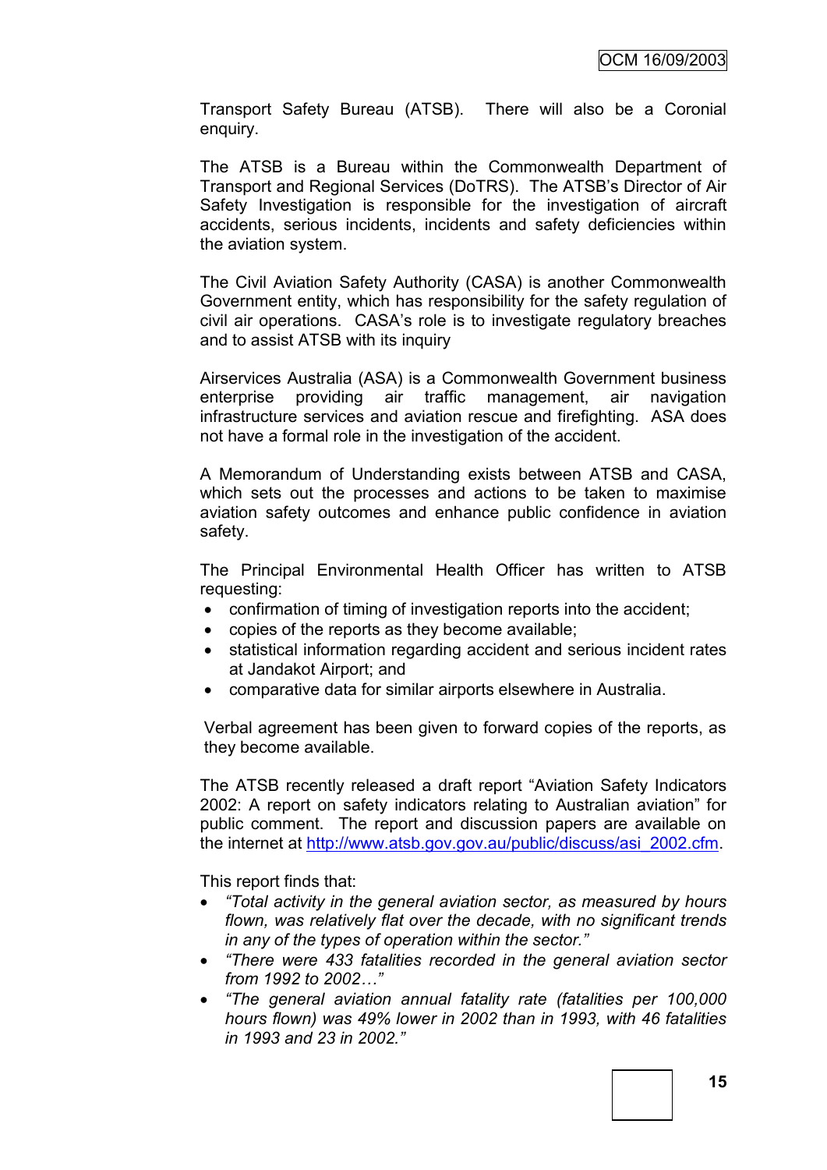Transport Safety Bureau (ATSB). There will also be a Coronial enquiry.

The ATSB is a Bureau within the Commonwealth Department of Transport and Regional Services (DoTRS). The ATSB"s Director of Air Safety Investigation is responsible for the investigation of aircraft accidents, serious incidents, incidents and safety deficiencies within the aviation system.

The Civil Aviation Safety Authority (CASA) is another Commonwealth Government entity, which has responsibility for the safety regulation of civil air operations. CASA"s role is to investigate regulatory breaches and to assist ATSB with its inquiry

Airservices Australia (ASA) is a Commonwealth Government business enterprise providing air traffic management, air navigation infrastructure services and aviation rescue and firefighting. ASA does not have a formal role in the investigation of the accident.

A Memorandum of Understanding exists between ATSB and CASA, which sets out the processes and actions to be taken to maximise aviation safety outcomes and enhance public confidence in aviation safety.

The Principal Environmental Health Officer has written to ATSB requesting:

- confirmation of timing of investigation reports into the accident;
- copies of the reports as they become available;
- statistical information regarding accident and serious incident rates at Jandakot Airport; and
- comparative data for similar airports elsewhere in Australia.

Verbal agreement has been given to forward copies of the reports, as they become available.

The ATSB recently released a draft report "Aviation Safety Indicators 2002: A report on safety indicators relating to Australian aviation" for public comment. The report and discussion papers are available on the internet at [http://www.atsb.gov.gov.au/public/discuss/asi\\_2002.cfm.](http://www.atsb.gov.gov.au/public/discuss/asi_2002.cfm)

This report finds that:

- *"Total activity in the general aviation sector, as measured by hours flown, was relatively flat over the decade, with no significant trends in any of the types of operation within the sector."*
- *"There were 433 fatalities recorded in the general aviation sector from 1992 to 2002…"*
- *"The general aviation annual fatality rate (fatalities per 100,000 hours flown) was 49% lower in 2002 than in 1993, with 46 fatalities in 1993 and 23 in 2002."*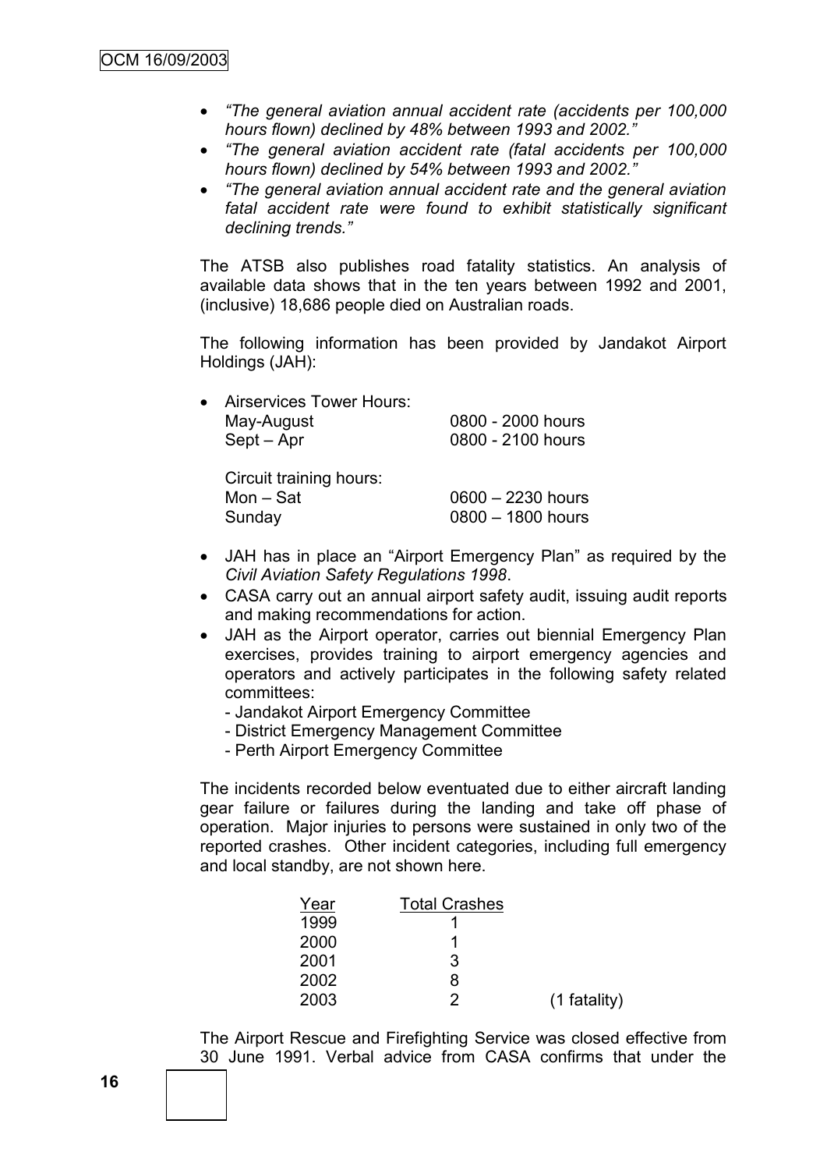- *"The general aviation annual accident rate (accidents per 100,000 hours flown) declined by 48% between 1993 and 2002."*
- *"The general aviation accident rate (fatal accidents per 100,000 hours flown) declined by 54% between 1993 and 2002."*
- *"The general aviation annual accident rate and the general aviation fatal accident rate were found to exhibit statistically significant declining trends."*

The ATSB also publishes road fatality statistics. An analysis of available data shows that in the ten years between 1992 and 2001, (inclusive) 18,686 people died on Australian roads.

The following information has been provided by Jandakot Airport Holdings (JAH):

| • Airservices Tower Hours: |                   |
|----------------------------|-------------------|
| May-August                 | 0800 - 2000 hours |
| Sept – Apr                 | 0800 - 2100 hours |
| Circuit training hours.    |                   |

| GILGUIL LIGILIIILY HOULS. |                     |
|---------------------------|---------------------|
| Mon $-$ Sat               | $0600 - 2230$ hours |
| Sunday                    | $0800 - 1800$ hours |

- JAH has in place an "Airport Emergency Plan" as required by the *Civil Aviation Safety Regulations 1998*.
- CASA carry out an annual airport safety audit, issuing audit reports and making recommendations for action.
- JAH as the Airport operator, carries out biennial Emergency Plan exercises, provides training to airport emergency agencies and operators and actively participates in the following safety related committees:
	- Jandakot Airport Emergency Committee
	- District Emergency Management Committee
	- Perth Airport Emergency Committee

The incidents recorded below eventuated due to either aircraft landing gear failure or failures during the landing and take off phase of operation. Major injuries to persons were sustained in only two of the reported crashes. Other incident categories, including full emergency and local standby, are not shown here.

| <b>Total Crashes</b> |                |
|----------------------|----------------|
|                      |                |
|                      |                |
| 3                    |                |
| 8                    |                |
| 2                    | $(1$ fatality) |
|                      |                |

The Airport Rescue and Firefighting Service was closed effective from 30 June 1991. Verbal advice from CASA confirms that under the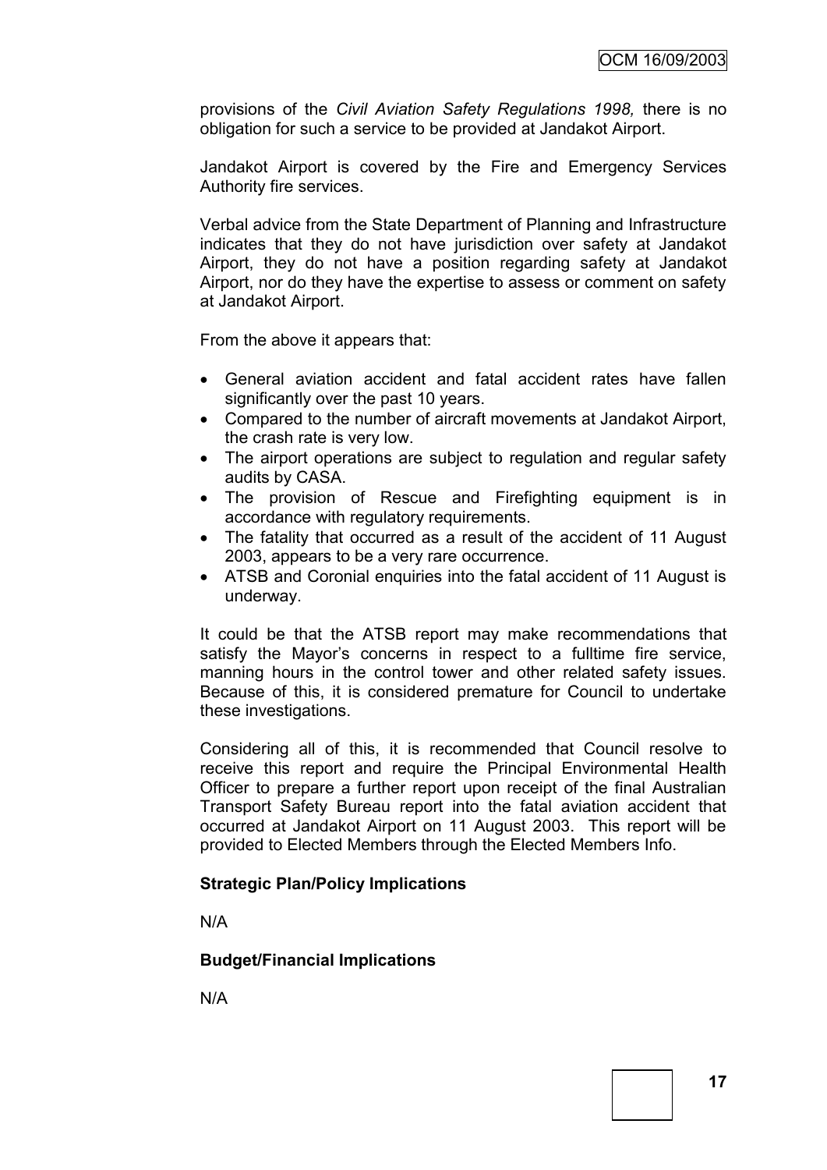provisions of the *Civil Aviation Safety Regulations 1998,* there is no obligation for such a service to be provided at Jandakot Airport.

Jandakot Airport is covered by the Fire and Emergency Services Authority fire services.

Verbal advice from the State Department of Planning and Infrastructure indicates that they do not have jurisdiction over safety at Jandakot Airport, they do not have a position regarding safety at Jandakot Airport, nor do they have the expertise to assess or comment on safety at Jandakot Airport.

From the above it appears that:

- General aviation accident and fatal accident rates have fallen significantly over the past 10 years.
- Compared to the number of aircraft movements at Jandakot Airport, the crash rate is very low.
- The airport operations are subject to regulation and regular safety audits by CASA.
- The provision of Rescue and Firefighting equipment is in accordance with regulatory requirements.
- The fatality that occurred as a result of the accident of 11 August 2003, appears to be a very rare occurrence.
- ATSB and Coronial enquiries into the fatal accident of 11 August is underway.

It could be that the ATSB report may make recommendations that satisfy the Mayor's concerns in respect to a fulltime fire service, manning hours in the control tower and other related safety issues. Because of this, it is considered premature for Council to undertake these investigations.

Considering all of this, it is recommended that Council resolve to receive this report and require the Principal Environmental Health Officer to prepare a further report upon receipt of the final Australian Transport Safety Bureau report into the fatal aviation accident that occurred at Jandakot Airport on 11 August 2003. This report will be provided to Elected Members through the Elected Members Info.

### **Strategic Plan/Policy Implications**

N/A

### **Budget/Financial Implications**

N/A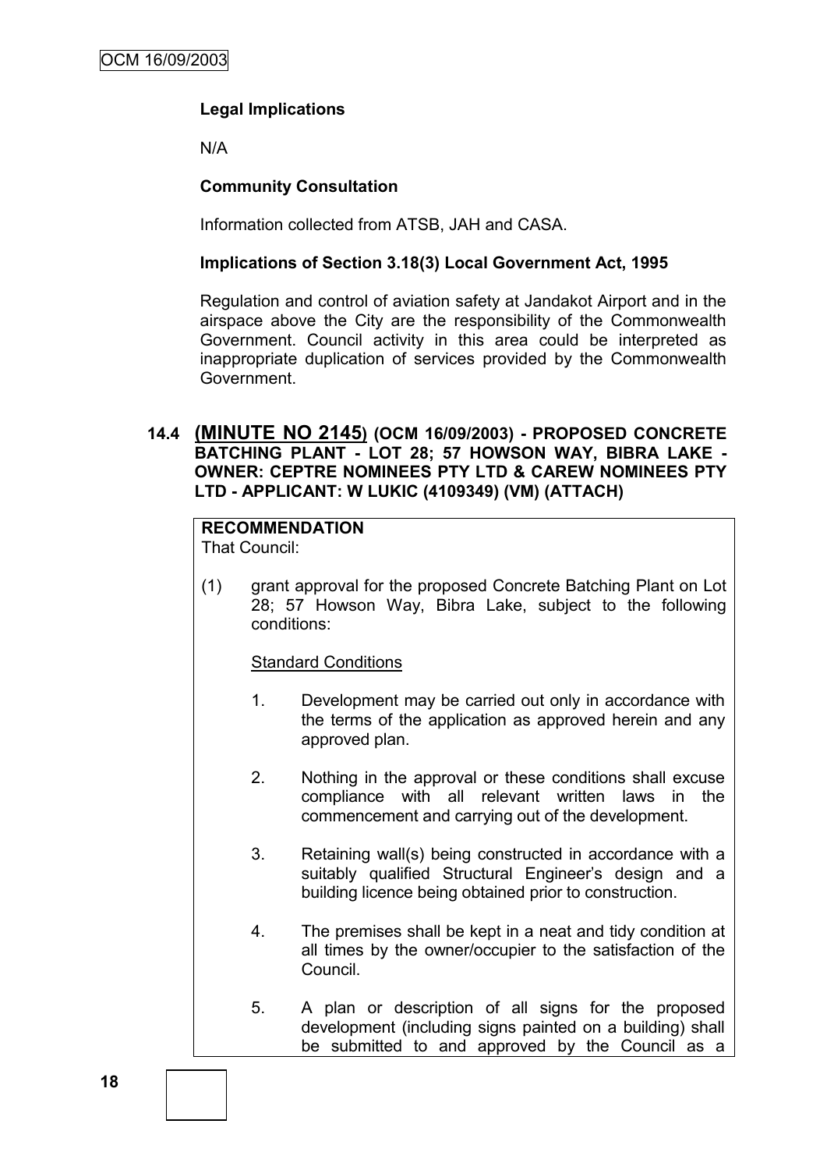# **Legal Implications**

N/A

## **Community Consultation**

Information collected from ATSB, JAH and CASA.

## **Implications of Section 3.18(3) Local Government Act, 1995**

Regulation and control of aviation safety at Jandakot Airport and in the airspace above the City are the responsibility of the Commonwealth Government. Council activity in this area could be interpreted as inappropriate duplication of services provided by the Commonwealth Government.

## **14.4 (MINUTE NO 2145) (OCM 16/09/2003) - PROPOSED CONCRETE BATCHING PLANT - LOT 28; 57 HOWSON WAY, BIBRA LAKE - OWNER: CEPTRE NOMINEES PTY LTD & CAREW NOMINEES PTY LTD - APPLICANT: W LUKIC (4109349) (VM) (ATTACH)**

# **RECOMMENDATION**

That Council:

(1) grant approval for the proposed Concrete Batching Plant on Lot 28; 57 Howson Way, Bibra Lake, subject to the following conditions:

### Standard Conditions

- 1. Development may be carried out only in accordance with the terms of the application as approved herein and any approved plan.
- 2. Nothing in the approval or these conditions shall excuse compliance with all relevant written laws in the commencement and carrying out of the development.
- 3. Retaining wall(s) being constructed in accordance with a suitably qualified Structural Engineer's design and a building licence being obtained prior to construction.
- 4. The premises shall be kept in a neat and tidy condition at all times by the owner/occupier to the satisfaction of the Council.
- 5. A plan or description of all signs for the proposed development (including signs painted on a building) shall be submitted to and approved by the Council as a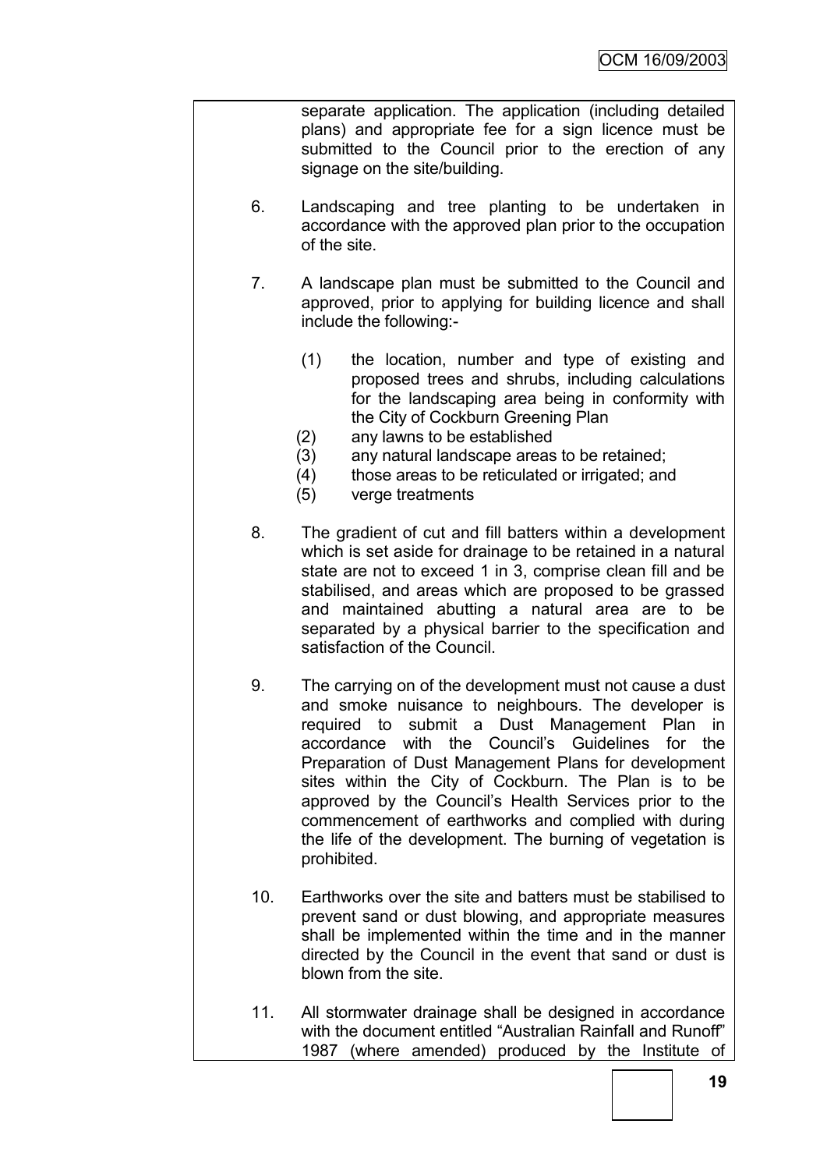separate application. The application (including detailed plans) and appropriate fee for a sign licence must be submitted to the Council prior to the erection of any signage on the site/building.

- 6. Landscaping and tree planting to be undertaken in accordance with the approved plan prior to the occupation of the site.
- 7. A landscape plan must be submitted to the Council and approved, prior to applying for building licence and shall include the following:-
	- (1) the location, number and type of existing and proposed trees and shrubs, including calculations for the landscaping area being in conformity with the City of Cockburn Greening Plan
	- (2) any lawns to be established
	- (3) any natural landscape areas to be retained;
	- (4) those areas to be reticulated or irrigated; and
	- (5) verge treatments
- 8. The gradient of cut and fill batters within a development which is set aside for drainage to be retained in a natural state are not to exceed 1 in 3, comprise clean fill and be stabilised, and areas which are proposed to be grassed and maintained abutting a natural area are to be separated by a physical barrier to the specification and satisfaction of the Council.
- 9. The carrying on of the development must not cause a dust and smoke nuisance to neighbours. The developer is required to submit a Dust Management Plan in accordance with the Council"s Guidelines for the Preparation of Dust Management Plans for development sites within the City of Cockburn. The Plan is to be approved by the Council"s Health Services prior to the commencement of earthworks and complied with during the life of the development. The burning of vegetation is prohibited.
- 10. Earthworks over the site and batters must be stabilised to prevent sand or dust blowing, and appropriate measures shall be implemented within the time and in the manner directed by the Council in the event that sand or dust is blown from the site.
- 11. All stormwater drainage shall be designed in accordance with the document entitled "Australian Rainfall and Runoff" 1987 (where amended) produced by the Institute of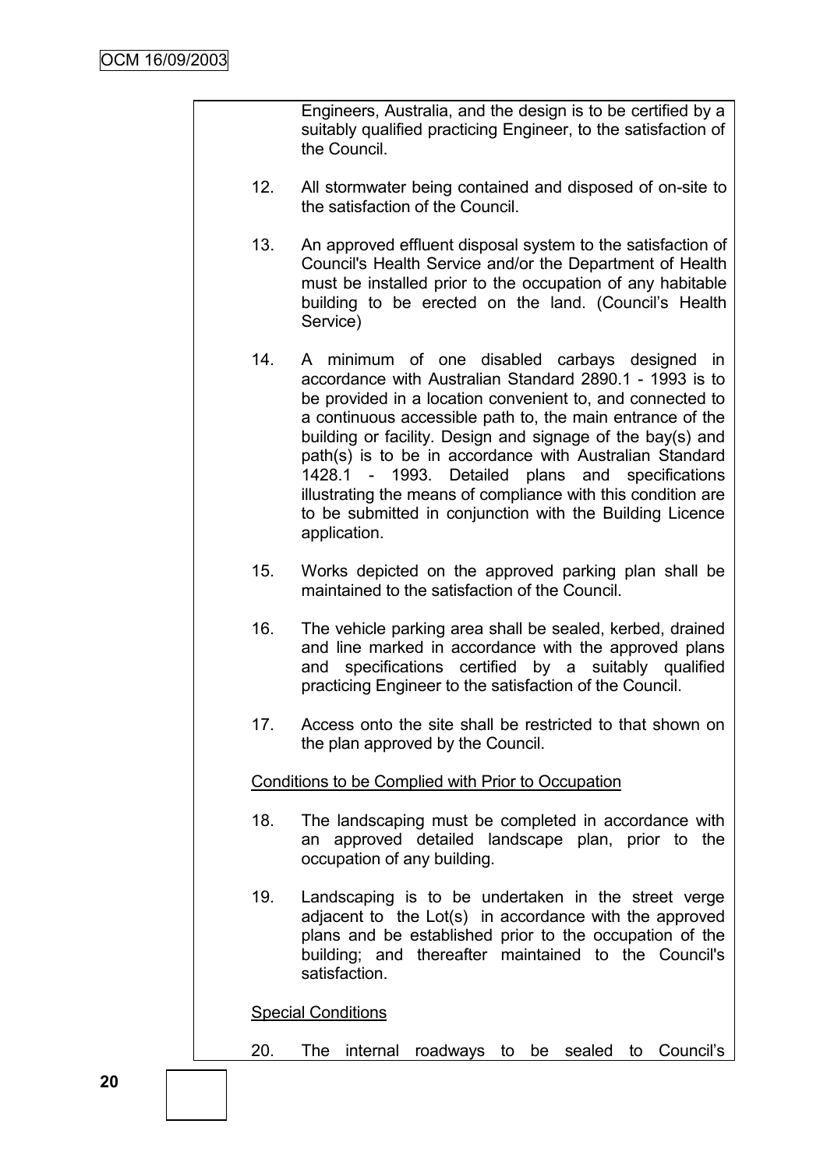Engineers, Australia, and the design is to be certified by a suitably qualified practicing Engineer, to the satisfaction of the Council.

- 12. All stormwater being contained and disposed of on-site to the satisfaction of the Council.
- 13. An approved effluent disposal system to the satisfaction of Council's Health Service and/or the Department of Health must be installed prior to the occupation of any habitable building to be erected on the land. (Council"s Health Service)
- 14. A minimum of one disabled carbays designed in accordance with Australian Standard 2890.1 - 1993 is to be provided in a location convenient to, and connected to a continuous accessible path to, the main entrance of the building or facility. Design and signage of the bay(s) and path(s) is to be in accordance with Australian Standard 1428.1 - 1993. Detailed plans and specifications illustrating the means of compliance with this condition are to be submitted in conjunction with the Building Licence application.
- 15. Works depicted on the approved parking plan shall be maintained to the satisfaction of the Council.
- 16. The vehicle parking area shall be sealed, kerbed, drained and line marked in accordance with the approved plans and specifications certified by a suitably qualified practicing Engineer to the satisfaction of the Council.
- 17. Access onto the site shall be restricted to that shown on the plan approved by the Council.

#### Conditions to be Complied with Prior to Occupation

- 18. The landscaping must be completed in accordance with an approved detailed landscape plan, prior to the occupation of any building.
- 19. Landscaping is to be undertaken in the street verge adjacent to the Lot(s) in accordance with the approved plans and be established prior to the occupation of the building; and thereafter maintained to the Council's satisfaction.

Special Conditions

20. The internal roadways to be sealed to Council"s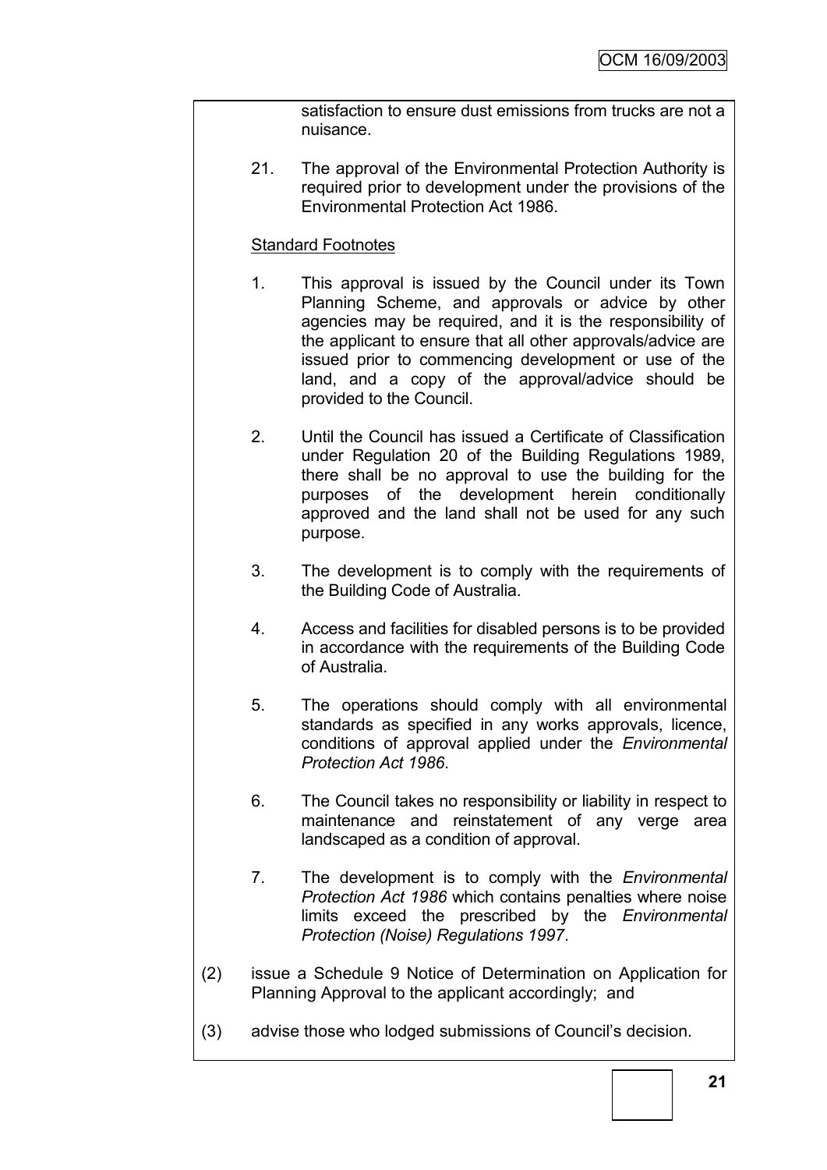satisfaction to ensure dust emissions from trucks are not a nuisance.

21. The approval of the Environmental Protection Authority is required prior to development under the provisions of the Environmental Protection Act 1986.

### Standard Footnotes

- 1. This approval is issued by the Council under its Town Planning Scheme, and approvals or advice by other agencies may be required, and it is the responsibility of the applicant to ensure that all other approvals/advice are issued prior to commencing development or use of the land, and a copy of the approval/advice should be provided to the Council.
- 2. Until the Council has issued a Certificate of Classification under Regulation 20 of the Building Regulations 1989, there shall be no approval to use the building for the purposes of the development herein conditionally approved and the land shall not be used for any such purpose.
- 3. The development is to comply with the requirements of the Building Code of Australia.
- 4. Access and facilities for disabled persons is to be provided in accordance with the requirements of the Building Code of Australia.
- 5. The operations should comply with all environmental standards as specified in any works approvals, licence, conditions of approval applied under the *Environmental Protection Act 1986*.
- 6. The Council takes no responsibility or liability in respect to maintenance and reinstatement of any verge area landscaped as a condition of approval.
- 7. The development is to comply with the *Environmental Protection Act 1986* which contains penalties where noise limits exceed the prescribed by the *Environmental Protection (Noise) Regulations 1997*.
- (2) issue a Schedule 9 Notice of Determination on Application for Planning Approval to the applicant accordingly; and
- (3) advise those who lodged submissions of Council"s decision.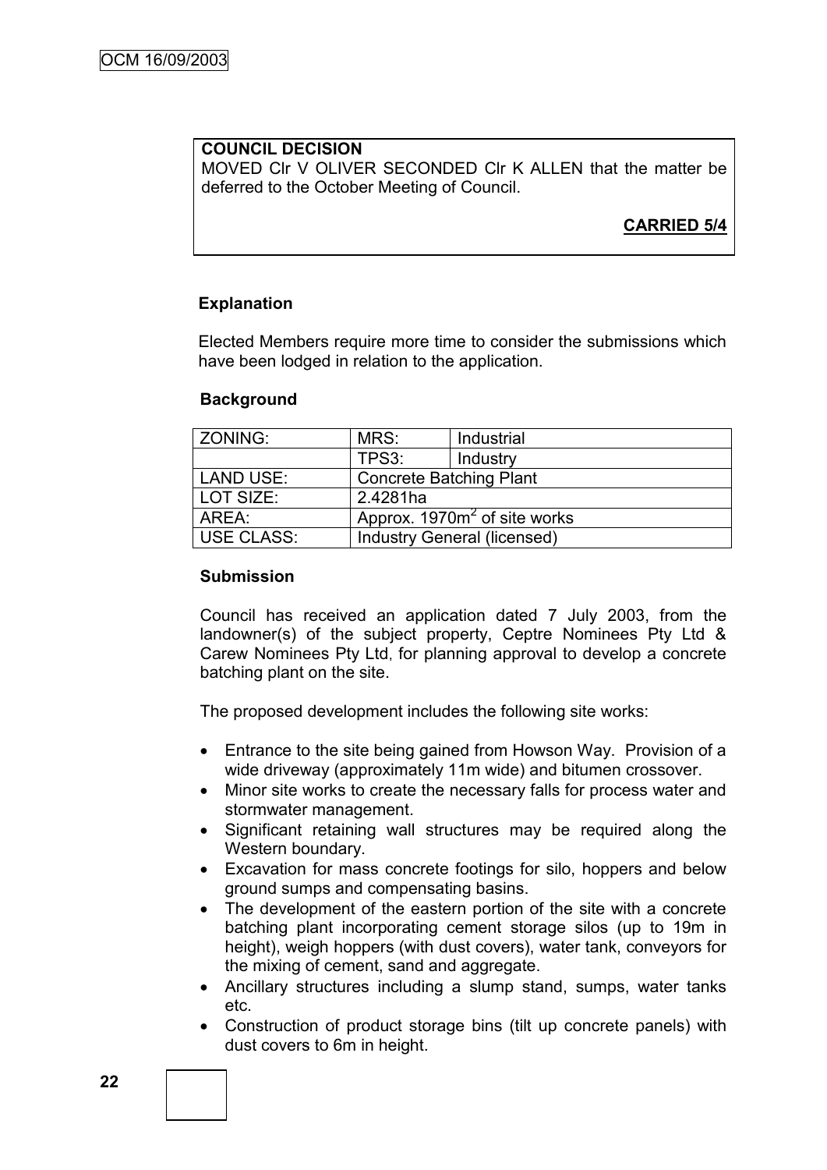# **COUNCIL DECISION**

MOVED Clr V OLIVER SECONDED Clr K ALLEN that the matter be deferred to the October Meeting of Council.

# **CARRIED 5/4**

### **Explanation**

Elected Members require more time to consider the submissions which have been lodged in relation to the application.

#### **Background**

| ZONING:           | MRS:                                     | Industrial |  |
|-------------------|------------------------------------------|------------|--|
|                   | TPS3:                                    | Industry   |  |
| LAND USE:         | <b>Concrete Batching Plant</b>           |            |  |
| LOT SIZE:         | 2.4281ha                                 |            |  |
| AREA:             | Approx. 1970m <sup>2</sup> of site works |            |  |
| <b>USE CLASS:</b> | <b>Industry General (licensed)</b>       |            |  |

#### **Submission**

Council has received an application dated 7 July 2003, from the landowner(s) of the subject property, Ceptre Nominees Pty Ltd & Carew Nominees Pty Ltd, for planning approval to develop a concrete batching plant on the site.

The proposed development includes the following site works:

- Entrance to the site being gained from Howson Way. Provision of a wide driveway (approximately 11m wide) and bitumen crossover.
- Minor site works to create the necessary falls for process water and stormwater management.
- Significant retaining wall structures may be required along the Western boundary.
- Excavation for mass concrete footings for silo, hoppers and below ground sumps and compensating basins.
- The development of the eastern portion of the site with a concrete batching plant incorporating cement storage silos (up to 19m in height), weigh hoppers (with dust covers), water tank, conveyors for the mixing of cement, sand and aggregate.
- Ancillary structures including a slump stand, sumps, water tanks etc.
- Construction of product storage bins (tilt up concrete panels) with dust covers to 6m in height.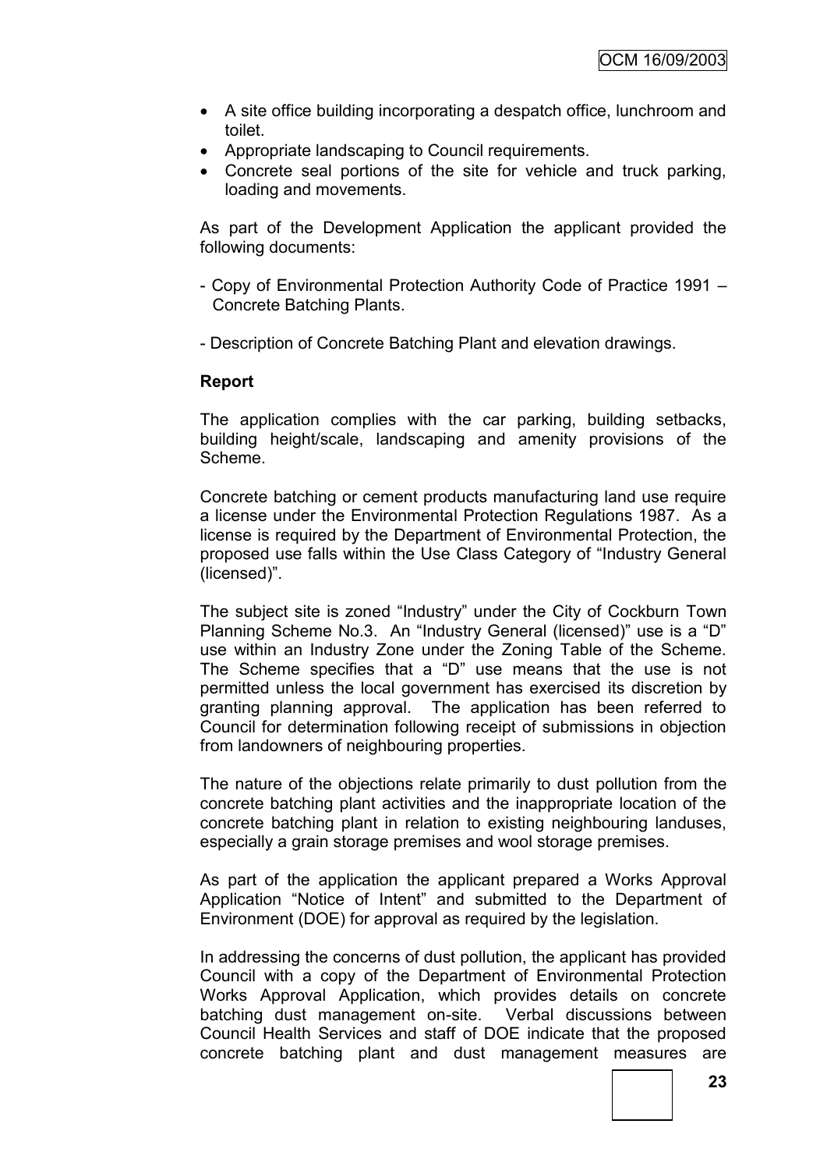- A site office building incorporating a despatch office, lunchroom and toilet.
- Appropriate landscaping to Council requirements.
- Concrete seal portions of the site for vehicle and truck parking, loading and movements.

As part of the Development Application the applicant provided the following documents:

- Copy of Environmental Protection Authority Code of Practice 1991 Concrete Batching Plants.
- Description of Concrete Batching Plant and elevation drawings.

### **Report**

The application complies with the car parking, building setbacks, building height/scale, landscaping and amenity provisions of the Scheme.

Concrete batching or cement products manufacturing land use require a license under the Environmental Protection Regulations 1987. As a license is required by the Department of Environmental Protection, the proposed use falls within the Use Class Category of "Industry General (licensed)".

The subject site is zoned "Industry" under the City of Cockburn Town Planning Scheme No.3. An "Industry General (licensed)" use is a "D" use within an Industry Zone under the Zoning Table of the Scheme. The Scheme specifies that a "D" use means that the use is not permitted unless the local government has exercised its discretion by granting planning approval. The application has been referred to Council for determination following receipt of submissions in objection from landowners of neighbouring properties.

The nature of the objections relate primarily to dust pollution from the concrete batching plant activities and the inappropriate location of the concrete batching plant in relation to existing neighbouring landuses, especially a grain storage premises and wool storage premises.

As part of the application the applicant prepared a Works Approval Application "Notice of Intent" and submitted to the Department of Environment (DOE) for approval as required by the legislation.

In addressing the concerns of dust pollution, the applicant has provided Council with a copy of the Department of Environmental Protection Works Approval Application, which provides details on concrete batching dust management on-site. Verbal discussions between Council Health Services and staff of DOE indicate that the proposed concrete batching plant and dust management measures are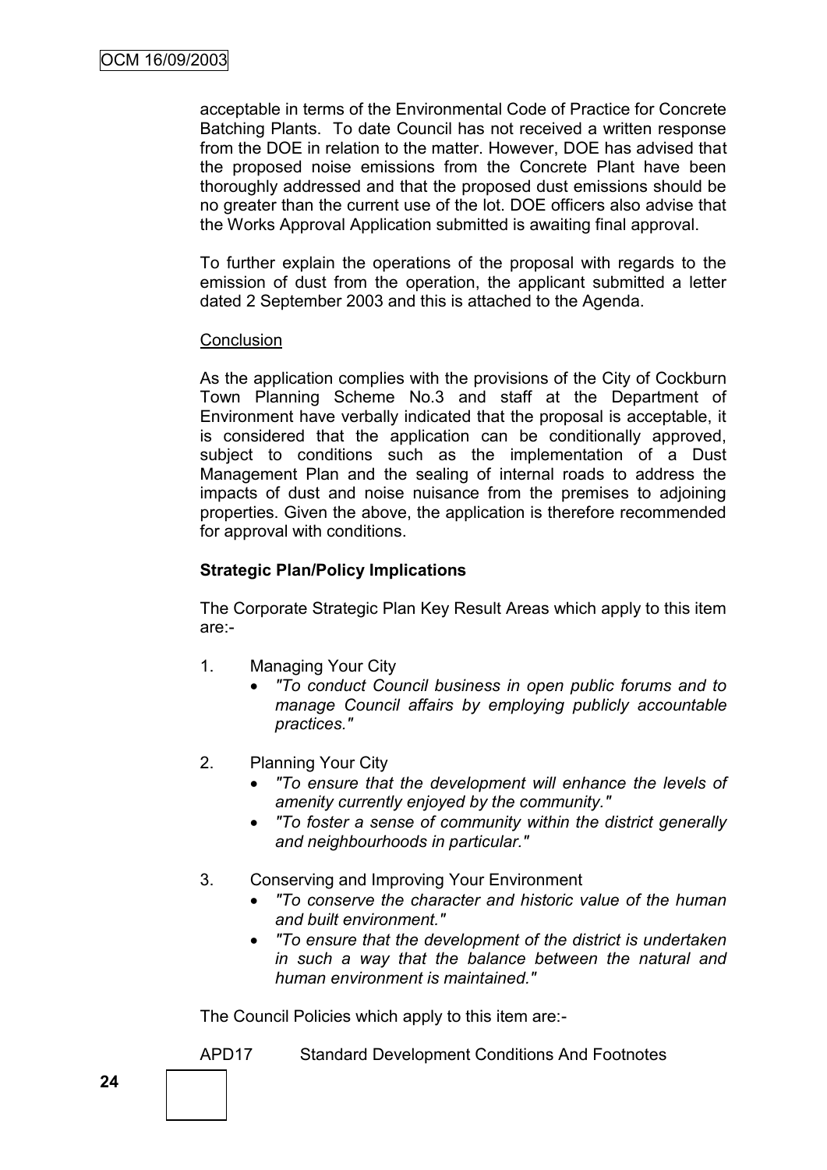acceptable in terms of the Environmental Code of Practice for Concrete Batching Plants. To date Council has not received a written response from the DOE in relation to the matter. However, DOE has advised that the proposed noise emissions from the Concrete Plant have been thoroughly addressed and that the proposed dust emissions should be no greater than the current use of the lot. DOE officers also advise that the Works Approval Application submitted is awaiting final approval.

To further explain the operations of the proposal with regards to the emission of dust from the operation, the applicant submitted a letter dated 2 September 2003 and this is attached to the Agenda.

### **Conclusion**

As the application complies with the provisions of the City of Cockburn Town Planning Scheme No.3 and staff at the Department of Environment have verbally indicated that the proposal is acceptable, it is considered that the application can be conditionally approved, subject to conditions such as the implementation of a Dust Management Plan and the sealing of internal roads to address the impacts of dust and noise nuisance from the premises to adjoining properties. Given the above, the application is therefore recommended for approval with conditions.

## **Strategic Plan/Policy Implications**

The Corporate Strategic Plan Key Result Areas which apply to this item are:-

- 1. Managing Your City
	- *"To conduct Council business in open public forums and to manage Council affairs by employing publicly accountable practices."*
- 2. Planning Your City
	- *"To ensure that the development will enhance the levels of amenity currently enjoyed by the community."*
	- *"To foster a sense of community within the district generally and neighbourhoods in particular."*
- 3. Conserving and Improving Your Environment
	- *"To conserve the character and historic value of the human and built environment."*
	- *"To ensure that the development of the district is undertaken in such a way that the balance between the natural and human environment is maintained."*

The Council Policies which apply to this item are:-

APD17 Standard Development Conditions And Footnotes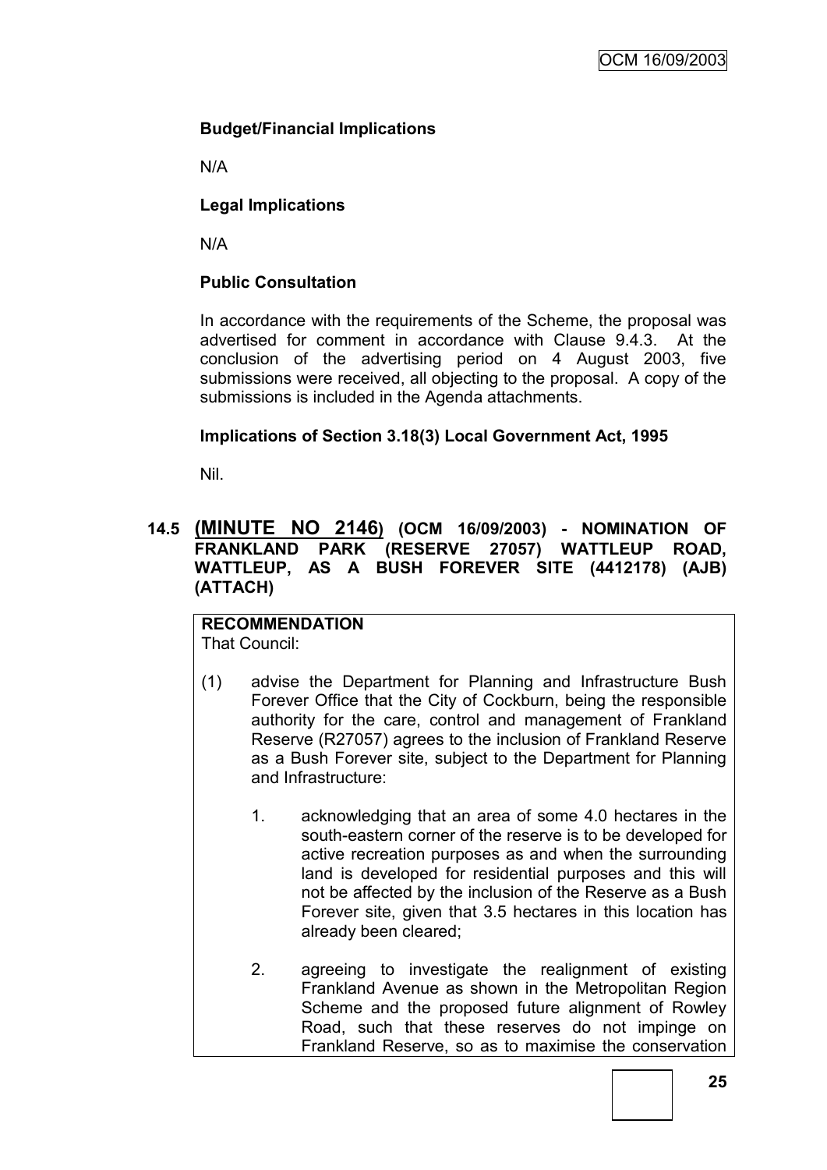# **Budget/Financial Implications**

N/A

## **Legal Implications**

N/A

## **Public Consultation**

In accordance with the requirements of the Scheme, the proposal was advertised for comment in accordance with Clause 9.4.3. At the conclusion of the advertising period on 4 August 2003, five submissions were received, all objecting to the proposal. A copy of the submissions is included in the Agenda attachments.

## **Implications of Section 3.18(3) Local Government Act, 1995**

Nil.

## **14.5 (MINUTE NO 2146) (OCM 16/09/2003) - NOMINATION OF FRANKLAND PARK (RESERVE 27057) WATTLEUP ROAD, WATTLEUP, AS A BUSH FOREVER SITE (4412178) (AJB) (ATTACH)**

#### **RECOMMENDATION** That Council:

- (1) advise the Department for Planning and Infrastructure Bush Forever Office that the City of Cockburn, being the responsible authority for the care, control and management of Frankland Reserve (R27057) agrees to the inclusion of Frankland Reserve as a Bush Forever site, subject to the Department for Planning and Infrastructure:
	- 1. acknowledging that an area of some 4.0 hectares in the south-eastern corner of the reserve is to be developed for active recreation purposes as and when the surrounding land is developed for residential purposes and this will not be affected by the inclusion of the Reserve as a Bush Forever site, given that 3.5 hectares in this location has already been cleared;
	- 2. agreeing to investigate the realignment of existing Frankland Avenue as shown in the Metropolitan Region Scheme and the proposed future alignment of Rowley Road, such that these reserves do not impinge on Frankland Reserve, so as to maximise the conservation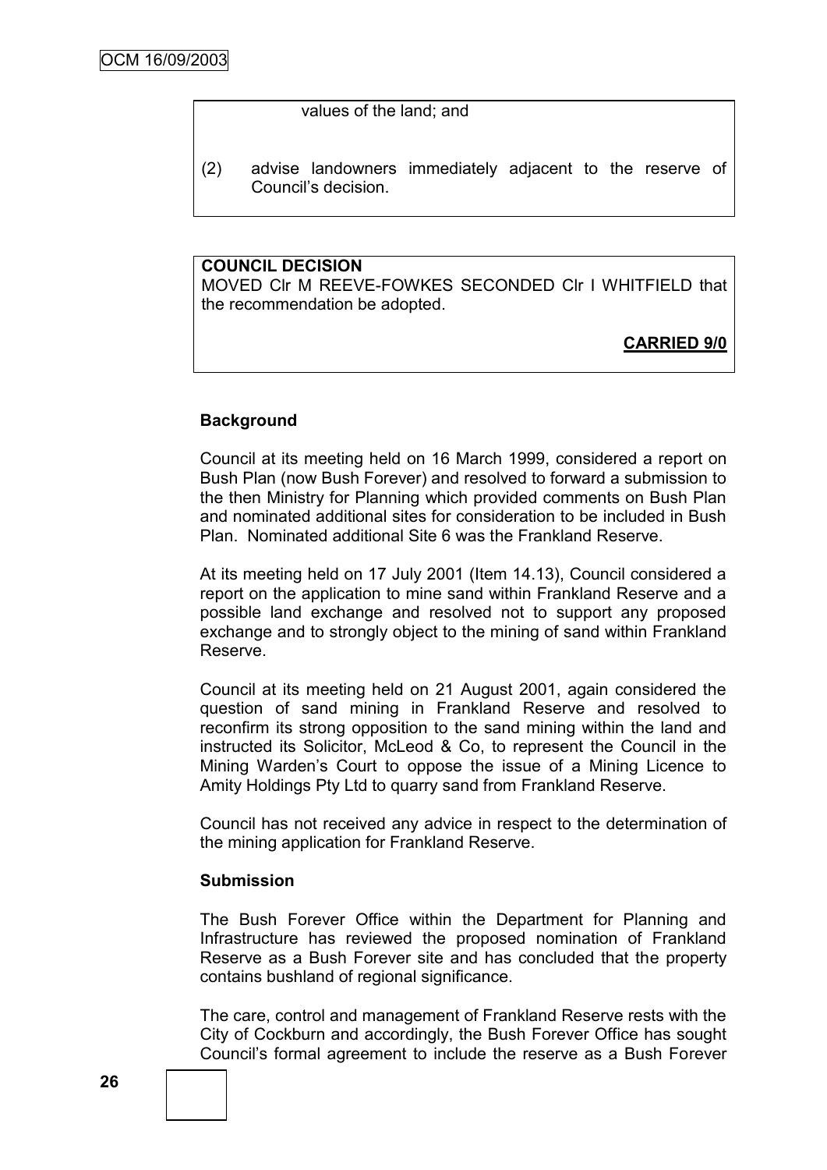#### values of the land; and

(2) advise landowners immediately adjacent to the reserve of Council"s decision.

## **COUNCIL DECISION**

MOVED Clr M REEVE-FOWKES SECONDED Clr I WHITFIELD that the recommendation be adopted.

## **CARRIED 9/0**

### **Background**

Council at its meeting held on 16 March 1999, considered a report on Bush Plan (now Bush Forever) and resolved to forward a submission to the then Ministry for Planning which provided comments on Bush Plan and nominated additional sites for consideration to be included in Bush Plan. Nominated additional Site 6 was the Frankland Reserve.

At its meeting held on 17 July 2001 (Item 14.13), Council considered a report on the application to mine sand within Frankland Reserve and a possible land exchange and resolved not to support any proposed exchange and to strongly object to the mining of sand within Frankland Reserve.

Council at its meeting held on 21 August 2001, again considered the question of sand mining in Frankland Reserve and resolved to reconfirm its strong opposition to the sand mining within the land and instructed its Solicitor, McLeod & Co, to represent the Council in the Mining Warden"s Court to oppose the issue of a Mining Licence to Amity Holdings Pty Ltd to quarry sand from Frankland Reserve.

Council has not received any advice in respect to the determination of the mining application for Frankland Reserve.

#### **Submission**

The Bush Forever Office within the Department for Planning and Infrastructure has reviewed the proposed nomination of Frankland Reserve as a Bush Forever site and has concluded that the property contains bushland of regional significance.

The care, control and management of Frankland Reserve rests with the City of Cockburn and accordingly, the Bush Forever Office has sought Council"s formal agreement to include the reserve as a Bush Forever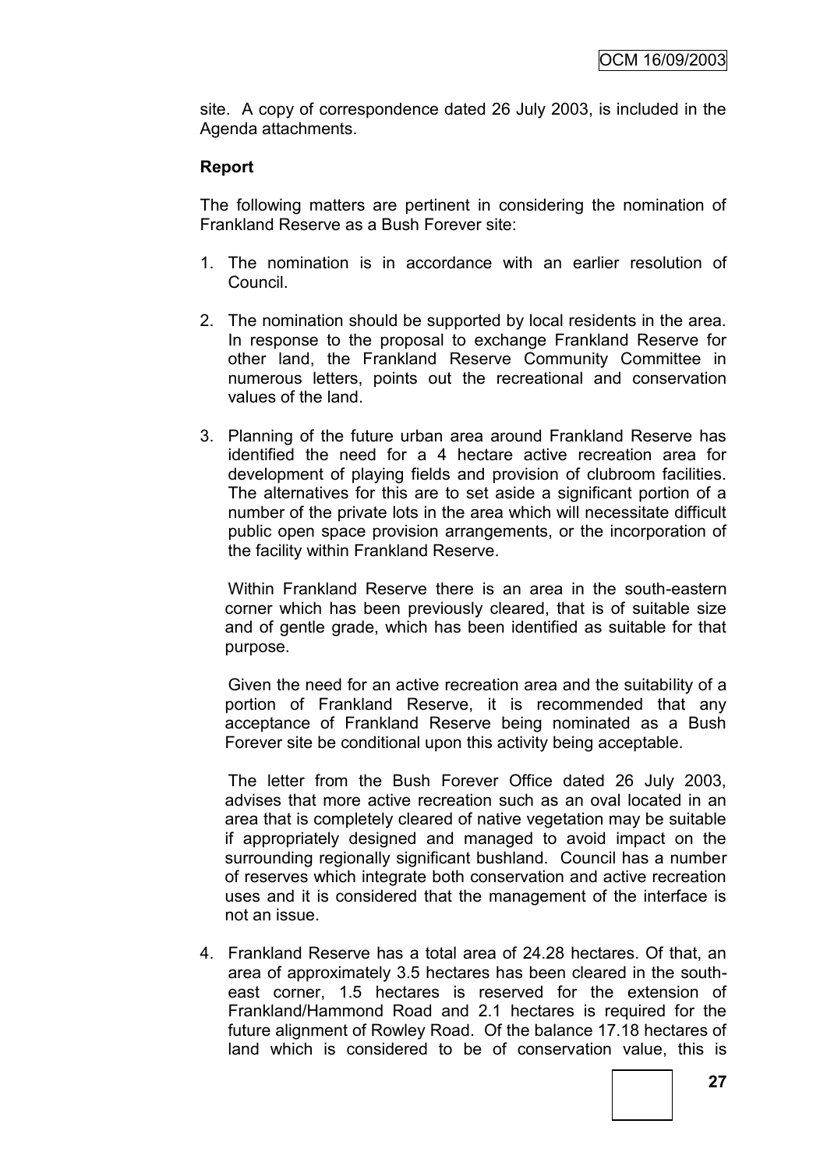site. A copy of correspondence dated 26 July 2003, is included in the Agenda attachments.

# **Report**

The following matters are pertinent in considering the nomination of Frankland Reserve as a Bush Forever site:

- 1. The nomination is in accordance with an earlier resolution of Council.
- 2. The nomination should be supported by local residents in the area. In response to the proposal to exchange Frankland Reserve for other land, the Frankland Reserve Community Committee in numerous letters, points out the recreational and conservation values of the land.
- 3. Planning of the future urban area around Frankland Reserve has identified the need for a 4 hectare active recreation area for development of playing fields and provision of clubroom facilities. The alternatives for this are to set aside a significant portion of a number of the private lots in the area which will necessitate difficult public open space provision arrangements, or the incorporation of the facility within Frankland Reserve.

Within Frankland Reserve there is an area in the south-eastern corner which has been previously cleared, that is of suitable size and of gentle grade, which has been identified as suitable for that purpose.

Given the need for an active recreation area and the suitability of a portion of Frankland Reserve, it is recommended that any acceptance of Frankland Reserve being nominated as a Bush Forever site be conditional upon this activity being acceptable.

The letter from the Bush Forever Office dated 26 July 2003, advises that more active recreation such as an oval located in an area that is completely cleared of native vegetation may be suitable if appropriately designed and managed to avoid impact on the surrounding regionally significant bushland. Council has a number of reserves which integrate both conservation and active recreation uses and it is considered that the management of the interface is not an issue.

4. Frankland Reserve has a total area of 24.28 hectares. Of that, an area of approximately 3.5 hectares has been cleared in the southeast corner, 1.5 hectares is reserved for the extension of Frankland/Hammond Road and 2.1 hectares is required for the future alignment of Rowley Road. Of the balance 17.18 hectares of land which is considered to be of conservation value, this is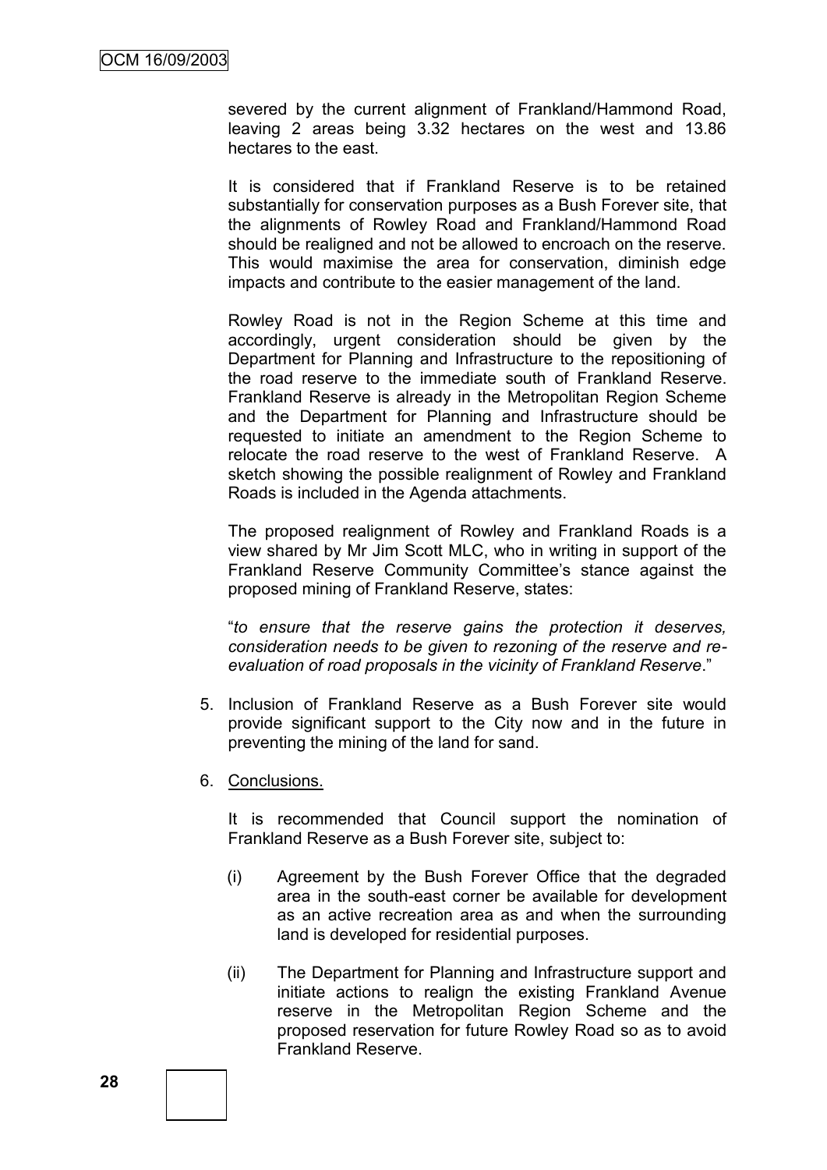severed by the current alignment of Frankland/Hammond Road, leaving 2 areas being 3.32 hectares on the west and 13.86 hectares to the east.

It is considered that if Frankland Reserve is to be retained substantially for conservation purposes as a Bush Forever site, that the alignments of Rowley Road and Frankland/Hammond Road should be realigned and not be allowed to encroach on the reserve. This would maximise the area for conservation, diminish edge impacts and contribute to the easier management of the land.

Rowley Road is not in the Region Scheme at this time and accordingly, urgent consideration should be given by the Department for Planning and Infrastructure to the repositioning of the road reserve to the immediate south of Frankland Reserve. Frankland Reserve is already in the Metropolitan Region Scheme and the Department for Planning and Infrastructure should be requested to initiate an amendment to the Region Scheme to relocate the road reserve to the west of Frankland Reserve. A sketch showing the possible realignment of Rowley and Frankland Roads is included in the Agenda attachments.

The proposed realignment of Rowley and Frankland Roads is a view shared by Mr Jim Scott MLC, who in writing in support of the Frankland Reserve Community Committee"s stance against the proposed mining of Frankland Reserve, states:

"*to ensure that the reserve gains the protection it deserves, consideration needs to be given to rezoning of the reserve and reevaluation of road proposals in the vicinity of Frankland Reserve*."

- 5. Inclusion of Frankland Reserve as a Bush Forever site would provide significant support to the City now and in the future in preventing the mining of the land for sand.
- 6. Conclusions.

It is recommended that Council support the nomination of Frankland Reserve as a Bush Forever site, subject to:

- (i) Agreement by the Bush Forever Office that the degraded area in the south-east corner be available for development as an active recreation area as and when the surrounding land is developed for residential purposes.
- (ii) The Department for Planning and Infrastructure support and initiate actions to realign the existing Frankland Avenue reserve in the Metropolitan Region Scheme and the proposed reservation for future Rowley Road so as to avoid Frankland Reserve.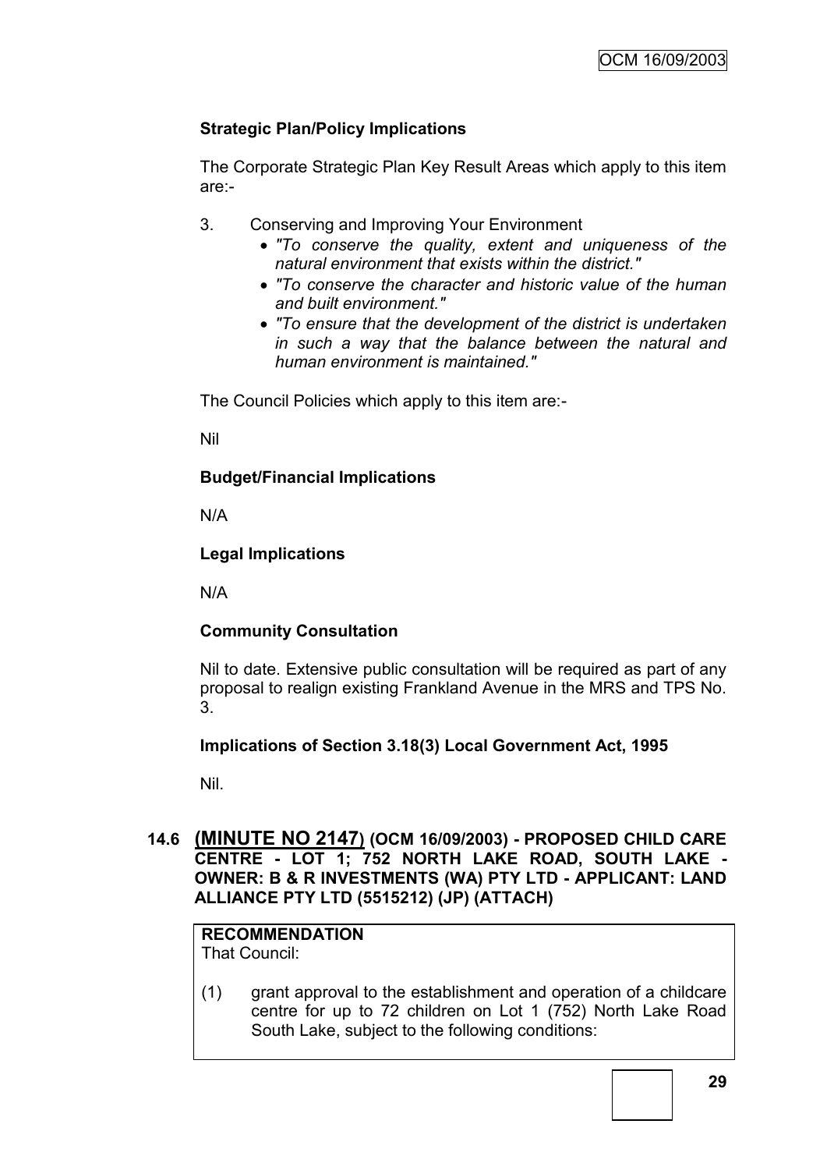# **Strategic Plan/Policy Implications**

The Corporate Strategic Plan Key Result Areas which apply to this item are:-

- 3. Conserving and Improving Your Environment
	- *"To conserve the quality, extent and uniqueness of the natural environment that exists within the district."*
	- *"To conserve the character and historic value of the human and built environment."*
	- *"To ensure that the development of the district is undertaken in such a way that the balance between the natural and human environment is maintained."*

The Council Policies which apply to this item are:-

Nil

# **Budget/Financial Implications**

N/A

## **Legal Implications**

N/A

# **Community Consultation**

Nil to date. Extensive public consultation will be required as part of any proposal to realign existing Frankland Avenue in the MRS and TPS No. 3.

# **Implications of Section 3.18(3) Local Government Act, 1995**

Nil.

# **14.6 (MINUTE NO 2147) (OCM 16/09/2003) - PROPOSED CHILD CARE CENTRE - LOT 1; 752 NORTH LAKE ROAD, SOUTH LAKE - OWNER: B & R INVESTMENTS (WA) PTY LTD - APPLICANT: LAND ALLIANCE PTY LTD (5515212) (JP) (ATTACH)**

# **RECOMMENDATION**

That Council:

(1) grant approval to the establishment and operation of a childcare centre for up to 72 children on Lot 1 (752) North Lake Road South Lake, subject to the following conditions: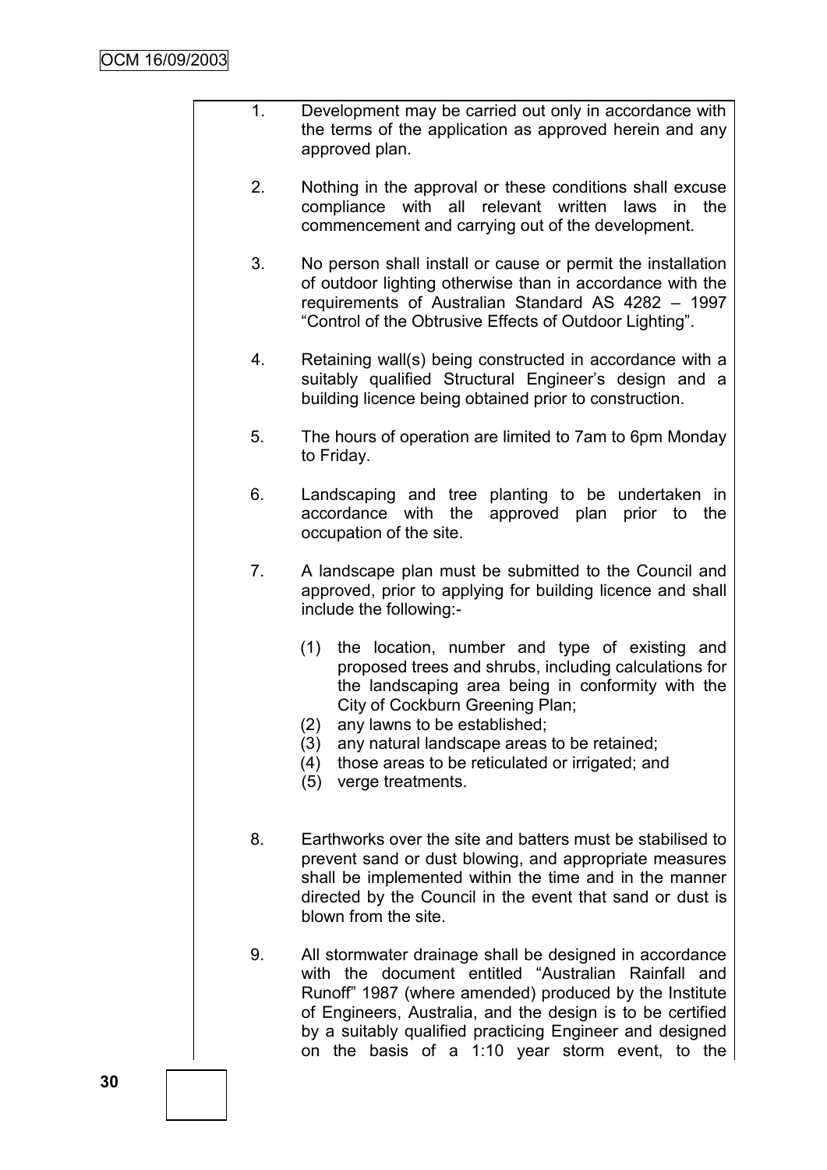- 1. Development may be carried out only in accordance with the terms of the application as approved herein and any approved plan.
	- 2. Nothing in the approval or these conditions shall excuse compliance with all relevant written laws in the commencement and carrying out of the development.
	- 3. No person shall install or cause or permit the installation of outdoor lighting otherwise than in accordance with the requirements of Australian Standard AS 4282 – 1997 "Control of the Obtrusive Effects of Outdoor Lighting".
	- 4. Retaining wall(s) being constructed in accordance with a suitably qualified Structural Engineer's design and a building licence being obtained prior to construction.
	- 5. The hours of operation are limited to 7am to 6pm Monday to Friday.
	- 6. Landscaping and tree planting to be undertaken in accordance with the approved plan prior to the occupation of the site.
	- 7. A landscape plan must be submitted to the Council and approved, prior to applying for building licence and shall include the following:-
		- (1) the location, number and type of existing and proposed trees and shrubs, including calculations for the landscaping area being in conformity with the City of Cockburn Greening Plan;
		- (2) any lawns to be established;
		- (3) any natural landscape areas to be retained;
		- (4) those areas to be reticulated or irrigated; and
		- (5) verge treatments.
	- 8. Earthworks over the site and batters must be stabilised to prevent sand or dust blowing, and appropriate measures shall be implemented within the time and in the manner directed by the Council in the event that sand or dust is blown from the site.
	- 9. All stormwater drainage shall be designed in accordance with the document entitled "Australian Rainfall and Runoff" 1987 (where amended) produced by the Institute of Engineers, Australia, and the design is to be certified by a suitably qualified practicing Engineer and designed on the basis of a 1:10 year storm event, to the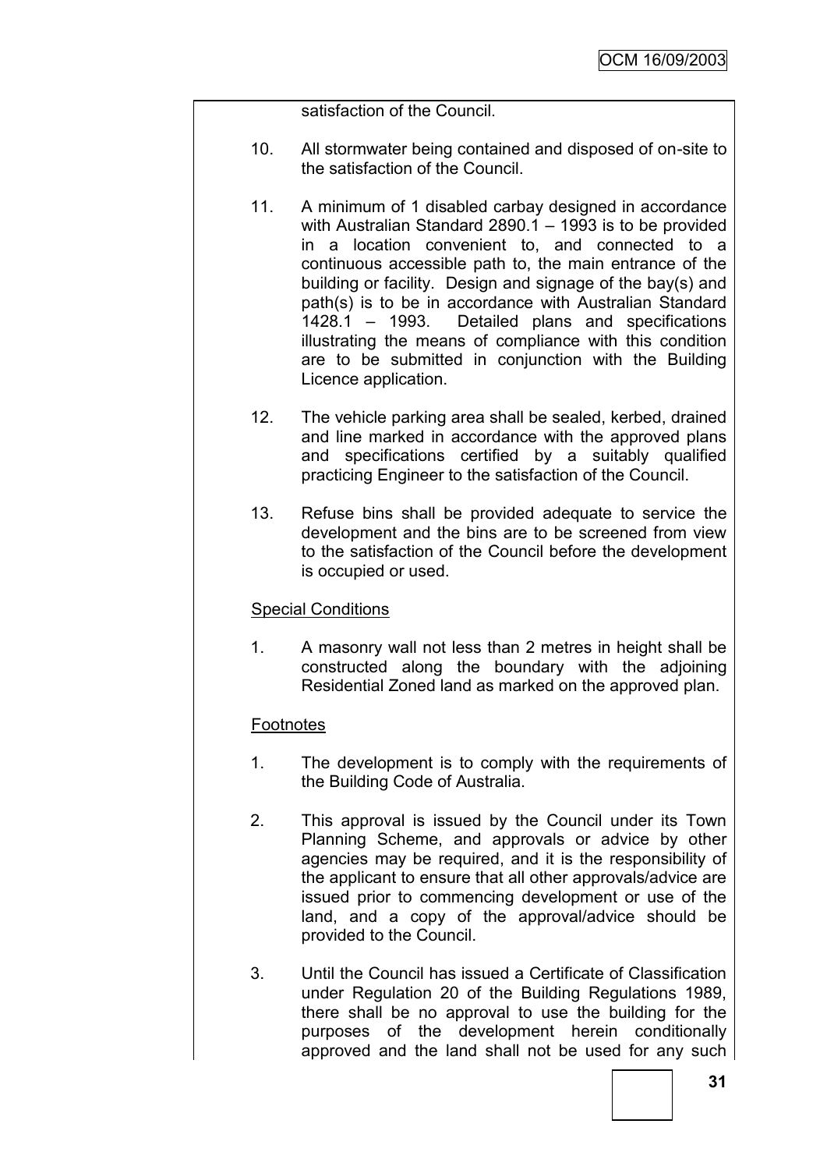satisfaction of the Council.

- 10. All stormwater being contained and disposed of on-site to the satisfaction of the Council.
- 11. A minimum of 1 disabled carbay designed in accordance with Australian Standard 2890.1 – 1993 is to be provided in a location convenient to, and connected to a continuous accessible path to, the main entrance of the building or facility. Design and signage of the bay(s) and path(s) is to be in accordance with Australian Standard 1428.1 – 1993. Detailed plans and specifications illustrating the means of compliance with this condition are to be submitted in conjunction with the Building Licence application.
- 12. The vehicle parking area shall be sealed, kerbed, drained and line marked in accordance with the approved plans and specifications certified by a suitably qualified practicing Engineer to the satisfaction of the Council.
- 13. Refuse bins shall be provided adequate to service the development and the bins are to be screened from view to the satisfaction of the Council before the development is occupied or used.

# Special Conditions

1. A masonry wall not less than 2 metres in height shall be constructed along the boundary with the adjoining Residential Zoned land as marked on the approved plan.

# **Footnotes**

- 1. The development is to comply with the requirements of the Building Code of Australia.
- 2. This approval is issued by the Council under its Town Planning Scheme, and approvals or advice by other agencies may be required, and it is the responsibility of the applicant to ensure that all other approvals/advice are issued prior to commencing development or use of the land, and a copy of the approval/advice should be provided to the Council.
- 3. Until the Council has issued a Certificate of Classification under Regulation 20 of the Building Regulations 1989, there shall be no approval to use the building for the purposes of the development herein conditionally approved and the land shall not be used for any such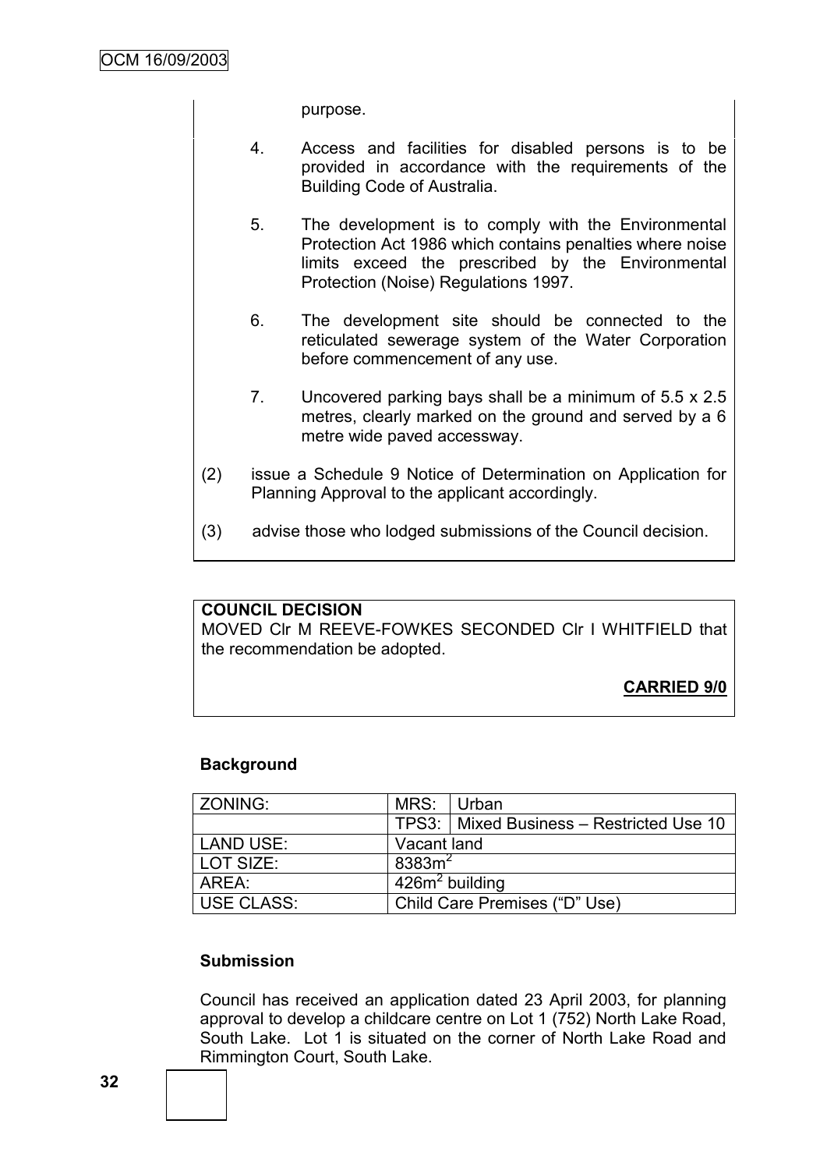purpose.

- 4. Access and facilities for disabled persons is to be provided in accordance with the requirements of the Building Code of Australia.
- 5. The development is to comply with the Environmental Protection Act 1986 which contains penalties where noise limits exceed the prescribed by the Environmental Protection (Noise) Regulations 1997.
- 6. The development site should be connected to the reticulated sewerage system of the Water Corporation before commencement of any use.
- 7. Uncovered parking bays shall be a minimum of 5.5 x 2.5 metres, clearly marked on the ground and served by a 6 metre wide paved accessway.
- (2) issue a Schedule 9 Notice of Determination on Application for Planning Approval to the applicant accordingly.
- (3) advise those who lodged submissions of the Council decision.

### **COUNCIL DECISION**

MOVED Clr M REEVE-FOWKES SECONDED Clr I WHITFIELD that the recommendation be adopted.

**CARRIED 9/0**

### **Background**

| ZONING:    | MRS: Urban                    |                                            |
|------------|-------------------------------|--------------------------------------------|
|            |                               | TPS3:   Mixed Business - Restricted Use 10 |
| LAND USE:  | Vacant land                   |                                            |
| LOT SIZE:  | $8383m^2$                     |                                            |
| AREA:      | $426m2$ building              |                                            |
| USE CLASS: | Child Care Premises ("D" Use) |                                            |

### **Submission**

Council has received an application dated 23 April 2003, for planning approval to develop a childcare centre on Lot 1 (752) North Lake Road, South Lake. Lot 1 is situated on the corner of North Lake Road and Rimmington Court, South Lake.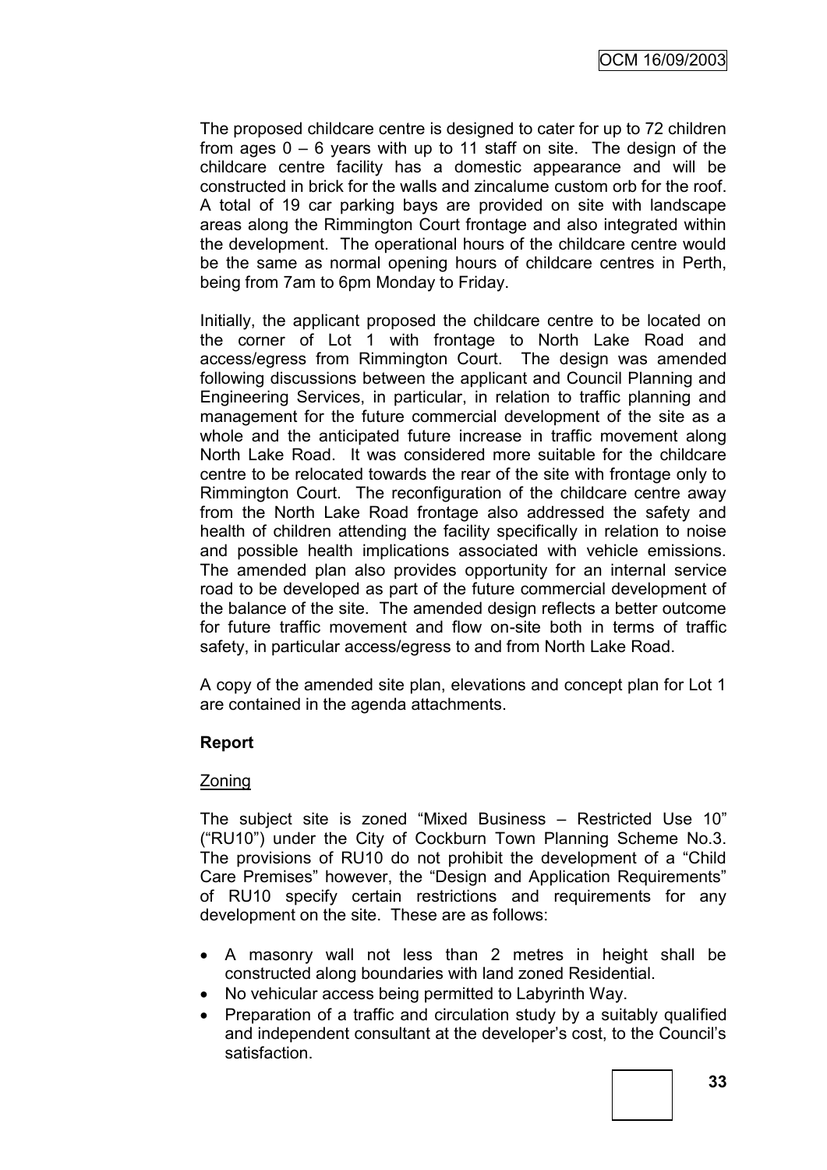The proposed childcare centre is designed to cater for up to 72 children from ages  $0 - 6$  years with up to 11 staff on site. The design of the childcare centre facility has a domestic appearance and will be constructed in brick for the walls and zincalume custom orb for the roof. A total of 19 car parking bays are provided on site with landscape areas along the Rimmington Court frontage and also integrated within the development. The operational hours of the childcare centre would be the same as normal opening hours of childcare centres in Perth, being from 7am to 6pm Monday to Friday.

Initially, the applicant proposed the childcare centre to be located on the corner of Lot 1 with frontage to North Lake Road and access/egress from Rimmington Court. The design was amended following discussions between the applicant and Council Planning and Engineering Services, in particular, in relation to traffic planning and management for the future commercial development of the site as a whole and the anticipated future increase in traffic movement along North Lake Road. It was considered more suitable for the childcare centre to be relocated towards the rear of the site with frontage only to Rimmington Court. The reconfiguration of the childcare centre away from the North Lake Road frontage also addressed the safety and health of children attending the facility specifically in relation to noise and possible health implications associated with vehicle emissions. The amended plan also provides opportunity for an internal service road to be developed as part of the future commercial development of the balance of the site. The amended design reflects a better outcome for future traffic movement and flow on-site both in terms of traffic safety, in particular access/egress to and from North Lake Road.

A copy of the amended site plan, elevations and concept plan for Lot 1 are contained in the agenda attachments.

# **Report**

# Zoning

The subject site is zoned "Mixed Business – Restricted Use 10" ("RU10") under the City of Cockburn Town Planning Scheme No.3. The provisions of RU10 do not prohibit the development of a "Child Care Premises" however, the "Design and Application Requirements" of RU10 specify certain restrictions and requirements for any development on the site. These are as follows:

- A masonry wall not less than 2 metres in height shall be constructed along boundaries with land zoned Residential.
- No vehicular access being permitted to Labyrinth Way.
- Preparation of a traffic and circulation study by a suitably qualified and independent consultant at the developer"s cost, to the Council"s satisfaction.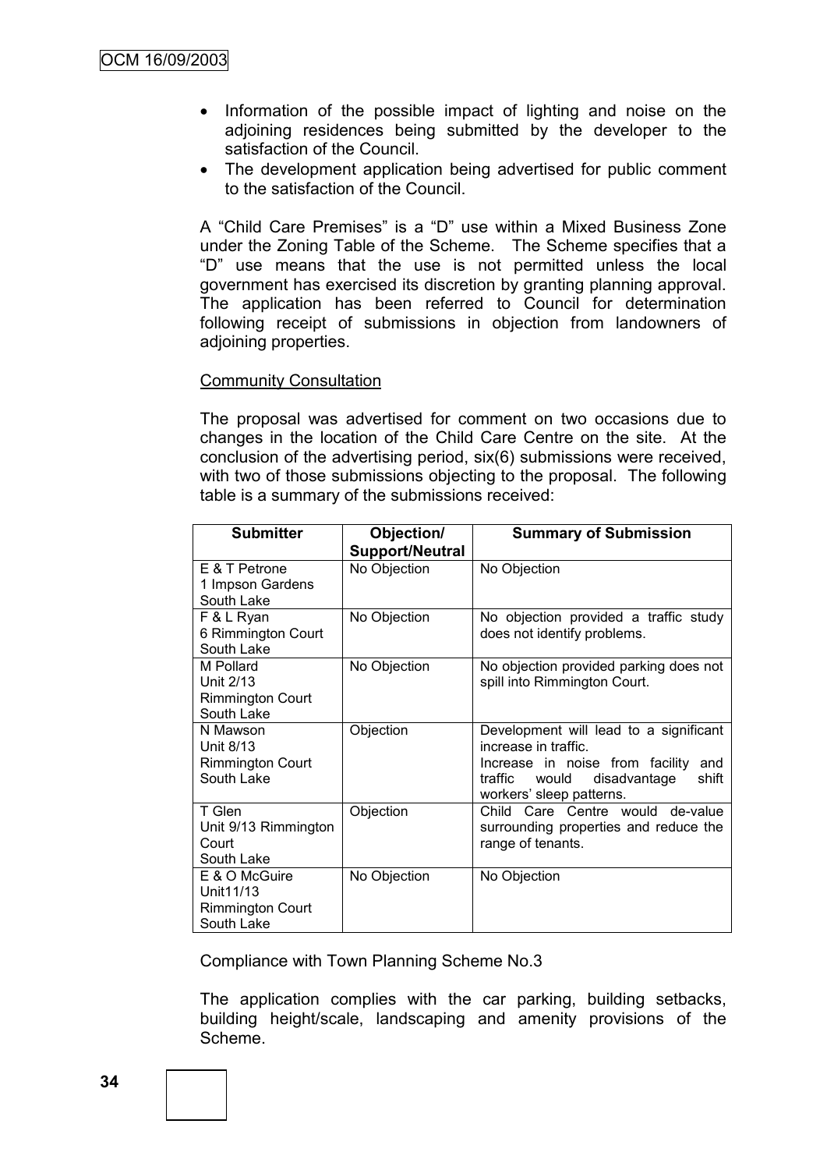- Information of the possible impact of lighting and noise on the adjoining residences being submitted by the developer to the satisfaction of the Council.
- The development application being advertised for public comment to the satisfaction of the Council.

A "Child Care Premises" is a "D" use within a Mixed Business Zone under the Zoning Table of the Scheme. The Scheme specifies that a "D" use means that the use is not permitted unless the local government has exercised its discretion by granting planning approval. The application has been referred to Council for determination following receipt of submissions in objection from landowners of adjoining properties.

#### Community Consultation

The proposal was advertised for comment on two occasions due to changes in the location of the Child Care Centre on the site. At the conclusion of the advertising period, six(6) submissions were received, with two of those submissions objecting to the proposal. The following table is a summary of the submissions received:

| <b>Submitter</b>                      | Objection/             | <b>Summary of Submission</b>                                       |
|---------------------------------------|------------------------|--------------------------------------------------------------------|
|                                       | <b>Support/Neutral</b> |                                                                    |
| E & T Petrone                         | No Objection           | No Objection                                                       |
| 1 Impson Gardens                      |                        |                                                                    |
| South Lake                            |                        |                                                                    |
| F & L Ryan                            | No Objection           | No objection provided a traffic study                              |
| 6 Rimmington Court<br>South Lake      |                        | does not identify problems.                                        |
| M Pollard                             | No Objection           | No objection provided parking does not                             |
| Unit 2/13                             |                        | spill into Rimmington Court.                                       |
| <b>Rimmington Court</b>               |                        |                                                                    |
| South Lake                            |                        |                                                                    |
| N Mawson                              | Objection              | Development will lead to a significant                             |
| Unit 8/13                             |                        | increase in traffic.                                               |
| <b>Rimmington Court</b><br>South Lake |                        | Increase in noise from facility<br>and                             |
|                                       |                        | traffic would<br>disadvantage<br>shift<br>workers' sleep patterns. |
| T Glen                                | Objection              | Child Care Centre would de-value                                   |
| Unit 9/13 Rimmington                  |                        | surrounding properties and reduce the                              |
| Court                                 |                        | range of tenants.                                                  |
| South Lake                            |                        |                                                                    |
| E & O McGuire                         | No Objection           | No Objection                                                       |
| Unit11/13                             |                        |                                                                    |
| <b>Rimmington Court</b>               |                        |                                                                    |
| South Lake                            |                        |                                                                    |

Compliance with Town Planning Scheme No.3

The application complies with the car parking, building setbacks, building height/scale, landscaping and amenity provisions of the Scheme.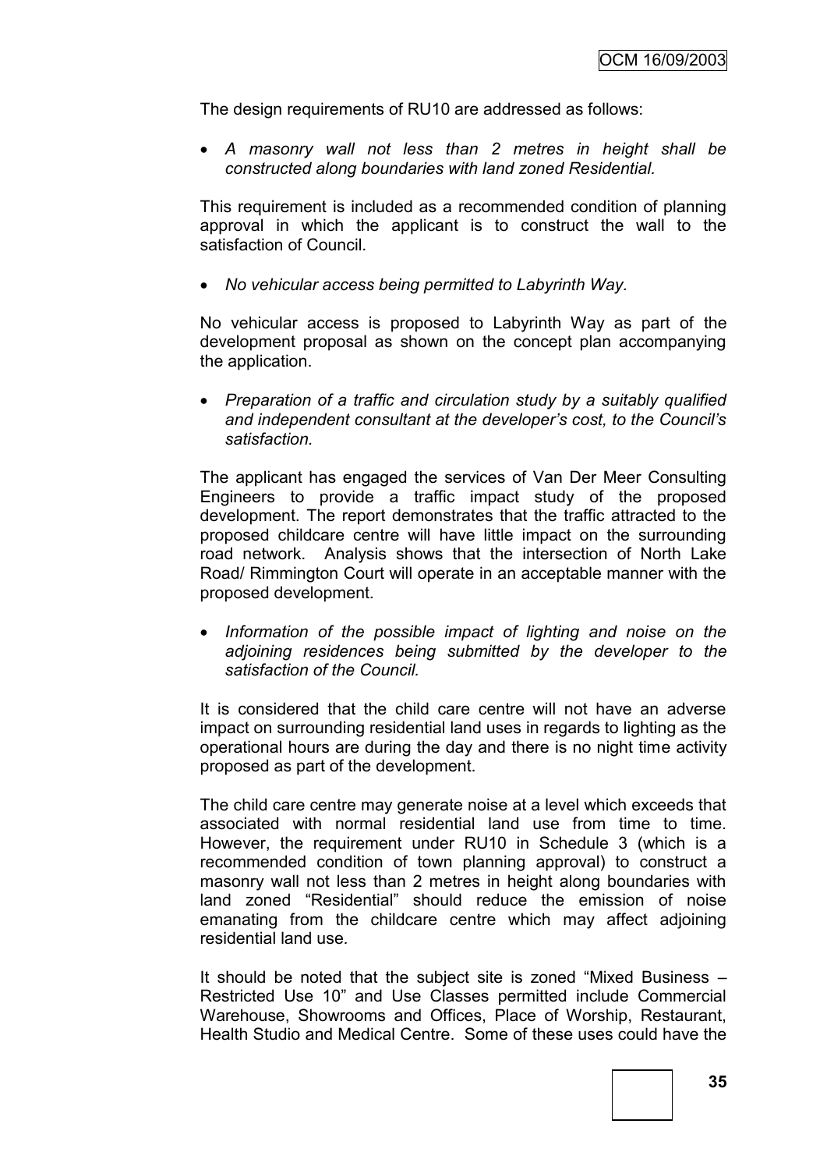The design requirements of RU10 are addressed as follows:

 *A masonry wall not less than 2 metres in height shall be constructed along boundaries with land zoned Residential.*

This requirement is included as a recommended condition of planning approval in which the applicant is to construct the wall to the satisfaction of Council.

*No vehicular access being permitted to Labyrinth Way.*

No vehicular access is proposed to Labyrinth Way as part of the development proposal as shown on the concept plan accompanying the application.

 *Preparation of a traffic and circulation study by a suitably qualified and independent consultant at the developer"s cost, to the Council"s satisfaction.*

The applicant has engaged the services of Van Der Meer Consulting Engineers to provide a traffic impact study of the proposed development. The report demonstrates that the traffic attracted to the proposed childcare centre will have little impact on the surrounding road network. Analysis shows that the intersection of North Lake Road/ Rimmington Court will operate in an acceptable manner with the proposed development.

 *Information of the possible impact of lighting and noise on the adjoining residences being submitted by the developer to the satisfaction of the Council.*

It is considered that the child care centre will not have an adverse impact on surrounding residential land uses in regards to lighting as the operational hours are during the day and there is no night time activity proposed as part of the development.

The child care centre may generate noise at a level which exceeds that associated with normal residential land use from time to time. However, the requirement under RU10 in Schedule 3 (which is a recommended condition of town planning approval) to construct a masonry wall not less than 2 metres in height along boundaries with land zoned "Residential" should reduce the emission of noise emanating from the childcare centre which may affect adjoining residential land use*.* 

It should be noted that the subject site is zoned "Mixed Business – Restricted Use 10" and Use Classes permitted include Commercial Warehouse, Showrooms and Offices, Place of Worship, Restaurant, Health Studio and Medical Centre. Some of these uses could have the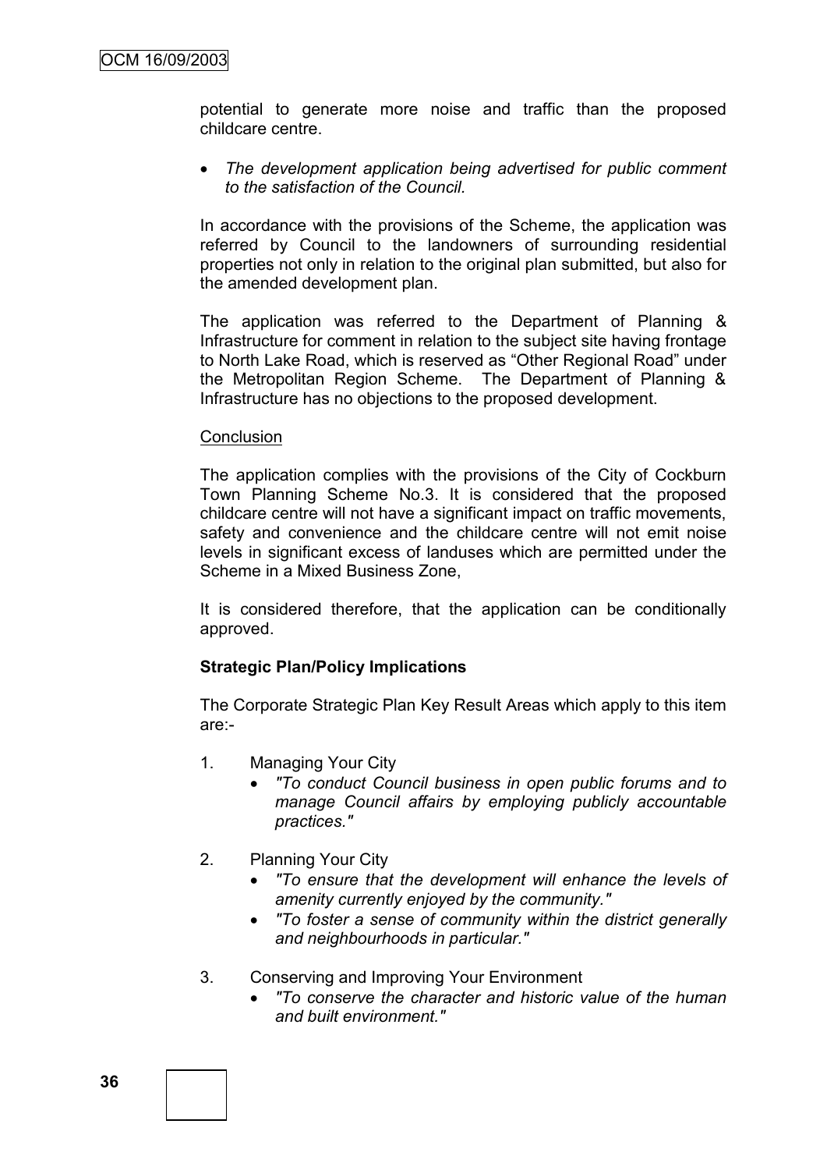potential to generate more noise and traffic than the proposed childcare centre.

 *The development application being advertised for public comment to the satisfaction of the Council.*

In accordance with the provisions of the Scheme, the application was referred by Council to the landowners of surrounding residential properties not only in relation to the original plan submitted, but also for the amended development plan.

The application was referred to the Department of Planning & Infrastructure for comment in relation to the subject site having frontage to North Lake Road, which is reserved as "Other Regional Road" under the Metropolitan Region Scheme. The Department of Planning & Infrastructure has no objections to the proposed development.

#### **Conclusion**

The application complies with the provisions of the City of Cockburn Town Planning Scheme No.3. It is considered that the proposed childcare centre will not have a significant impact on traffic movements, safety and convenience and the childcare centre will not emit noise levels in significant excess of landuses which are permitted under the Scheme in a Mixed Business Zone,

It is considered therefore, that the application can be conditionally approved.

# **Strategic Plan/Policy Implications**

The Corporate Strategic Plan Key Result Areas which apply to this item are:-

- 1. Managing Your City
	- *"To conduct Council business in open public forums and to manage Council affairs by employing publicly accountable practices."*
- 2. Planning Your City
	- *"To ensure that the development will enhance the levels of amenity currently enjoyed by the community."*
	- *"To foster a sense of community within the district generally and neighbourhoods in particular."*
- 3. Conserving and Improving Your Environment
	- *"To conserve the character and historic value of the human and built environment."*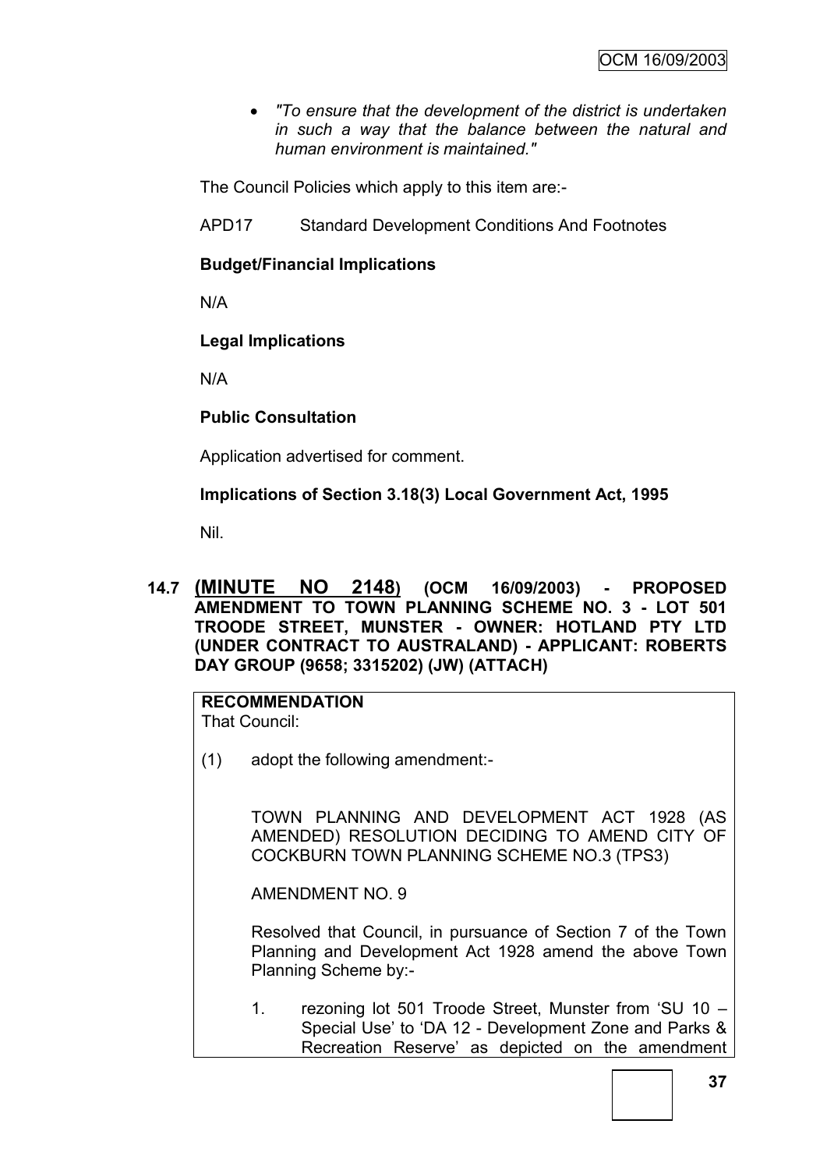*"To ensure that the development of the district is undertaken in such a way that the balance between the natural and human environment is maintained."*

The Council Policies which apply to this item are:-

APD17 Standard Development Conditions And Footnotes

# **Budget/Financial Implications**

N/A

# **Legal Implications**

N/A

# **Public Consultation**

Application advertised for comment.

# **Implications of Section 3.18(3) Local Government Act, 1995**

Nil.

**14.7 (MINUTE NO 2148) (OCM 16/09/2003) - PROPOSED AMENDMENT TO TOWN PLANNING SCHEME NO. 3 - LOT 501 TROODE STREET, MUNSTER - OWNER: HOTLAND PTY LTD (UNDER CONTRACT TO AUSTRALAND) - APPLICANT: ROBERTS DAY GROUP (9658; 3315202) (JW) (ATTACH)**

# **RECOMMENDATION**

That Council:

(1) adopt the following amendment:-

TOWN PLANNING AND DEVELOPMENT ACT 1928 (AS AMENDED) RESOLUTION DECIDING TO AMEND CITY OF COCKBURN TOWN PLANNING SCHEME NO.3 (TPS3)

AMENDMENT NO. 9

Resolved that Council, in pursuance of Section 7 of the Town Planning and Development Act 1928 amend the above Town Planning Scheme by:-

1. rezoning lot 501 Troode Street, Munster from "SU 10 – Special Use" to "DA 12 - Development Zone and Parks & Recreation Reserve' as depicted on the amendment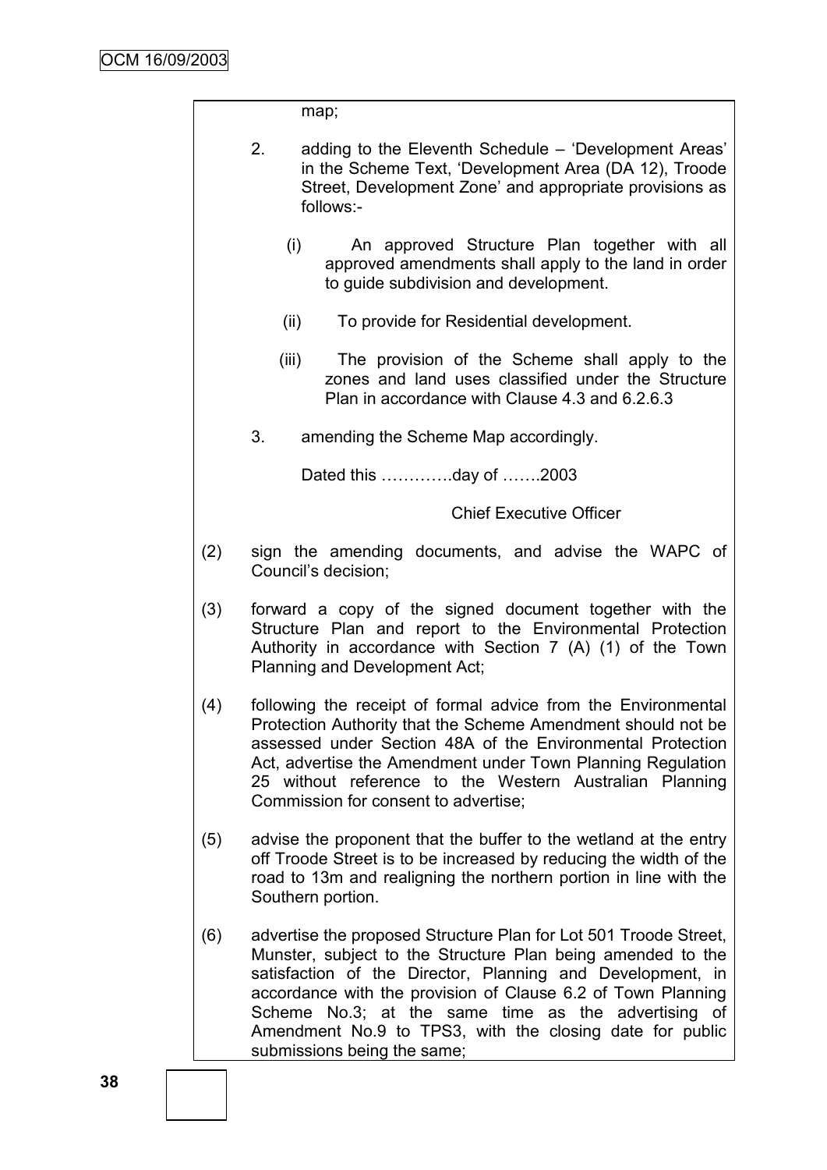|     | map;                                                                                                                                                                                                                                                                                                                                                                                                            |
|-----|-----------------------------------------------------------------------------------------------------------------------------------------------------------------------------------------------------------------------------------------------------------------------------------------------------------------------------------------------------------------------------------------------------------------|
|     | 2.<br>adding to the Eleventh Schedule – 'Development Areas'<br>in the Scheme Text, 'Development Area (DA 12), Troode<br>Street, Development Zone' and appropriate provisions as<br>follows:-                                                                                                                                                                                                                    |
|     | (i)<br>An approved Structure Plan together with all<br>approved amendments shall apply to the land in order<br>to guide subdivision and development.                                                                                                                                                                                                                                                            |
|     | To provide for Residential development.<br>(ii)                                                                                                                                                                                                                                                                                                                                                                 |
|     | (iii)<br>The provision of the Scheme shall apply to the<br>zones and land uses classified under the Structure<br>Plan in accordance with Clause 4.3 and 6.2.6.3                                                                                                                                                                                                                                                 |
|     | 3.<br>amending the Scheme Map accordingly.                                                                                                                                                                                                                                                                                                                                                                      |
|     | Dated this day of 2003                                                                                                                                                                                                                                                                                                                                                                                          |
|     | <b>Chief Executive Officer</b>                                                                                                                                                                                                                                                                                                                                                                                  |
| (2) | sign the amending documents, and advise the WAPC of<br>Council's decision;                                                                                                                                                                                                                                                                                                                                      |
| (3) | forward a copy of the signed document together with the<br>Structure Plan and report to the Environmental Protection<br>Authority in accordance with Section 7 (A) (1) of the Town<br>Planning and Development Act;                                                                                                                                                                                             |
| (4) | following the receipt of formal advice from the Environmental<br>Protection Authority that the Scheme Amendment should not be<br>assessed under Section 48A of the Environmental Protection<br>Act, advertise the Amendment under Town Planning Regulation<br>25 without reference to the Western Australian Planning<br>Commission for consent to advertise;                                                   |
| (5) | advise the proponent that the buffer to the wetland at the entry<br>off Troode Street is to be increased by reducing the width of the<br>road to 13m and realigning the northern portion in line with the<br>Southern portion.                                                                                                                                                                                  |
| (6) | advertise the proposed Structure Plan for Lot 501 Troode Street,<br>Munster, subject to the Structure Plan being amended to the<br>satisfaction of the Director, Planning and Development, in<br>accordance with the provision of Clause 6.2 of Town Planning<br>Scheme No.3; at the same time as the advertising of<br>Amendment No.9 to TPS3, with the closing date for public<br>submissions being the same; |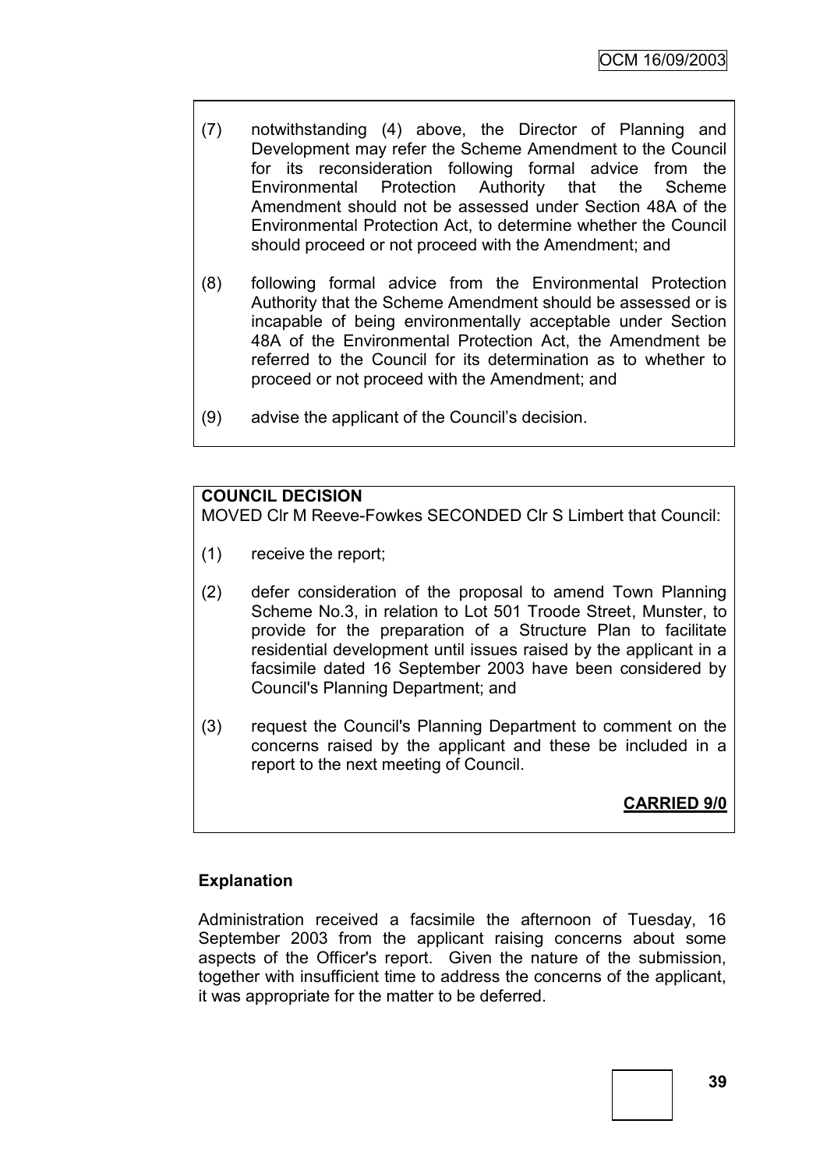- (7) notwithstanding (4) above, the Director of Planning and Development may refer the Scheme Amendment to the Council for its reconsideration following formal advice from the Environmental Protection Authority that the Scheme Amendment should not be assessed under Section 48A of the Environmental Protection Act, to determine whether the Council should proceed or not proceed with the Amendment; and
- (8) following formal advice from the Environmental Protection Authority that the Scheme Amendment should be assessed or is incapable of being environmentally acceptable under Section 48A of the Environmental Protection Act, the Amendment be referred to the Council for its determination as to whether to proceed or not proceed with the Amendment; and
- (9) advise the applicant of the Council"s decision.

#### **COUNCIL DECISION**

MOVED Clr M Reeve-Fowkes SECONDED Clr S Limbert that Council:

- (1) receive the report;
- (2) defer consideration of the proposal to amend Town Planning Scheme No.3, in relation to Lot 501 Troode Street, Munster, to provide for the preparation of a Structure Plan to facilitate residential development until issues raised by the applicant in a facsimile dated 16 September 2003 have been considered by Council's Planning Department; and
- (3) request the Council's Planning Department to comment on the concerns raised by the applicant and these be included in a report to the next meeting of Council.

# **CARRIED 9/0**

# **Explanation**

Administration received a facsimile the afternoon of Tuesday, 16 September 2003 from the applicant raising concerns about some aspects of the Officer's report. Given the nature of the submission, together with insufficient time to address the concerns of the applicant, it was appropriate for the matter to be deferred.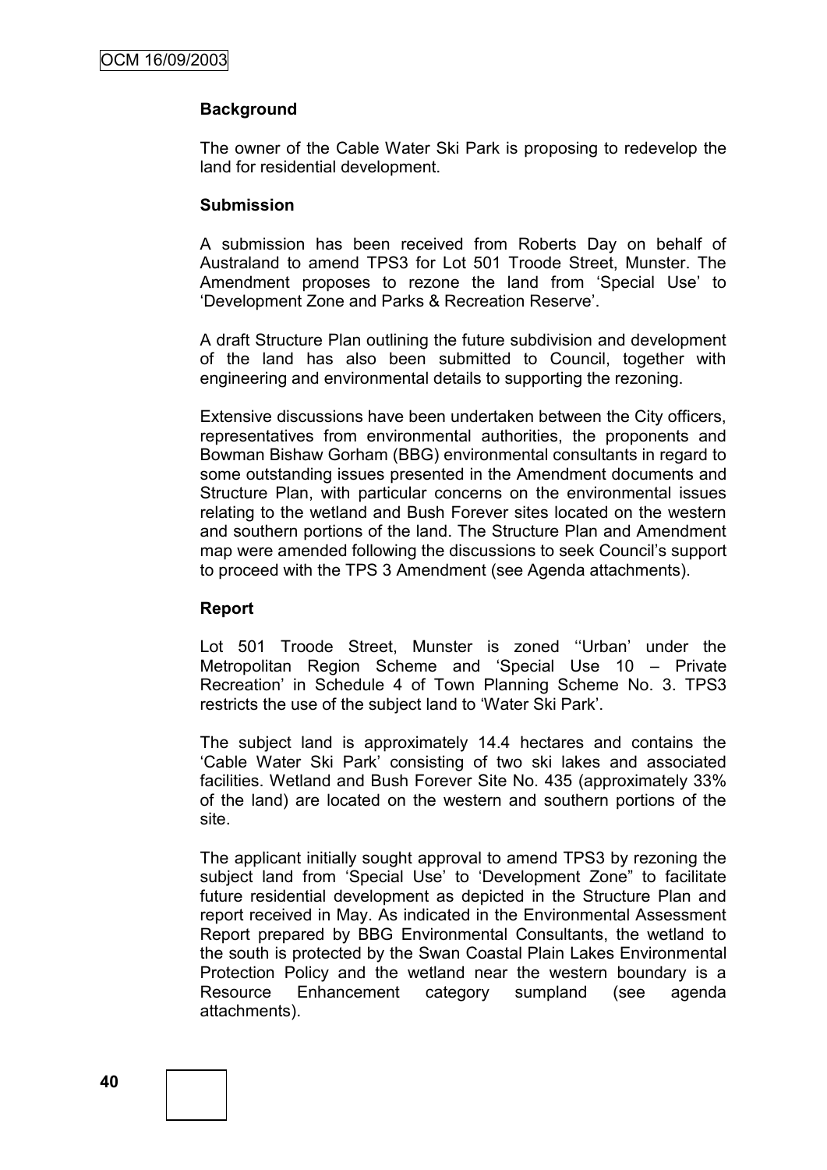# **Background**

The owner of the Cable Water Ski Park is proposing to redevelop the land for residential development.

#### **Submission**

A submission has been received from Roberts Day on behalf of Australand to amend TPS3 for Lot 501 Troode Street, Munster. The Amendment proposes to rezone the land from "Special Use" to "Development Zone and Parks & Recreation Reserve".

A draft Structure Plan outlining the future subdivision and development of the land has also been submitted to Council, together with engineering and environmental details to supporting the rezoning.

Extensive discussions have been undertaken between the City officers, representatives from environmental authorities, the proponents and Bowman Bishaw Gorham (BBG) environmental consultants in regard to some outstanding issues presented in the Amendment documents and Structure Plan, with particular concerns on the environmental issues relating to the wetland and Bush Forever sites located on the western and southern portions of the land. The Structure Plan and Amendment map were amended following the discussions to seek Council's support to proceed with the TPS 3 Amendment (see Agenda attachments).

# **Report**

Lot 501 Troode Street. Munster is zoned "Urban' under the Metropolitan Region Scheme and "Special Use 10 – Private Recreation" in Schedule 4 of Town Planning Scheme No. 3. TPS3 restricts the use of the subject land to "Water Ski Park".

The subject land is approximately 14.4 hectares and contains the "Cable Water Ski Park" consisting of two ski lakes and associated facilities. Wetland and Bush Forever Site No. 435 (approximately 33% of the land) are located on the western and southern portions of the site.

The applicant initially sought approval to amend TPS3 by rezoning the subject land from 'Special Use' to 'Development Zone" to facilitate future residential development as depicted in the Structure Plan and report received in May. As indicated in the Environmental Assessment Report prepared by BBG Environmental Consultants, the wetland to the south is protected by the Swan Coastal Plain Lakes Environmental Protection Policy and the wetland near the western boundary is a Resource Enhancement category sumpland (see agenda attachments).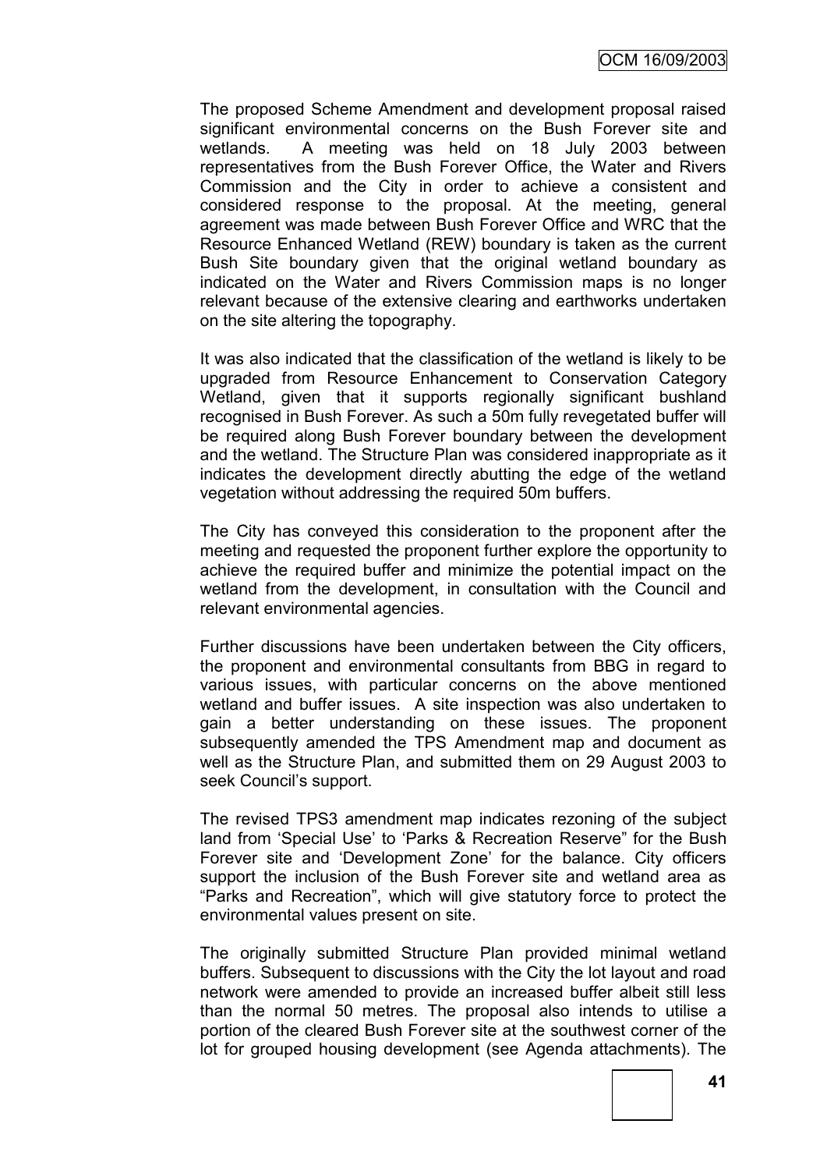The proposed Scheme Amendment and development proposal raised significant environmental concerns on the Bush Forever site and wetlands. A meeting was held on 18 July 2003 between representatives from the Bush Forever Office, the Water and Rivers Commission and the City in order to achieve a consistent and considered response to the proposal. At the meeting, general agreement was made between Bush Forever Office and WRC that the Resource Enhanced Wetland (REW) boundary is taken as the current Bush Site boundary given that the original wetland boundary as indicated on the Water and Rivers Commission maps is no longer relevant because of the extensive clearing and earthworks undertaken on the site altering the topography.

It was also indicated that the classification of the wetland is likely to be upgraded from Resource Enhancement to Conservation Category Wetland, given that it supports regionally significant bushland recognised in Bush Forever. As such a 50m fully revegetated buffer will be required along Bush Forever boundary between the development and the wetland. The Structure Plan was considered inappropriate as it indicates the development directly abutting the edge of the wetland vegetation without addressing the required 50m buffers.

The City has conveyed this consideration to the proponent after the meeting and requested the proponent further explore the opportunity to achieve the required buffer and minimize the potential impact on the wetland from the development, in consultation with the Council and relevant environmental agencies.

Further discussions have been undertaken between the City officers, the proponent and environmental consultants from BBG in regard to various issues, with particular concerns on the above mentioned wetland and buffer issues. A site inspection was also undertaken to gain a better understanding on these issues. The proponent subsequently amended the TPS Amendment map and document as well as the Structure Plan, and submitted them on 29 August 2003 to seek Council"s support.

The revised TPS3 amendment map indicates rezoning of the subject land from "Special Use" to "Parks & Recreation Reserve" for the Bush Forever site and 'Development Zone' for the balance. City officers support the inclusion of the Bush Forever site and wetland area as "Parks and Recreation", which will give statutory force to protect the environmental values present on site.

The originally submitted Structure Plan provided minimal wetland buffers. Subsequent to discussions with the City the lot layout and road network were amended to provide an increased buffer albeit still less than the normal 50 metres. The proposal also intends to utilise a portion of the cleared Bush Forever site at the southwest corner of the lot for grouped housing development (see Agenda attachments). The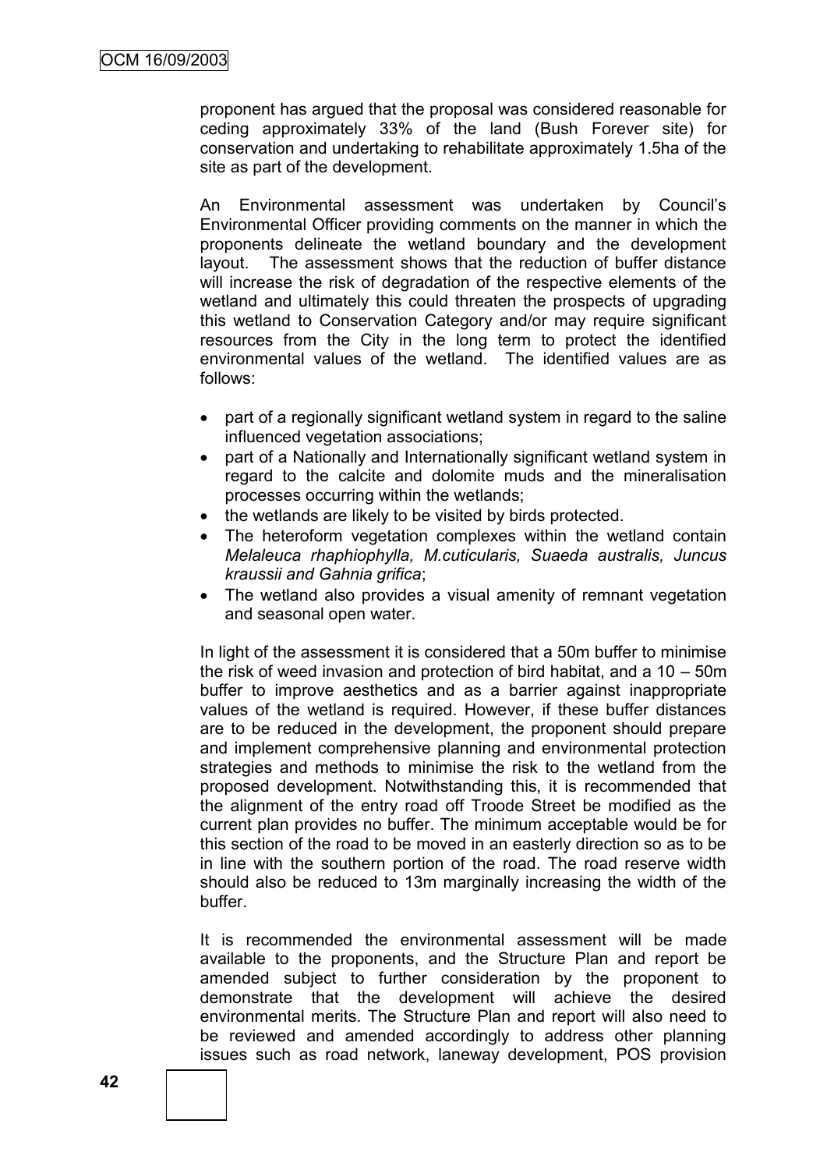proponent has argued that the proposal was considered reasonable for ceding approximately 33% of the land (Bush Forever site) for conservation and undertaking to rehabilitate approximately 1.5ha of the site as part of the development.

An Environmental assessment was undertaken by Council"s Environmental Officer providing comments on the manner in which the proponents delineate the wetland boundary and the development layout. The assessment shows that the reduction of buffer distance will increase the risk of degradation of the respective elements of the wetland and ultimately this could threaten the prospects of upgrading this wetland to Conservation Category and/or may require significant resources from the City in the long term to protect the identified environmental values of the wetland. The identified values are as follows:

- part of a regionally significant wetland system in regard to the saline influenced vegetation associations;
- part of a Nationally and Internationally significant wetland system in regard to the calcite and dolomite muds and the mineralisation processes occurring within the wetlands;
- the wetlands are likely to be visited by birds protected.
- The heteroform vegetation complexes within the wetland contain *Melaleuca rhaphiophylla, M.cuticularis, Suaeda australis, Juncus kraussii and Gahnia grifica*;
- The wetland also provides a visual amenity of remnant vegetation and seasonal open water.

In light of the assessment it is considered that a 50m buffer to minimise the risk of weed invasion and protection of bird habitat, and a 10 – 50m buffer to improve aesthetics and as a barrier against inappropriate values of the wetland is required. However, if these buffer distances are to be reduced in the development, the proponent should prepare and implement comprehensive planning and environmental protection strategies and methods to minimise the risk to the wetland from the proposed development. Notwithstanding this, it is recommended that the alignment of the entry road off Troode Street be modified as the current plan provides no buffer. The minimum acceptable would be for this section of the road to be moved in an easterly direction so as to be in line with the southern portion of the road. The road reserve width should also be reduced to 13m marginally increasing the width of the buffer.

It is recommended the environmental assessment will be made available to the proponents, and the Structure Plan and report be amended subject to further consideration by the proponent to demonstrate that the development will achieve the desired environmental merits. The Structure Plan and report will also need to be reviewed and amended accordingly to address other planning issues such as road network, laneway development, POS provision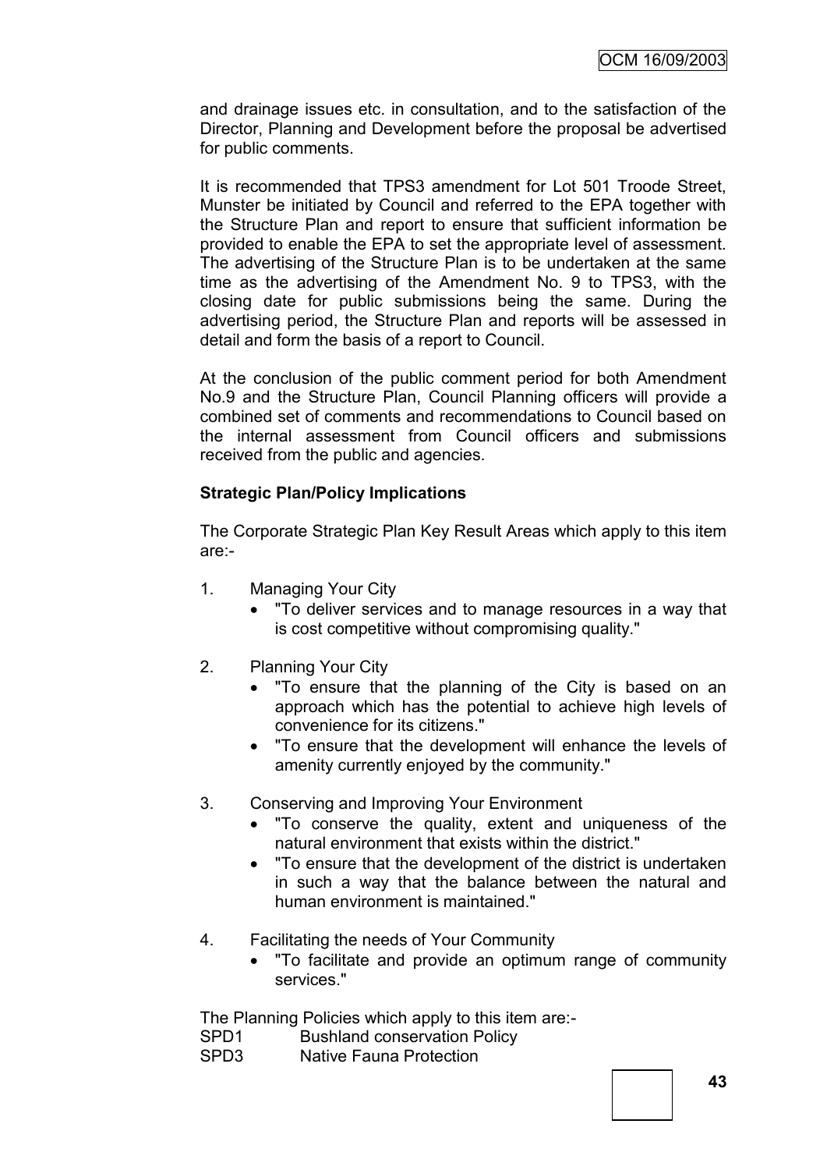and drainage issues etc. in consultation, and to the satisfaction of the Director, Planning and Development before the proposal be advertised for public comments.

It is recommended that TPS3 amendment for Lot 501 Troode Street, Munster be initiated by Council and referred to the EPA together with the Structure Plan and report to ensure that sufficient information be provided to enable the EPA to set the appropriate level of assessment. The advertising of the Structure Plan is to be undertaken at the same time as the advertising of the Amendment No. 9 to TPS3, with the closing date for public submissions being the same. During the advertising period, the Structure Plan and reports will be assessed in detail and form the basis of a report to Council.

At the conclusion of the public comment period for both Amendment No.9 and the Structure Plan, Council Planning officers will provide a combined set of comments and recommendations to Council based on the internal assessment from Council officers and submissions received from the public and agencies.

# **Strategic Plan/Policy Implications**

The Corporate Strategic Plan Key Result Areas which apply to this item are:-

- 1. Managing Your City
	- "To deliver services and to manage resources in a way that is cost competitive without compromising quality."
- 2. Planning Your City
	- "To ensure that the planning of the City is based on an approach which has the potential to achieve high levels of convenience for its citizens."
	- "To ensure that the development will enhance the levels of amenity currently enjoyed by the community."
- 3. Conserving and Improving Your Environment
	- "To conserve the quality, extent and uniqueness of the natural environment that exists within the district."
	- "To ensure that the development of the district is undertaken in such a way that the balance between the natural and human environment is maintained."
- 4. Facilitating the needs of Your Community
	- "To facilitate and provide an optimum range of community services."

The Planning Policies which apply to this item are:-

SPD1 Bushland conservation Policy

SPD3 Native Fauna Protection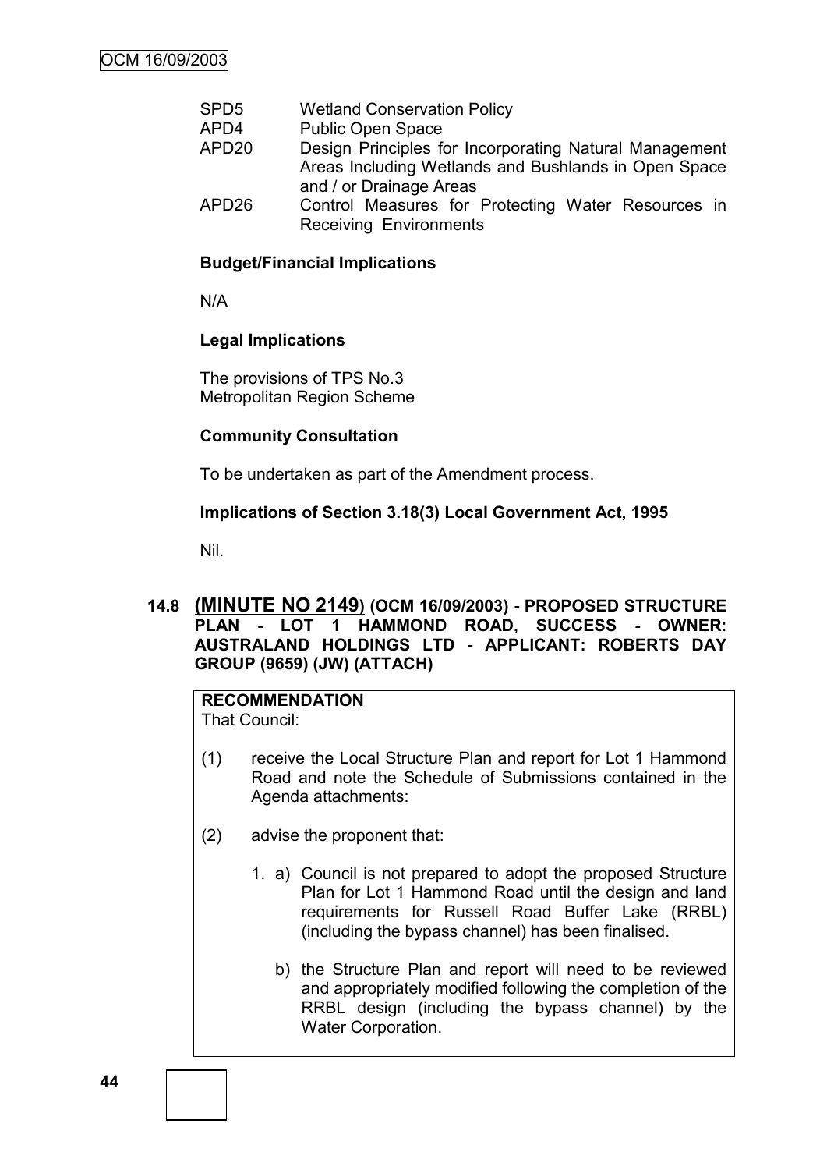- SPD5 Wetland Conservation Policy
- APD4 Public Open Space
- APD20 Design Principles for Incorporating Natural Management Areas Including Wetlands and Bushlands in Open Space and / or Drainage Areas
- APD26 Control Measures for Protecting Water Resources in Receiving Environments

# **Budget/Financial Implications**

N/A

# **Legal Implications**

The provisions of TPS No.3 Metropolitan Region Scheme

# **Community Consultation**

To be undertaken as part of the Amendment process.

# **Implications of Section 3.18(3) Local Government Act, 1995**

Nil.

# **14.8 (MINUTE NO 2149) (OCM 16/09/2003) - PROPOSED STRUCTURE PLAN - LOT 1 HAMMOND ROAD, SUCCESS - OWNER: AUSTRALAND HOLDINGS LTD - APPLICANT: ROBERTS DAY GROUP (9659) (JW) (ATTACH)**

# **RECOMMENDATION**

That Council:

- (1) receive the Local Structure Plan and report for Lot 1 Hammond Road and note the Schedule of Submissions contained in the Agenda attachments:
- (2) advise the proponent that:
	- 1. a) Council is not prepared to adopt the proposed Structure Plan for Lot 1 Hammond Road until the design and land requirements for Russell Road Buffer Lake (RRBL) (including the bypass channel) has been finalised.
		- b) the Structure Plan and report will need to be reviewed and appropriately modified following the completion of the RRBL design (including the bypass channel) by the Water Corporation.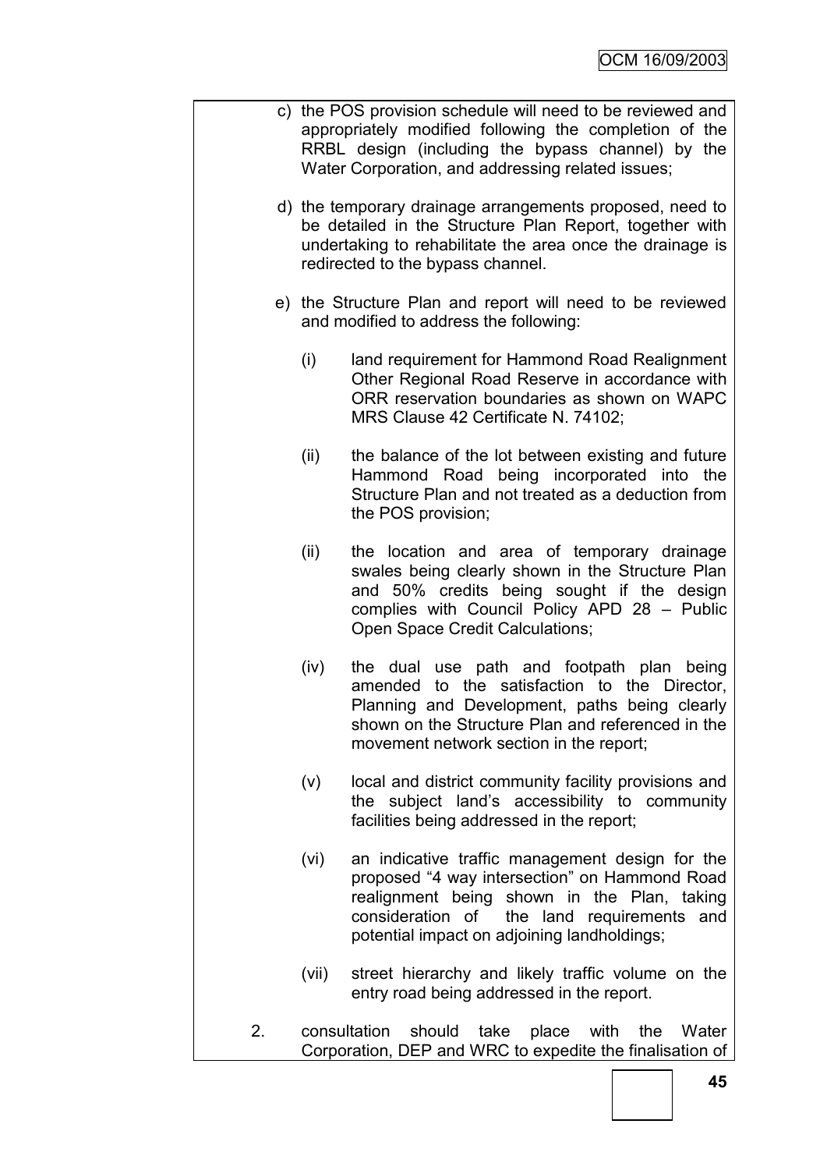|    | c) the POS provision schedule will need to be reviewed and<br>appropriately modified following the completion of the<br>RRBL design (including the bypass channel) by the<br>Water Corporation, and addressing related issues; |                                                                                                                                                                                                                                               |  |  |  |  |  |
|----|--------------------------------------------------------------------------------------------------------------------------------------------------------------------------------------------------------------------------------|-----------------------------------------------------------------------------------------------------------------------------------------------------------------------------------------------------------------------------------------------|--|--|--|--|--|
|    |                                                                                                                                                                                                                                | d) the temporary drainage arrangements proposed, need to<br>be detailed in the Structure Plan Report, together with<br>undertaking to rehabilitate the area once the drainage is<br>redirected to the bypass channel.                         |  |  |  |  |  |
|    |                                                                                                                                                                                                                                | e) the Structure Plan and report will need to be reviewed<br>and modified to address the following:                                                                                                                                           |  |  |  |  |  |
|    | (i)                                                                                                                                                                                                                            | land requirement for Hammond Road Realignment<br>Other Regional Road Reserve in accordance with<br>ORR reservation boundaries as shown on WAPC<br>MRS Clause 42 Certificate N. 74102;                                                         |  |  |  |  |  |
|    | (ii)                                                                                                                                                                                                                           | the balance of the lot between existing and future<br>Hammond Road being incorporated into the<br>Structure Plan and not treated as a deduction from<br>the POS provision;                                                                    |  |  |  |  |  |
|    | (ii)                                                                                                                                                                                                                           | the location and area of temporary drainage<br>swales being clearly shown in the Structure Plan<br>and 50% credits being sought if the design<br>complies with Council Policy APD 28 - Public<br>Open Space Credit Calculations;              |  |  |  |  |  |
|    | (iv)                                                                                                                                                                                                                           | the dual use path and footpath plan<br>being<br>amended to the satisfaction to the Director,<br>Planning and Development, paths being clearly<br>shown on the Structure Plan and referenced in the<br>movement network section in the report; |  |  |  |  |  |
|    | (V)                                                                                                                                                                                                                            | local and district community facility provisions and<br>the subject land's accessibility to community<br>facilities being addressed in the report;                                                                                            |  |  |  |  |  |
|    | (vi)                                                                                                                                                                                                                           | an indicative traffic management design for the<br>proposed "4 way intersection" on Hammond Road<br>realignment being shown in the Plan, taking<br>consideration of the land requirements and<br>potential impact on adjoining landholdings;  |  |  |  |  |  |
|    | (vii)                                                                                                                                                                                                                          | street hierarchy and likely traffic volume on the<br>entry road being addressed in the report.                                                                                                                                                |  |  |  |  |  |
| 2. |                                                                                                                                                                                                                                | consultation<br>should<br>take place with<br>the<br>Water<br>Corporation, DEP and WRC to expedite the finalisation of                                                                                                                         |  |  |  |  |  |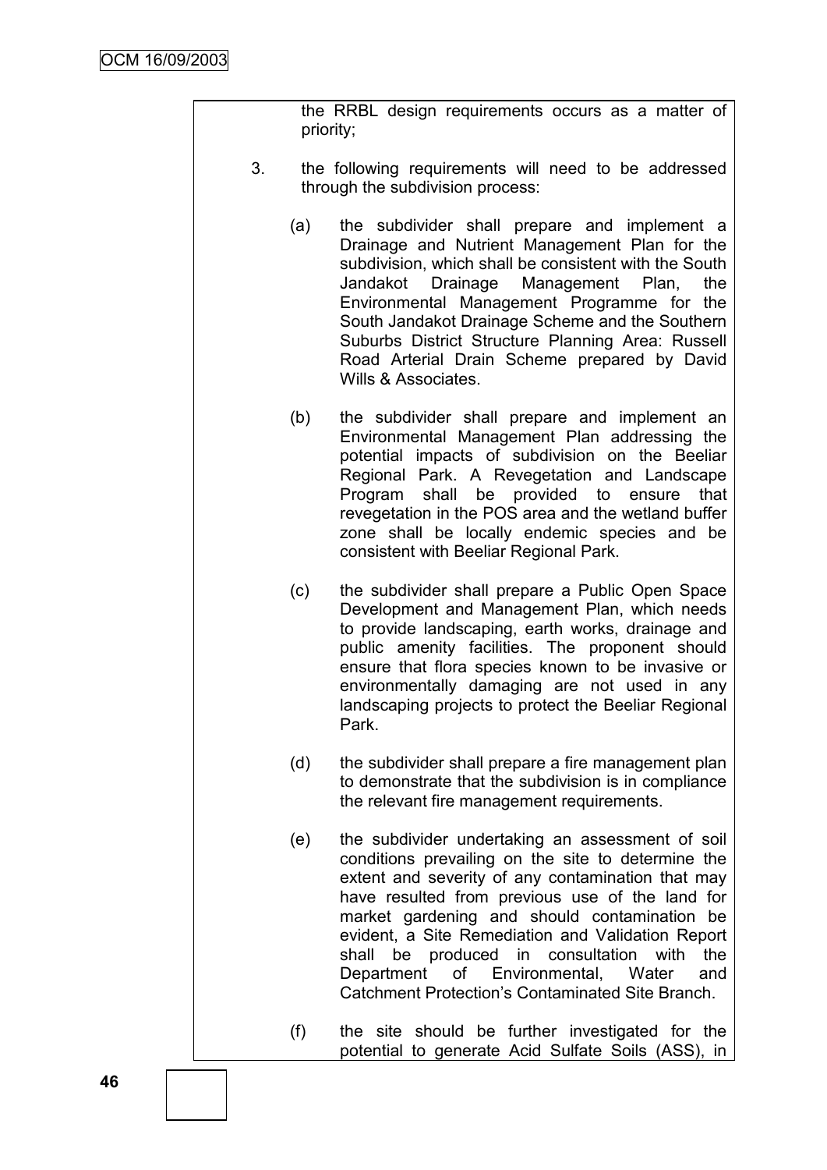the RRBL design requirements occurs as a matter of priority;

- 3. the following requirements will need to be addressed through the subdivision process:
	- (a) the subdivider shall prepare and implement a Drainage and Nutrient Management Plan for the subdivision, which shall be consistent with the South Jandakot Drainage Management Plan, the Environmental Management Programme for the South Jandakot Drainage Scheme and the Southern Suburbs District Structure Planning Area: Russell Road Arterial Drain Scheme prepared by David Wills & Associates
	- (b) the subdivider shall prepare and implement an Environmental Management Plan addressing the potential impacts of subdivision on the Beeliar Regional Park. A Revegetation and Landscape Program shall be provided to ensure that revegetation in the POS area and the wetland buffer zone shall be locally endemic species and be consistent with Beeliar Regional Park.
	- (c) the subdivider shall prepare a Public Open Space Development and Management Plan, which needs to provide landscaping, earth works, drainage and public amenity facilities. The proponent should ensure that flora species known to be invasive or environmentally damaging are not used in any landscaping projects to protect the Beeliar Regional Park.
	- (d) the subdivider shall prepare a fire management plan to demonstrate that the subdivision is in compliance the relevant fire management requirements.
	- (e) the subdivider undertaking an assessment of soil conditions prevailing on the site to determine the extent and severity of any contamination that may have resulted from previous use of the land for market gardening and should contamination be evident, a Site Remediation and Validation Report shall be produced in consultation with the Department of Environmental, Water and Catchment Protection"s Contaminated Site Branch.
	- (f) the site should be further investigated for the potential to generate Acid Sulfate Soils (ASS), in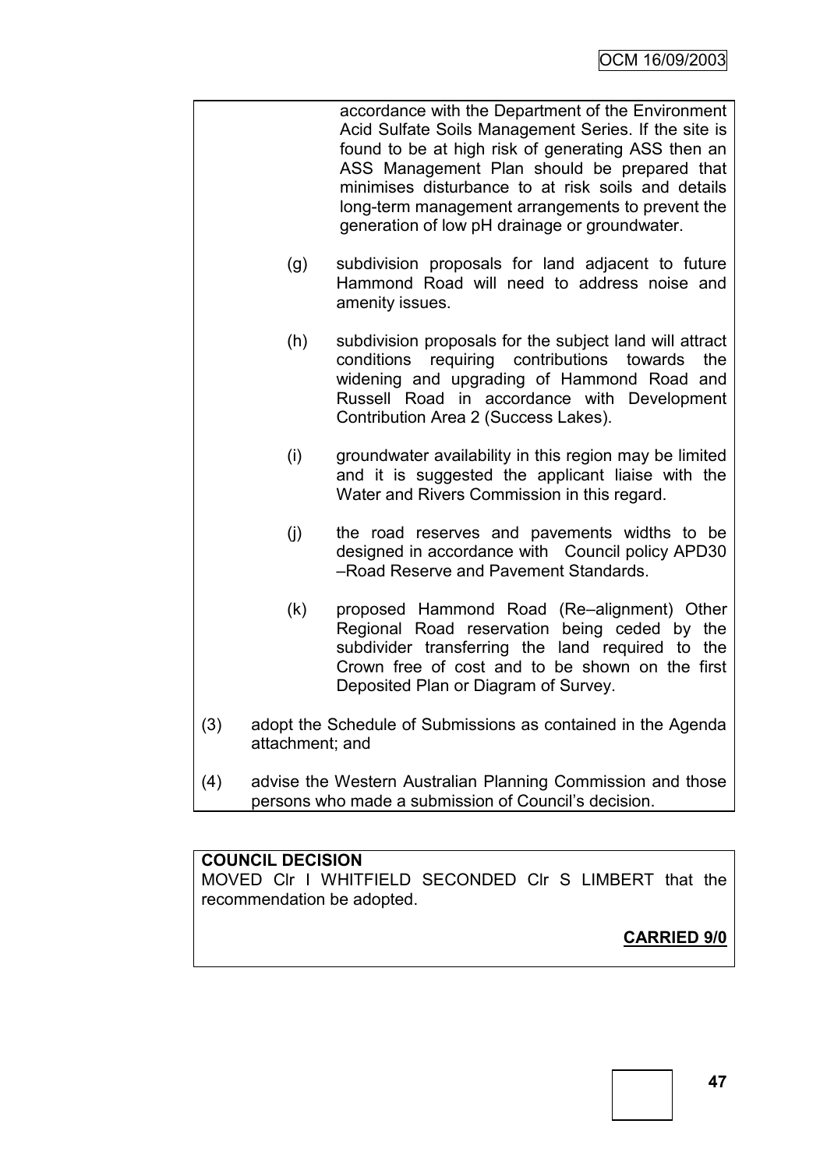|     |                 | accordance with the Department of the Environment<br>Acid Sulfate Soils Management Series. If the site is<br>found to be at high risk of generating ASS then an<br>ASS Management Plan should be prepared that<br>minimises disturbance to at risk soils and details<br>long-term management arrangements to prevent the<br>generation of low pH drainage or groundwater. |
|-----|-----------------|---------------------------------------------------------------------------------------------------------------------------------------------------------------------------------------------------------------------------------------------------------------------------------------------------------------------------------------------------------------------------|
|     | (g)             | subdivision proposals for land adjacent to future<br>Hammond Road will need to address noise and<br>amenity issues.                                                                                                                                                                                                                                                       |
|     | (h)             | subdivision proposals for the subject land will attract<br>requiring contributions<br>the<br>conditions<br>towards<br>widening and upgrading of Hammond Road and<br>Russell Road in accordance with Development<br>Contribution Area 2 (Success Lakes).                                                                                                                   |
|     | (i)             | groundwater availability in this region may be limited<br>and it is suggested the applicant liaise with the<br>Water and Rivers Commission in this regard.                                                                                                                                                                                                                |
|     | (j)             | the road reserves and pavements widths to be<br>designed in accordance with Council policy APD30<br>-Road Reserve and Pavement Standards.                                                                                                                                                                                                                                 |
|     | (k)             | proposed Hammond Road (Re-alignment) Other<br>Regional Road reservation being ceded by the<br>subdivider transferring the land required to the<br>Crown free of cost and to be shown on the first<br>Deposited Plan or Diagram of Survey.                                                                                                                                 |
| (3) | attachment; and | adopt the Schedule of Submissions as contained in the Agenda                                                                                                                                                                                                                                                                                                              |
| (4) |                 | advise the Western Australian Planning Commission and those<br>persons who made a submission of Council's decision.                                                                                                                                                                                                                                                       |

# **COUNCIL DECISION**

MOVED Clr I WHITFIELD SECONDED Clr S LIMBERT that the recommendation be adopted.

**CARRIED 9/0**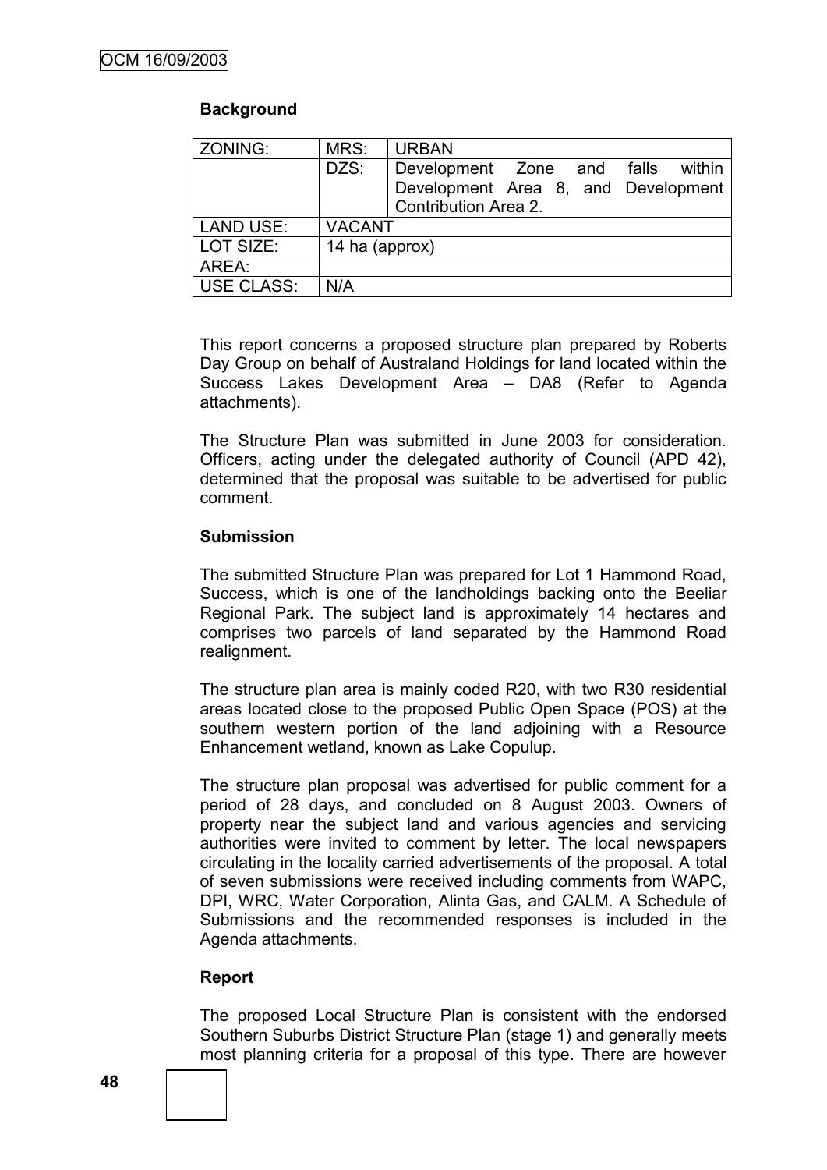# **Background**

| ZONING:    | MRS:           | <b>URBAN</b>                                                      |  |        |
|------------|----------------|-------------------------------------------------------------------|--|--------|
|            | DZS:           | Development Zone and falls<br>Development Area 8, and Development |  | within |
|            |                | Contribution Area 2.                                              |  |        |
| LAND USE:  | <b>VACANT</b>  |                                                                   |  |        |
| LOT SIZE:  | 14 ha (approx) |                                                                   |  |        |
| AREA:      |                |                                                                   |  |        |
| USE CLASS: | N/A            |                                                                   |  |        |

This report concerns a proposed structure plan prepared by Roberts Day Group on behalf of Australand Holdings for land located within the Success Lakes Development Area – DA8 (Refer to Agenda attachments).

The Structure Plan was submitted in June 2003 for consideration. Officers, acting under the delegated authority of Council (APD 42), determined that the proposal was suitable to be advertised for public comment.

# **Submission**

The submitted Structure Plan was prepared for Lot 1 Hammond Road, Success, which is one of the landholdings backing onto the Beeliar Regional Park. The subject land is approximately 14 hectares and comprises two parcels of land separated by the Hammond Road realignment.

The structure plan area is mainly coded R20, with two R30 residential areas located close to the proposed Public Open Space (POS) at the southern western portion of the land adjoining with a Resource Enhancement wetland, known as Lake Copulup.

The structure plan proposal was advertised for public comment for a period of 28 days, and concluded on 8 August 2003. Owners of property near the subject land and various agencies and servicing authorities were invited to comment by letter. The local newspapers circulating in the locality carried advertisements of the proposal. A total of seven submissions were received including comments from WAPC, DPI, WRC, Water Corporation, Alinta Gas, and CALM. A Schedule of Submissions and the recommended responses is included in the Agenda attachments.

# **Report**

The proposed Local Structure Plan is consistent with the endorsed Southern Suburbs District Structure Plan (stage 1) and generally meets most planning criteria for a proposal of this type. There are however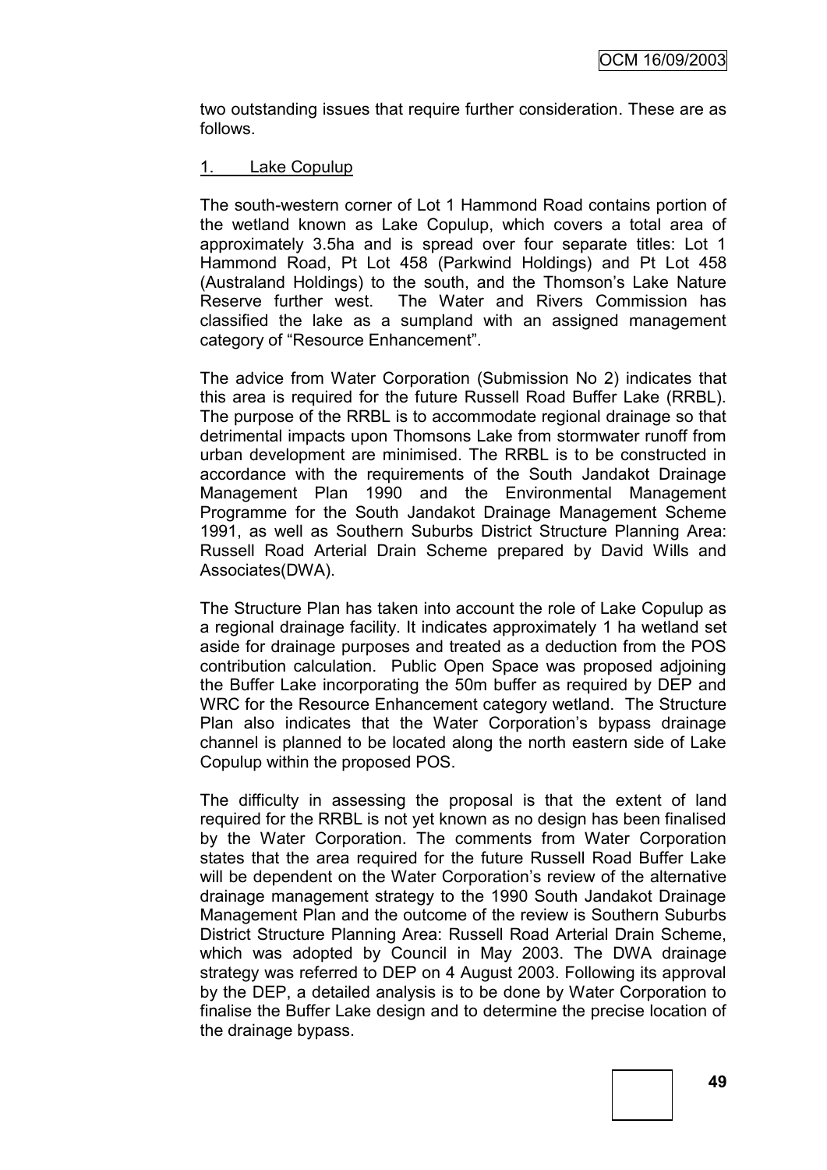two outstanding issues that require further consideration. These are as follows.

# 1. Lake Copulup

The south-western corner of Lot 1 Hammond Road contains portion of the wetland known as Lake Copulup, which covers a total area of approximately 3.5ha and is spread over four separate titles: Lot 1 Hammond Road, Pt Lot 458 (Parkwind Holdings) and Pt Lot 458 (Australand Holdings) to the south, and the Thomson"s Lake Nature Reserve further west. The Water and Rivers Commission has classified the lake as a sumpland with an assigned management category of "Resource Enhancement".

The advice from Water Corporation (Submission No 2) indicates that this area is required for the future Russell Road Buffer Lake (RRBL). The purpose of the RRBL is to accommodate regional drainage so that detrimental impacts upon Thomsons Lake from stormwater runoff from urban development are minimised. The RRBL is to be constructed in accordance with the requirements of the South Jandakot Drainage Management Plan 1990 and the Environmental Management Programme for the South Jandakot Drainage Management Scheme 1991, as well as Southern Suburbs District Structure Planning Area: Russell Road Arterial Drain Scheme prepared by David Wills and Associates(DWA).

The Structure Plan has taken into account the role of Lake Copulup as a regional drainage facility. It indicates approximately 1 ha wetland set aside for drainage purposes and treated as a deduction from the POS contribution calculation. Public Open Space was proposed adjoining the Buffer Lake incorporating the 50m buffer as required by DEP and WRC for the Resource Enhancement category wetland. The Structure Plan also indicates that the Water Corporation's bypass drainage channel is planned to be located along the north eastern side of Lake Copulup within the proposed POS.

The difficulty in assessing the proposal is that the extent of land required for the RRBL is not yet known as no design has been finalised by the Water Corporation. The comments from Water Corporation states that the area required for the future Russell Road Buffer Lake will be dependent on the Water Corporation"s review of the alternative drainage management strategy to the 1990 South Jandakot Drainage Management Plan and the outcome of the review is Southern Suburbs District Structure Planning Area: Russell Road Arterial Drain Scheme, which was adopted by Council in May 2003. The DWA drainage strategy was referred to DEP on 4 August 2003. Following its approval by the DEP, a detailed analysis is to be done by Water Corporation to finalise the Buffer Lake design and to determine the precise location of the drainage bypass.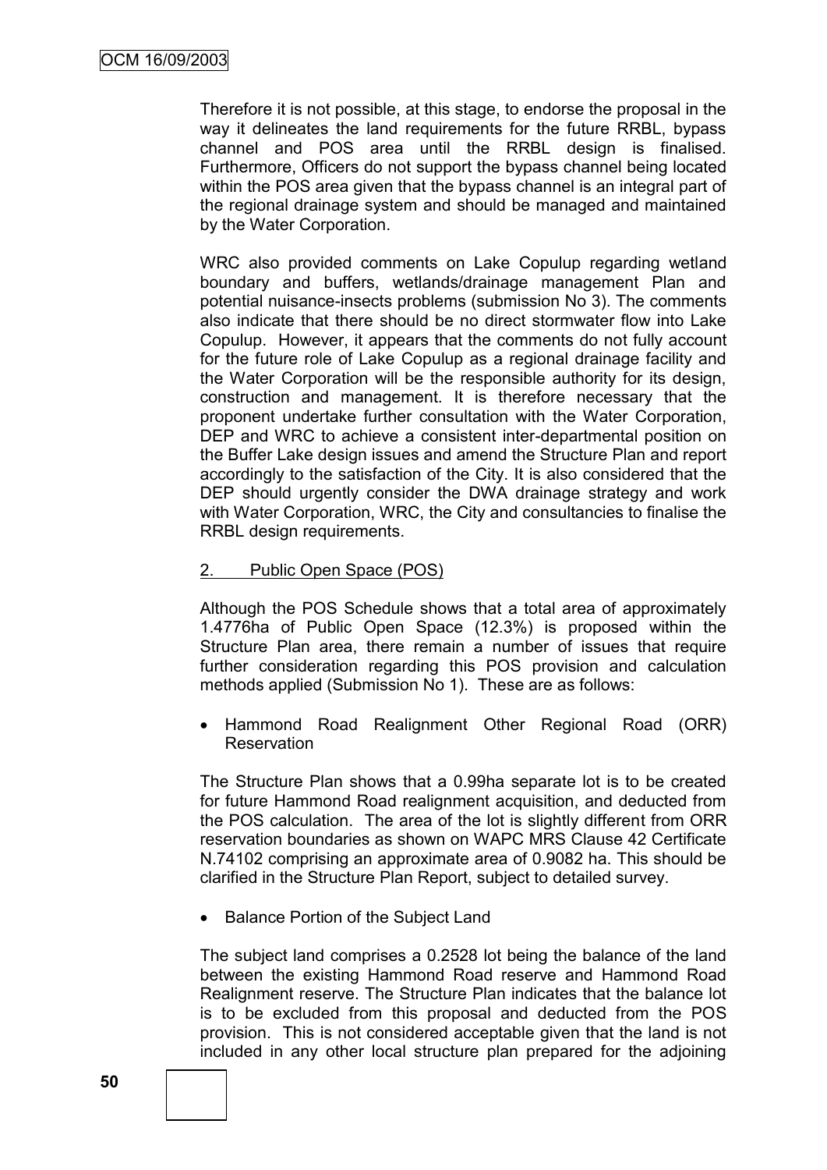Therefore it is not possible, at this stage, to endorse the proposal in the way it delineates the land requirements for the future RRBL, bypass channel and POS area until the RRBL design is finalised. Furthermore, Officers do not support the bypass channel being located within the POS area given that the bypass channel is an integral part of the regional drainage system and should be managed and maintained by the Water Corporation.

WRC also provided comments on Lake Copulup regarding wetland boundary and buffers, wetlands/drainage management Plan and potential nuisance-insects problems (submission No 3). The comments also indicate that there should be no direct stormwater flow into Lake Copulup. However, it appears that the comments do not fully account for the future role of Lake Copulup as a regional drainage facility and the Water Corporation will be the responsible authority for its design, construction and management. It is therefore necessary that the proponent undertake further consultation with the Water Corporation, DEP and WRC to achieve a consistent inter-departmental position on the Buffer Lake design issues and amend the Structure Plan and report accordingly to the satisfaction of the City. It is also considered that the DEP should urgently consider the DWA drainage strategy and work with Water Corporation, WRC, the City and consultancies to finalise the RRBL design requirements.

# 2. Public Open Space (POS)

Although the POS Schedule shows that a total area of approximately 1.4776ha of Public Open Space (12.3%) is proposed within the Structure Plan area, there remain a number of issues that require further consideration regarding this POS provision and calculation methods applied (Submission No 1). These are as follows:

 Hammond Road Realignment Other Regional Road (ORR) **Reservation** 

The Structure Plan shows that a 0.99ha separate lot is to be created for future Hammond Road realignment acquisition, and deducted from the POS calculation. The area of the lot is slightly different from ORR reservation boundaries as shown on WAPC MRS Clause 42 Certificate N.74102 comprising an approximate area of 0.9082 ha. This should be clarified in the Structure Plan Report, subject to detailed survey.

• Balance Portion of the Subject Land

The subject land comprises a 0.2528 lot being the balance of the land between the existing Hammond Road reserve and Hammond Road Realignment reserve. The Structure Plan indicates that the balance lot is to be excluded from this proposal and deducted from the POS provision. This is not considered acceptable given that the land is not included in any other local structure plan prepared for the adjoining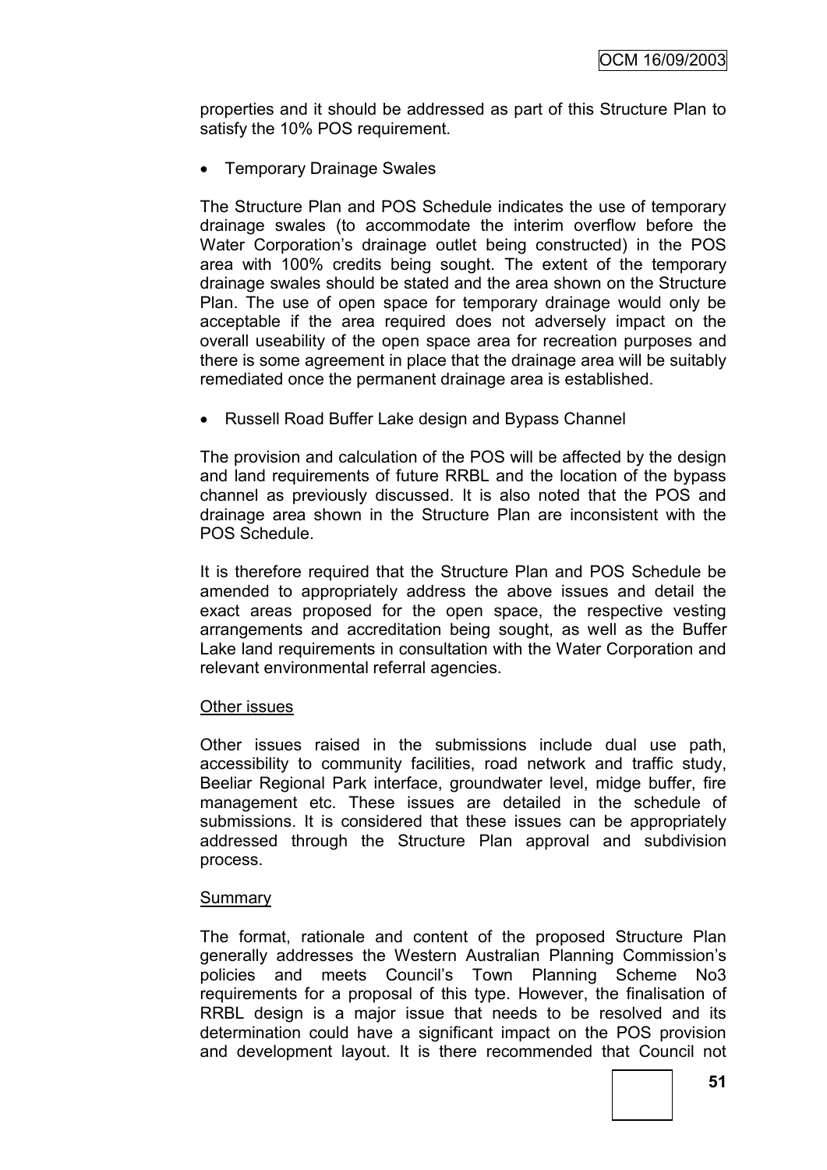properties and it should be addressed as part of this Structure Plan to satisfy the 10% POS requirement.

• Temporary Drainage Swales

The Structure Plan and POS Schedule indicates the use of temporary drainage swales (to accommodate the interim overflow before the Water Corporation"s drainage outlet being constructed) in the POS area with 100% credits being sought. The extent of the temporary drainage swales should be stated and the area shown on the Structure Plan. The use of open space for temporary drainage would only be acceptable if the area required does not adversely impact on the overall useability of the open space area for recreation purposes and there is some agreement in place that the drainage area will be suitably remediated once the permanent drainage area is established.

• Russell Road Buffer Lake design and Bypass Channel

The provision and calculation of the POS will be affected by the design and land requirements of future RRBL and the location of the bypass channel as previously discussed. It is also noted that the POS and drainage area shown in the Structure Plan are inconsistent with the POS Schedule.

It is therefore required that the Structure Plan and POS Schedule be amended to appropriately address the above issues and detail the exact areas proposed for the open space, the respective vesting arrangements and accreditation being sought, as well as the Buffer Lake land requirements in consultation with the Water Corporation and relevant environmental referral agencies.

# Other issues

Other issues raised in the submissions include dual use path, accessibility to community facilities, road network and traffic study, Beeliar Regional Park interface, groundwater level, midge buffer, fire management etc. These issues are detailed in the schedule of submissions. It is considered that these issues can be appropriately addressed through the Structure Plan approval and subdivision process.

#### **Summary**

The format, rationale and content of the proposed Structure Plan generally addresses the Western Australian Planning Commission"s policies and meets Council"s Town Planning Scheme No3 requirements for a proposal of this type. However, the finalisation of RRBL design is a major issue that needs to be resolved and its determination could have a significant impact on the POS provision and development layout. It is there recommended that Council not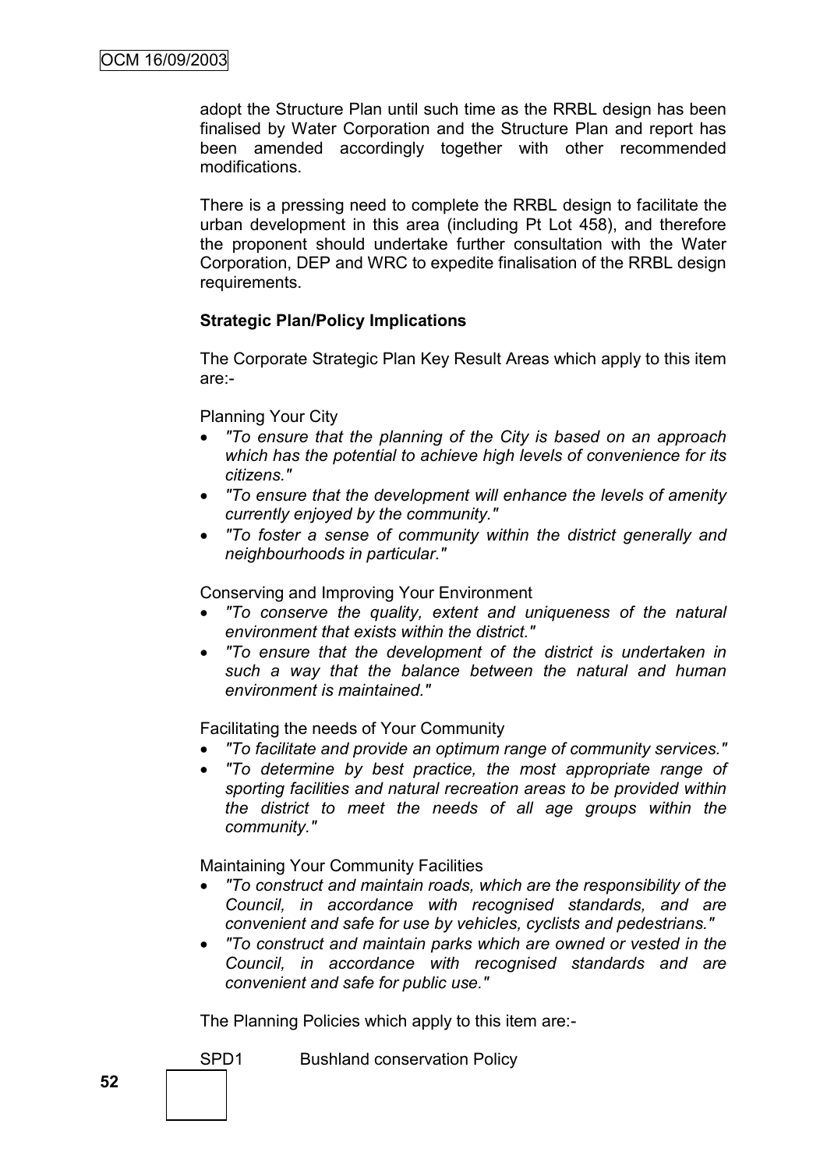adopt the Structure Plan until such time as the RRBL design has been finalised by Water Corporation and the Structure Plan and report has been amended accordingly together with other recommended modifications.

There is a pressing need to complete the RRBL design to facilitate the urban development in this area (including Pt Lot 458), and therefore the proponent should undertake further consultation with the Water Corporation, DEP and WRC to expedite finalisation of the RRBL design requirements.

# **Strategic Plan/Policy Implications**

The Corporate Strategic Plan Key Result Areas which apply to this item are:-

#### Planning Your City

- *"To ensure that the planning of the City is based on an approach which has the potential to achieve high levels of convenience for its citizens."*
- *"To ensure that the development will enhance the levels of amenity currently enjoyed by the community."*
- *"To foster a sense of community within the district generally and neighbourhoods in particular."*

Conserving and Improving Your Environment

- *"To conserve the quality, extent and uniqueness of the natural environment that exists within the district."*
- *"To ensure that the development of the district is undertaken in such a way that the balance between the natural and human environment is maintained."*

Facilitating the needs of Your Community

- *"To facilitate and provide an optimum range of community services."*
- *"To determine by best practice, the most appropriate range of sporting facilities and natural recreation areas to be provided within the district to meet the needs of all age groups within the community."*

Maintaining Your Community Facilities

- *"To construct and maintain roads, which are the responsibility of the Council, in accordance with recognised standards, and are convenient and safe for use by vehicles, cyclists and pedestrians."*
- *"To construct and maintain parks which are owned or vested in the Council, in accordance with recognised standards and are convenient and safe for public use."*

The Planning Policies which apply to this item are:-

SPD1 Bushland conservation Policy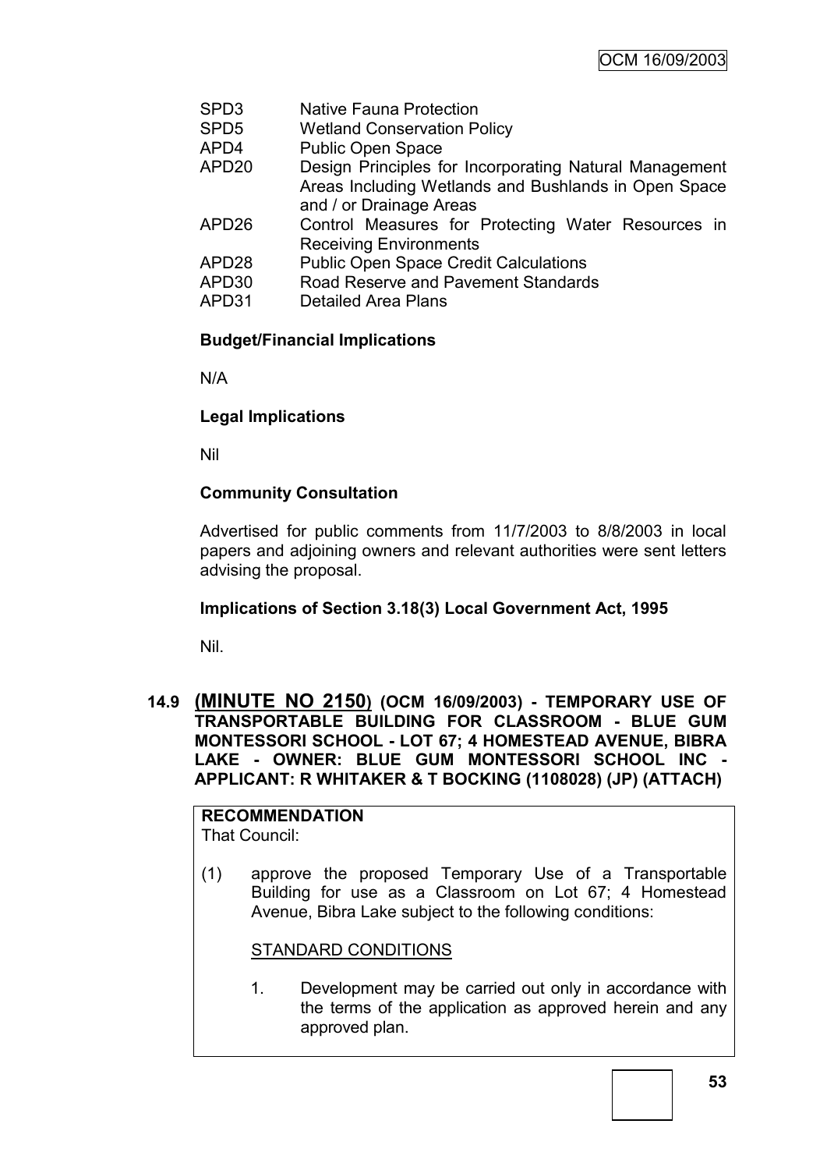- SPD3 Native Fauna Protection
- SPD5 Wetland Conservation Policy<br>APD4 Public Open Space
- Public Open Space
- APD20 Design Principles for Incorporating Natural Management Areas Including Wetlands and Bushlands in Open Space and / or Drainage Areas
- APD26 Control Measures for Protecting Water Resources in Receiving Environments
- APD28 Public Open Space Credit Calculations
- APD30 Road Reserve and Pavement Standards
- APD31 Detailed Area Plans

# **Budget/Financial Implications**

N/A

# **Legal Implications**

Nil

# **Community Consultation**

Advertised for public comments from 11/7/2003 to 8/8/2003 in local papers and adjoining owners and relevant authorities were sent letters advising the proposal.

# **Implications of Section 3.18(3) Local Government Act, 1995**

Nil.

**14.9 (MINUTE NO 2150) (OCM 16/09/2003) - TEMPORARY USE OF TRANSPORTABLE BUILDING FOR CLASSROOM - BLUE GUM MONTESSORI SCHOOL - LOT 67; 4 HOMESTEAD AVENUE, BIBRA LAKE - OWNER: BLUE GUM MONTESSORI SCHOOL INC - APPLICANT: R WHITAKER & T BOCKING (1108028) (JP) (ATTACH)**

#### **RECOMMENDATION** That Council:

(1) approve the proposed Temporary Use of a Transportable Building for use as a Classroom on Lot 67; 4 Homestead Avenue, Bibra Lake subject to the following conditions:

# STANDARD CONDITIONS

1. Development may be carried out only in accordance with the terms of the application as approved herein and any approved plan.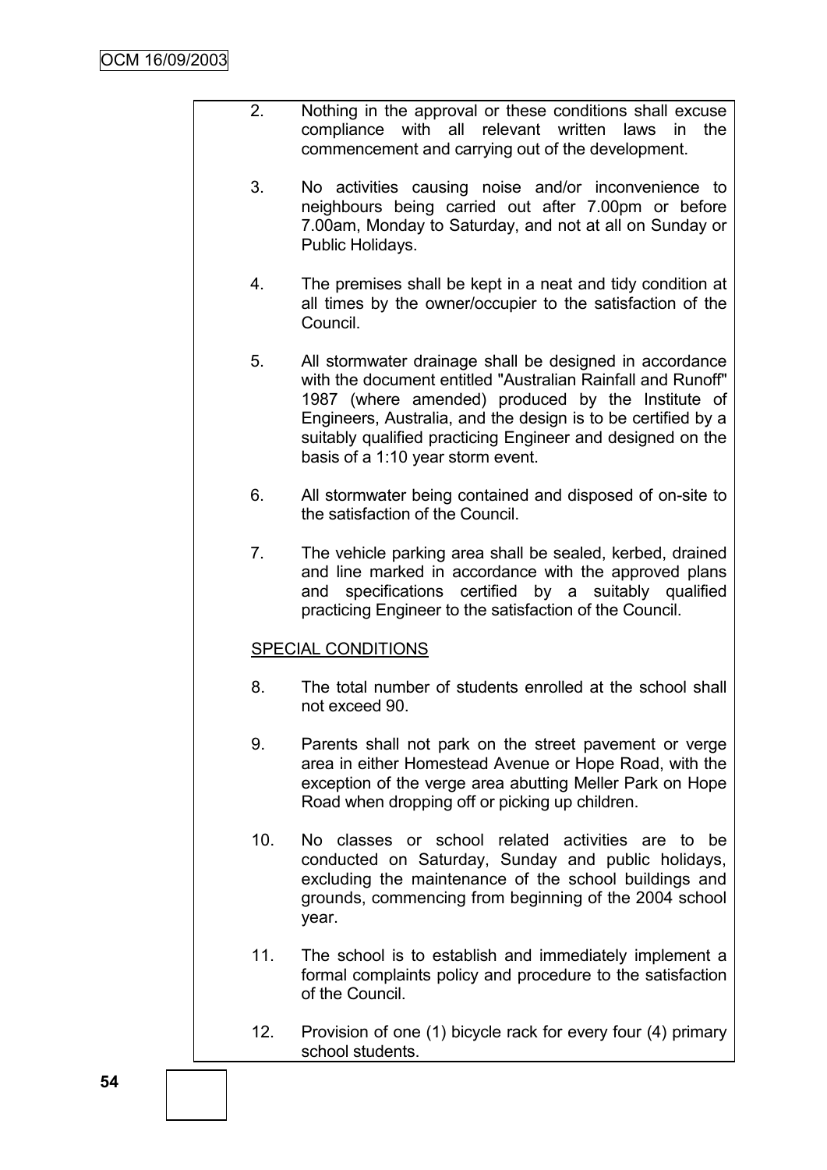- 2. Nothing in the approval or these conditions shall excuse compliance with all relevant written laws in the commencement and carrying out of the development.
	- 3. No activities causing noise and/or inconvenience to neighbours being carried out after 7.00pm or before 7.00am, Monday to Saturday, and not at all on Sunday or Public Holidays.
	- 4. The premises shall be kept in a neat and tidy condition at all times by the owner/occupier to the satisfaction of the Council.
	- 5. All stormwater drainage shall be designed in accordance with the document entitled "Australian Rainfall and Runoff" 1987 (where amended) produced by the Institute of Engineers, Australia, and the design is to be certified by a suitably qualified practicing Engineer and designed on the basis of a 1:10 year storm event.
	- 6. All stormwater being contained and disposed of on-site to the satisfaction of the Council.
	- 7. The vehicle parking area shall be sealed, kerbed, drained and line marked in accordance with the approved plans and specifications certified by a suitably qualified practicing Engineer to the satisfaction of the Council.

# SPECIAL CONDITIONS

- 8. The total number of students enrolled at the school shall not exceed 90.
- 9. Parents shall not park on the street pavement or verge area in either Homestead Avenue or Hope Road, with the exception of the verge area abutting Meller Park on Hope Road when dropping off or picking up children.
- 10. No classes or school related activities are to be conducted on Saturday, Sunday and public holidays, excluding the maintenance of the school buildings and grounds, commencing from beginning of the 2004 school year.
- 11. The school is to establish and immediately implement a formal complaints policy and procedure to the satisfaction of the Council.
- 12. Provision of one (1) bicycle rack for every four (4) primary school students.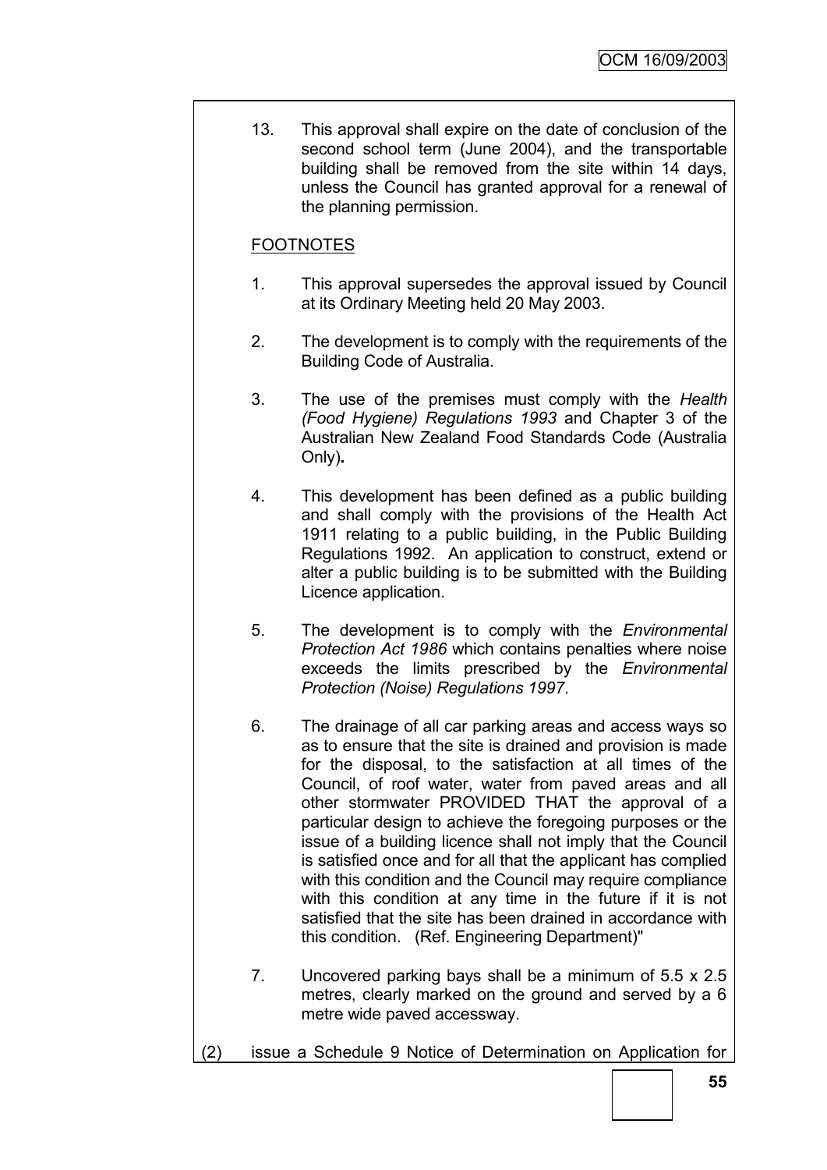13. This approval shall expire on the date of conclusion of the second school term (June 2004), and the transportable building shall be removed from the site within 14 days, unless the Council has granted approval for a renewal of the planning permission.

# FOOTNOTES

- 1. This approval supersedes the approval issued by Council at its Ordinary Meeting held 20 May 2003.
- 2. The development is to comply with the requirements of the Building Code of Australia.
- 3. The use of the premises must comply with the *Health (Food Hygiene) Regulations 1993* and Chapter 3 of the Australian New Zealand Food Standards Code (Australia Only)**.**
- 4. This development has been defined as a public building and shall comply with the provisions of the Health Act 1911 relating to a public building, in the Public Building Regulations 1992. An application to construct, extend or alter a public building is to be submitted with the Building Licence application.
- 5. The development is to comply with the *Environmental Protection Act 1986* which contains penalties where noise exceeds the limits prescribed by the *Environmental Protection (Noise) Regulations 1997*.
- 6. The drainage of all car parking areas and access ways so as to ensure that the site is drained and provision is made for the disposal, to the satisfaction at all times of the Council, of roof water, water from paved areas and all other stormwater PROVIDED THAT the approval of a particular design to achieve the foregoing purposes or the issue of a building licence shall not imply that the Council is satisfied once and for all that the applicant has complied with this condition and the Council may require compliance with this condition at any time in the future if it is not satisfied that the site has been drained in accordance with this condition. (Ref. Engineering Department)"
- 7. Uncovered parking bays shall be a minimum of 5.5 x 2.5 metres, clearly marked on the ground and served by a 6 metre wide paved accessway.
- (2) issue a Schedule 9 Notice of Determination on Application for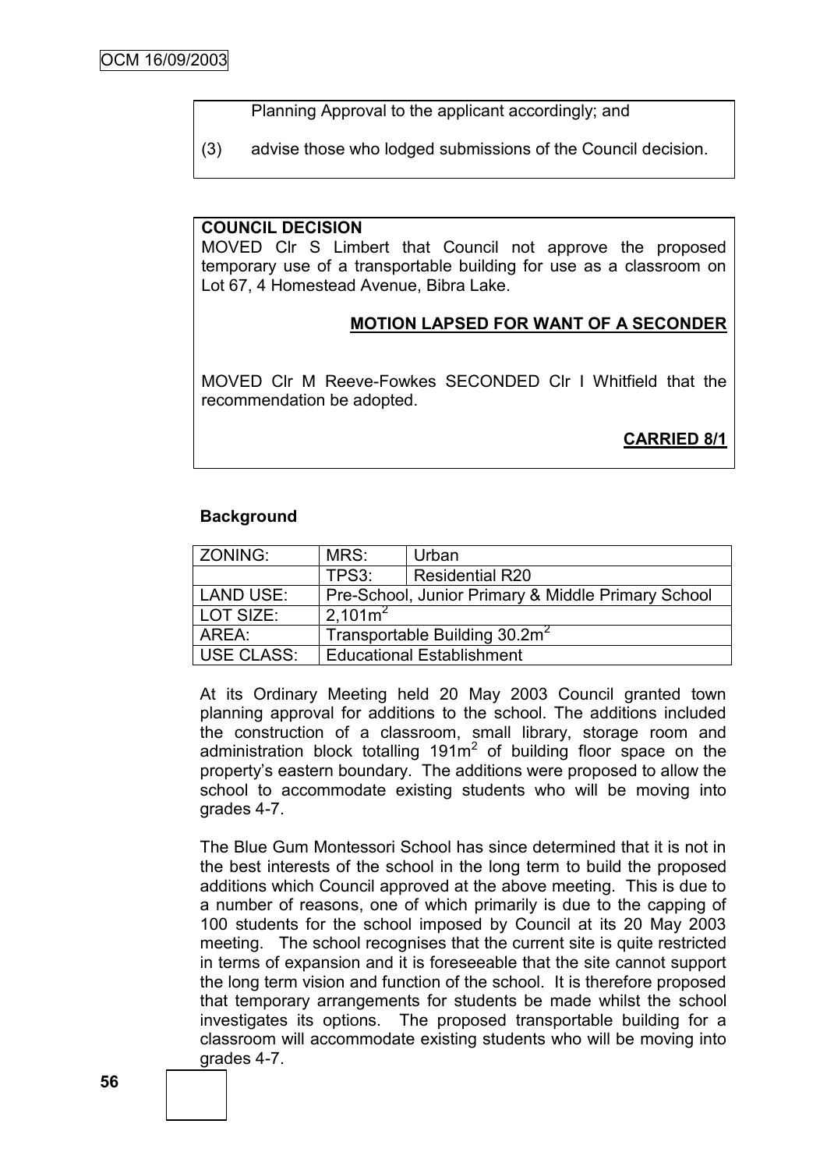Planning Approval to the applicant accordingly; and

(3) advise those who lodged submissions of the Council decision.

#### **COUNCIL DECISION**

MOVED Clr S Limbert that Council not approve the proposed temporary use of a transportable building for use as a classroom on Lot 67, 4 Homestead Avenue, Bibra Lake.

# **MOTION LAPSED FOR WANT OF A SECONDER**

MOVED Clr M Reeve-Fowkes SECONDED Clr I Whitfield that the recommendation be adopted.

# **CARRIED 8/1**

#### **Background**

| l ZONING:        | MRS:                                      | Urban                                              |  |
|------------------|-------------------------------------------|----------------------------------------------------|--|
|                  | TPS3:                                     | <b>Residential R20</b>                             |  |
| <b>LAND USE:</b> |                                           | Pre-School, Junior Primary & Middle Primary School |  |
| LOT SIZE:        | $2,101m^2$                                |                                                    |  |
| AREA:            | Transportable Building 30.2m <sup>2</sup> |                                                    |  |
| USE CLASS:       |                                           | <b>Educational Establishment</b>                   |  |

At its Ordinary Meeting held 20 May 2003 Council granted town planning approval for additions to the school. The additions included the construction of a classroom, small library, storage room and administration block totalling  $191m^2$  of building floor space on the property"s eastern boundary. The additions were proposed to allow the school to accommodate existing students who will be moving into grades 4-7.

The Blue Gum Montessori School has since determined that it is not in the best interests of the school in the long term to build the proposed additions which Council approved at the above meeting. This is due to a number of reasons, one of which primarily is due to the capping of 100 students for the school imposed by Council at its 20 May 2003 meeting. The school recognises that the current site is quite restricted in terms of expansion and it is foreseeable that the site cannot support the long term vision and function of the school. It is therefore proposed that temporary arrangements for students be made whilst the school investigates its options. The proposed transportable building for a classroom will accommodate existing students who will be moving into grades 4-7.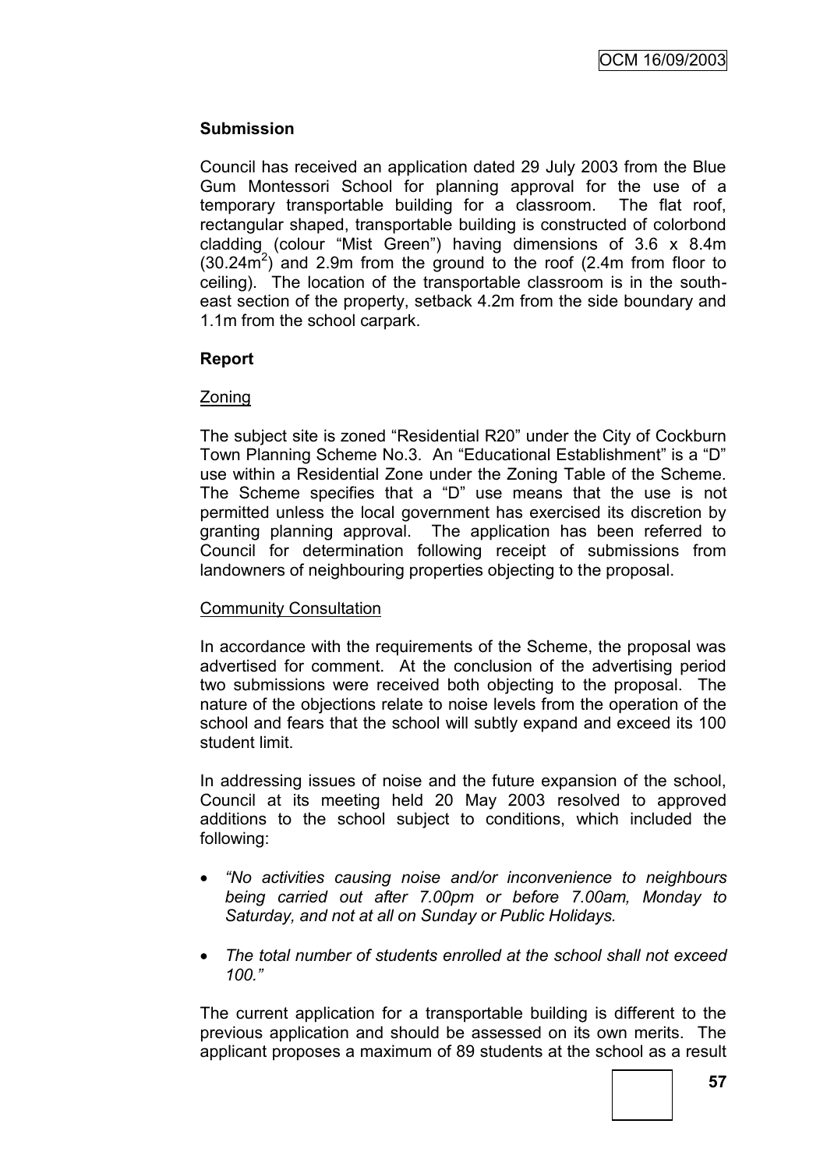# **Submission**

Council has received an application dated 29 July 2003 from the Blue Gum Montessori School for planning approval for the use of a temporary transportable building for a classroom. The flat roof, rectangular shaped, transportable building is constructed of colorbond cladding (colour "Mist Green") having dimensions of 3.6 x 8.4m  $(30.24\text{m}^2)$  and 2.9m from the ground to the roof (2.4m from floor to ceiling). The location of the transportable classroom is in the southeast section of the property, setback 4.2m from the side boundary and 1.1m from the school carpark.

# **Report**

# Zoning

The subject site is zoned "Residential R20" under the City of Cockburn Town Planning Scheme No.3. An "Educational Establishment" is a "D" use within a Residential Zone under the Zoning Table of the Scheme. The Scheme specifies that a "D" use means that the use is not permitted unless the local government has exercised its discretion by granting planning approval. The application has been referred to Council for determination following receipt of submissions from landowners of neighbouring properties objecting to the proposal.

# Community Consultation

In accordance with the requirements of the Scheme, the proposal was advertised for comment. At the conclusion of the advertising period two submissions were received both objecting to the proposal. The nature of the objections relate to noise levels from the operation of the school and fears that the school will subtly expand and exceed its 100 student limit.

In addressing issues of noise and the future expansion of the school, Council at its meeting held 20 May 2003 resolved to approved additions to the school subject to conditions, which included the following:

- *"No activities causing noise and/or inconvenience to neighbours being carried out after 7.00pm or before 7.00am, Monday to Saturday, and not at all on Sunday or Public Holidays.*
- *The total number of students enrolled at the school shall not exceed 100."*

The current application for a transportable building is different to the previous application and should be assessed on its own merits. The applicant proposes a maximum of 89 students at the school as a result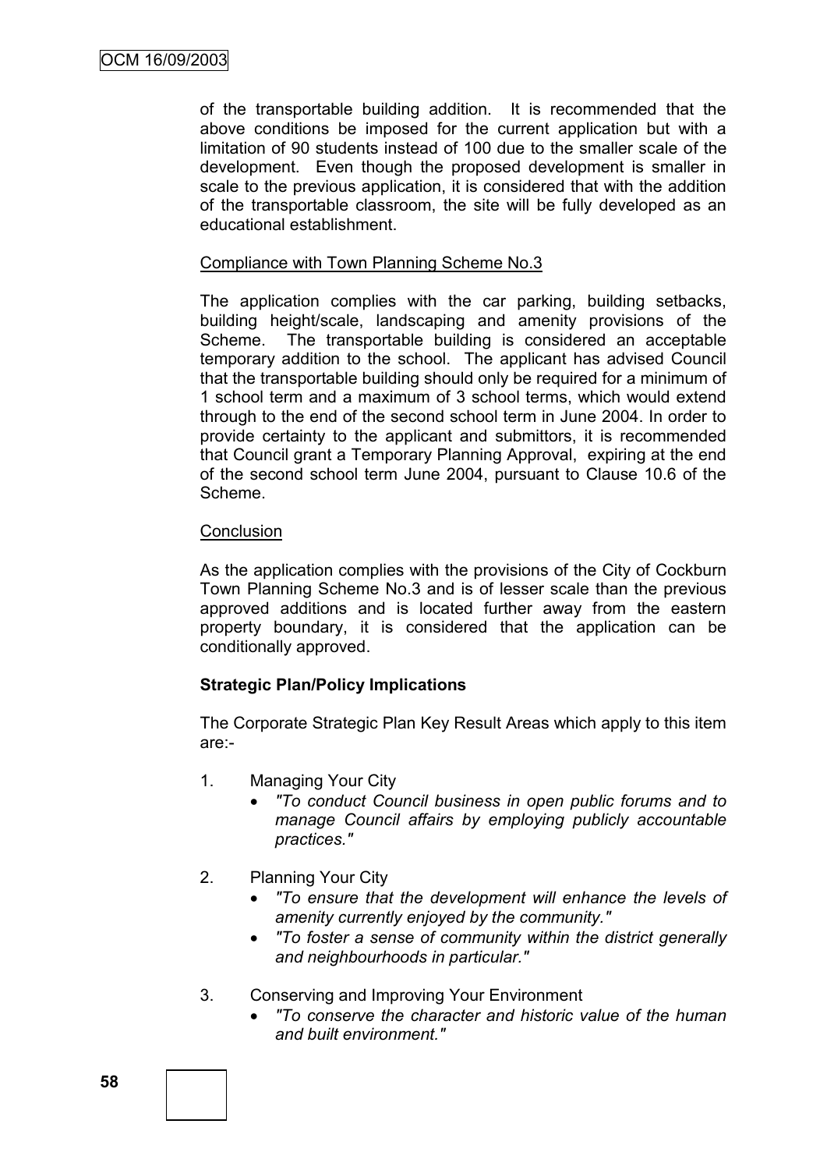of the transportable building addition. It is recommended that the above conditions be imposed for the current application but with a limitation of 90 students instead of 100 due to the smaller scale of the development. Even though the proposed development is smaller in scale to the previous application, it is considered that with the addition of the transportable classroom, the site will be fully developed as an educational establishment.

# Compliance with Town Planning Scheme No.3

The application complies with the car parking, building setbacks, building height/scale, landscaping and amenity provisions of the Scheme. The transportable building is considered an acceptable temporary addition to the school. The applicant has advised Council that the transportable building should only be required for a minimum of 1 school term and a maximum of 3 school terms, which would extend through to the end of the second school term in June 2004. In order to provide certainty to the applicant and submittors, it is recommended that Council grant a Temporary Planning Approval, expiring at the end of the second school term June 2004, pursuant to Clause 10.6 of the Scheme.

#### **Conclusion**

As the application complies with the provisions of the City of Cockburn Town Planning Scheme No.3 and is of lesser scale than the previous approved additions and is located further away from the eastern property boundary, it is considered that the application can be conditionally approved.

# **Strategic Plan/Policy Implications**

The Corporate Strategic Plan Key Result Areas which apply to this item are:-

- 1. Managing Your City
	- *"To conduct Council business in open public forums and to manage Council affairs by employing publicly accountable practices."*
- 2. Planning Your City
	- *"To ensure that the development will enhance the levels of amenity currently enjoyed by the community."*
	- *"To foster a sense of community within the district generally and neighbourhoods in particular."*
- 3. Conserving and Improving Your Environment
	- *"To conserve the character and historic value of the human and built environment."*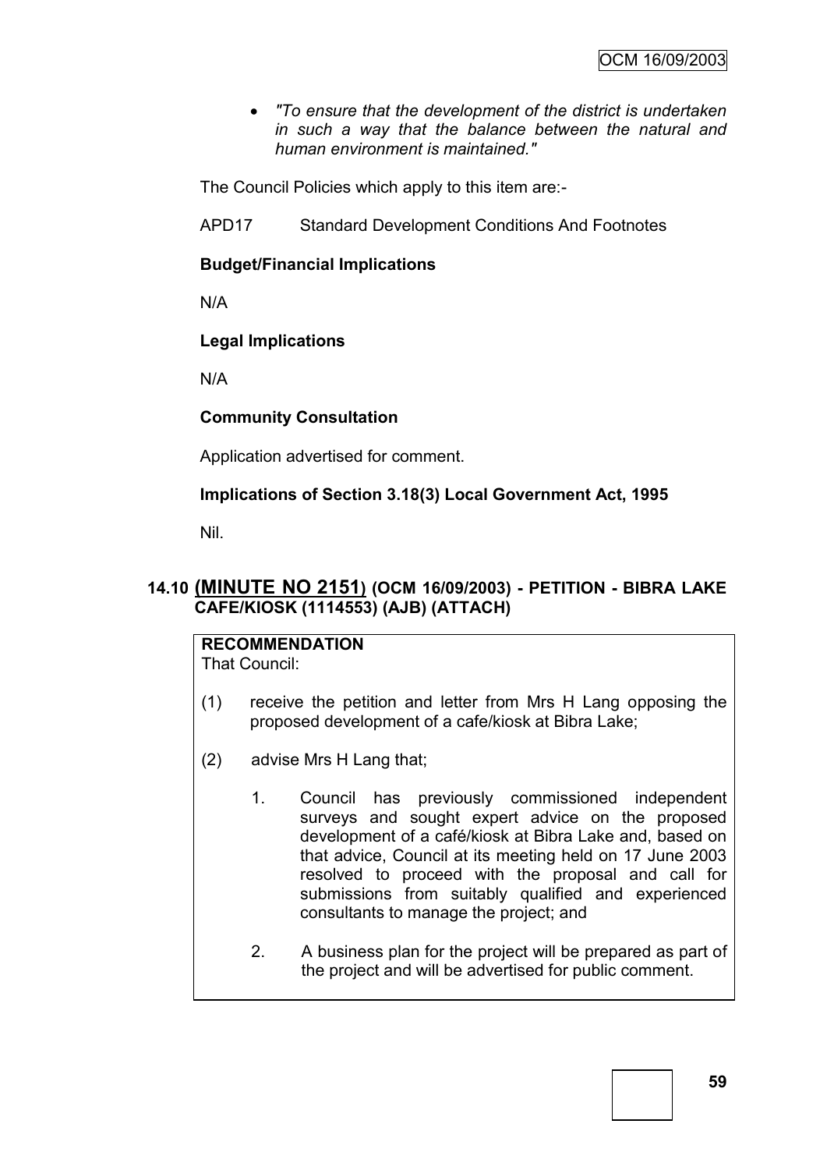*"To ensure that the development of the district is undertaken in such a way that the balance between the natural and human environment is maintained."*

The Council Policies which apply to this item are:-

APD17 Standard Development Conditions And Footnotes

# **Budget/Financial Implications**

N/A

# **Legal Implications**

N/A

# **Community Consultation**

Application advertised for comment.

# **Implications of Section 3.18(3) Local Government Act, 1995**

Nil.

# **14.10 (MINUTE NO 2151) (OCM 16/09/2003) - PETITION - BIBRA LAKE CAFE/KIOSK (1114553) (AJB) (ATTACH)**

# **RECOMMENDATION**

That Council:

- (1) receive the petition and letter from Mrs H Lang opposing the proposed development of a cafe/kiosk at Bibra Lake;
- (2) advise Mrs H Lang that;
	- 1. Council has previously commissioned independent surveys and sought expert advice on the proposed development of a café/kiosk at Bibra Lake and, based on that advice, Council at its meeting held on 17 June 2003 resolved to proceed with the proposal and call for submissions from suitably qualified and experienced consultants to manage the project; and
	- 2. A business plan for the project will be prepared as part of the project and will be advertised for public comment.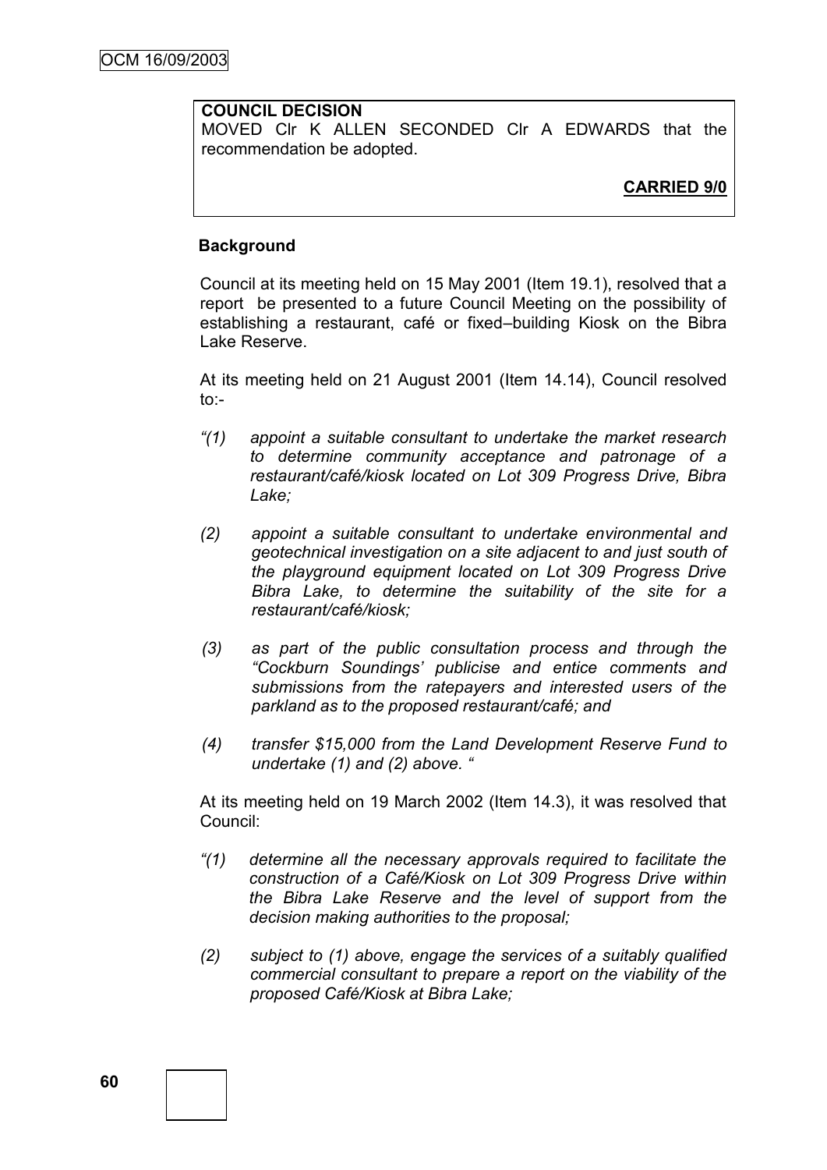#### **COUNCIL DECISION**

MOVED Clr K ALLEN SECONDED Clr A EDWARDS that the recommendation be adopted.

# **CARRIED 9/0**

# **Background**

Council at its meeting held on 15 May 2001 (Item 19.1), resolved that a report be presented to a future Council Meeting on the possibility of establishing a restaurant, café or fixed–building Kiosk on the Bibra Lake Reserve.

At its meeting held on 21 August 2001 (Item 14.14), Council resolved to:-

- *"(1) appoint a suitable consultant to undertake the market research to determine community acceptance and patronage of a restaurant/café/kiosk located on Lot 309 Progress Drive, Bibra Lake;*
- *(2) appoint a suitable consultant to undertake environmental and geotechnical investigation on a site adjacent to and just south of the playground equipment located on Lot 309 Progress Drive Bibra Lake, to determine the suitability of the site for a restaurant/café/kiosk;*
- *(3) as part of the public consultation process and through the "Cockburn Soundings" publicise and entice comments and submissions from the ratepayers and interested users of the parkland as to the proposed restaurant/café; and*
- *(4) transfer \$15,000 from the Land Development Reserve Fund to undertake (1) and (2) above. "*

At its meeting held on 19 March 2002 (Item 14.3), it was resolved that Council:

- *"(1) determine all the necessary approvals required to facilitate the construction of a Café/Kiosk on Lot 309 Progress Drive within the Bibra Lake Reserve and the level of support from the decision making authorities to the proposal;*
- *(2) subject to (1) above, engage the services of a suitably qualified commercial consultant to prepare a report on the viability of the proposed Café/Kiosk at Bibra Lake;*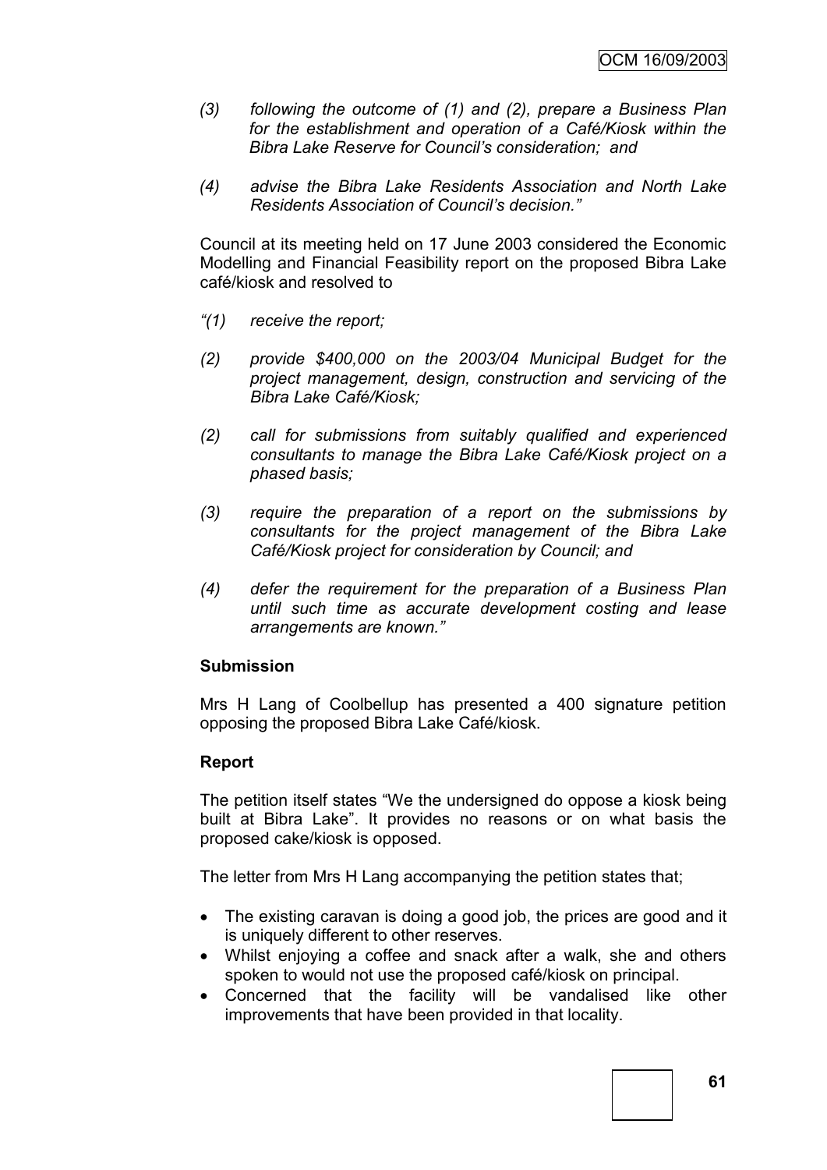- *(3) following the outcome of (1) and (2), prepare a Business Plan for the establishment and operation of a Café/Kiosk within the Bibra Lake Reserve for Council"s consideration; and*
- *(4) advise the Bibra Lake Residents Association and North Lake Residents Association of Council"s decision."*

Council at its meeting held on 17 June 2003 considered the Economic Modelling and Financial Feasibility report on the proposed Bibra Lake café/kiosk and resolved to

- *"(1) receive the report;*
- *(2) provide \$400,000 on the 2003/04 Municipal Budget for the project management, design, construction and servicing of the Bibra Lake Café/Kiosk;*
- *(2) call for submissions from suitably qualified and experienced consultants to manage the Bibra Lake Café/Kiosk project on a phased basis;*
- *(3) require the preparation of a report on the submissions by consultants for the project management of the Bibra Lake Café/Kiosk project for consideration by Council; and*
- *(4) defer the requirement for the preparation of a Business Plan until such time as accurate development costing and lease arrangements are known."*

#### **Submission**

Mrs H Lang of Coolbellup has presented a 400 signature petition opposing the proposed Bibra Lake Café/kiosk.

# **Report**

The petition itself states "We the undersigned do oppose a kiosk being built at Bibra Lake". It provides no reasons or on what basis the proposed cake/kiosk is opposed.

The letter from Mrs H Lang accompanying the petition states that;

- The existing caravan is doing a good job, the prices are good and it is uniquely different to other reserves.
- Whilst enjoying a coffee and snack after a walk, she and others spoken to would not use the proposed café/kiosk on principal.
- Concerned that the facility will be vandalised like other improvements that have been provided in that locality.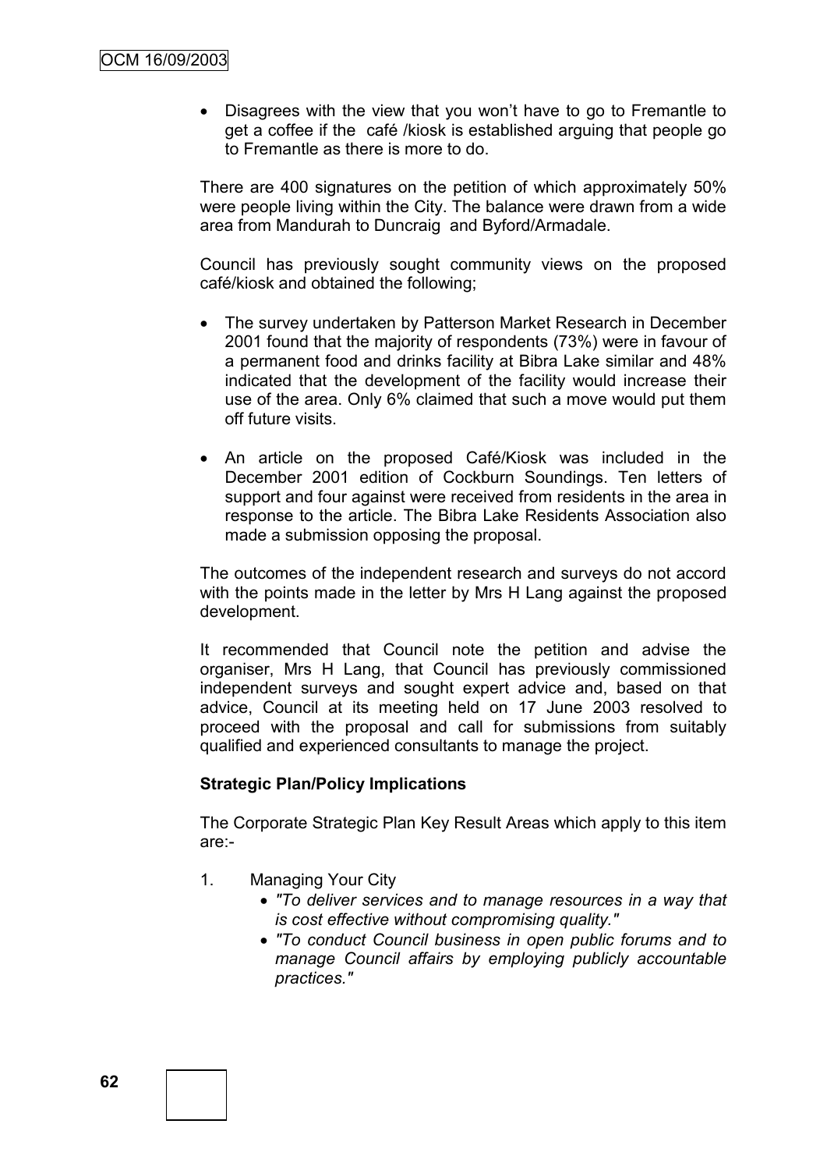• Disagrees with the view that you won't have to go to Fremantle to get a coffee if the café /kiosk is established arguing that people go to Fremantle as there is more to do.

There are 400 signatures on the petition of which approximately 50% were people living within the City. The balance were drawn from a wide area from Mandurah to Duncraig and Byford/Armadale.

Council has previously sought community views on the proposed café/kiosk and obtained the following;

- The survey undertaken by Patterson Market Research in December 2001 found that the majority of respondents (73%) were in favour of a permanent food and drinks facility at Bibra Lake similar and 48% indicated that the development of the facility would increase their use of the area. Only 6% claimed that such a move would put them off future visits.
- An article on the proposed Café/Kiosk was included in the December 2001 edition of Cockburn Soundings. Ten letters of support and four against were received from residents in the area in response to the article. The Bibra Lake Residents Association also made a submission opposing the proposal.

The outcomes of the independent research and surveys do not accord with the points made in the letter by Mrs H Lang against the proposed development.

It recommended that Council note the petition and advise the organiser, Mrs H Lang, that Council has previously commissioned independent surveys and sought expert advice and, based on that advice, Council at its meeting held on 17 June 2003 resolved to proceed with the proposal and call for submissions from suitably qualified and experienced consultants to manage the project.

# **Strategic Plan/Policy Implications**

The Corporate Strategic Plan Key Result Areas which apply to this item are:-

- 1. Managing Your City
	- *"To deliver services and to manage resources in a way that is cost effective without compromising quality."*
	- *"To conduct Council business in open public forums and to manage Council affairs by employing publicly accountable practices."*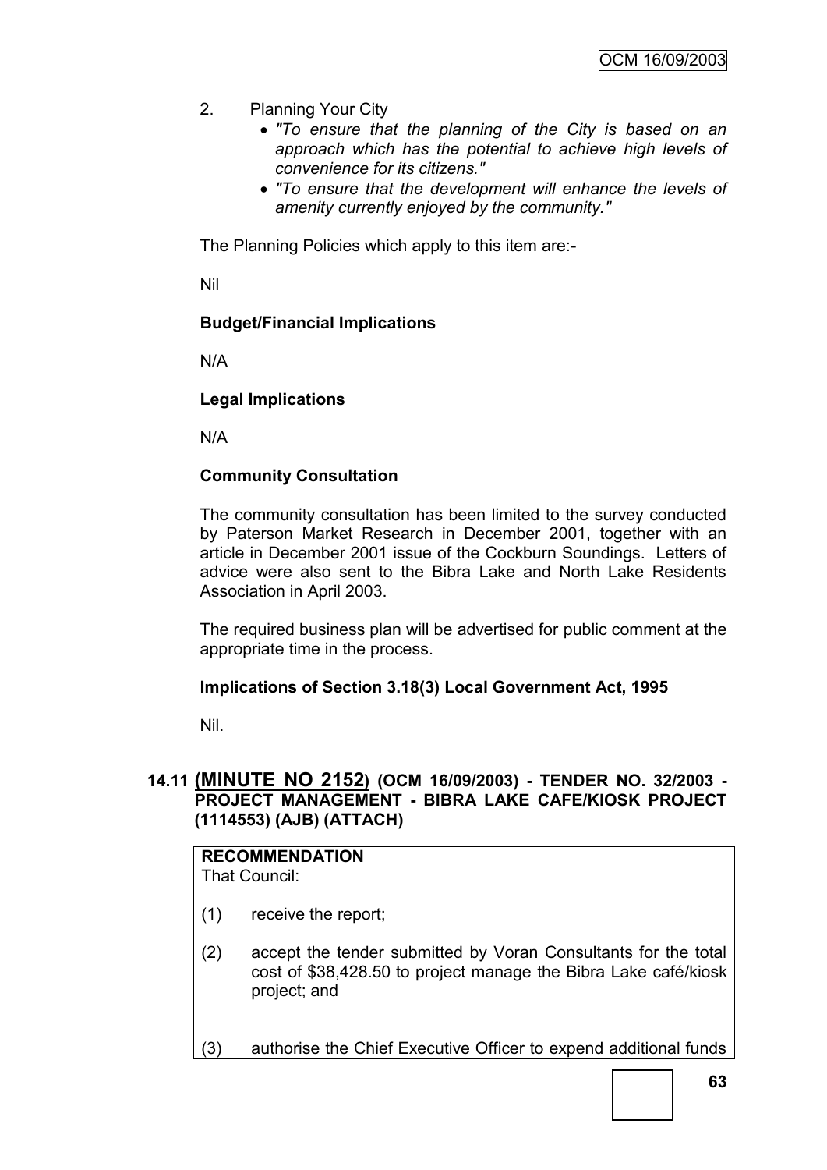- 2. Planning Your City
	- *"To ensure that the planning of the City is based on an approach which has the potential to achieve high levels of convenience for its citizens."*
	- *"To ensure that the development will enhance the levels of amenity currently enjoyed by the community."*

The Planning Policies which apply to this item are:-

Nil

# **Budget/Financial Implications**

N/A

# **Legal Implications**

N/A

# **Community Consultation**

The community consultation has been limited to the survey conducted by Paterson Market Research in December 2001, together with an article in December 2001 issue of the Cockburn Soundings. Letters of advice were also sent to the Bibra Lake and North Lake Residents Association in April 2003.

The required business plan will be advertised for public comment at the appropriate time in the process.

# **Implications of Section 3.18(3) Local Government Act, 1995**

Nil.

# **14.11 (MINUTE NO 2152) (OCM 16/09/2003) - TENDER NO. 32/2003 - PROJECT MANAGEMENT - BIBRA LAKE CAFE/KIOSK PROJECT (1114553) (AJB) (ATTACH)**

#### **RECOMMENDATION** That Council:

- (1) receive the report;
- (2) accept the tender submitted by Voran Consultants for the total cost of \$38,428.50 to project manage the Bibra Lake café/kiosk project; and
- (3) authorise the Chief Executive Officer to expend additional funds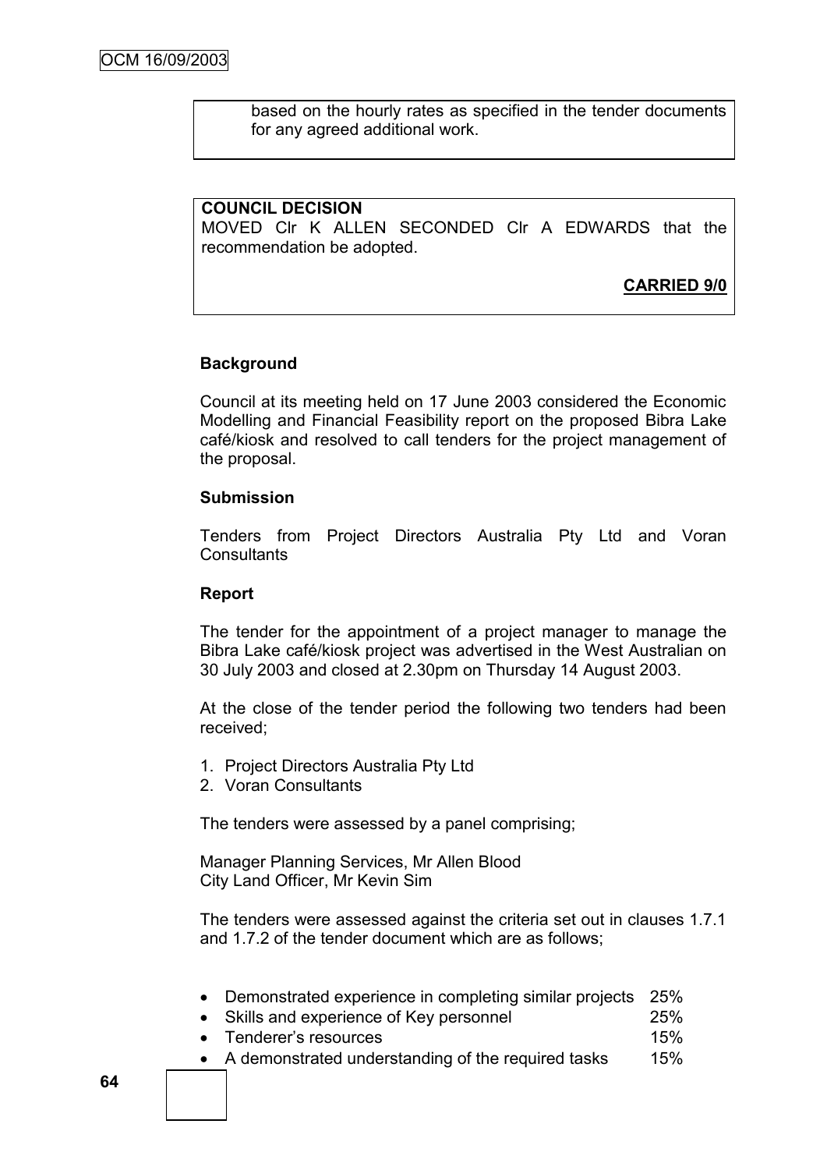based on the hourly rates as specified in the tender documents for any agreed additional work.

#### **COUNCIL DECISION**

MOVED Clr K ALLEN SECONDED Clr A EDWARDS that the recommendation be adopted.

**CARRIED 9/0**

# **Background**

Council at its meeting held on 17 June 2003 considered the Economic Modelling and Financial Feasibility report on the proposed Bibra Lake café/kiosk and resolved to call tenders for the project management of the proposal.

#### **Submission**

Tenders from Project Directors Australia Pty Ltd and Voran **Consultants** 

#### **Report**

The tender for the appointment of a project manager to manage the Bibra Lake café/kiosk project was advertised in the West Australian on 30 July 2003 and closed at 2.30pm on Thursday 14 August 2003.

At the close of the tender period the following two tenders had been received;

- 1. Project Directors Australia Pty Ltd
- 2. Voran Consultants

The tenders were assessed by a panel comprising;

Manager Planning Services, Mr Allen Blood City Land Officer, Mr Kevin Sim

The tenders were assessed against the criteria set out in clauses 1.7.1 and 1.7.2 of the tender document which are as follows;

|  | Demonstrated experience in completing similar projects 25% |  |  |  |  |  |  |
|--|------------------------------------------------------------|--|--|--|--|--|--|
|--|------------------------------------------------------------|--|--|--|--|--|--|

- Skills and experience of Key personnel 25%
- Tenderer"s resources 15%
- A demonstrated understanding of the required tasks 15%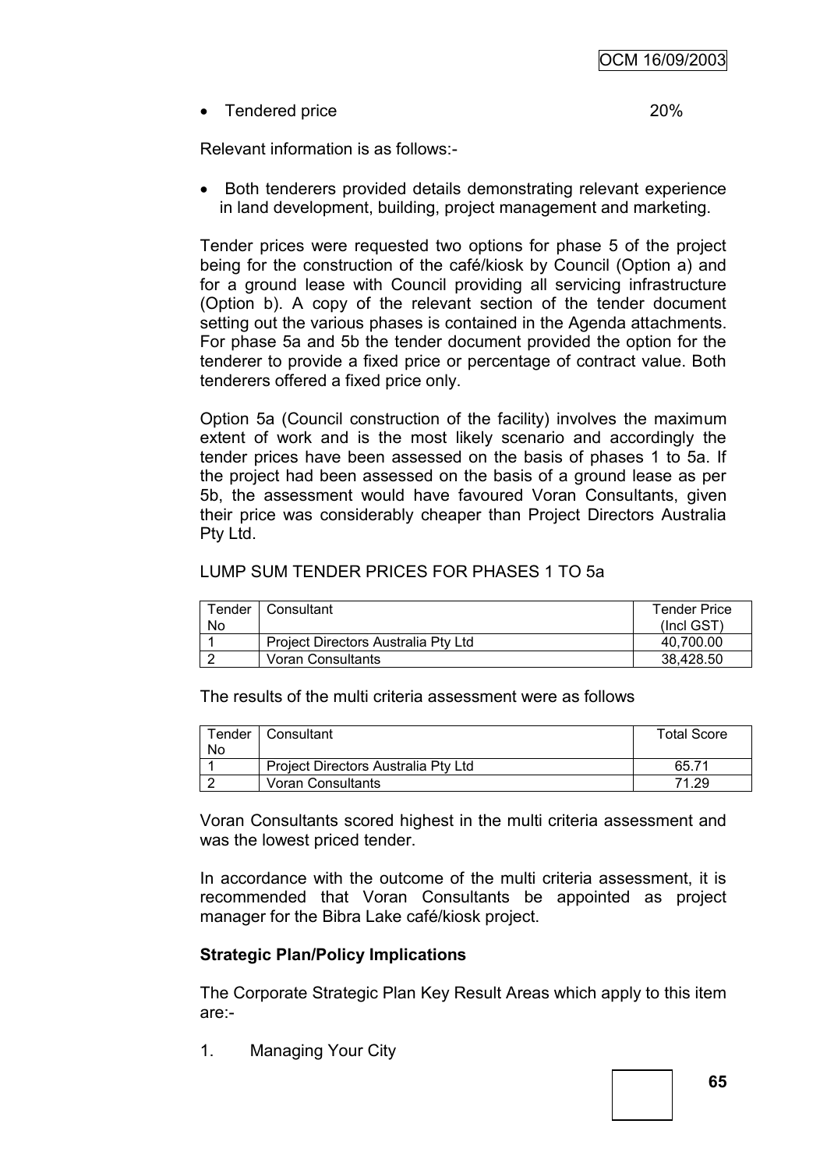• Tendered price 20%

Relevant information is as follows:-

• Both tenderers provided details demonstrating relevant experience in land development, building, project management and marketing.

Tender prices were requested two options for phase 5 of the project being for the construction of the café/kiosk by Council (Option a) and for a ground lease with Council providing all servicing infrastructure (Option b). A copy of the relevant section of the tender document setting out the various phases is contained in the Agenda attachments. For phase 5a and 5b the tender document provided the option for the tenderer to provide a fixed price or percentage of contract value. Both tenderers offered a fixed price only.

Option 5a (Council construction of the facility) involves the maximum extent of work and is the most likely scenario and accordingly the tender prices have been assessed on the basis of phases 1 to 5a. If the project had been assessed on the basis of a ground lease as per 5b, the assessment would have favoured Voran Consultants, given their price was considerably cheaper than Project Directors Australia Pty Ltd.

# LUMP SUM TENDER PRICES FOR PHASES 1 TO 5a

| Tender | Consultant                          | <b>Tender Price</b> |
|--------|-------------------------------------|---------------------|
| No     |                                     | $($ Incl GST $)$    |
|        | Project Directors Australia Pty Ltd | 40.700.00           |
|        | Voran Consultants                   | 38.428.50           |

The results of the multi criteria assessment were as follows

|    | Tender   Consultant                        | <b>Total Score</b> |
|----|--------------------------------------------|--------------------|
| No |                                            |                    |
|    | <b>Project Directors Australia Pty Ltd</b> | 65.71              |
|    | Voran Consultants                          | 71.29              |

Voran Consultants scored highest in the multi criteria assessment and was the lowest priced tender.

In accordance with the outcome of the multi criteria assessment, it is recommended that Voran Consultants be appointed as project manager for the Bibra Lake café/kiosk project.

# **Strategic Plan/Policy Implications**

The Corporate Strategic Plan Key Result Areas which apply to this item are:-

1. Managing Your City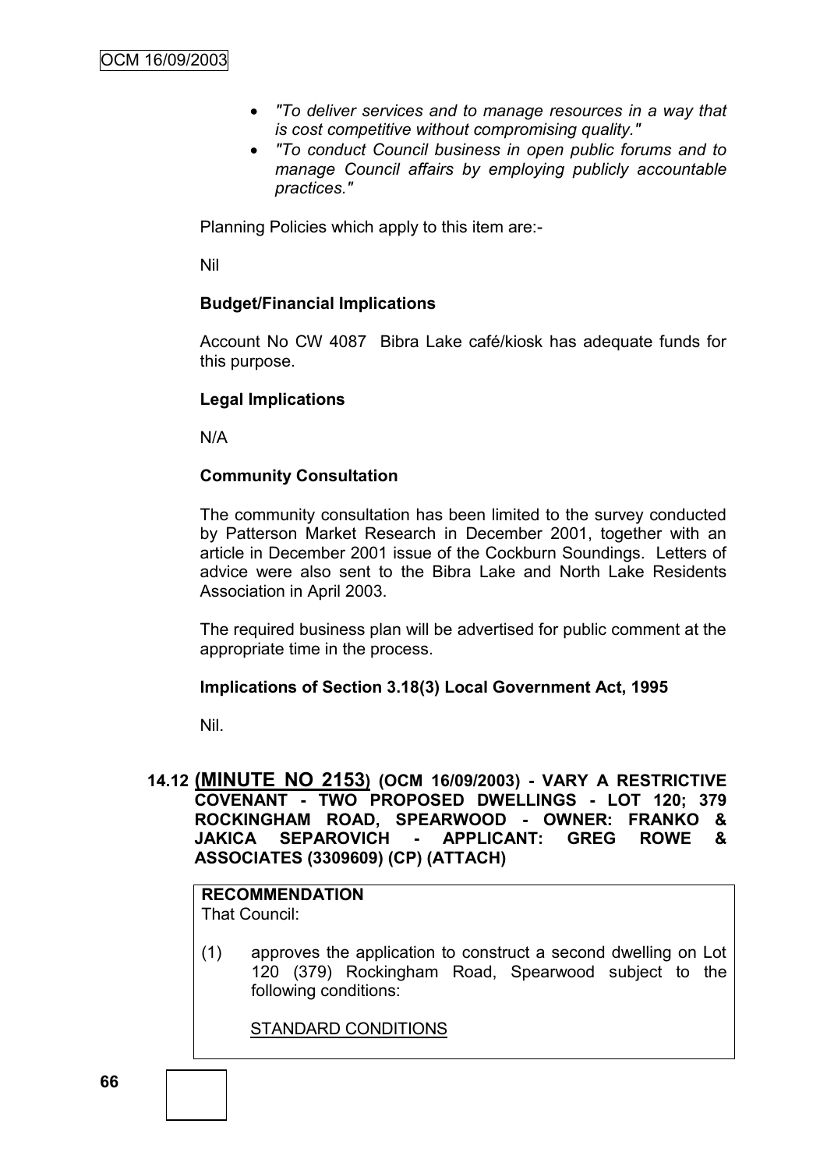- *"To deliver services and to manage resources in a way that is cost competitive without compromising quality."*
- *"To conduct Council business in open public forums and to manage Council affairs by employing publicly accountable practices."*

Planning Policies which apply to this item are:-

Nil

#### **Budget/Financial Implications**

Account No CW 4087 Bibra Lake café/kiosk has adequate funds for this purpose.

#### **Legal Implications**

N/A

#### **Community Consultation**

The community consultation has been limited to the survey conducted by Patterson Market Research in December 2001, together with an article in December 2001 issue of the Cockburn Soundings. Letters of advice were also sent to the Bibra Lake and North Lake Residents Association in April 2003.

The required business plan will be advertised for public comment at the appropriate time in the process.

#### **Implications of Section 3.18(3) Local Government Act, 1995**

Nil.

# **14.12 (MINUTE NO 2153) (OCM 16/09/2003) - VARY A RESTRICTIVE COVENANT - TWO PROPOSED DWELLINGS - LOT 120; 379 ROCKINGHAM ROAD, SPEARWOOD - OWNER: FRANKO & JAKICA SEPAROVICH - APPLICANT: GREG ROWE & ASSOCIATES (3309609) (CP) (ATTACH)**

#### **RECOMMENDATION** That Council:

(1) approves the application to construct a second dwelling on Lot 120 (379) Rockingham Road, Spearwood subject to the following conditions:

STANDARD CONDITIONS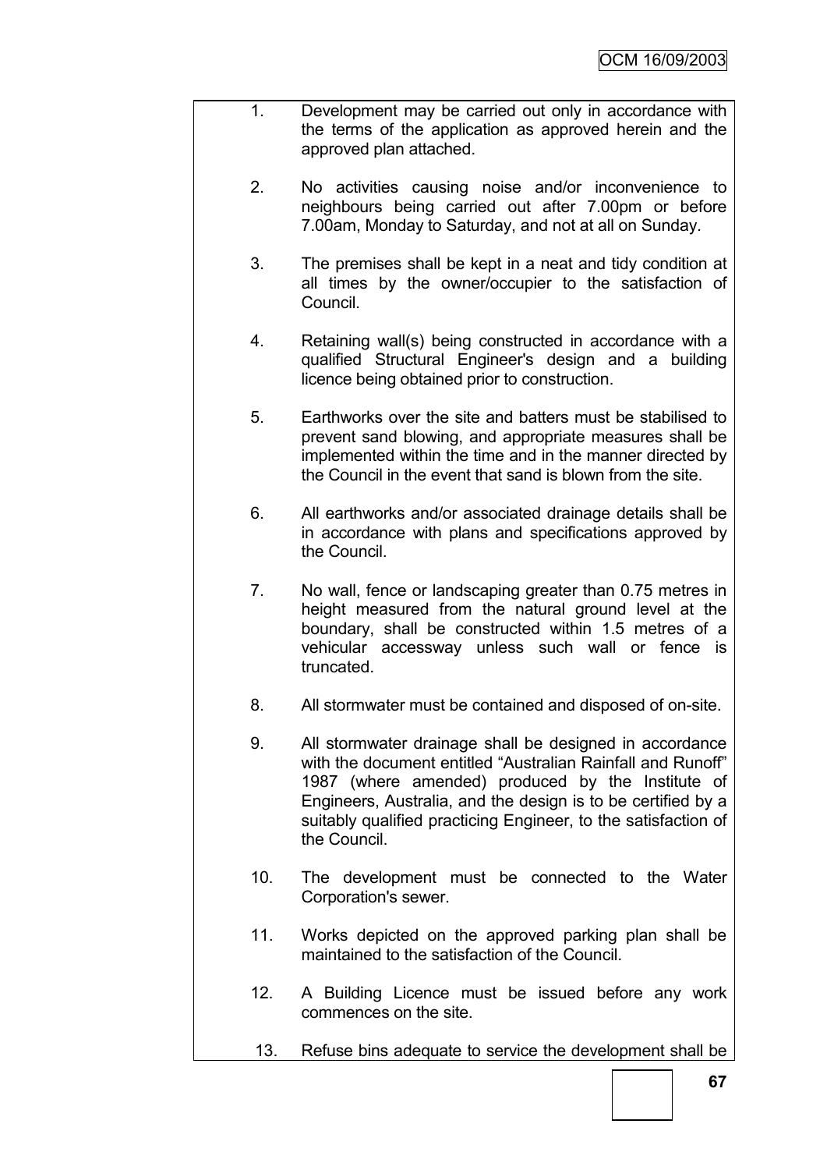- 1. Development may be carried out only in accordance with the terms of the application as approved herein and the approved plan attached.
	- 2. No activities causing noise and/or inconvenience to neighbours being carried out after 7.00pm or before 7.00am, Monday to Saturday, and not at all on Sunday.
	- 3. The premises shall be kept in a neat and tidy condition at all times by the owner/occupier to the satisfaction of Council.
	- 4. Retaining wall(s) being constructed in accordance with a qualified Structural Engineer's design and a building licence being obtained prior to construction.
	- 5. Earthworks over the site and batters must be stabilised to prevent sand blowing, and appropriate measures shall be implemented within the time and in the manner directed by the Council in the event that sand is blown from the site.
	- 6. All earthworks and/or associated drainage details shall be in accordance with plans and specifications approved by the Council.
	- 7. No wall, fence or landscaping greater than 0.75 metres in height measured from the natural ground level at the boundary, shall be constructed within 1.5 metres of a vehicular accessway unless such wall or fence is truncated.
	- 8. All stormwater must be contained and disposed of on-site.
	- 9. All stormwater drainage shall be designed in accordance with the document entitled "Australian Rainfall and Runoff" 1987 (where amended) produced by the Institute of Engineers, Australia, and the design is to be certified by a suitably qualified practicing Engineer, to the satisfaction of the Council.
	- 10. The development must be connected to the Water Corporation's sewer.
	- 11. Works depicted on the approved parking plan shall be maintained to the satisfaction of the Council.
	- 12. A Building Licence must be issued before any work commences on the site.
	- 13. Refuse bins adequate to service the development shall be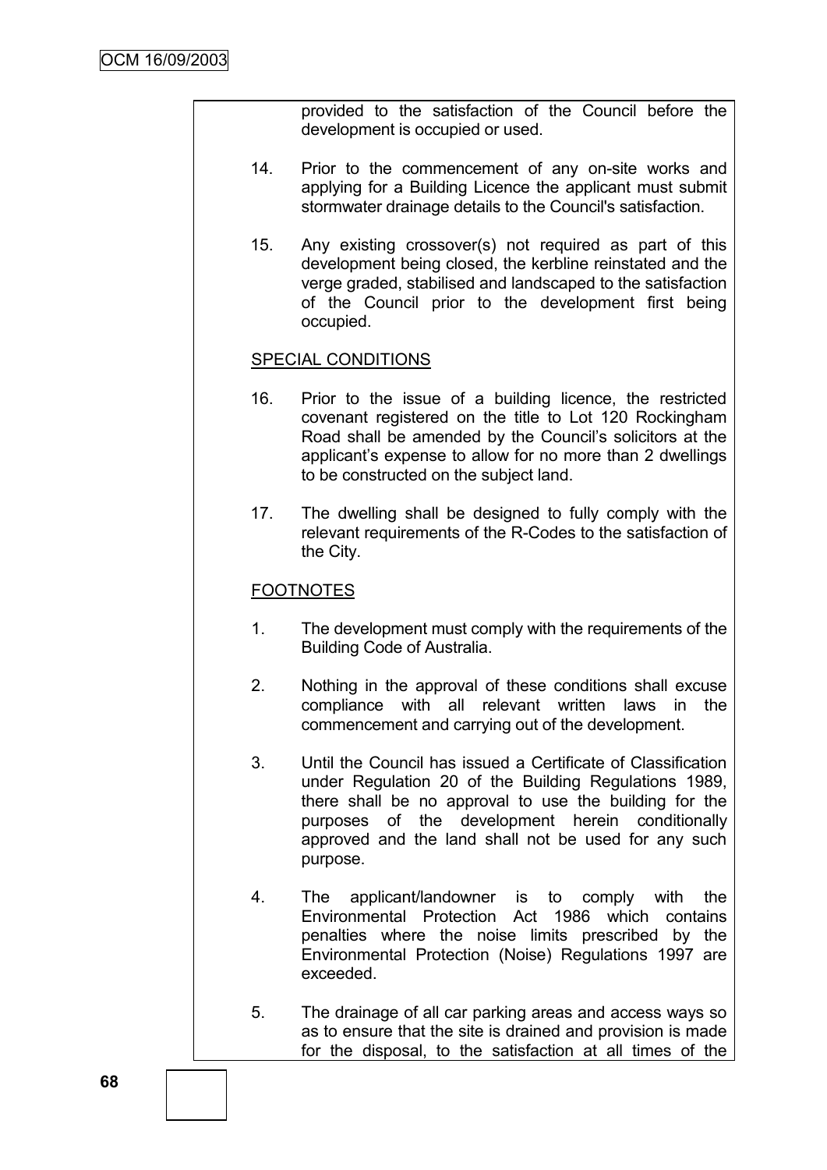provided to the satisfaction of the Council before the development is occupied or used.

- 14. Prior to the commencement of any on-site works and applying for a Building Licence the applicant must submit stormwater drainage details to the Council's satisfaction.
- 15. Any existing crossover(s) not required as part of this development being closed, the kerbline reinstated and the verge graded, stabilised and landscaped to the satisfaction of the Council prior to the development first being occupied.

# SPECIAL CONDITIONS

- 16. Prior to the issue of a building licence, the restricted covenant registered on the title to Lot 120 Rockingham Road shall be amended by the Council"s solicitors at the applicant"s expense to allow for no more than 2 dwellings to be constructed on the subject land.
- 17. The dwelling shall be designed to fully comply with the relevant requirements of the R-Codes to the satisfaction of the City.

#### **FOOTNOTES**

- 1. The development must comply with the requirements of the Building Code of Australia.
- 2. Nothing in the approval of these conditions shall excuse compliance with all relevant written laws in the commencement and carrying out of the development.
- 3. Until the Council has issued a Certificate of Classification under Regulation 20 of the Building Regulations 1989, there shall be no approval to use the building for the purposes of the development herein conditionally approved and the land shall not be used for any such purpose.
- 4. The applicant/landowner is to comply with the Environmental Protection Act 1986 which contains penalties where the noise limits prescribed by the Environmental Protection (Noise) Regulations 1997 are exceeded.
- 5. The drainage of all car parking areas and access ways so as to ensure that the site is drained and provision is made for the disposal, to the satisfaction at all times of the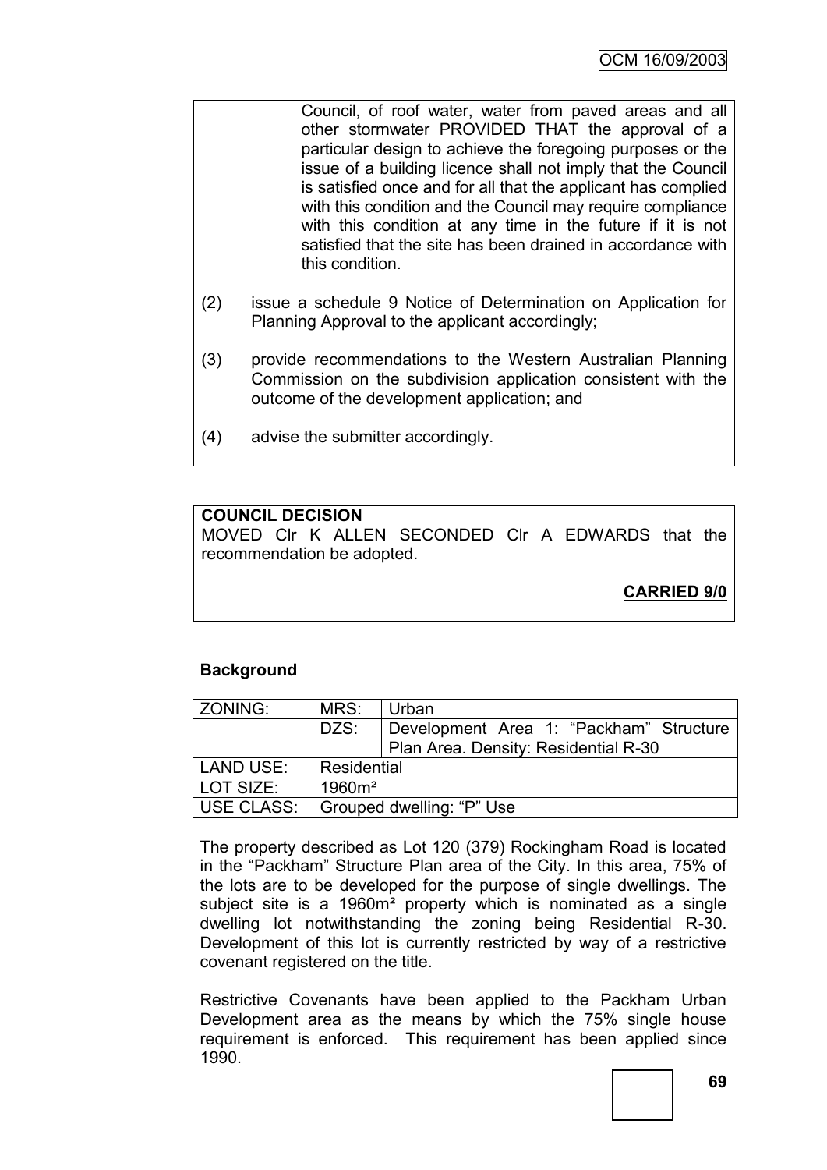- Council, of roof water, water from paved areas and all other stormwater PROVIDED THAT the approval of a particular design to achieve the foregoing purposes or the issue of a building licence shall not imply that the Council is satisfied once and for all that the applicant has complied with this condition and the Council may require compliance with this condition at any time in the future if it is not satisfied that the site has been drained in accordance with this condition.
- (2) issue a schedule 9 Notice of Determination on Application for Planning Approval to the applicant accordingly;
- (3) provide recommendations to the Western Australian Planning Commission on the subdivision application consistent with the outcome of the development application; and
- (4) advise the submitter accordingly.

# **COUNCIL DECISION**

MOVED Clr K ALLEN SECONDED Clr A EDWARDS that the recommendation be adopted.

**CARRIED 9/0**

# **Background**

| ZONING:           | MRS:                      | Urban                                   |  |
|-------------------|---------------------------|-----------------------------------------|--|
|                   | DZS:                      | Development Area 1: "Packham" Structure |  |
|                   |                           | Plan Area. Density: Residential R-30    |  |
| LAND USE:         | Residential               |                                         |  |
| LOT SIZE:         | $1960m^2$                 |                                         |  |
| <b>USE CLASS:</b> | Grouped dwelling: "P" Use |                                         |  |

The property described as Lot 120 (379) Rockingham Road is located in the "Packham" Structure Plan area of the City. In this area, 75% of the lots are to be developed for the purpose of single dwellings. The subject site is a 1960m² property which is nominated as a single dwelling lot notwithstanding the zoning being Residential R-30. Development of this lot is currently restricted by way of a restrictive covenant registered on the title.

Restrictive Covenants have been applied to the Packham Urban Development area as the means by which the 75% single house requirement is enforced. This requirement has been applied since 1990.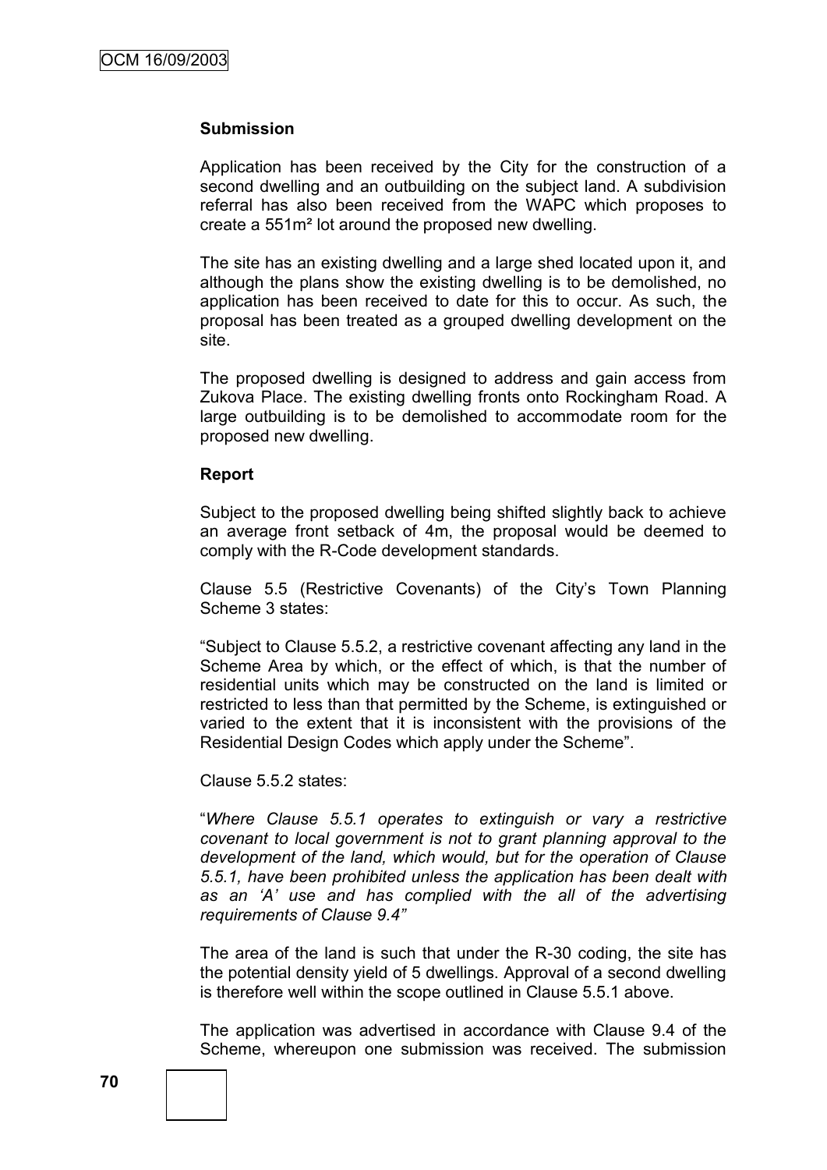#### **Submission**

Application has been received by the City for the construction of a second dwelling and an outbuilding on the subject land. A subdivision referral has also been received from the WAPC which proposes to create a 551m² lot around the proposed new dwelling.

The site has an existing dwelling and a large shed located upon it, and although the plans show the existing dwelling is to be demolished, no application has been received to date for this to occur. As such, the proposal has been treated as a grouped dwelling development on the site.

The proposed dwelling is designed to address and gain access from Zukova Place. The existing dwelling fronts onto Rockingham Road. A large outbuilding is to be demolished to accommodate room for the proposed new dwelling.

#### **Report**

Subject to the proposed dwelling being shifted slightly back to achieve an average front setback of 4m, the proposal would be deemed to comply with the R-Code development standards.

Clause 5.5 (Restrictive Covenants) of the City's Town Planning Scheme 3 states:

"Subject to Clause 5.5.2, a restrictive covenant affecting any land in the Scheme Area by which, or the effect of which, is that the number of residential units which may be constructed on the land is limited or restricted to less than that permitted by the Scheme, is extinguished or varied to the extent that it is inconsistent with the provisions of the Residential Design Codes which apply under the Scheme".

Clause 5.5.2 states:

"*Where Clause 5.5.1 operates to extinguish or vary a restrictive covenant to local government is not to grant planning approval to the development of the land, which would, but for the operation of Clause 5.5.1, have been prohibited unless the application has been dealt with as an "A" use and has complied with the all of the advertising requirements of Clause 9.4"*

The area of the land is such that under the R-30 coding, the site has the potential density yield of 5 dwellings. Approval of a second dwelling is therefore well within the scope outlined in Clause 5.5.1 above.

The application was advertised in accordance with Clause 9.4 of the Scheme, whereupon one submission was received. The submission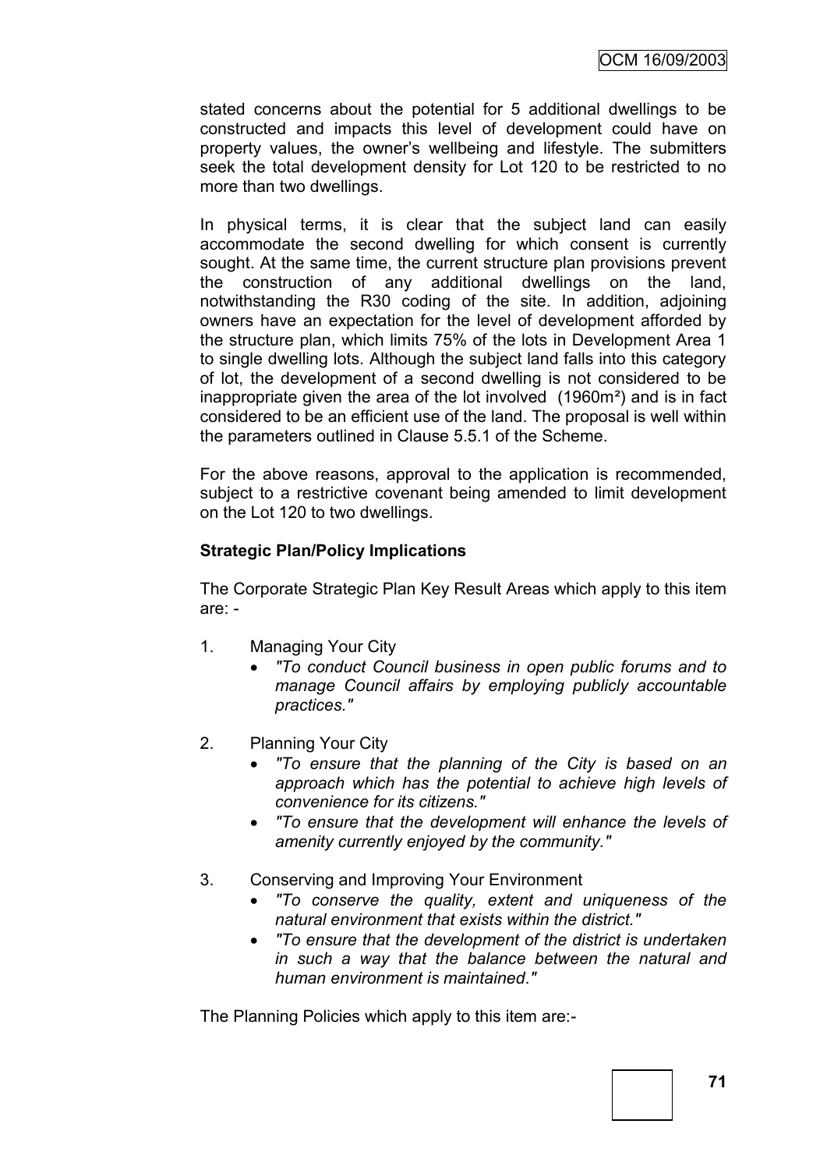stated concerns about the potential for 5 additional dwellings to be constructed and impacts this level of development could have on property values, the owner"s wellbeing and lifestyle. The submitters seek the total development density for Lot 120 to be restricted to no more than two dwellings.

In physical terms, it is clear that the subject land can easily accommodate the second dwelling for which consent is currently sought. At the same time, the current structure plan provisions prevent the construction of any additional dwellings on the land, notwithstanding the R30 coding of the site. In addition, adjoining owners have an expectation for the level of development afforded by the structure plan, which limits 75% of the lots in Development Area 1 to single dwelling lots. Although the subject land falls into this category of lot, the development of a second dwelling is not considered to be inappropriate given the area of the lot involved (1960m²) and is in fact considered to be an efficient use of the land. The proposal is well within the parameters outlined in Clause 5.5.1 of the Scheme.

For the above reasons, approval to the application is recommended, subject to a restrictive covenant being amended to limit development on the Lot 120 to two dwellings.

## **Strategic Plan/Policy Implications**

The Corporate Strategic Plan Key Result Areas which apply to this item are: -

- 1. Managing Your City
	- *"To conduct Council business in open public forums and to manage Council affairs by employing publicly accountable practices."*
- 2. Planning Your City
	- *"To ensure that the planning of the City is based on an approach which has the potential to achieve high levels of convenience for its citizens."*
	- *"To ensure that the development will enhance the levels of amenity currently enjoyed by the community."*
- 3. Conserving and Improving Your Environment
	- *"To conserve the quality, extent and uniqueness of the natural environment that exists within the district."*
	- *"To ensure that the development of the district is undertaken in such a way that the balance between the natural and human environment is maintained."*

The Planning Policies which apply to this item are:-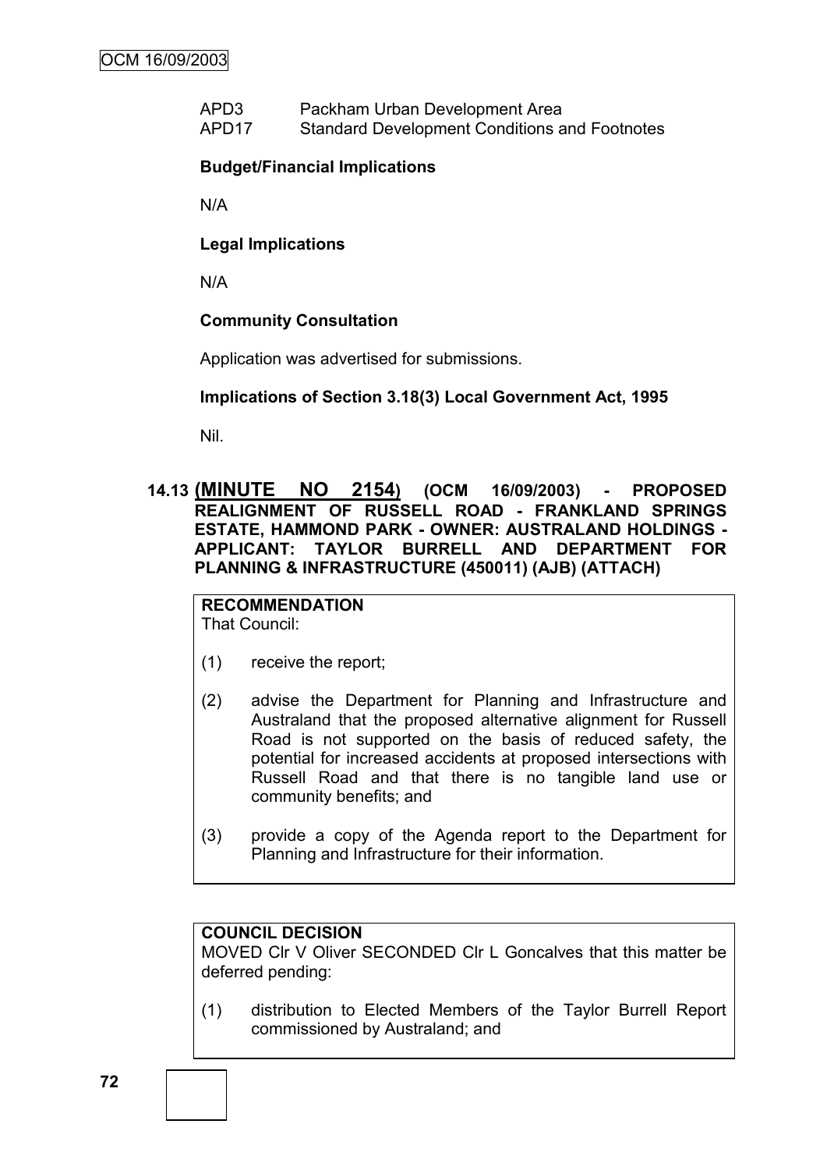APD3 Packham Urban Development Area APD17 Standard Development Conditions and Footnotes

## **Budget/Financial Implications**

N/A

**Legal Implications**

N/A

## **Community Consultation**

Application was advertised for submissions.

## **Implications of Section 3.18(3) Local Government Act, 1995**

Nil.

**14.13 (MINUTE NO 2154) (OCM 16/09/2003) - PROPOSED REALIGNMENT OF RUSSELL ROAD - FRANKLAND SPRINGS ESTATE, HAMMOND PARK - OWNER: AUSTRALAND HOLDINGS - APPLICANT: TAYLOR BURRELL AND DEPARTMENT FOR PLANNING & INFRASTRUCTURE (450011) (AJB) (ATTACH)**

# **RECOMMENDATION**

That Council:

- (1) receive the report;
- (2) advise the Department for Planning and Infrastructure and Australand that the proposed alternative alignment for Russell Road is not supported on the basis of reduced safety, the potential for increased accidents at proposed intersections with Russell Road and that there is no tangible land use or community benefits; and
- (3) provide a copy of the Agenda report to the Department for Planning and Infrastructure for their information.

## **COUNCIL DECISION**

MOVED Clr V Oliver SECONDED Clr L Goncalves that this matter be deferred pending:

(1) distribution to Elected Members of the Taylor Burrell Report commissioned by Australand; and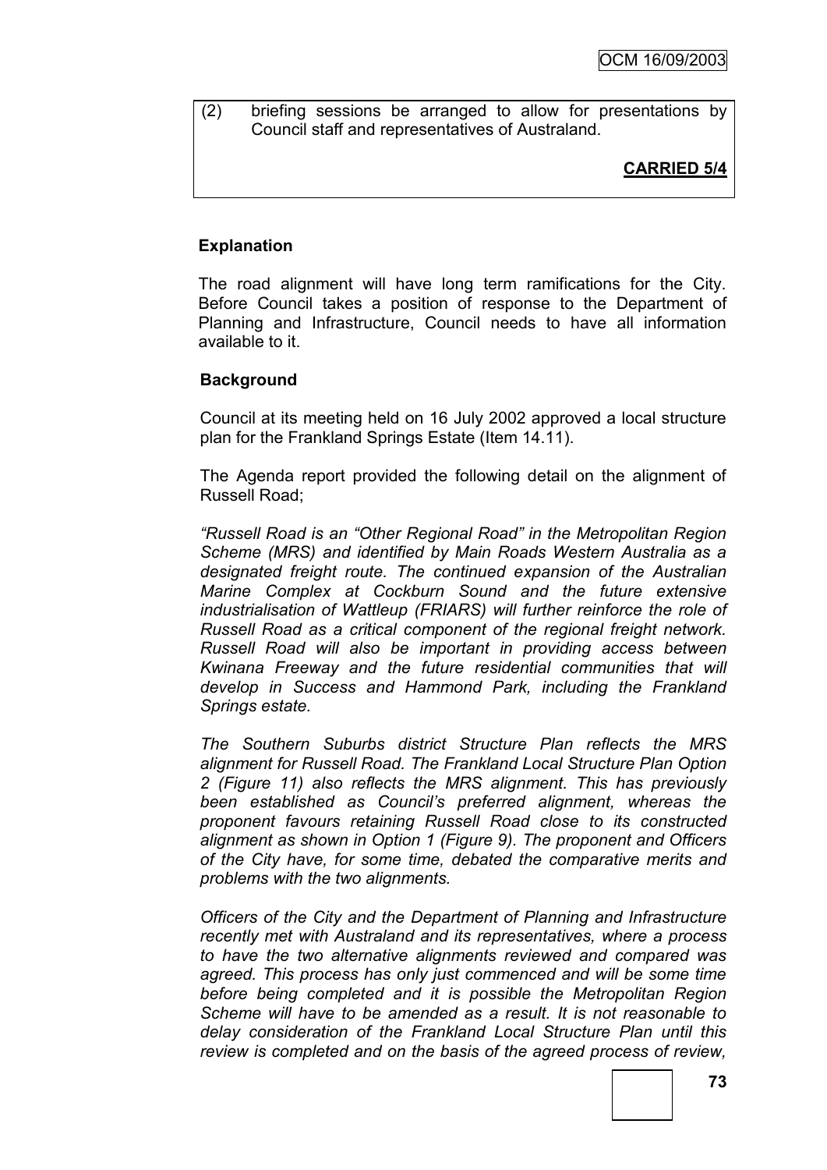(2) briefing sessions be arranged to allow for presentations by Council staff and representatives of Australand.

# **CARRIED 5/4**

## **Explanation**

The road alignment will have long term ramifications for the City. Before Council takes a position of response to the Department of Planning and Infrastructure, Council needs to have all information available to it.

## **Background**

Council at its meeting held on 16 July 2002 approved a local structure plan for the Frankland Springs Estate (Item 14.11).

The Agenda report provided the following detail on the alignment of Russell Road;

*"Russell Road is an "Other Regional Road" in the Metropolitan Region Scheme (MRS) and identified by Main Roads Western Australia as a designated freight route. The continued expansion of the Australian Marine Complex at Cockburn Sound and the future extensive industrialisation of Wattleup (FRIARS) will further reinforce the role of Russell Road as a critical component of the regional freight network. Russell Road will also be important in providing access between Kwinana Freeway and the future residential communities that will develop in Success and Hammond Park, including the Frankland Springs estate.* 

*The Southern Suburbs district Structure Plan reflects the MRS alignment for Russell Road. The Frankland Local Structure Plan Option 2 (Figure 11) also reflects the MRS alignment. This has previously been established as Council"s preferred alignment, whereas the proponent favours retaining Russell Road close to its constructed alignment as shown in Option 1 (Figure 9). The proponent and Officers of the City have, for some time, debated the comparative merits and problems with the two alignments.*

*Officers of the City and the Department of Planning and Infrastructure recently met with Australand and its representatives, where a process to have the two alternative alignments reviewed and compared was agreed. This process has only just commenced and will be some time before being completed and it is possible the Metropolitan Region Scheme will have to be amended as a result. It is not reasonable to delay consideration of the Frankland Local Structure Plan until this review is completed and on the basis of the agreed process of review,*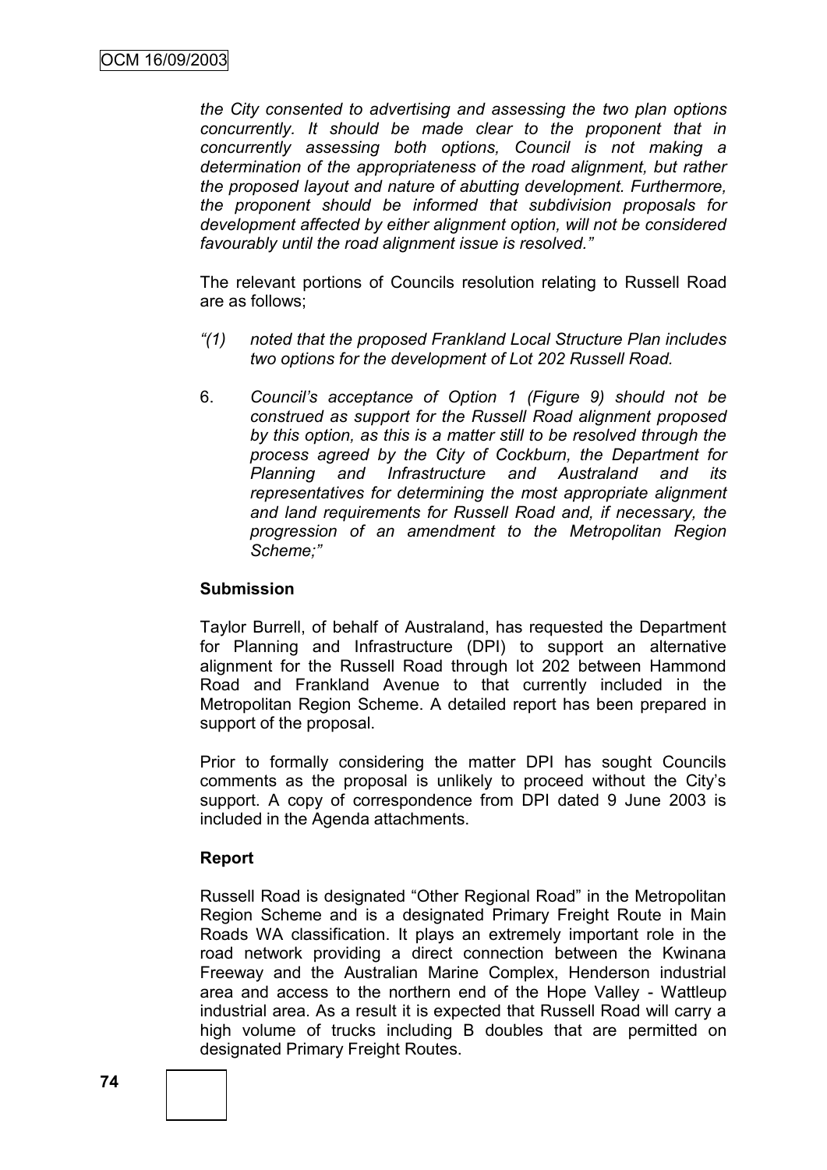*the City consented to advertising and assessing the two plan options concurrently. It should be made clear to the proponent that in concurrently assessing both options, Council is not making a determination of the appropriateness of the road alignment, but rather the proposed layout and nature of abutting development. Furthermore, the proponent should be informed that subdivision proposals for development affected by either alignment option, will not be considered favourably until the road alignment issue is resolved."*

The relevant portions of Councils resolution relating to Russell Road are as follows;

- *"(1) noted that the proposed Frankland Local Structure Plan includes two options for the development of Lot 202 Russell Road.*
- 6. *Council"s acceptance of Option 1 (Figure 9) should not be construed as support for the Russell Road alignment proposed by this option, as this is a matter still to be resolved through the process agreed by the City of Cockburn, the Department for Planning and Infrastructure and Australand and its representatives for determining the most appropriate alignment and land requirements for Russell Road and, if necessary, the progression of an amendment to the Metropolitan Region Scheme;"*

## **Submission**

Taylor Burrell, of behalf of Australand, has requested the Department for Planning and Infrastructure (DPI) to support an alternative alignment for the Russell Road through lot 202 between Hammond Road and Frankland Avenue to that currently included in the Metropolitan Region Scheme. A detailed report has been prepared in support of the proposal.

Prior to formally considering the matter DPI has sought Councils comments as the proposal is unlikely to proceed without the City"s support. A copy of correspondence from DPI dated 9 June 2003 is included in the Agenda attachments.

#### **Report**

Russell Road is designated "Other Regional Road" in the Metropolitan Region Scheme and is a designated Primary Freight Route in Main Roads WA classification. It plays an extremely important role in the road network providing a direct connection between the Kwinana Freeway and the Australian Marine Complex, Henderson industrial area and access to the northern end of the Hope Valley - Wattleup industrial area. As a result it is expected that Russell Road will carry a high volume of trucks including B doubles that are permitted on designated Primary Freight Routes.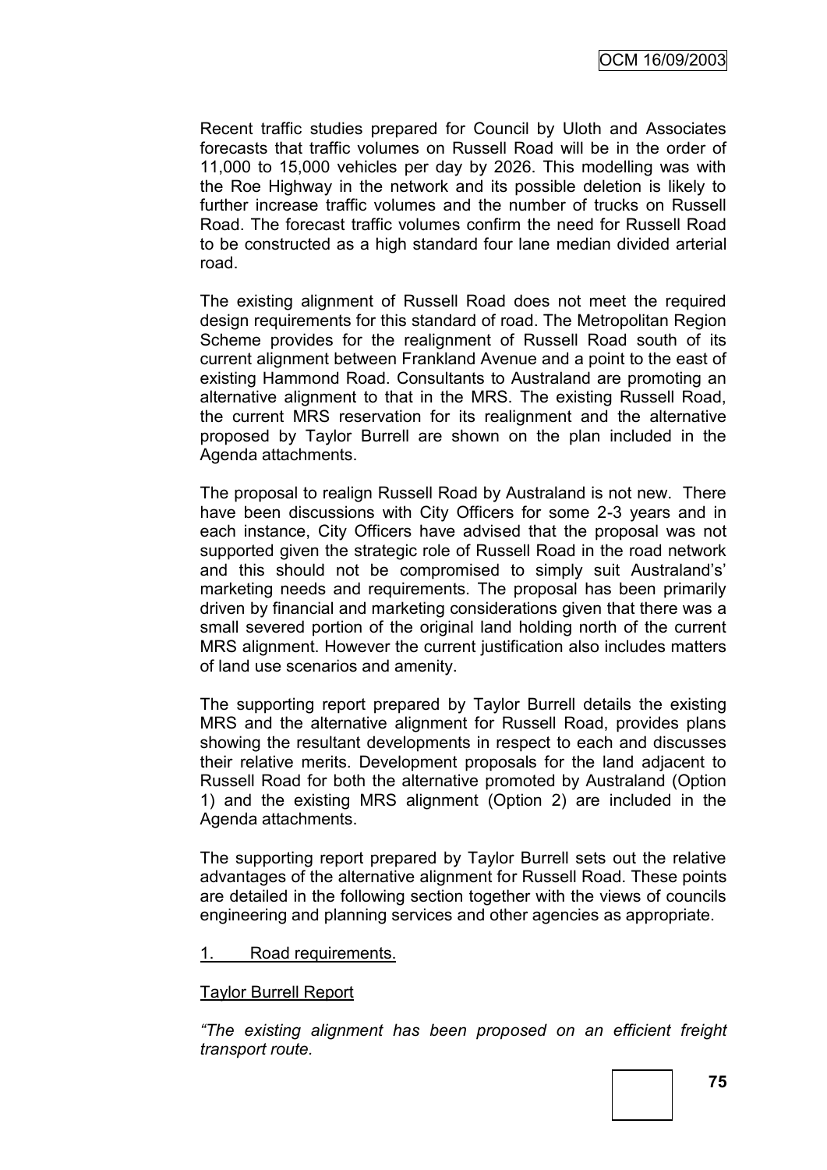Recent traffic studies prepared for Council by Uloth and Associates forecasts that traffic volumes on Russell Road will be in the order of 11,000 to 15,000 vehicles per day by 2026. This modelling was with the Roe Highway in the network and its possible deletion is likely to further increase traffic volumes and the number of trucks on Russell Road. The forecast traffic volumes confirm the need for Russell Road to be constructed as a high standard four lane median divided arterial road.

The existing alignment of Russell Road does not meet the required design requirements for this standard of road. The Metropolitan Region Scheme provides for the realignment of Russell Road south of its current alignment between Frankland Avenue and a point to the east of existing Hammond Road. Consultants to Australand are promoting an alternative alignment to that in the MRS. The existing Russell Road, the current MRS reservation for its realignment and the alternative proposed by Taylor Burrell are shown on the plan included in the Agenda attachments.

The proposal to realign Russell Road by Australand is not new. There have been discussions with City Officers for some 2-3 years and in each instance, City Officers have advised that the proposal was not supported given the strategic role of Russell Road in the road network and this should not be compromised to simply suit Australand's' marketing needs and requirements. The proposal has been primarily driven by financial and marketing considerations given that there was a small severed portion of the original land holding north of the current MRS alignment. However the current justification also includes matters of land use scenarios and amenity.

The supporting report prepared by Taylor Burrell details the existing MRS and the alternative alignment for Russell Road, provides plans showing the resultant developments in respect to each and discusses their relative merits. Development proposals for the land adjacent to Russell Road for both the alternative promoted by Australand (Option 1) and the existing MRS alignment (Option 2) are included in the Agenda attachments.

The supporting report prepared by Taylor Burrell sets out the relative advantages of the alternative alignment for Russell Road. These points are detailed in the following section together with the views of councils engineering and planning services and other agencies as appropriate.

1. Road requirements.

#### Taylor Burrell Report

*"The existing alignment has been proposed on an efficient freight transport route.*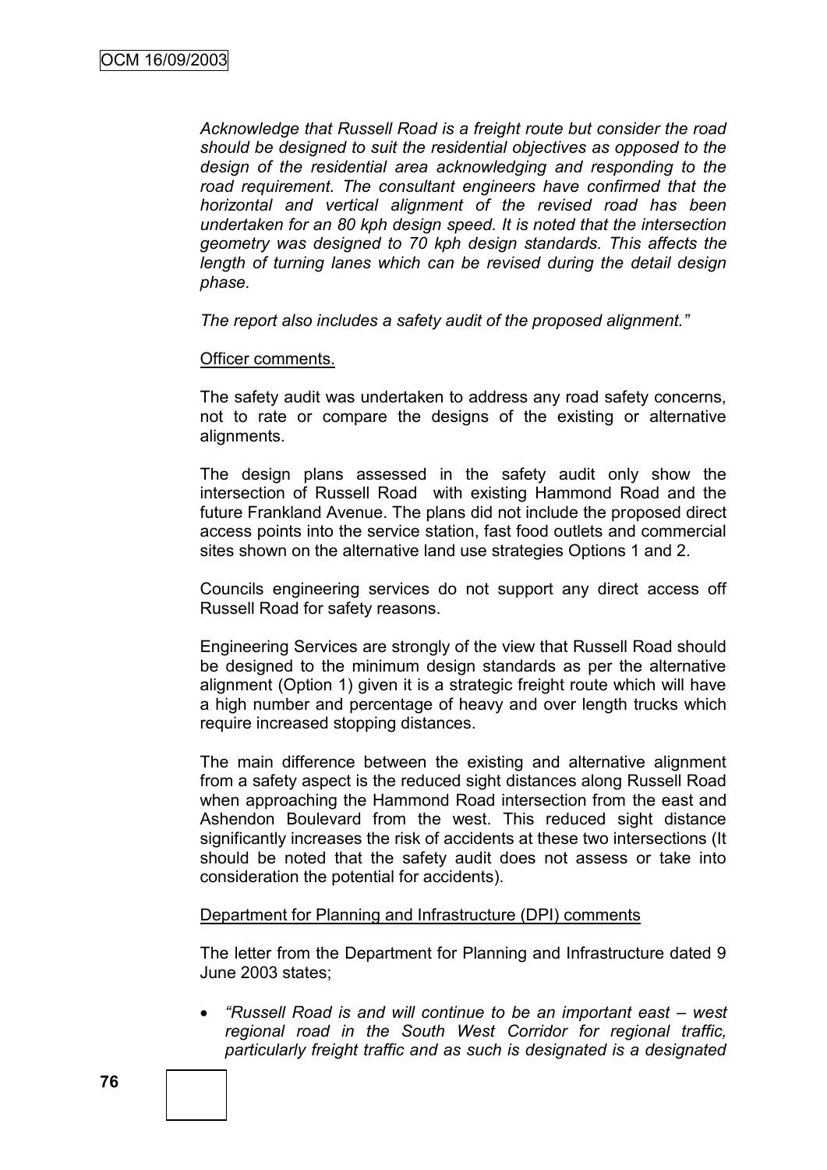*Acknowledge that Russell Road is a freight route but consider the road should be designed to suit the residential objectives as opposed to the design of the residential area acknowledging and responding to the road requirement. The consultant engineers have confirmed that the horizontal and vertical alignment of the revised road has been undertaken for an 80 kph design speed. It is noted that the intersection geometry was designed to 70 kph design standards. This affects the length of turning lanes which can be revised during the detail design phase.* 

*The report also includes a safety audit of the proposed alignment."*

#### Officer comments.

The safety audit was undertaken to address any road safety concerns, not to rate or compare the designs of the existing or alternative alignments.

The design plans assessed in the safety audit only show the intersection of Russell Road with existing Hammond Road and the future Frankland Avenue. The plans did not include the proposed direct access points into the service station, fast food outlets and commercial sites shown on the alternative land use strategies Options 1 and 2.

Councils engineering services do not support any direct access off Russell Road for safety reasons.

Engineering Services are strongly of the view that Russell Road should be designed to the minimum design standards as per the alternative alignment (Option 1) given it is a strategic freight route which will have a high number and percentage of heavy and over length trucks which require increased stopping distances.

The main difference between the existing and alternative alignment from a safety aspect is the reduced sight distances along Russell Road when approaching the Hammond Road intersection from the east and Ashendon Boulevard from the west. This reduced sight distance significantly increases the risk of accidents at these two intersections (It should be noted that the safety audit does not assess or take into consideration the potential for accidents).

#### Department for Planning and Infrastructure (DPI) comments

The letter from the Department for Planning and Infrastructure dated 9 June 2003 states;

 *"Russell Road is and will continue to be an important east – west regional road in the South West Corridor for regional traffic, particularly freight traffic and as such is designated is a designated*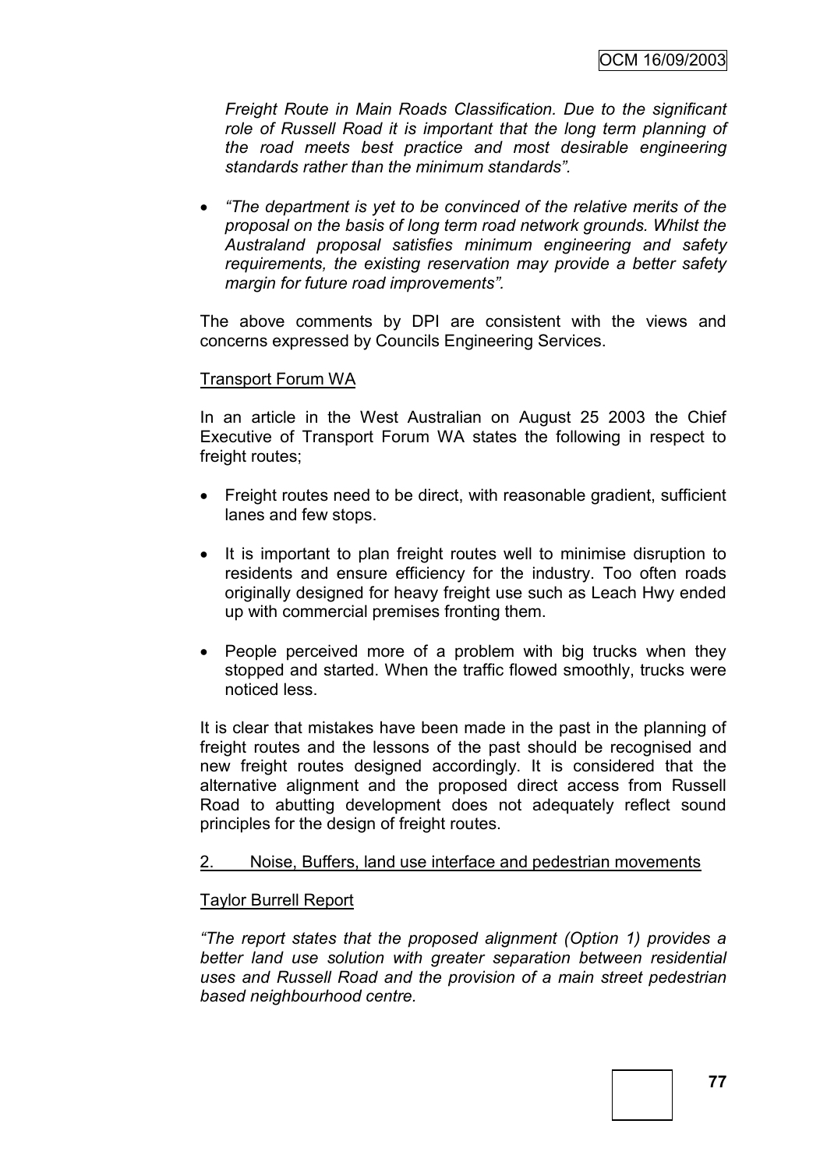*Freight Route in Main Roads Classification. Due to the significant role of Russell Road it is important that the long term planning of the road meets best practice and most desirable engineering standards rather than the minimum standards".* 

 *"The department is yet to be convinced of the relative merits of the proposal on the basis of long term road network grounds. Whilst the Australand proposal satisfies minimum engineering and safety requirements, the existing reservation may provide a better safety margin for future road improvements".*

The above comments by DPI are consistent with the views and concerns expressed by Councils Engineering Services.

#### Transport Forum WA

In an article in the West Australian on August 25 2003 the Chief Executive of Transport Forum WA states the following in respect to freight routes;

- Freight routes need to be direct, with reasonable gradient, sufficient lanes and few stops.
- It is important to plan freight routes well to minimise disruption to residents and ensure efficiency for the industry. Too often roads originally designed for heavy freight use such as Leach Hwy ended up with commercial premises fronting them.
- People perceived more of a problem with big trucks when they stopped and started. When the traffic flowed smoothly, trucks were noticed less.

It is clear that mistakes have been made in the past in the planning of freight routes and the lessons of the past should be recognised and new freight routes designed accordingly. It is considered that the alternative alignment and the proposed direct access from Russell Road to abutting development does not adequately reflect sound principles for the design of freight routes.

## 2. Noise, Buffers, land use interface and pedestrian movements

## Taylor Burrell Report

*"The report states that the proposed alignment (Option 1) provides a better land use solution with greater separation between residential uses and Russell Road and the provision of a main street pedestrian based neighbourhood centre.*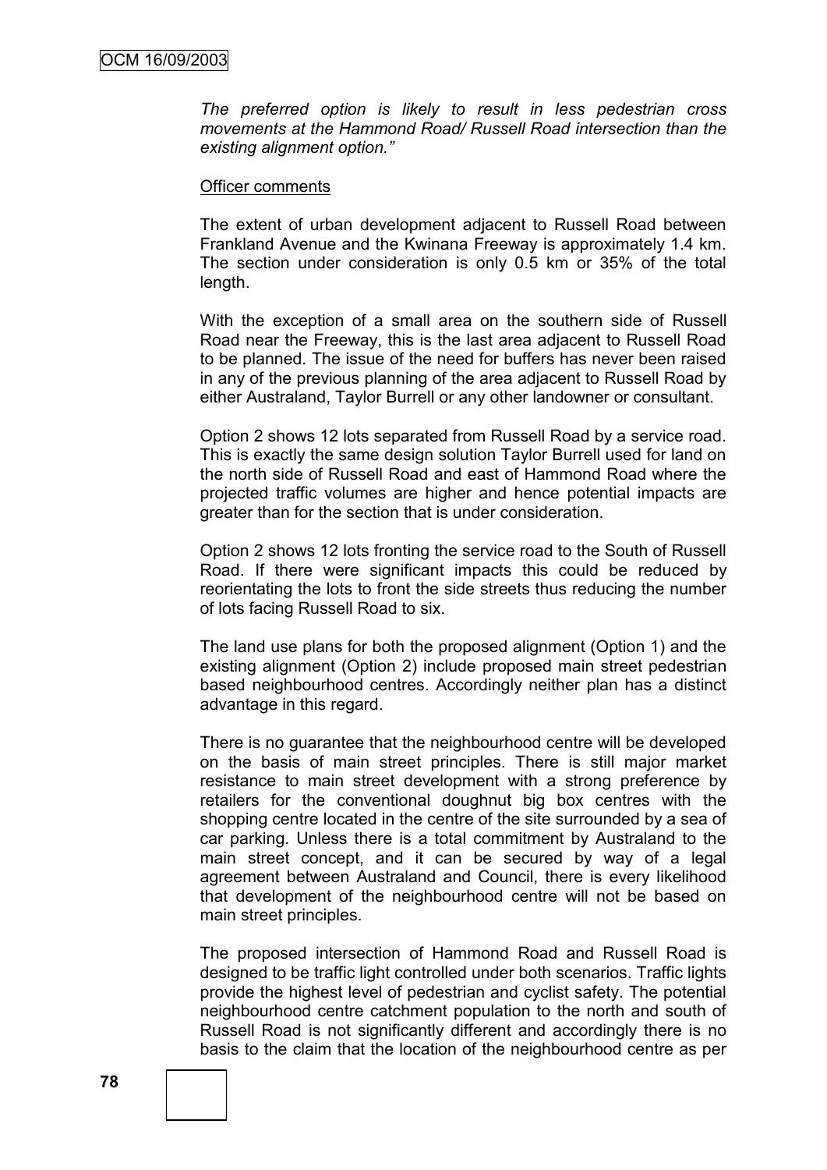*The preferred option is likely to result in less pedestrian cross movements at the Hammond Road/ Russell Road intersection than the existing alignment option."*

#### Officer comments

The extent of urban development adjacent to Russell Road between Frankland Avenue and the Kwinana Freeway is approximately 1.4 km. The section under consideration is only 0.5 km or 35% of the total length.

With the exception of a small area on the southern side of Russell Road near the Freeway, this is the last area adjacent to Russell Road to be planned. The issue of the need for buffers has never been raised in any of the previous planning of the area adjacent to Russell Road by either Australand, Taylor Burrell or any other landowner or consultant.

Option 2 shows 12 lots separated from Russell Road by a service road. This is exactly the same design solution Taylor Burrell used for land on the north side of Russell Road and east of Hammond Road where the projected traffic volumes are higher and hence potential impacts are greater than for the section that is under consideration.

Option 2 shows 12 lots fronting the service road to the South of Russell Road. If there were significant impacts this could be reduced by reorientating the lots to front the side streets thus reducing the number of lots facing Russell Road to six.

The land use plans for both the proposed alignment (Option 1) and the existing alignment (Option 2) include proposed main street pedestrian based neighbourhood centres. Accordingly neither plan has a distinct advantage in this regard.

There is no guarantee that the neighbourhood centre will be developed on the basis of main street principles. There is still major market resistance to main street development with a strong preference by retailers for the conventional doughnut big box centres with the shopping centre located in the centre of the site surrounded by a sea of car parking. Unless there is a total commitment by Australand to the main street concept, and it can be secured by way of a legal agreement between Australand and Council, there is every likelihood that development of the neighbourhood centre will not be based on main street principles.

The proposed intersection of Hammond Road and Russell Road is designed to be traffic light controlled under both scenarios. Traffic lights provide the highest level of pedestrian and cyclist safety. The potential neighbourhood centre catchment population to the north and south of Russell Road is not significantly different and accordingly there is no basis to the claim that the location of the neighbourhood centre as per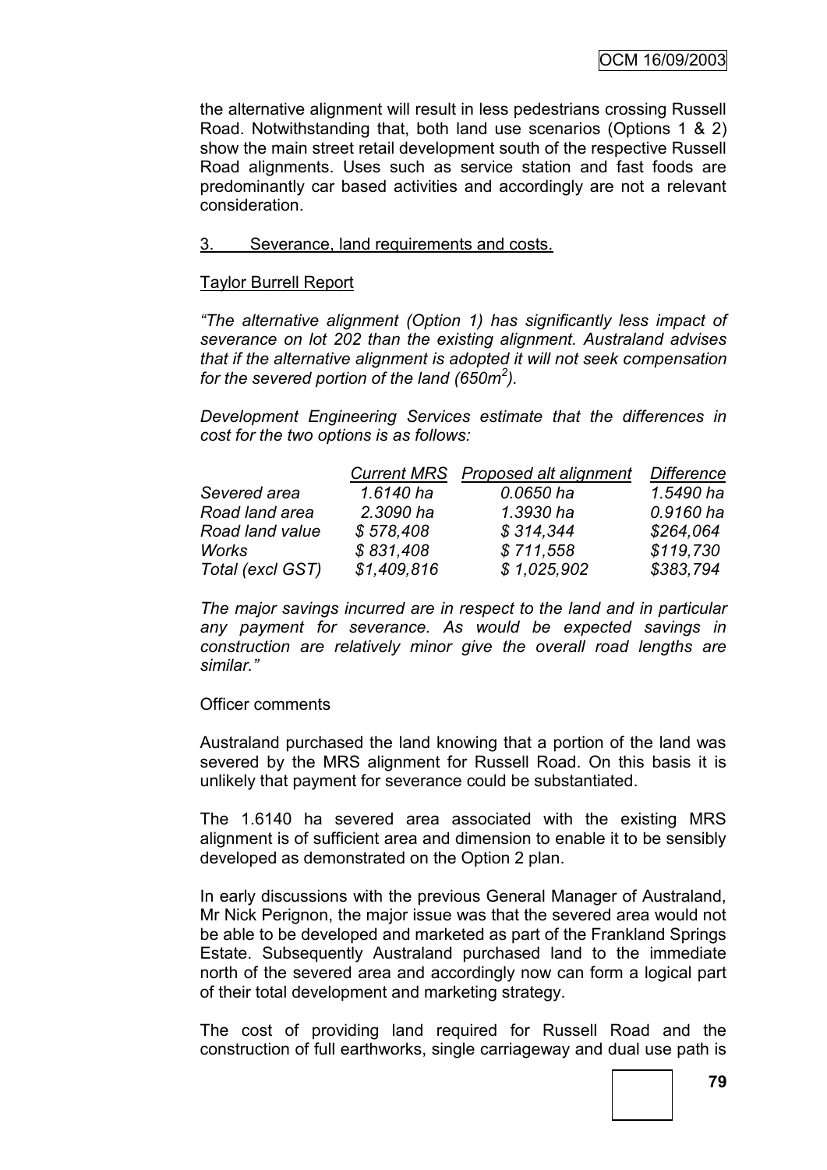the alternative alignment will result in less pedestrians crossing Russell Road. Notwithstanding that, both land use scenarios (Options 1 & 2) show the main street retail development south of the respective Russell Road alignments. Uses such as service station and fast foods are predominantly car based activities and accordingly are not a relevant consideration.

#### 3. Severance, land requirements and costs.

#### Taylor Burrell Report

*"The alternative alignment (Option 1) has significantly less impact of severance on lot 202 than the existing alignment. Australand advises that if the alternative alignment is adopted it will not seek compensation for the severed portion of the land (650m<sup>2</sup> ).*

*Development Engineering Services estimate that the differences in cost for the two options is as follows:*

|                  |             | Current MRS Proposed alt alignment | <b>Difference</b> |
|------------------|-------------|------------------------------------|-------------------|
| Severed area     | 1.6140 ha   | 0.0650 ha                          | 1.5490 ha         |
| Road land area   | 2.3090 ha   | 1.3930 ha                          | 0.9160 ha         |
| Road land value  | \$578,408   | \$314,344                          | \$264,064         |
| Works            | \$831,408   | \$711,558                          | \$119,730         |
| Total (excl GST) | \$1,409,816 | \$1,025,902                        | \$383,794         |

*The major savings incurred are in respect to the land and in particular any payment for severance. As would be expected savings in construction are relatively minor give the overall road lengths are similar."*

## Officer comments

Australand purchased the land knowing that a portion of the land was severed by the MRS alignment for Russell Road. On this basis it is unlikely that payment for severance could be substantiated.

The 1.6140 ha severed area associated with the existing MRS alignment is of sufficient area and dimension to enable it to be sensibly developed as demonstrated on the Option 2 plan.

In early discussions with the previous General Manager of Australand, Mr Nick Perignon, the major issue was that the severed area would not be able to be developed and marketed as part of the Frankland Springs Estate. Subsequently Australand purchased land to the immediate north of the severed area and accordingly now can form a logical part of their total development and marketing strategy.

The cost of providing land required for Russell Road and the construction of full earthworks, single carriageway and dual use path is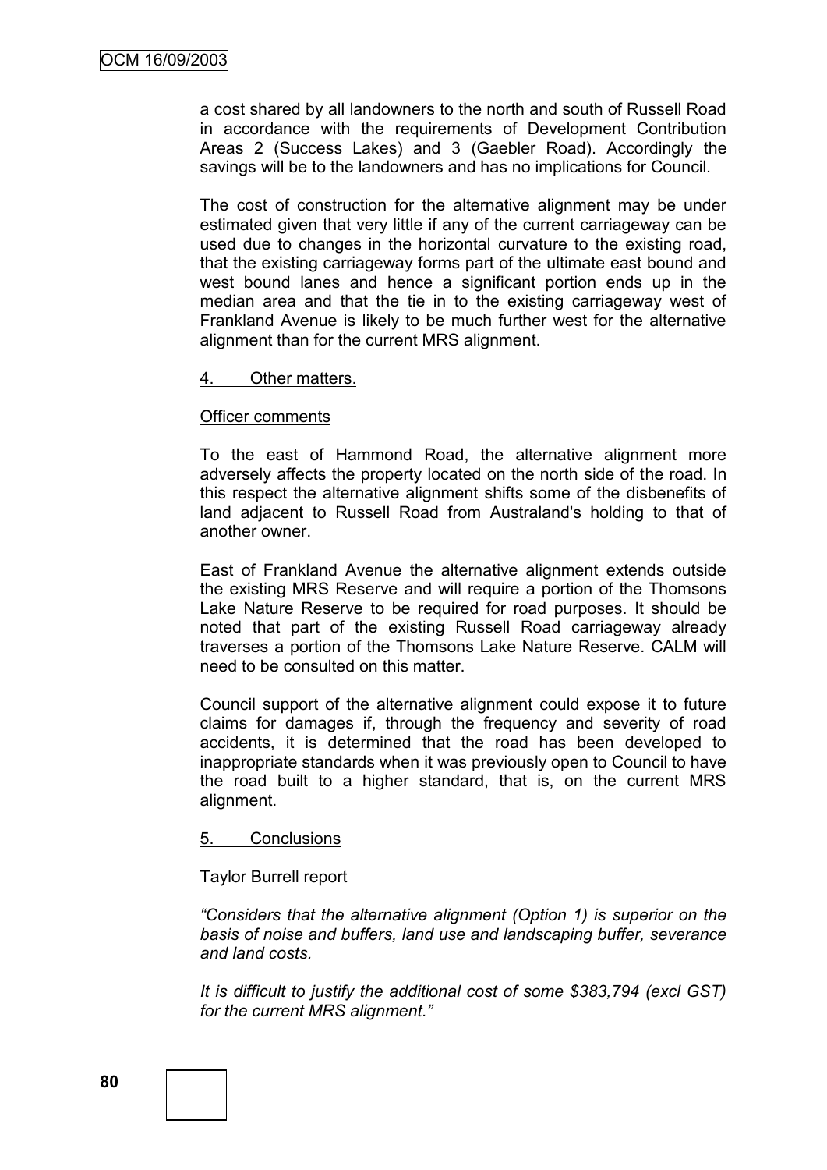a cost shared by all landowners to the north and south of Russell Road in accordance with the requirements of Development Contribution Areas 2 (Success Lakes) and 3 (Gaebler Road). Accordingly the savings will be to the landowners and has no implications for Council.

The cost of construction for the alternative alignment may be under estimated given that very little if any of the current carriageway can be used due to changes in the horizontal curvature to the existing road, that the existing carriageway forms part of the ultimate east bound and west bound lanes and hence a significant portion ends up in the median area and that the tie in to the existing carriageway west of Frankland Avenue is likely to be much further west for the alternative alignment than for the current MRS alignment.

#### 4. Other matters.

#### Officer comments

To the east of Hammond Road, the alternative alignment more adversely affects the property located on the north side of the road. In this respect the alternative alignment shifts some of the disbenefits of land adjacent to Russell Road from Australand's holding to that of another owner.

East of Frankland Avenue the alternative alignment extends outside the existing MRS Reserve and will require a portion of the Thomsons Lake Nature Reserve to be required for road purposes. It should be noted that part of the existing Russell Road carriageway already traverses a portion of the Thomsons Lake Nature Reserve. CALM will need to be consulted on this matter.

Council support of the alternative alignment could expose it to future claims for damages if, through the frequency and severity of road accidents, it is determined that the road has been developed to inappropriate standards when it was previously open to Council to have the road built to a higher standard, that is, on the current MRS alignment.

#### 5. Conclusions

#### Taylor Burrell report

*"Considers that the alternative alignment (Option 1) is superior on the basis of noise and buffers, land use and landscaping buffer, severance and land costs.*

*It is difficult to justify the additional cost of some \$383,794 (excl GST) for the current MRS alignment."*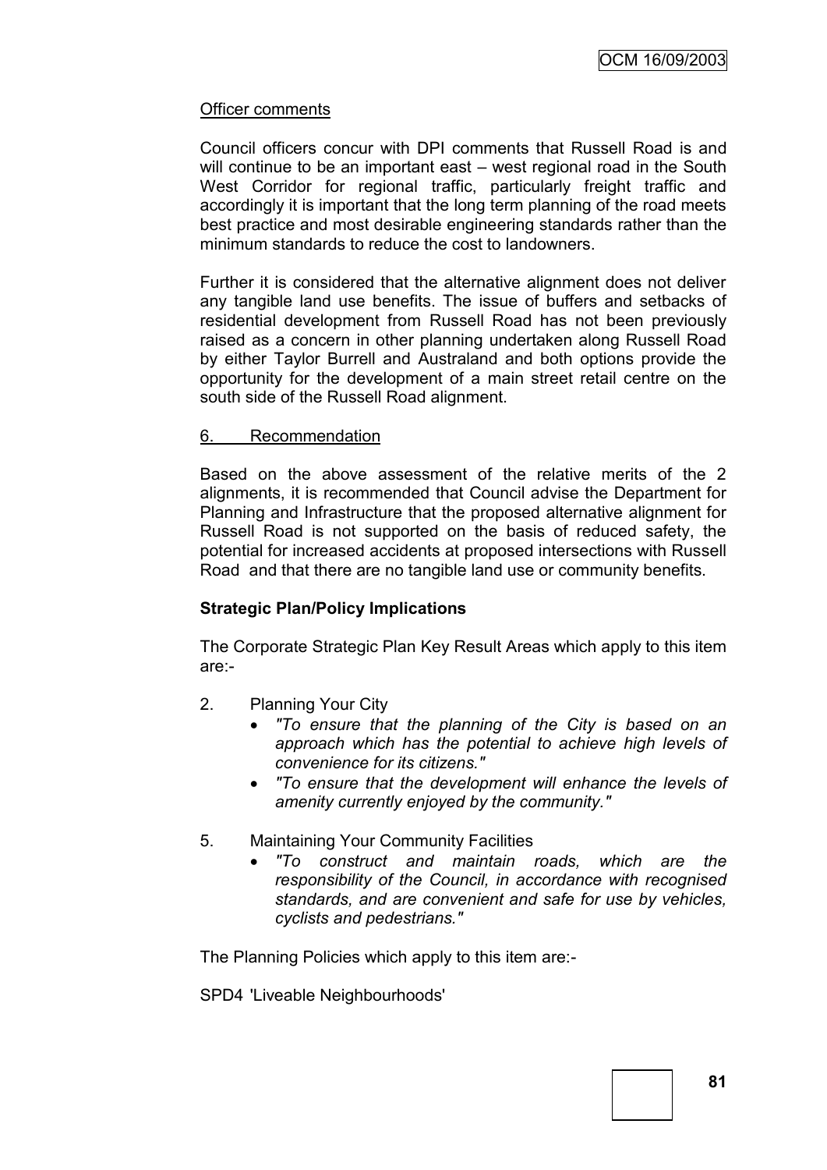## Officer comments

Council officers concur with DPI comments that Russell Road is and will continue to be an important east – west regional road in the South West Corridor for regional traffic, particularly freight traffic and accordingly it is important that the long term planning of the road meets best practice and most desirable engineering standards rather than the minimum standards to reduce the cost to landowners.

Further it is considered that the alternative alignment does not deliver any tangible land use benefits. The issue of buffers and setbacks of residential development from Russell Road has not been previously raised as a concern in other planning undertaken along Russell Road by either Taylor Burrell and Australand and both options provide the opportunity for the development of a main street retail centre on the south side of the Russell Road alignment.

## 6. Recommendation

Based on the above assessment of the relative merits of the 2 alignments, it is recommended that Council advise the Department for Planning and Infrastructure that the proposed alternative alignment for Russell Road is not supported on the basis of reduced safety, the potential for increased accidents at proposed intersections with Russell Road and that there are no tangible land use or community benefits.

## **Strategic Plan/Policy Implications**

The Corporate Strategic Plan Key Result Areas which apply to this item are:-

- 2. Planning Your City
	- *"To ensure that the planning of the City is based on an approach which has the potential to achieve high levels of convenience for its citizens."*
	- *"To ensure that the development will enhance the levels of amenity currently enjoyed by the community."*
- 5. Maintaining Your Community Facilities
	- *"To construct and maintain roads, which are the responsibility of the Council, in accordance with recognised standards, and are convenient and safe for use by vehicles, cyclists and pedestrians."*

The Planning Policies which apply to this item are:-

SPD4 'Liveable Neighbourhoods'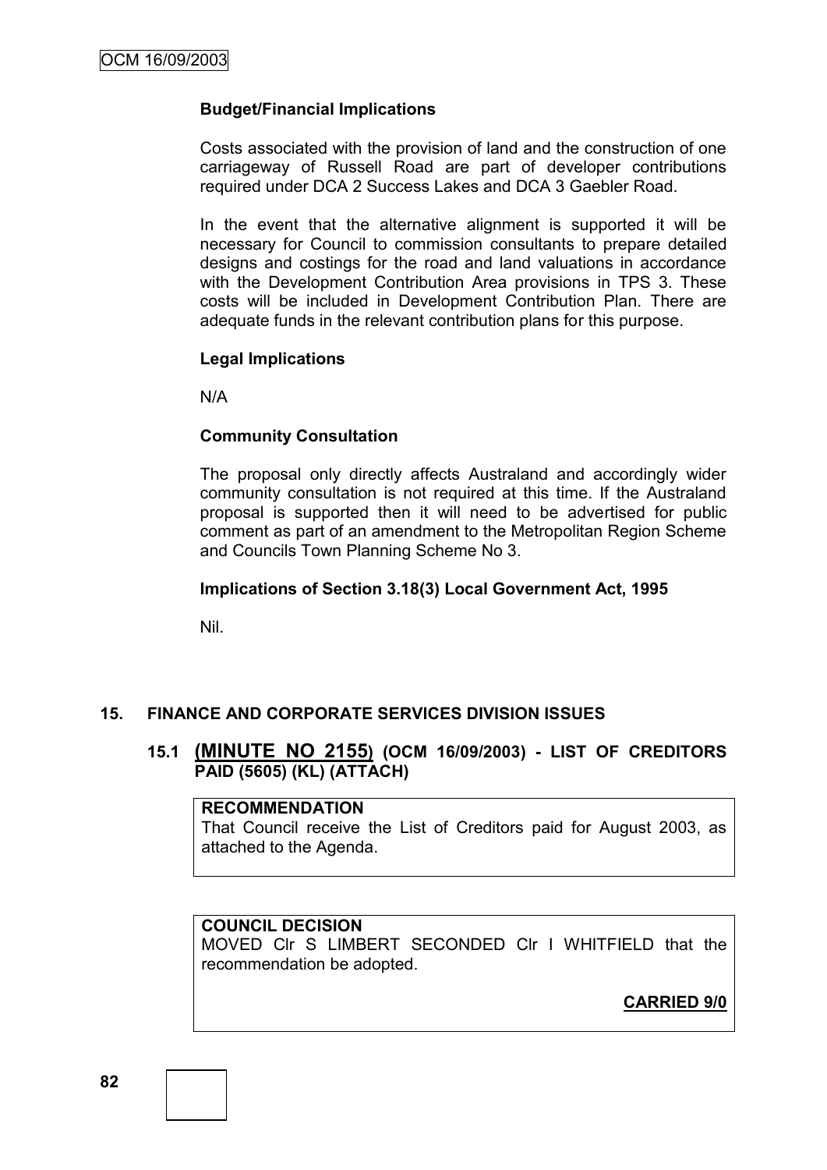## **Budget/Financial Implications**

Costs associated with the provision of land and the construction of one carriageway of Russell Road are part of developer contributions required under DCA 2 Success Lakes and DCA 3 Gaebler Road.

In the event that the alternative alignment is supported it will be necessary for Council to commission consultants to prepare detailed designs and costings for the road and land valuations in accordance with the Development Contribution Area provisions in TPS 3. These costs will be included in Development Contribution Plan. There are adequate funds in the relevant contribution plans for this purpose.

## **Legal Implications**

N/A

## **Community Consultation**

The proposal only directly affects Australand and accordingly wider community consultation is not required at this time. If the Australand proposal is supported then it will need to be advertised for public comment as part of an amendment to the Metropolitan Region Scheme and Councils Town Planning Scheme No 3.

## **Implications of Section 3.18(3) Local Government Act, 1995**

Nil.

## **15. FINANCE AND CORPORATE SERVICES DIVISION ISSUES**

## **15.1 (MINUTE NO 2155) (OCM 16/09/2003) - LIST OF CREDITORS PAID (5605) (KL) (ATTACH)**

#### **RECOMMENDATION**

That Council receive the List of Creditors paid for August 2003, as attached to the Agenda.

## **COUNCIL DECISION**

MOVED Clr S LIMBERT SECONDED Clr I WHITFIELD that the recommendation be adopted.

**CARRIED 9/0**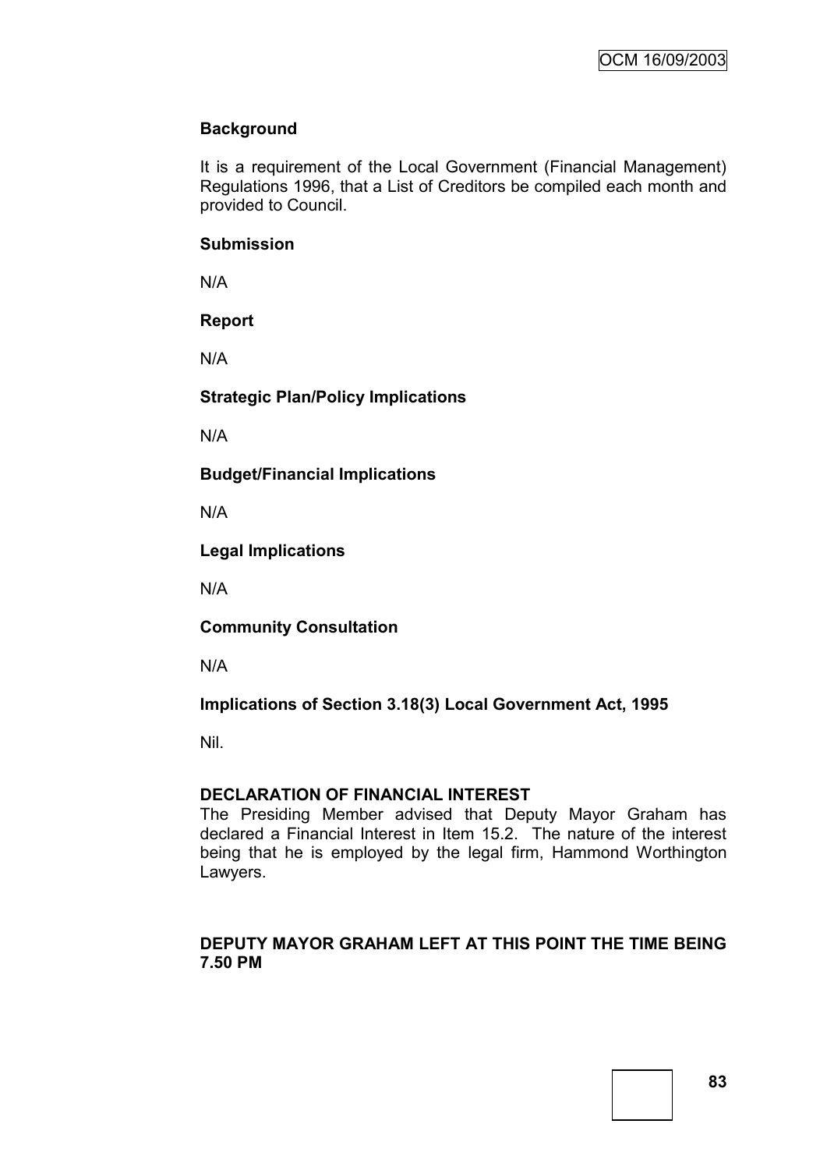# **Background**

It is a requirement of the Local Government (Financial Management) Regulations 1996, that a List of Creditors be compiled each month and provided to Council.

#### **Submission**

N/A

## **Report**

N/A

## **Strategic Plan/Policy Implications**

N/A

**Budget/Financial Implications**

N/A

**Legal Implications**

N/A

**Community Consultation**

N/A

# **Implications of Section 3.18(3) Local Government Act, 1995**

Nil.

## **DECLARATION OF FINANCIAL INTEREST**

The Presiding Member advised that Deputy Mayor Graham has declared a Financial Interest in Item 15.2. The nature of the interest being that he is employed by the legal firm, Hammond Worthington Lawyers.

## **DEPUTY MAYOR GRAHAM LEFT AT THIS POINT THE TIME BEING 7.50 PM**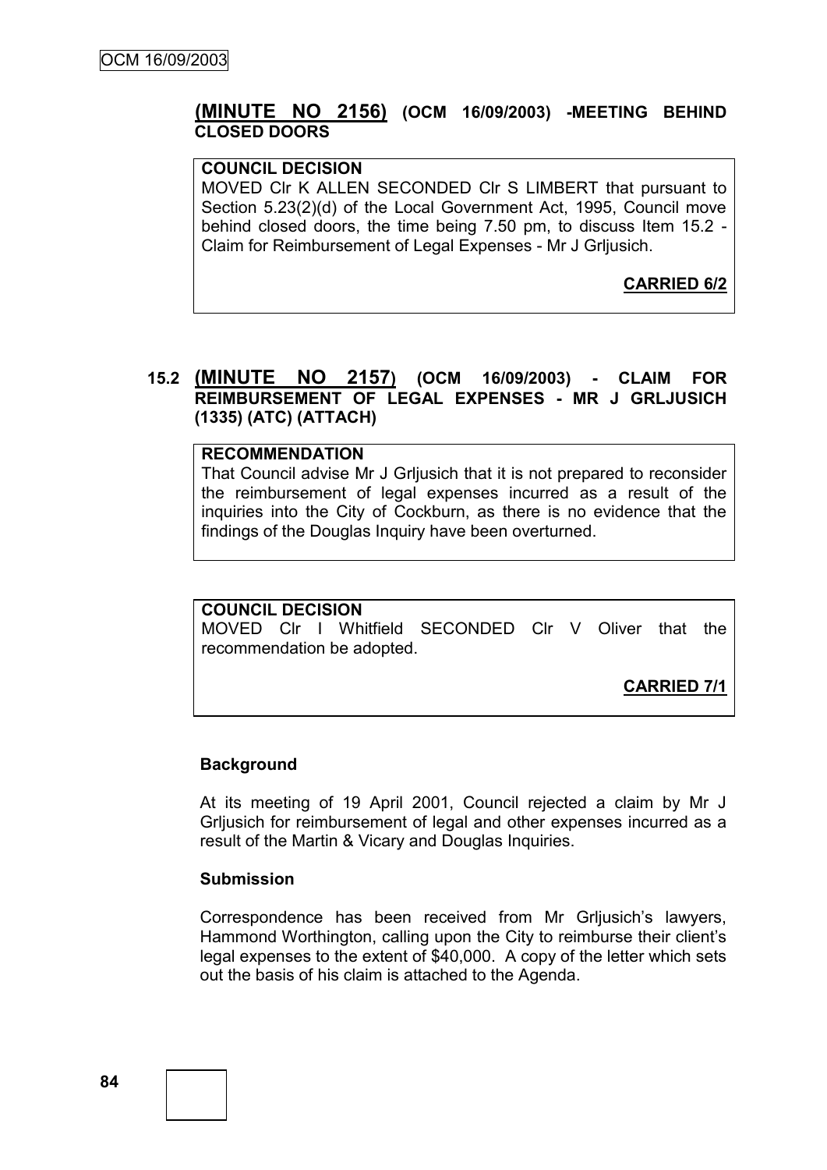# **(MINUTE NO 2156) (OCM 16/09/2003) -MEETING BEHIND CLOSED DOORS**

#### **COUNCIL DECISION**

MOVED Clr K ALLEN SECONDED Clr S LIMBERT that pursuant to Section 5.23(2)(d) of the Local Government Act, 1995, Council move behind closed doors, the time being 7.50 pm, to discuss Item 15.2 - Claim for Reimbursement of Legal Expenses - Mr J Grljusich.

**CARRIED 6/2**

## **15.2 (MINUTE NO 2157) (OCM 16/09/2003) - CLAIM FOR REIMBURSEMENT OF LEGAL EXPENSES - MR J GRLJUSICH (1335) (ATC) (ATTACH)**

#### **RECOMMENDATION**

That Council advise Mr J Grljusich that it is not prepared to reconsider the reimbursement of legal expenses incurred as a result of the inquiries into the City of Cockburn, as there is no evidence that the findings of the Douglas Inquiry have been overturned.

# **COUNCIL DECISION**

MOVED Clr I Whitfield SECONDED Clr V Oliver that the recommendation be adopted.

**CARRIED 7/1**

#### **Background**

At its meeting of 19 April 2001, Council rejected a claim by Mr J Grljusich for reimbursement of legal and other expenses incurred as a result of the Martin & Vicary and Douglas Inquiries.

#### **Submission**

Correspondence has been received from Mr Grijusich's lawyers, Hammond Worthington, calling upon the City to reimburse their client"s legal expenses to the extent of \$40,000. A copy of the letter which sets out the basis of his claim is attached to the Agenda.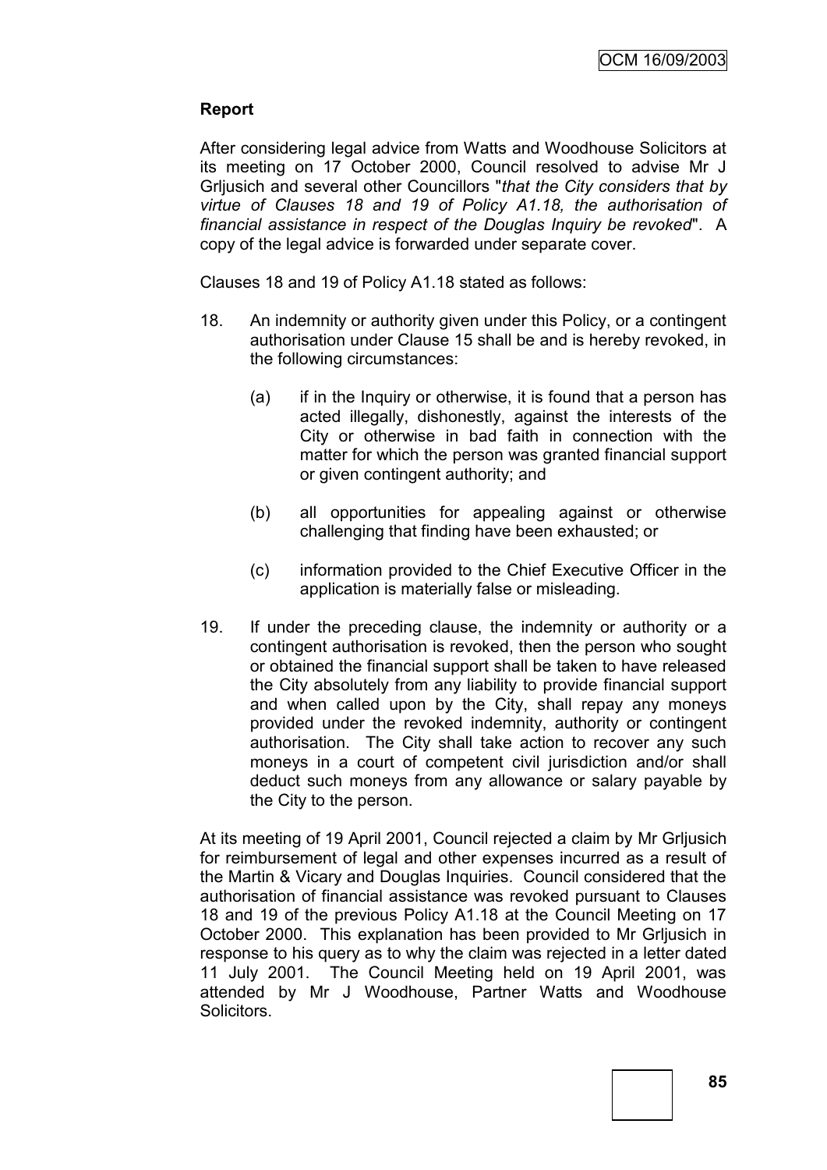# **Report**

After considering legal advice from Watts and Woodhouse Solicitors at its meeting on 17 October 2000, Council resolved to advise Mr J Grljusich and several other Councillors "*that the City considers that by virtue of Clauses 18 and 19 of Policy A1.18, the authorisation of financial assistance in respect of the Douglas Inquiry be revoked*". A copy of the legal advice is forwarded under separate cover.

Clauses 18 and 19 of Policy A1.18 stated as follows:

- 18. An indemnity or authority given under this Policy, or a contingent authorisation under Clause 15 shall be and is hereby revoked, in the following circumstances:
	- (a) if in the Inquiry or otherwise, it is found that a person has acted illegally, dishonestly, against the interests of the City or otherwise in bad faith in connection with the matter for which the person was granted financial support or given contingent authority; and
	- (b) all opportunities for appealing against or otherwise challenging that finding have been exhausted; or
	- (c) information provided to the Chief Executive Officer in the application is materially false or misleading.
- 19. If under the preceding clause, the indemnity or authority or a contingent authorisation is revoked, then the person who sought or obtained the financial support shall be taken to have released the City absolutely from any liability to provide financial support and when called upon by the City, shall repay any moneys provided under the revoked indemnity, authority or contingent authorisation. The City shall take action to recover any such moneys in a court of competent civil jurisdiction and/or shall deduct such moneys from any allowance or salary payable by the City to the person.

At its meeting of 19 April 2001, Council rejected a claim by Mr Grljusich for reimbursement of legal and other expenses incurred as a result of the Martin & Vicary and Douglas Inquiries. Council considered that the authorisation of financial assistance was revoked pursuant to Clauses 18 and 19 of the previous Policy A1.18 at the Council Meeting on 17 October 2000. This explanation has been provided to Mr Grljusich in response to his query as to why the claim was rejected in a letter dated 11 July 2001. The Council Meeting held on 19 April 2001, was attended by Mr J Woodhouse, Partner Watts and Woodhouse Solicitors.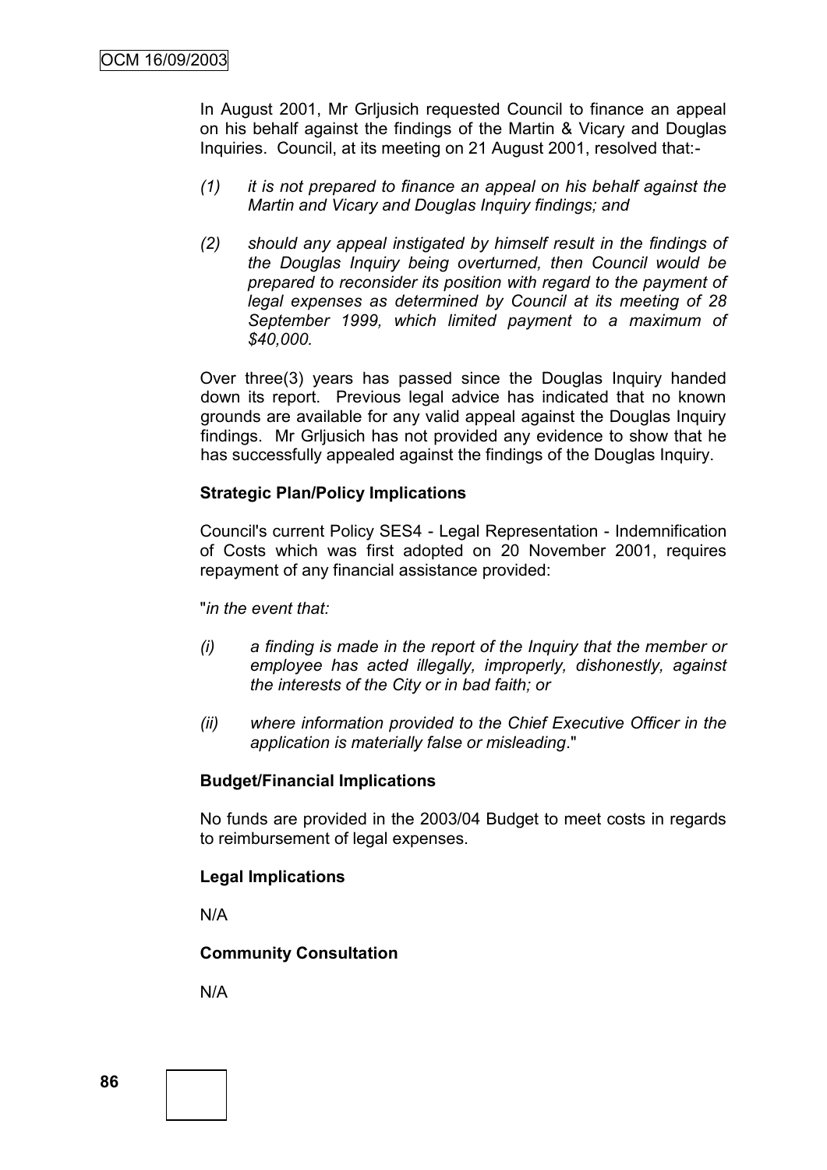In August 2001, Mr Grljusich requested Council to finance an appeal on his behalf against the findings of the Martin & Vicary and Douglas Inquiries. Council, at its meeting on 21 August 2001, resolved that:-

- *(1) it is not prepared to finance an appeal on his behalf against the Martin and Vicary and Douglas Inquiry findings; and*
- *(2) should any appeal instigated by himself result in the findings of the Douglas Inquiry being overturned, then Council would be prepared to reconsider its position with regard to the payment of legal expenses as determined by Council at its meeting of 28 September 1999, which limited payment to a maximum of \$40,000.*

Over three(3) years has passed since the Douglas Inquiry handed down its report. Previous legal advice has indicated that no known grounds are available for any valid appeal against the Douglas Inquiry findings. Mr Grijusich has not provided any evidence to show that he has successfully appealed against the findings of the Douglas Inquiry.

#### **Strategic Plan/Policy Implications**

Council's current Policy SES4 - Legal Representation - Indemnification of Costs which was first adopted on 20 November 2001, requires repayment of any financial assistance provided:

"*in the event that:*

- *(i) a finding is made in the report of the Inquiry that the member or employee has acted illegally, improperly, dishonestly, against the interests of the City or in bad faith; or*
- *(ii) where information provided to the Chief Executive Officer in the application is materially false or misleading*."

#### **Budget/Financial Implications**

No funds are provided in the 2003/04 Budget to meet costs in regards to reimbursement of legal expenses.

#### **Legal Implications**

N/A

#### **Community Consultation**

N/A

**86**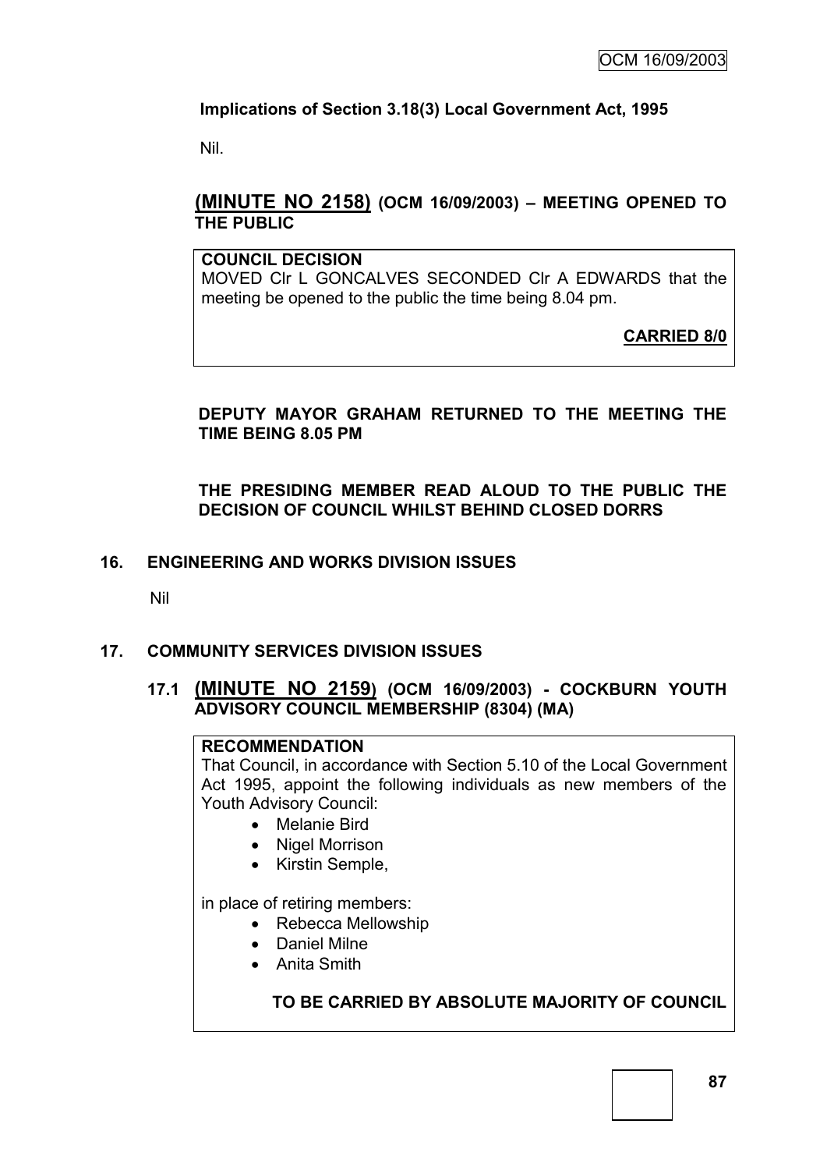# **Implications of Section 3.18(3) Local Government Act, 1995**

Nil.

# **(MINUTE NO 2158) (OCM 16/09/2003) – MEETING OPENED TO THE PUBLIC**

## **COUNCIL DECISION**

MOVED Clr L GONCALVES SECONDED Clr A EDWARDS that the meeting be opened to the public the time being 8.04 pm.

**CARRIED 8/0**

# **DEPUTY MAYOR GRAHAM RETURNED TO THE MEETING THE TIME BEING 8.05 PM**

## **THE PRESIDING MEMBER READ ALOUD TO THE PUBLIC THE DECISION OF COUNCIL WHILST BEHIND CLOSED DORRS**

# **16. ENGINEERING AND WORKS DIVISION ISSUES**

Nil

# **17. COMMUNITY SERVICES DIVISION ISSUES**

## **17.1 (MINUTE NO 2159) (OCM 16/09/2003) - COCKBURN YOUTH ADVISORY COUNCIL MEMBERSHIP (8304) (MA)**

## **RECOMMENDATION**

That Council, in accordance with Section 5.10 of the Local Government Act 1995, appoint the following individuals as new members of the Youth Advisory Council:

- Melanie Bird
- Nigel Morrison
- Kirstin Semple,

in place of retiring members:

- Rebecca Mellowship
- Daniel Milne
- Anita Smith

# **TO BE CARRIED BY ABSOLUTE MAJORITY OF COUNCIL**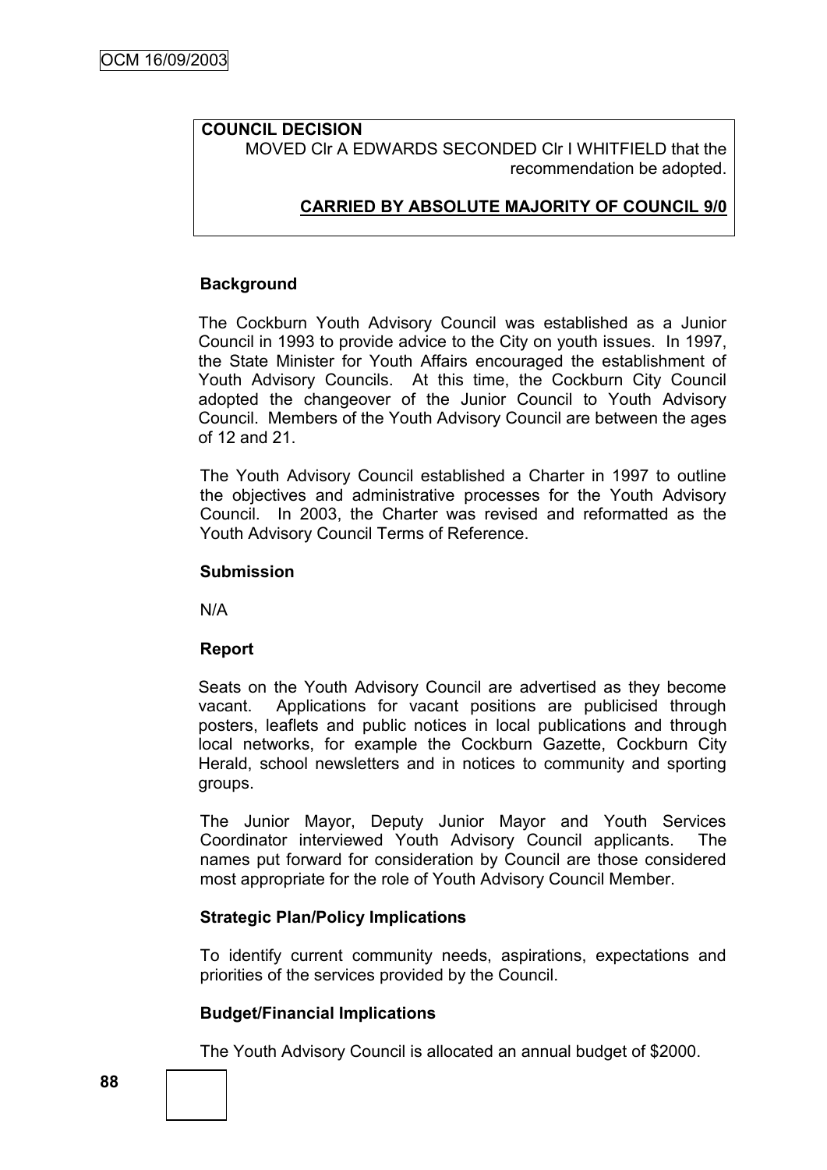#### **COUNCIL DECISION** MOVED Clr A EDWARDS SECONDED Clr I WHITFIELD that the recommendation be adopted.

# **CARRIED BY ABSOLUTE MAJORITY OF COUNCIL 9/0**

## **Background**

The Cockburn Youth Advisory Council was established as a Junior Council in 1993 to provide advice to the City on youth issues. In 1997, the State Minister for Youth Affairs encouraged the establishment of Youth Advisory Councils. At this time, the Cockburn City Council adopted the changeover of the Junior Council to Youth Advisory Council. Members of the Youth Advisory Council are between the ages of 12 and 21.

The Youth Advisory Council established a Charter in 1997 to outline the objectives and administrative processes for the Youth Advisory Council. In 2003, the Charter was revised and reformatted as the Youth Advisory Council Terms of Reference.

## **Submission**

N/A

## **Report**

Seats on the Youth Advisory Council are advertised as they become vacant. Applications for vacant positions are publicised through posters, leaflets and public notices in local publications and through local networks, for example the Cockburn Gazette, Cockburn City Herald, school newsletters and in notices to community and sporting groups.

The Junior Mayor, Deputy Junior Mayor and Youth Services Coordinator interviewed Youth Advisory Council applicants. The names put forward for consideration by Council are those considered most appropriate for the role of Youth Advisory Council Member.

## **Strategic Plan/Policy Implications**

To identify current community needs, aspirations, expectations and priorities of the services provided by the Council.

## **Budget/Financial Implications**

The Youth Advisory Council is allocated an annual budget of \$2000.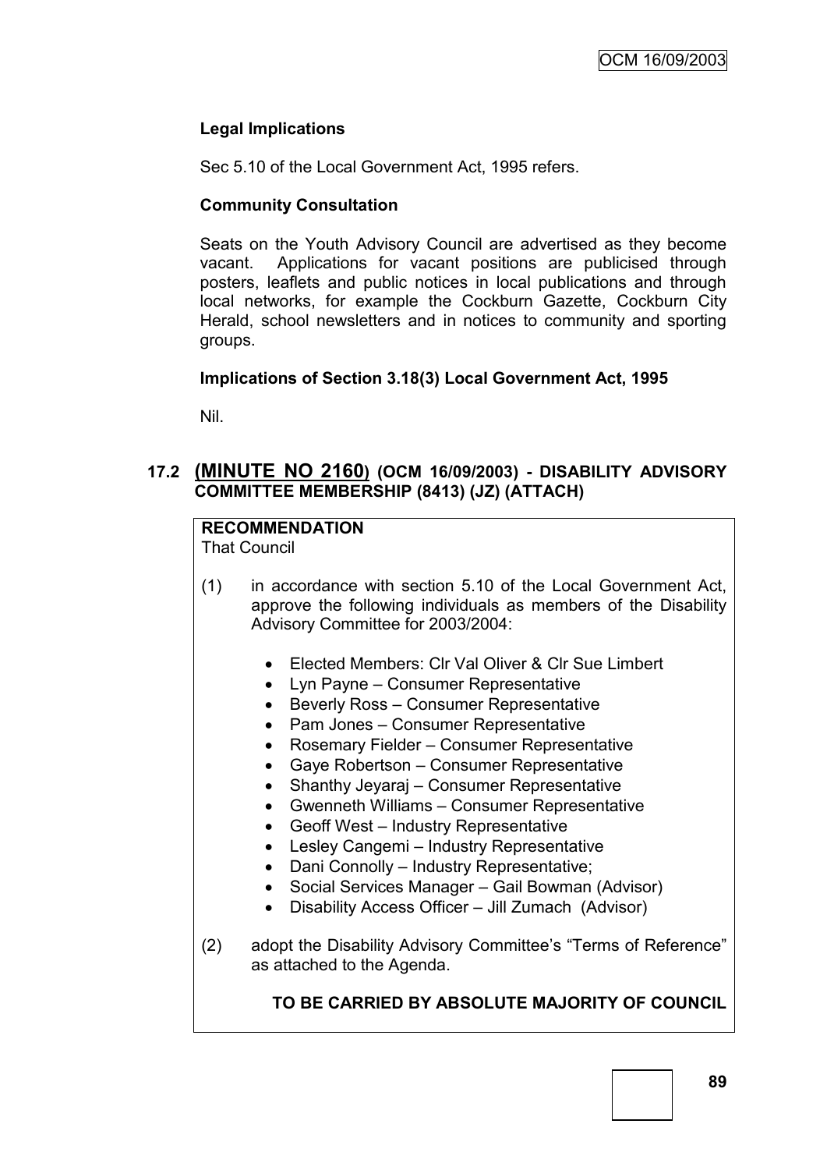# **Legal Implications**

Sec 5.10 of the Local Government Act, 1995 refers.

## **Community Consultation**

Seats on the Youth Advisory Council are advertised as they become vacant. Applications for vacant positions are publicised through posters, leaflets and public notices in local publications and through local networks, for example the Cockburn Gazette, Cockburn City Herald, school newsletters and in notices to community and sporting groups.

## **Implications of Section 3.18(3) Local Government Act, 1995**

Nil.

# **17.2 (MINUTE NO 2160) (OCM 16/09/2003) - DISABILITY ADVISORY COMMITTEE MEMBERSHIP (8413) (JZ) (ATTACH)**

# **RECOMMENDATION**

That Council

- (1) in accordance with section 5.10 of the Local Government Act, approve the following individuals as members of the Disability Advisory Committee for 2003/2004:
	- Elected Members: Clr Val Oliver & Clr Sue Limbert
	- Lyn Payne Consumer Representative
	- Beverly Ross Consumer Representative
	- Pam Jones Consumer Representative
	- Rosemary Fielder Consumer Representative
	- Gaye Robertson Consumer Representative
	- Shanthy Jeyaraj Consumer Representative
	- Gwenneth Williams Consumer Representative
	- Geoff West Industry Representative
	- Lesley Cangemi Industry Representative
	- Dani Connolly Industry Representative;
	- Social Services Manager Gail Bowman (Advisor)
	- Disability Access Officer Jill Zumach (Advisor)
- (2) adopt the Disability Advisory Committee's "Terms of Reference" as attached to the Agenda.

# **TO BE CARRIED BY ABSOLUTE MAJORITY OF COUNCIL**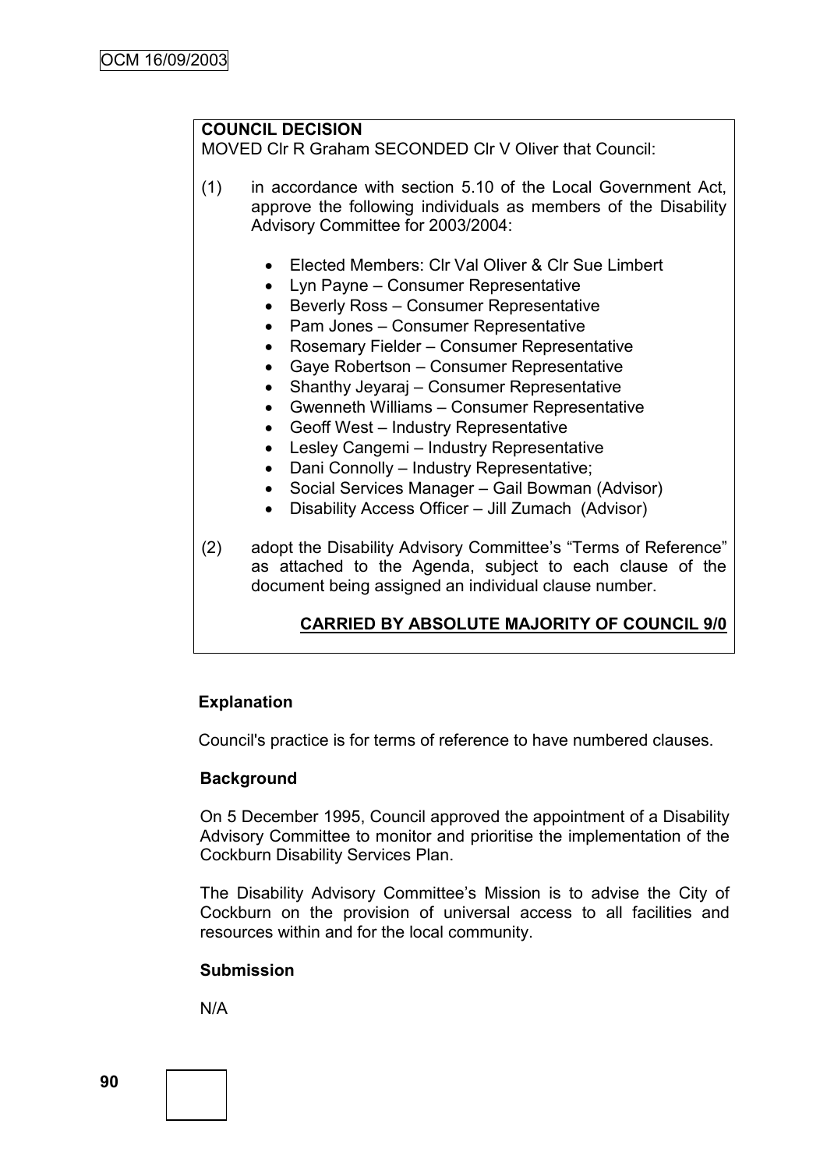# **COUNCIL DECISION**

MOVED Clr R Graham SECONDED Clr V Oliver that Council:

(1) in accordance with section 5.10 of the Local Government Act, approve the following individuals as members of the Disability Advisory Committee for 2003/2004:

- Elected Members: Clr Val Oliver & Clr Sue Limbert
- Lyn Payne Consumer Representative
- Beverly Ross Consumer Representative
- Pam Jones Consumer Representative
- Rosemary Fielder Consumer Representative
- Gaye Robertson Consumer Representative
- Shanthy Jeyaraj Consumer Representative
- Gwenneth Williams Consumer Representative
- Geoff West Industry Representative
- Lesley Cangemi Industry Representative
- Dani Connolly Industry Representative;
- Social Services Manager Gail Bowman (Advisor)
- Disability Access Officer Jill Zumach (Advisor)
- (2) adopt the Disability Advisory Committee's "Terms of Reference" as attached to the Agenda, subject to each clause of the document being assigned an individual clause number.

# **CARRIED BY ABSOLUTE MAJORITY OF COUNCIL 9/0**

## **Explanation**

Council's practice is for terms of reference to have numbered clauses.

#### **Background**

On 5 December 1995, Council approved the appointment of a Disability Advisory Committee to monitor and prioritise the implementation of the Cockburn Disability Services Plan.

The Disability Advisory Committee's Mission is to advise the City of Cockburn on the provision of universal access to all facilities and resources within and for the local community.

#### **Submission**

N/A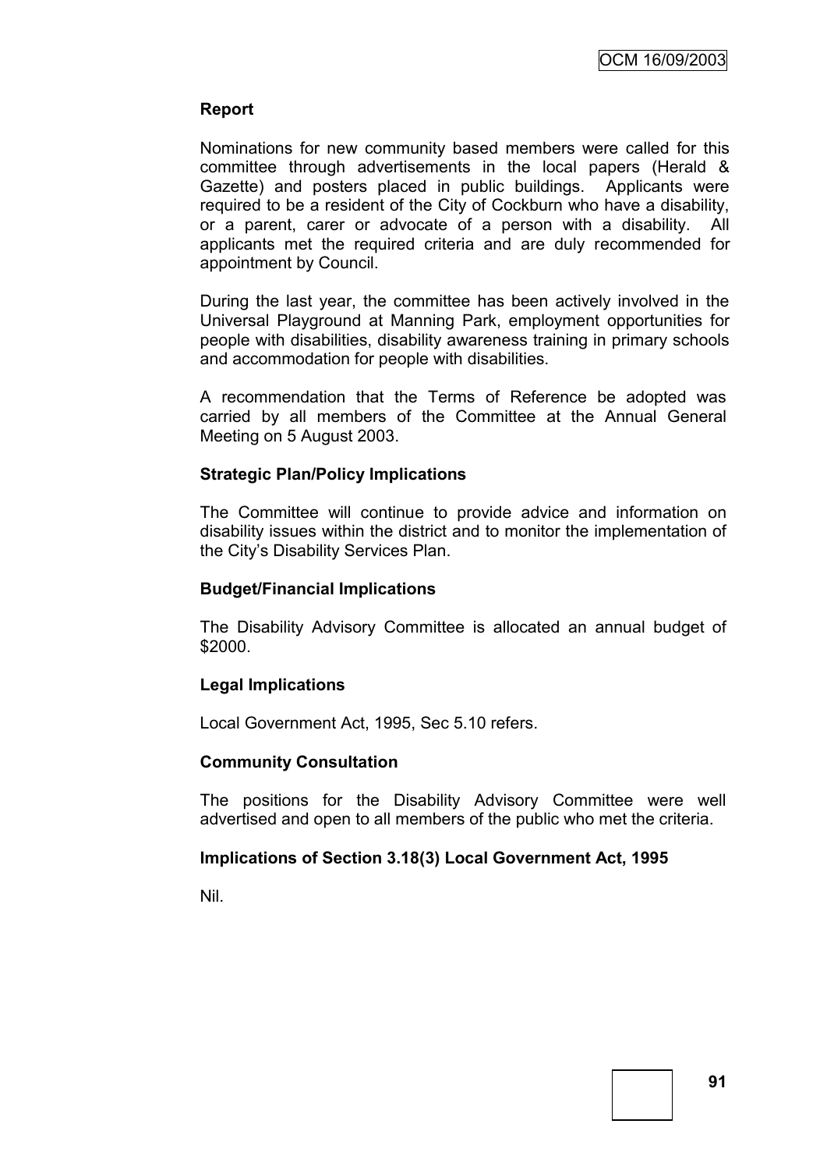## **Report**

Nominations for new community based members were called for this committee through advertisements in the local papers (Herald & Gazette) and posters placed in public buildings. Applicants were required to be a resident of the City of Cockburn who have a disability, or a parent, carer or advocate of a person with a disability. All applicants met the required criteria and are duly recommended for appointment by Council.

During the last year, the committee has been actively involved in the Universal Playground at Manning Park, employment opportunities for people with disabilities, disability awareness training in primary schools and accommodation for people with disabilities.

A recommendation that the Terms of Reference be adopted was carried by all members of the Committee at the Annual General Meeting on 5 August 2003.

#### **Strategic Plan/Policy Implications**

The Committee will continue to provide advice and information on disability issues within the district and to monitor the implementation of the City"s Disability Services Plan.

#### **Budget/Financial Implications**

The Disability Advisory Committee is allocated an annual budget of \$2000.

#### **Legal Implications**

Local Government Act, 1995, Sec 5.10 refers.

#### **Community Consultation**

The positions for the Disability Advisory Committee were well advertised and open to all members of the public who met the criteria.

#### **Implications of Section 3.18(3) Local Government Act, 1995**

Nil.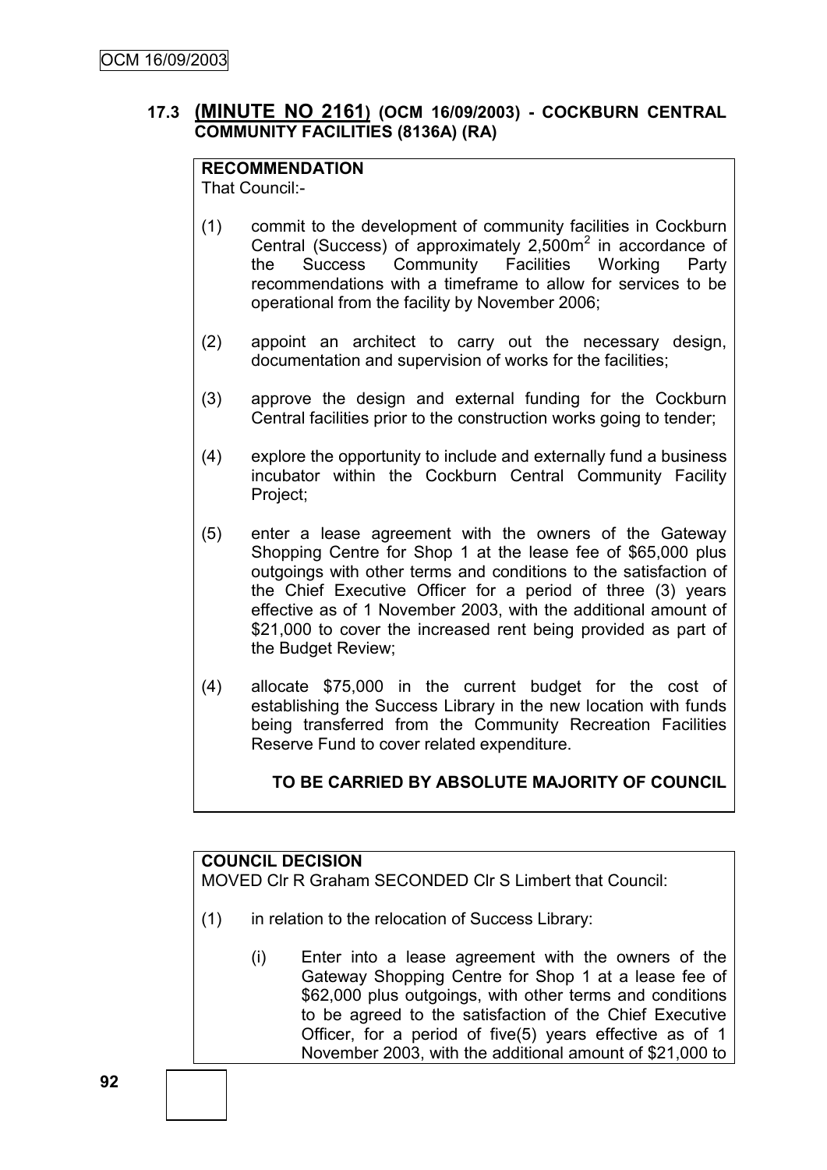# **17.3 (MINUTE NO 2161) (OCM 16/09/2003) - COCKBURN CENTRAL COMMUNITY FACILITIES (8136A) (RA)**

## **RECOMMENDATION**

That Council:-

- (1) commit to the development of community facilities in Cockburn Central (Success) of approximately  $2,500m^2$  in accordance of the Success Community Facilities Working Party recommendations with a timeframe to allow for services to be operational from the facility by November 2006;
- (2) appoint an architect to carry out the necessary design, documentation and supervision of works for the facilities;
- (3) approve the design and external funding for the Cockburn Central facilities prior to the construction works going to tender;
- (4) explore the opportunity to include and externally fund a business incubator within the Cockburn Central Community Facility Project;
- (5) enter a lease agreement with the owners of the Gateway Shopping Centre for Shop 1 at the lease fee of \$65,000 plus outgoings with other terms and conditions to the satisfaction of the Chief Executive Officer for a period of three (3) years effective as of 1 November 2003, with the additional amount of \$21,000 to cover the increased rent being provided as part of the Budget Review;
- (4) allocate \$75,000 in the current budget for the cost of establishing the Success Library in the new location with funds being transferred from the Community Recreation Facilities Reserve Fund to cover related expenditure.

# **TO BE CARRIED BY ABSOLUTE MAJORITY OF COUNCIL**

# **COUNCIL DECISION**

MOVED Clr R Graham SECONDED Clr S Limbert that Council:

- (1) in relation to the relocation of Success Library:
	- (i) Enter into a lease agreement with the owners of the Gateway Shopping Centre for Shop 1 at a lease fee of \$62,000 plus outgoings, with other terms and conditions to be agreed to the satisfaction of the Chief Executive Officer, for a period of five(5) years effective as of 1 November 2003, with the additional amount of \$21,000 to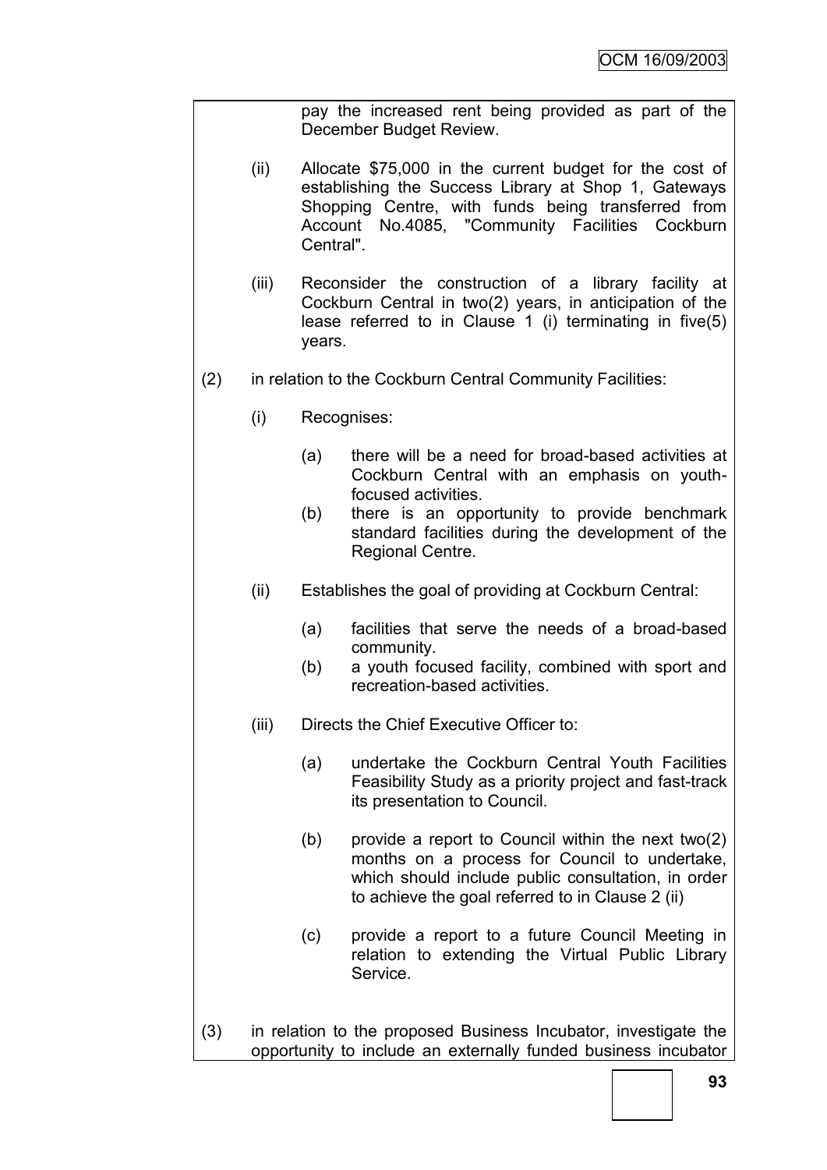pay the increased rent being provided as part of the December Budget Review.

- (ii) Allocate \$75,000 in the current budget for the cost of establishing the Success Library at Shop 1, Gateways Shopping Centre, with funds being transferred from Account No.4085, "Community Facilities Cockburn Central".
- (iii) Reconsider the construction of a library facility at Cockburn Central in two(2) years, in anticipation of the lease referred to in Clause 1 (i) terminating in five(5) years.
- (2) in relation to the Cockburn Central Community Facilities:
	- (i) Recognises:
		- (a) there will be a need for broad-based activities at Cockburn Central with an emphasis on youthfocused activities.
		- (b) there is an opportunity to provide benchmark standard facilities during the development of the Regional Centre.
	- (ii) Establishes the goal of providing at Cockburn Central:
		- (a) facilities that serve the needs of a broad-based community.
		- (b) a youth focused facility, combined with sport and recreation-based activities.
	- (iii) Directs the Chief Executive Officer to:
		- (a) undertake the Cockburn Central Youth Facilities Feasibility Study as a priority project and fast-track its presentation to Council.
		- (b) provide a report to Council within the next two(2) months on a process for Council to undertake, which should include public consultation, in order to achieve the goal referred to in Clause 2 (ii)
		- (c) provide a report to a future Council Meeting in relation to extending the Virtual Public Library Service.
- (3) in relation to the proposed Business Incubator, investigate the opportunity to include an externally funded business incubator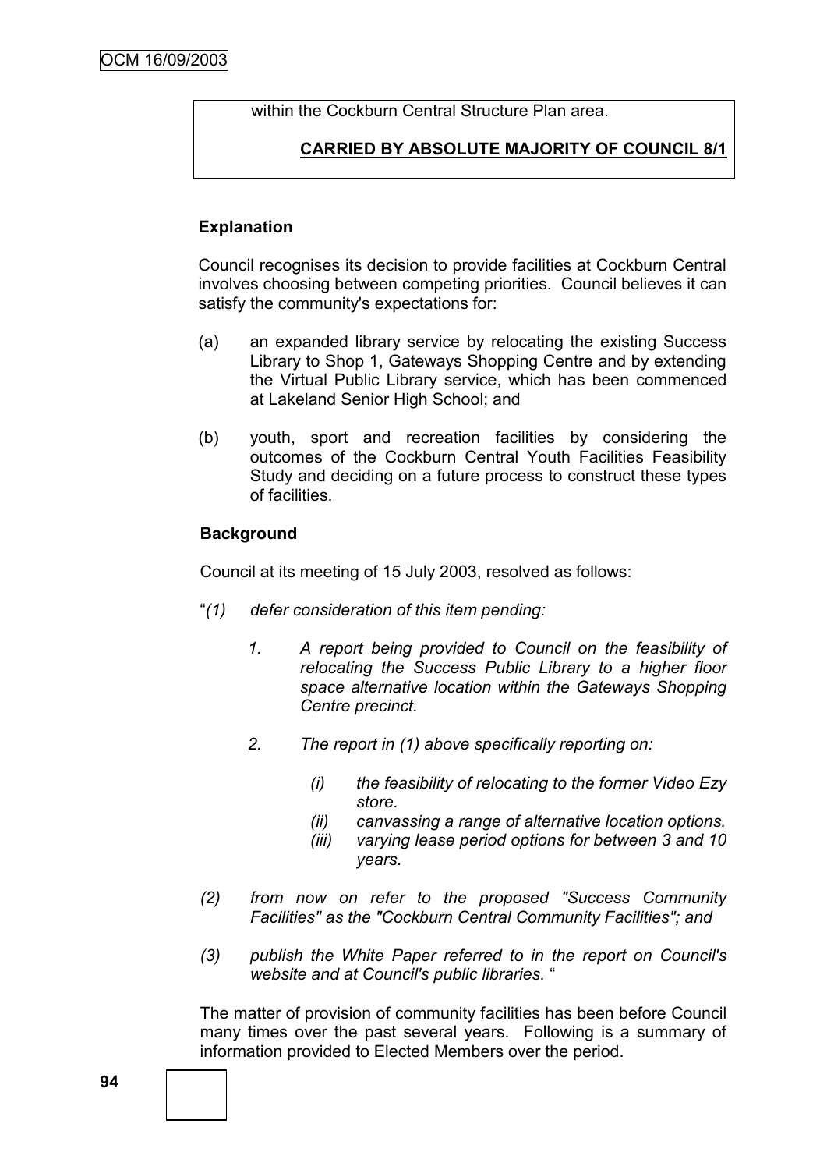within the Cockburn Central Structure Plan area.

# **CARRIED BY ABSOLUTE MAJORITY OF COUNCIL 8/1**

## **Explanation**

Council recognises its decision to provide facilities at Cockburn Central involves choosing between competing priorities. Council believes it can satisfy the community's expectations for:

- (a) an expanded library service by relocating the existing Success Library to Shop 1, Gateways Shopping Centre and by extending the Virtual Public Library service, which has been commenced at Lakeland Senior High School; and
- (b) youth, sport and recreation facilities by considering the outcomes of the Cockburn Central Youth Facilities Feasibility Study and deciding on a future process to construct these types of facilities.

## **Background**

Council at its meeting of 15 July 2003, resolved as follows:

- "*(1) defer consideration of this item pending:*
	- *1. A report being provided to Council on the feasibility of relocating the Success Public Library to a higher floor space alternative location within the Gateways Shopping Centre precinct.*
	- *2. The report in (1) above specifically reporting on:*
		- *(i) the feasibility of relocating to the former Video Ezy store.*
		- *(ii) canvassing a range of alternative location options.*
		- *(iii) varying lease period options for between 3 and 10 years.*
- *(2) from now on refer to the proposed "Success Community Facilities" as the "Cockburn Central Community Facilities"; and*
- *(3) publish the White Paper referred to in the report on Council's website and at Council's public libraries.* "

The matter of provision of community facilities has been before Council many times over the past several years. Following is a summary of information provided to Elected Members over the period.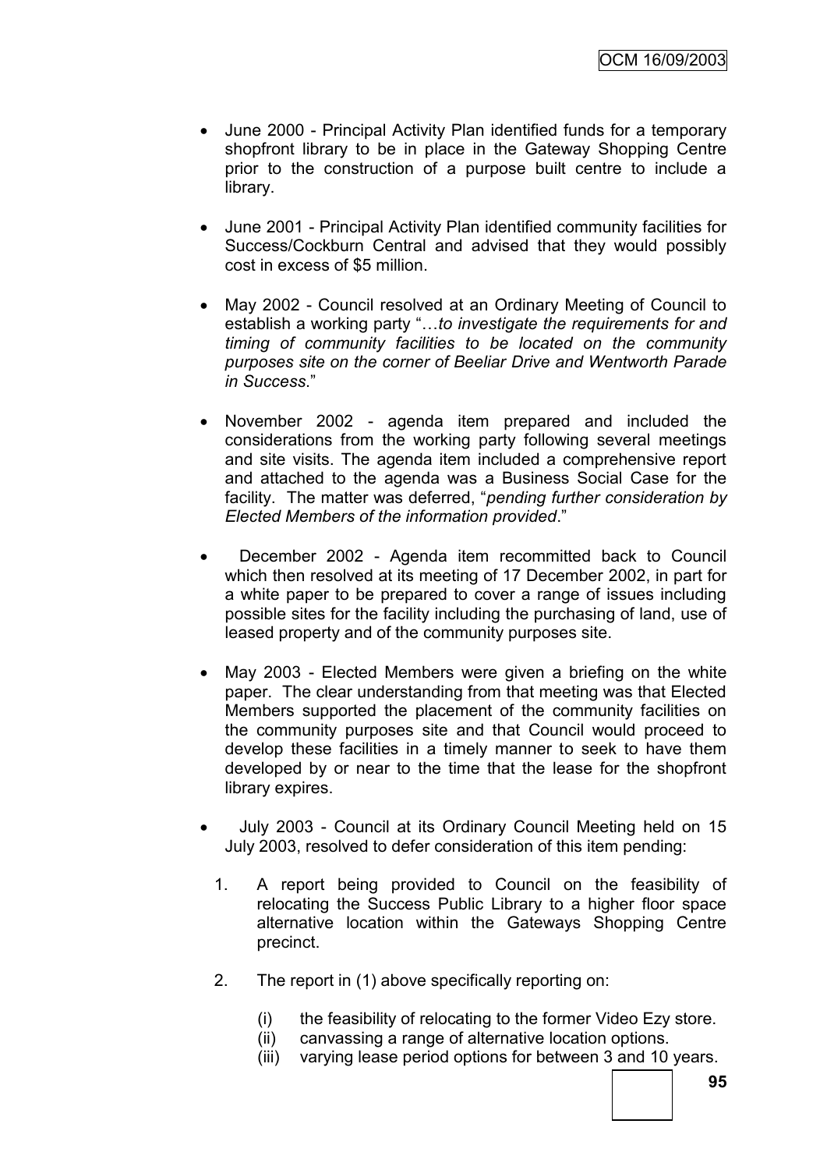- June 2000 Principal Activity Plan identified funds for a temporary shopfront library to be in place in the Gateway Shopping Centre prior to the construction of a purpose built centre to include a library.
- June 2001 Principal Activity Plan identified community facilities for Success/Cockburn Central and advised that they would possibly cost in excess of \$5 million.
- May 2002 Council resolved at an Ordinary Meeting of Council to establish a working party "…*to investigate the requirements for and timing of community facilities to be located on the community purposes site on the corner of Beeliar Drive and Wentworth Parade in Success*."
- November 2002 agenda item prepared and included the considerations from the working party following several meetings and site visits. The agenda item included a comprehensive report and attached to the agenda was a Business Social Case for the facility. The matter was deferred, "*pending further consideration by Elected Members of the information provided*."
- December 2002 Agenda item recommitted back to Council which then resolved at its meeting of 17 December 2002, in part for a white paper to be prepared to cover a range of issues including possible sites for the facility including the purchasing of land, use of leased property and of the community purposes site.
- May 2003 Elected Members were given a briefing on the white paper. The clear understanding from that meeting was that Elected Members supported the placement of the community facilities on the community purposes site and that Council would proceed to develop these facilities in a timely manner to seek to have them developed by or near to the time that the lease for the shopfront library expires.
- July 2003 Council at its Ordinary Council Meeting held on 15 July 2003, resolved to defer consideration of this item pending:
	- 1. A report being provided to Council on the feasibility of relocating the Success Public Library to a higher floor space alternative location within the Gateways Shopping Centre precinct.
	- 2. The report in (1) above specifically reporting on:
		- (i) the feasibility of relocating to the former Video Ezy store.
		- (ii) canvassing a range of alternative location options.
		- (iii) varying lease period options for between 3 and 10 years.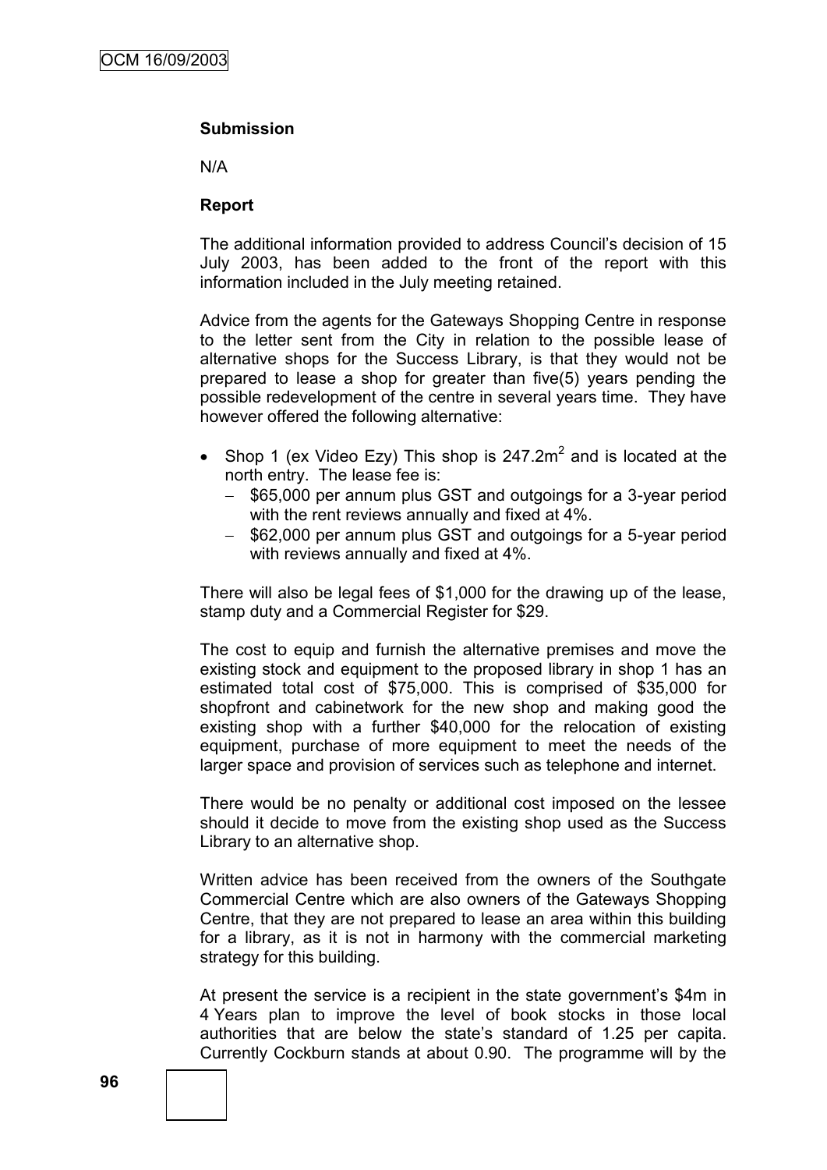#### **Submission**

N/A

#### **Report**

The additional information provided to address Council"s decision of 15 July 2003, has been added to the front of the report with this information included in the July meeting retained.

Advice from the agents for the Gateways Shopping Centre in response to the letter sent from the City in relation to the possible lease of alternative shops for the Success Library, is that they would not be prepared to lease a shop for greater than five(5) years pending the possible redevelopment of the centre in several years time. They have however offered the following alternative:

- Shop 1 (ex Video Ezy) This shop is  $247.2 \text{m}^2$  and is located at the north entry. The lease fee is:
	- \$65,000 per annum plus GST and outgoings for a 3-year period with the rent reviews annually and fixed at 4%.
	- \$62,000 per annum plus GST and outgoings for a 5-year period with reviews annually and fixed at 4%.

There will also be legal fees of \$1,000 for the drawing up of the lease, stamp duty and a Commercial Register for \$29.

The cost to equip and furnish the alternative premises and move the existing stock and equipment to the proposed library in shop 1 has an estimated total cost of \$75,000. This is comprised of \$35,000 for shopfront and cabinetwork for the new shop and making good the existing shop with a further \$40,000 for the relocation of existing equipment, purchase of more equipment to meet the needs of the larger space and provision of services such as telephone and internet.

There would be no penalty or additional cost imposed on the lessee should it decide to move from the existing shop used as the Success Library to an alternative shop.

Written advice has been received from the owners of the Southgate Commercial Centre which are also owners of the Gateways Shopping Centre, that they are not prepared to lease an area within this building for a library, as it is not in harmony with the commercial marketing strategy for this building.

At present the service is a recipient in the state government's \$4m in 4 Years plan to improve the level of book stocks in those local authorities that are below the state"s standard of 1.25 per capita. Currently Cockburn stands at about 0.90. The programme will by the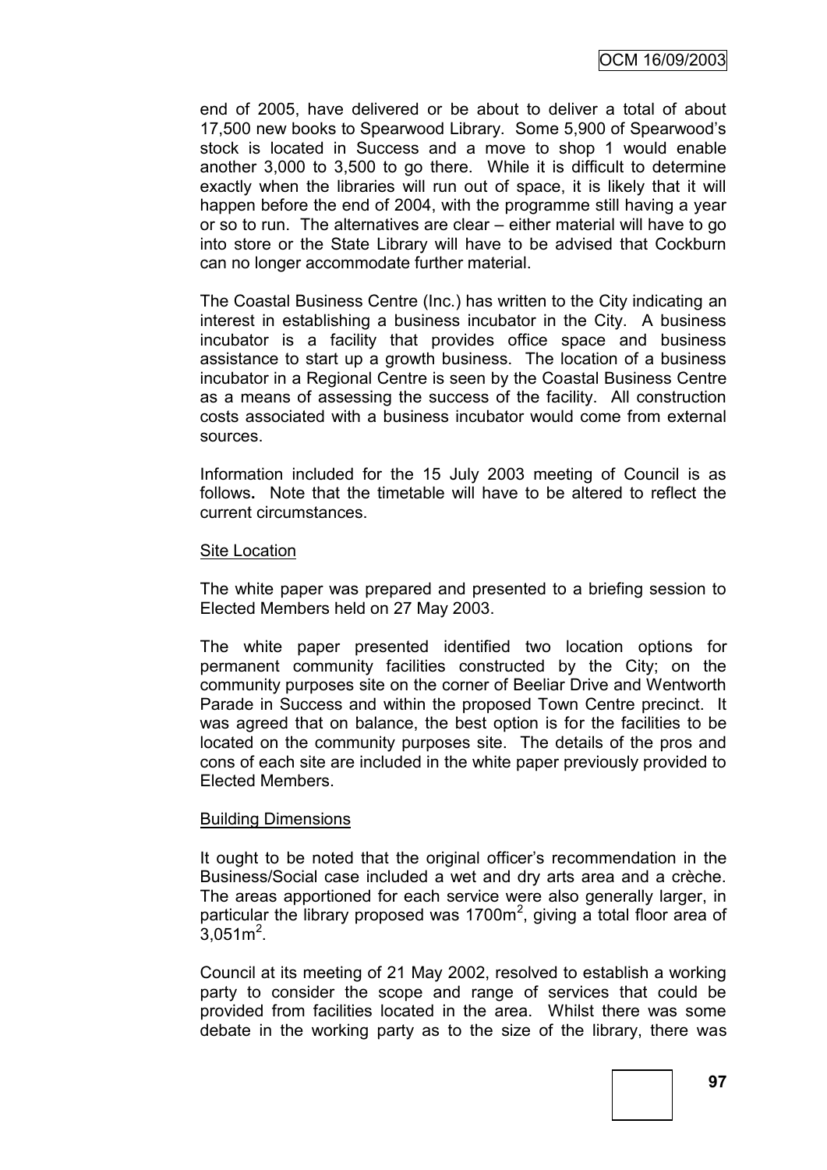end of 2005, have delivered or be about to deliver a total of about 17,500 new books to Spearwood Library. Some 5,900 of Spearwood"s stock is located in Success and a move to shop 1 would enable another 3,000 to 3,500 to go there. While it is difficult to determine exactly when the libraries will run out of space, it is likely that it will happen before the end of 2004, with the programme still having a year or so to run. The alternatives are clear – either material will have to go into store or the State Library will have to be advised that Cockburn can no longer accommodate further material.

The Coastal Business Centre (Inc.) has written to the City indicating an interest in establishing a business incubator in the City. A business incubator is a facility that provides office space and business assistance to start up a growth business. The location of a business incubator in a Regional Centre is seen by the Coastal Business Centre as a means of assessing the success of the facility. All construction costs associated with a business incubator would come from external sources.

Information included for the 15 July 2003 meeting of Council is as follows**.** Note that the timetable will have to be altered to reflect the current circumstances.

#### Site Location

The white paper was prepared and presented to a briefing session to Elected Members held on 27 May 2003.

The white paper presented identified two location options for permanent community facilities constructed by the City; on the community purposes site on the corner of Beeliar Drive and Wentworth Parade in Success and within the proposed Town Centre precinct. It was agreed that on balance, the best option is for the facilities to be located on the community purposes site. The details of the pros and cons of each site are included in the white paper previously provided to Elected Members.

#### Building Dimensions

It ought to be noted that the original officer's recommendation in the Business/Social case included a wet and dry arts area and a crèche. The areas apportioned for each service were also generally larger, in particular the library proposed was 1700 $m^2$ , giving a total floor area of  $3,051 \text{ m}^2$ .

Council at its meeting of 21 May 2002, resolved to establish a working party to consider the scope and range of services that could be provided from facilities located in the area. Whilst there was some debate in the working party as to the size of the library, there was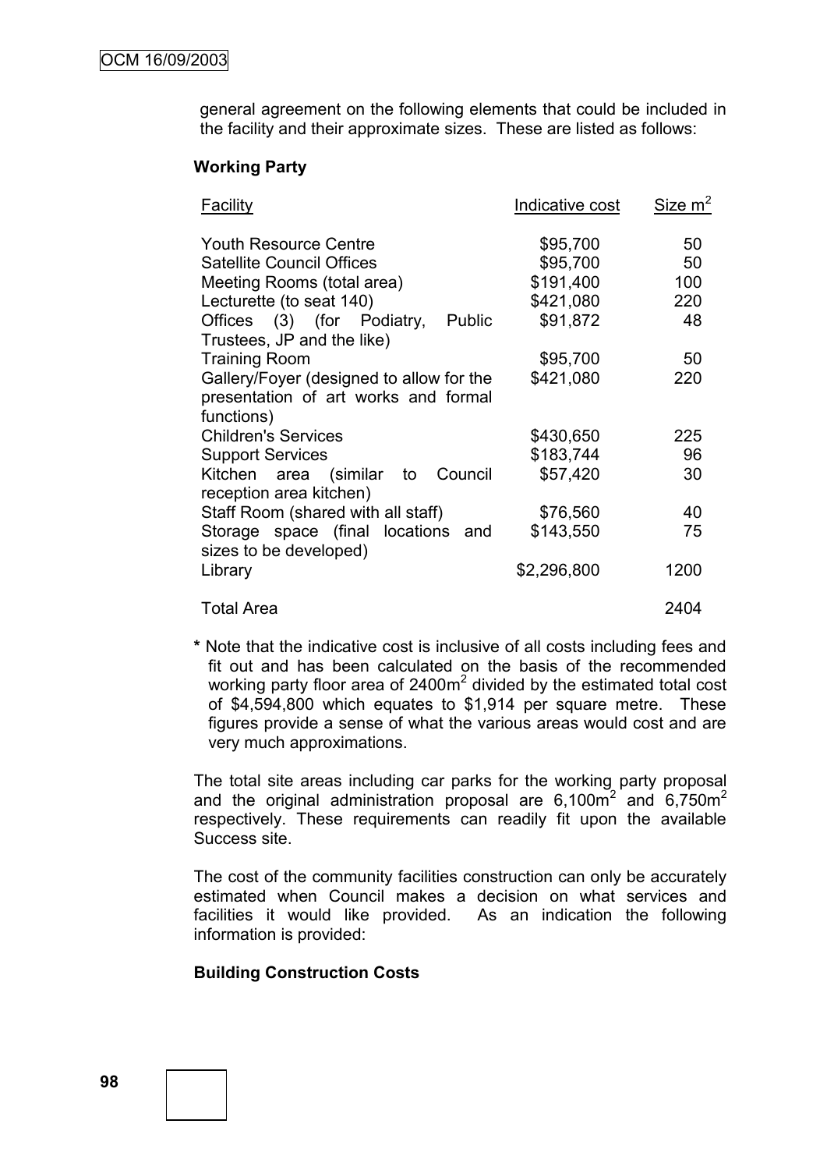general agreement on the following elements that could be included in the facility and their approximate sizes. These are listed as follows:

#### **Working Party**

| Facility                                                                         | Indicative cost | Size m <sup>2</sup> |
|----------------------------------------------------------------------------------|-----------------|---------------------|
| <b>Youth Resource Centre</b>                                                     | \$95,700        | 50                  |
| <b>Satellite Council Offices</b>                                                 | \$95,700        | 50                  |
| Meeting Rooms (total area)                                                       | \$191,400       | 100                 |
| Lecturette (to seat 140)                                                         | \$421,080       | 220                 |
| Offices (3) (for Podiatry,<br><b>Public</b><br>Trustees, JP and the like)        | \$91,872        | 48                  |
| <b>Training Room</b>                                                             | \$95,700        | 50                  |
| Gallery/Foyer (designed to allow for the<br>presentation of art works and formal | \$421,080       | 220                 |
| functions)                                                                       |                 |                     |
| <b>Children's Services</b>                                                       | \$430,650       | 225                 |
| <b>Support Services</b>                                                          | \$183,744       | 96                  |
| Council<br>Kitchen area (similar to<br>reception area kitchen)                   | \$57,420        | 30                  |
| Staff Room (shared with all staff)                                               | \$76,560        | 40                  |
| Storage space (final locations and<br>sizes to be developed)                     | \$143,550       | 75                  |
| Library                                                                          | \$2,296,800     | 1200                |
| <b>Total Area</b>                                                                |                 | 2404                |

**\*** Note that the indicative cost is inclusive of all costs including fees and fit out and has been calculated on the basis of the recommended working party floor area of 2400 $m^2$  divided by the estimated total cost of \$4,594,800 which equates to \$1,914 per square metre. These figures provide a sense of what the various areas would cost and are very much approximations.

The total site areas including car parks for the working party proposal and the original administration proposal are  $6,100\text{m}^2$  and  $6,750\text{m}^2$ respectively. These requirements can readily fit upon the available Success site.

The cost of the community facilities construction can only be accurately estimated when Council makes a decision on what services and facilities it would like provided. As an indication the following information is provided:

#### **Building Construction Costs**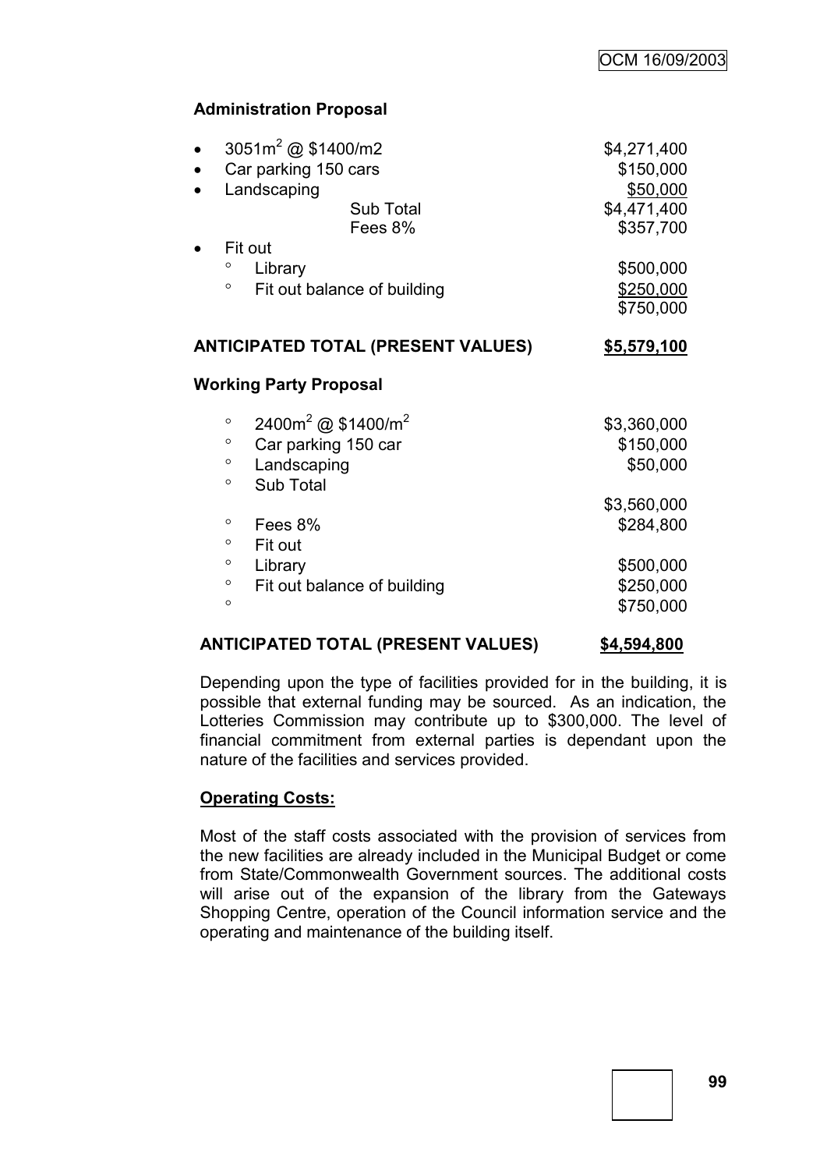# **Administration Proposal**

| \$4,271,400<br>\$150,000<br>\$50,000<br>\$4,471,400<br>\$357,700 |
|------------------------------------------------------------------|
| \$500,000<br>\$250,000<br>\$750,000                              |
| \$5,579,100                                                      |
|                                                                  |
| \$3,360,000<br>\$150,000<br>\$50,000                             |
| \$3,560,000<br>\$284,800<br>\$500,000<br>\$250,000<br>\$750,000  |
|                                                                  |

## **ANTICIPATED TOTAL (PRESENT VALUES) \$4,594,800**

Depending upon the type of facilities provided for in the building, it is possible that external funding may be sourced. As an indication, the Lotteries Commission may contribute up to \$300,000. The level of financial commitment from external parties is dependant upon the nature of the facilities and services provided.

## **Operating Costs:**

Most of the staff costs associated with the provision of services from the new facilities are already included in the Municipal Budget or come from State/Commonwealth Government sources. The additional costs will arise out of the expansion of the library from the Gateways Shopping Centre, operation of the Council information service and the operating and maintenance of the building itself.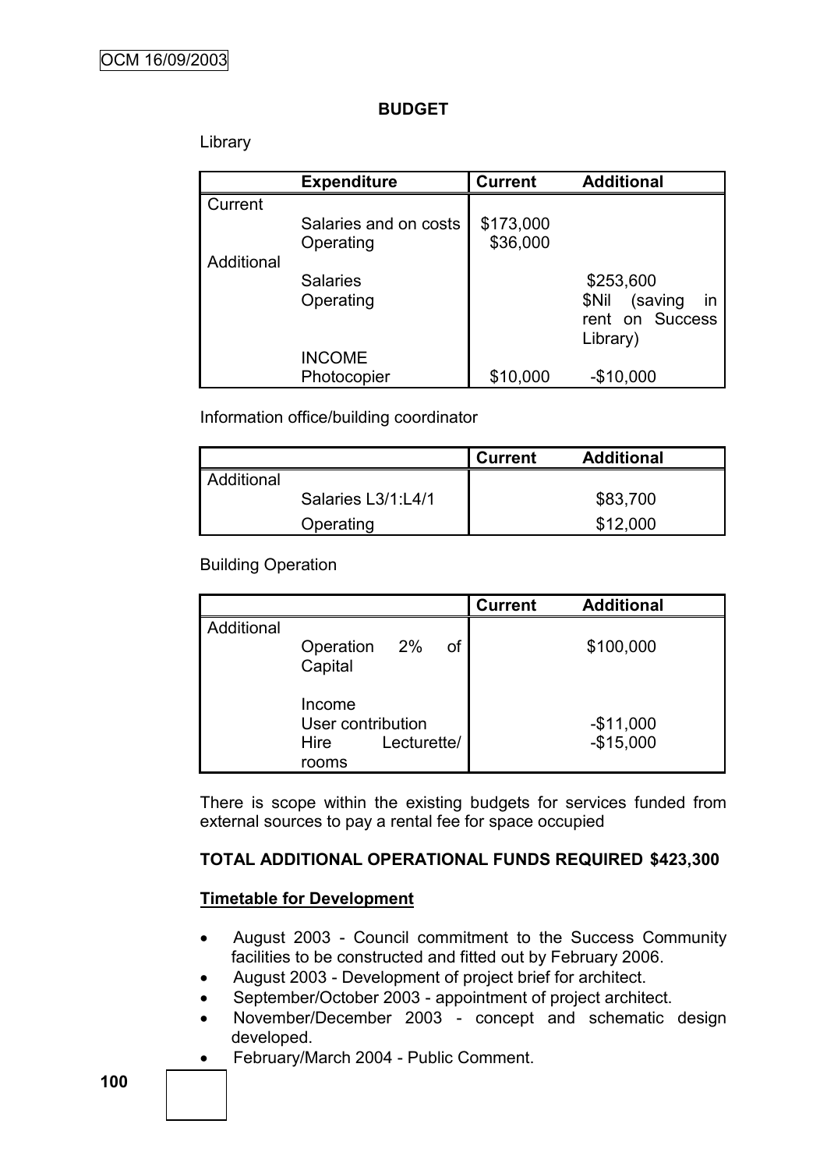## **BUDGET**

## Library

|            | <b>Expenditure</b>    | <b>Current</b> | <b>Additional</b>      |
|------------|-----------------------|----------------|------------------------|
| Current    |                       |                |                        |
|            | Salaries and on costs | \$173,000      |                        |
|            | Operating             | \$36,000       |                        |
| Additional |                       |                |                        |
|            | <b>Salaries</b>       |                | \$253,600              |
|            | Operating             |                | in<br>(saving<br>\$Nil |
|            |                       |                | rent on Success        |
|            |                       |                | Library)               |
|            | <b>INCOME</b>         |                |                        |
|            | Photocopier           | \$10,000       | $-$10,000$             |

Information office/building coordinator

|            |                    | <b>Current</b> | <b>Additional</b> |
|------------|--------------------|----------------|-------------------|
| Additional |                    |                |                   |
|            | Salaries L3/1:L4/1 |                | \$83,700          |
|            | Operating          |                | \$12,000          |

## Building Operation

|            |                                              |             | <b>Current</b> | <b>Additional</b>        |
|------------|----------------------------------------------|-------------|----------------|--------------------------|
| Additional | Operation 2%<br>Capital                      | οf          |                | \$100,000                |
|            | Income<br>User contribution<br>Hire<br>rooms | Lecturette/ |                | $-$11,000$<br>$-$15,000$ |

There is scope within the existing budgets for services funded from external sources to pay a rental fee for space occupied

## **TOTAL ADDITIONAL OPERATIONAL FUNDS REQUIRED \$423,300**

## **Timetable for Development**

- August 2003 Council commitment to the Success Community facilities to be constructed and fitted out by February 2006.
- August 2003 Development of project brief for architect.
- September/October 2003 appointment of project architect.
- November/December 2003 concept and schematic design developed.
- February/March 2004 Public Comment.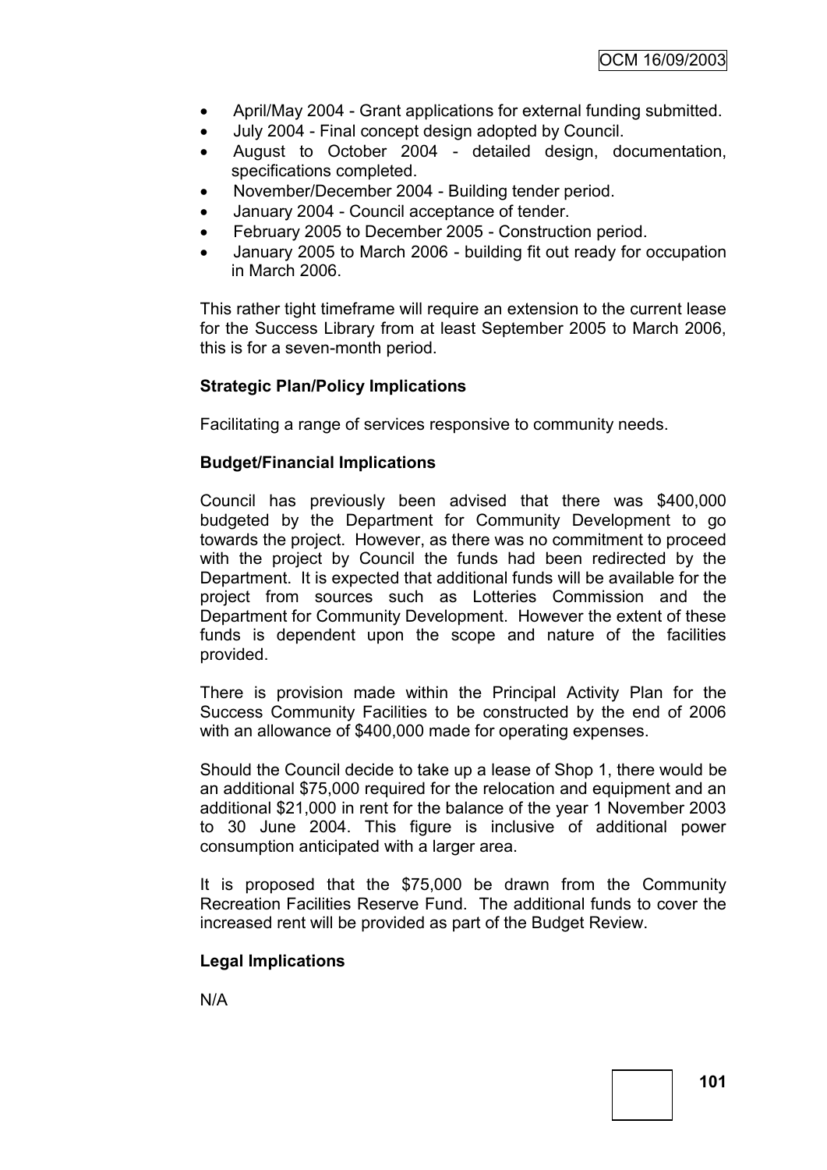- April/May 2004 Grant applications for external funding submitted.
- July 2004 Final concept design adopted by Council.
- August to October 2004 detailed design, documentation, specifications completed.
- November/December 2004 Building tender period.
- January 2004 Council acceptance of tender.
- February 2005 to December 2005 Construction period.
- January 2005 to March 2006 building fit out ready for occupation in March 2006.

This rather tight timeframe will require an extension to the current lease for the Success Library from at least September 2005 to March 2006, this is for a seven-month period.

## **Strategic Plan/Policy Implications**

Facilitating a range of services responsive to community needs.

## **Budget/Financial Implications**

Council has previously been advised that there was \$400,000 budgeted by the Department for Community Development to go towards the project. However, as there was no commitment to proceed with the project by Council the funds had been redirected by the Department. It is expected that additional funds will be available for the project from sources such as Lotteries Commission and the Department for Community Development. However the extent of these funds is dependent upon the scope and nature of the facilities provided.

There is provision made within the Principal Activity Plan for the Success Community Facilities to be constructed by the end of 2006 with an allowance of \$400,000 made for operating expenses.

Should the Council decide to take up a lease of Shop 1, there would be an additional \$75,000 required for the relocation and equipment and an additional \$21,000 in rent for the balance of the year 1 November 2003 to 30 June 2004. This figure is inclusive of additional power consumption anticipated with a larger area.

It is proposed that the \$75,000 be drawn from the Community Recreation Facilities Reserve Fund. The additional funds to cover the increased rent will be provided as part of the Budget Review.

# **Legal Implications**

N/A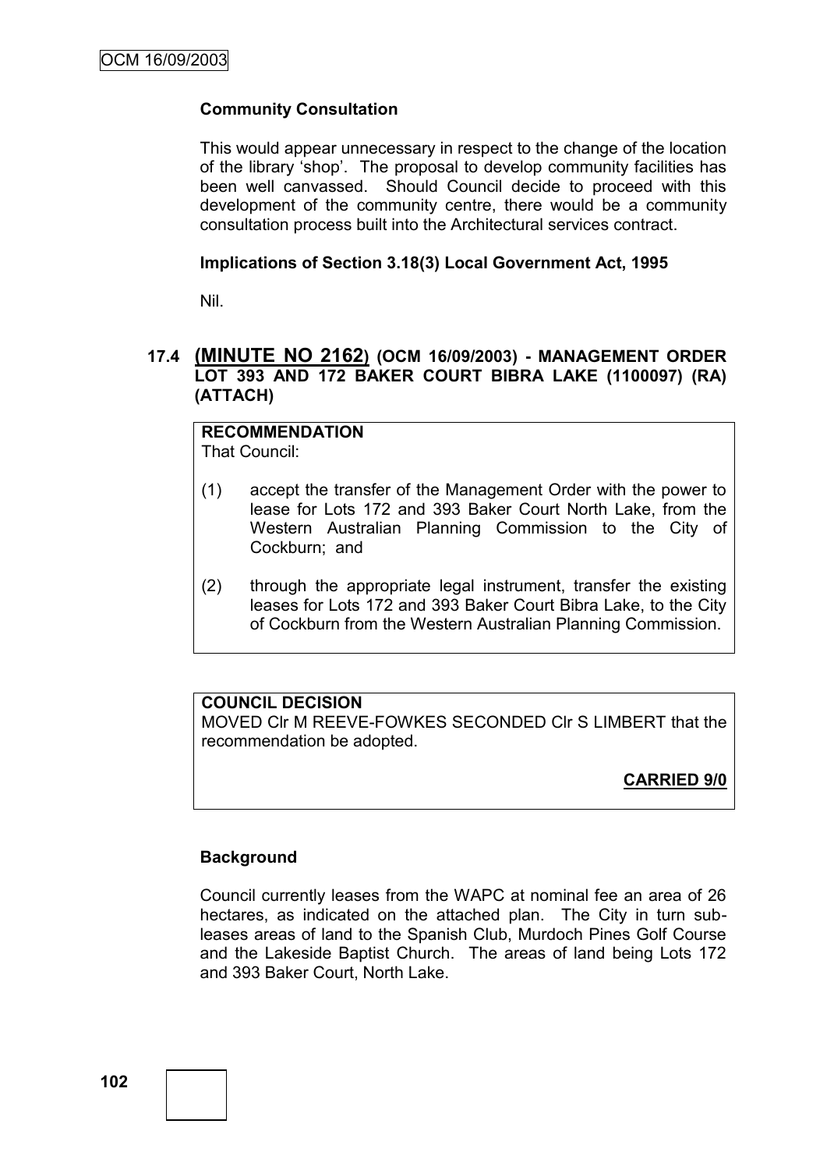# **Community Consultation**

This would appear unnecessary in respect to the change of the location of the library "shop". The proposal to develop community facilities has been well canvassed. Should Council decide to proceed with this development of the community centre, there would be a community consultation process built into the Architectural services contract.

## **Implications of Section 3.18(3) Local Government Act, 1995**

Nil.

## **17.4 (MINUTE NO 2162) (OCM 16/09/2003) - MANAGEMENT ORDER LOT 393 AND 172 BAKER COURT BIBRA LAKE (1100097) (RA) (ATTACH)**

# **RECOMMENDATION**

That Council:

- (1) accept the transfer of the Management Order with the power to lease for Lots 172 and 393 Baker Court North Lake, from the Western Australian Planning Commission to the City of Cockburn; and
- (2) through the appropriate legal instrument, transfer the existing leases for Lots 172 and 393 Baker Court Bibra Lake, to the City of Cockburn from the Western Australian Planning Commission.

# **COUNCIL DECISION**

MOVED Clr M REEVE-FOWKES SECONDED Clr S LIMBERT that the recommendation be adopted.

# **CARRIED 9/0**

# **Background**

Council currently leases from the WAPC at nominal fee an area of 26 hectares, as indicated on the attached plan. The City in turn subleases areas of land to the Spanish Club, Murdoch Pines Golf Course and the Lakeside Baptist Church. The areas of land being Lots 172 and 393 Baker Court, North Lake.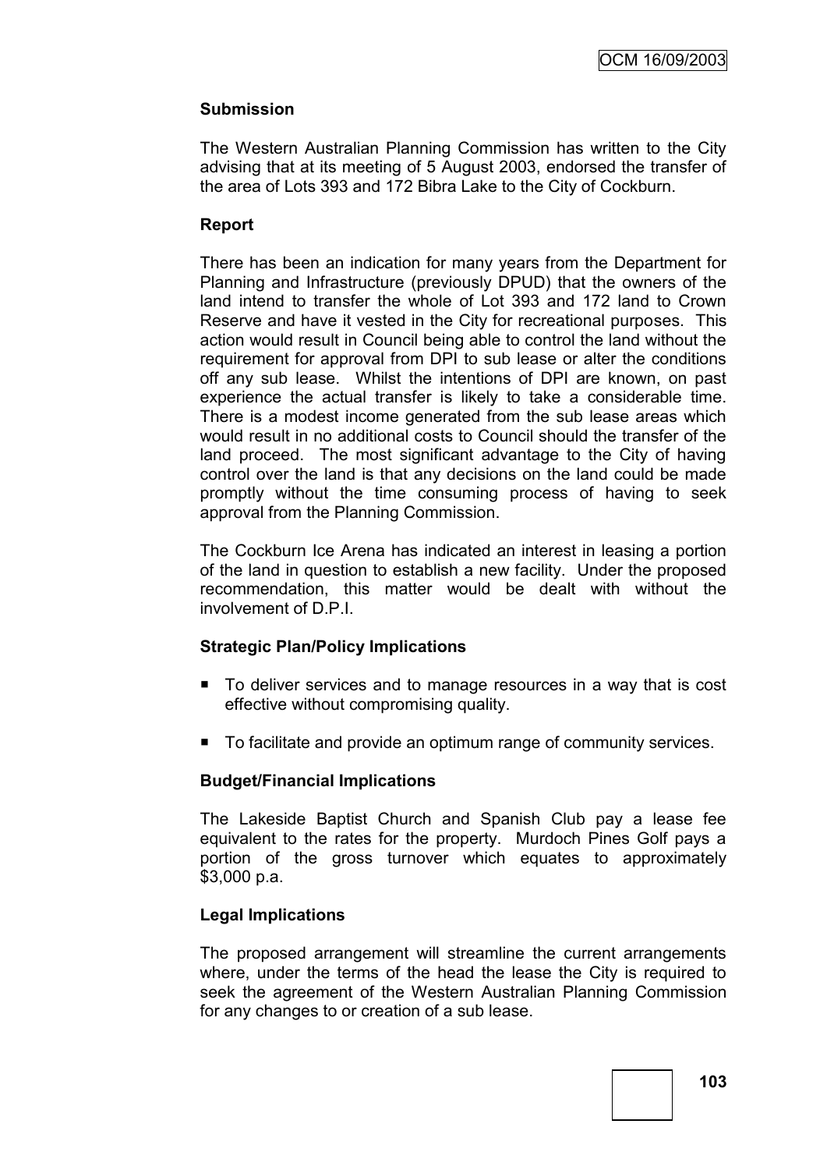# **Submission**

The Western Australian Planning Commission has written to the City advising that at its meeting of 5 August 2003, endorsed the transfer of the area of Lots 393 and 172 Bibra Lake to the City of Cockburn.

## **Report**

There has been an indication for many years from the Department for Planning and Infrastructure (previously DPUD) that the owners of the land intend to transfer the whole of Lot 393 and 172 land to Crown Reserve and have it vested in the City for recreational purposes. This action would result in Council being able to control the land without the requirement for approval from DPI to sub lease or alter the conditions off any sub lease. Whilst the intentions of DPI are known, on past experience the actual transfer is likely to take a considerable time. There is a modest income generated from the sub lease areas which would result in no additional costs to Council should the transfer of the land proceed. The most significant advantage to the City of having control over the land is that any decisions on the land could be made promptly without the time consuming process of having to seek approval from the Planning Commission.

The Cockburn Ice Arena has indicated an interest in leasing a portion of the land in question to establish a new facility. Under the proposed recommendation, this matter would be dealt with without the involvement of D.P.I.

## **Strategic Plan/Policy Implications**

- To deliver services and to manage resources in a way that is cost effective without compromising quality.
- To facilitate and provide an optimum range of community services.

# **Budget/Financial Implications**

The Lakeside Baptist Church and Spanish Club pay a lease fee equivalent to the rates for the property. Murdoch Pines Golf pays a portion of the gross turnover which equates to approximately \$3,000 p.a.

# **Legal Implications**

The proposed arrangement will streamline the current arrangements where, under the terms of the head the lease the City is required to seek the agreement of the Western Australian Planning Commission for any changes to or creation of a sub lease.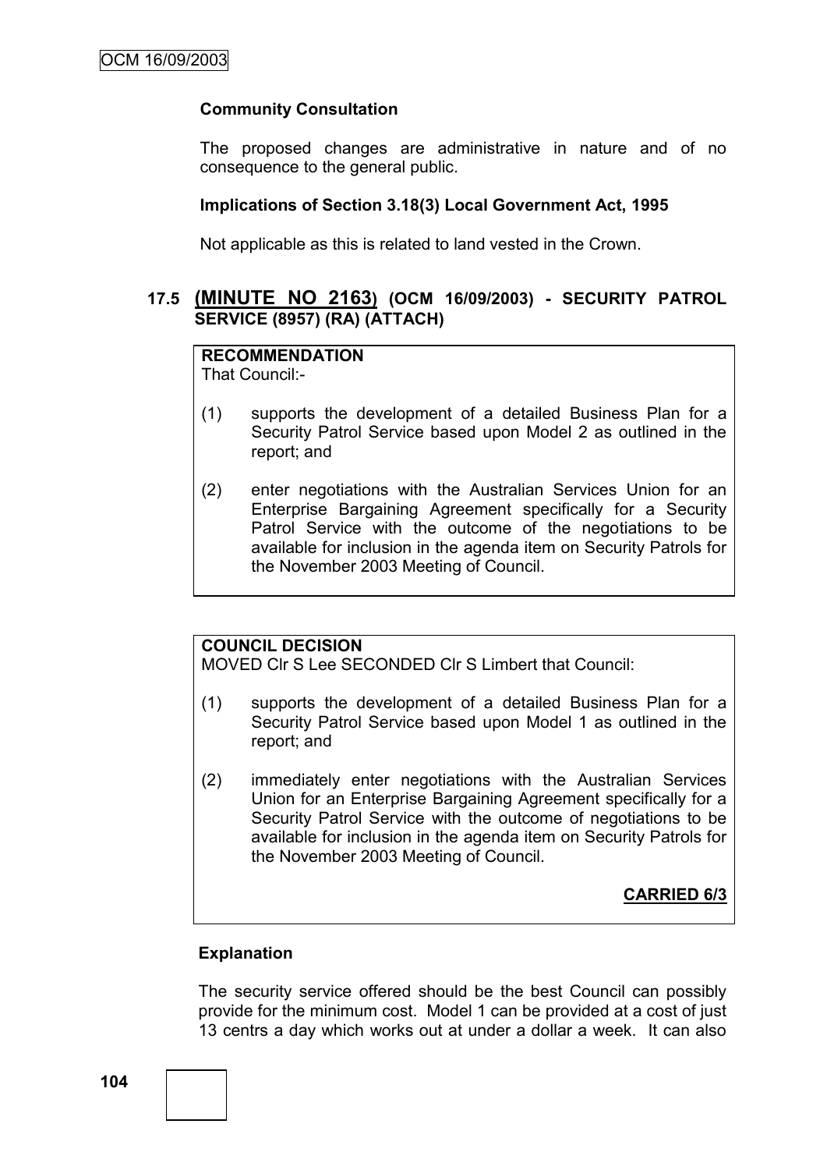## **Community Consultation**

The proposed changes are administrative in nature and of no consequence to the general public.

#### **Implications of Section 3.18(3) Local Government Act, 1995**

Not applicable as this is related to land vested in the Crown.

## **17.5 (MINUTE NO 2163) (OCM 16/09/2003) - SECURITY PATROL SERVICE (8957) (RA) (ATTACH)**

## **RECOMMENDATION**

That Council:-

- (1) supports the development of a detailed Business Plan for a Security Patrol Service based upon Model 2 as outlined in the report; and
- (2) enter negotiations with the Australian Services Union for an Enterprise Bargaining Agreement specifically for a Security Patrol Service with the outcome of the negotiations to be available for inclusion in the agenda item on Security Patrols for the November 2003 Meeting of Council.

## **COUNCIL DECISION**

MOVED Clr S Lee SECONDED Clr S Limbert that Council:

- (1) supports the development of a detailed Business Plan for a Security Patrol Service based upon Model 1 as outlined in the report; and
- (2) immediately enter negotiations with the Australian Services Union for an Enterprise Bargaining Agreement specifically for a Security Patrol Service with the outcome of negotiations to be available for inclusion in the agenda item on Security Patrols for the November 2003 Meeting of Council.

**CARRIED 6/3**

## **Explanation**

The security service offered should be the best Council can possibly provide for the minimum cost. Model 1 can be provided at a cost of just 13 centrs a day which works out at under a dollar a week. It can also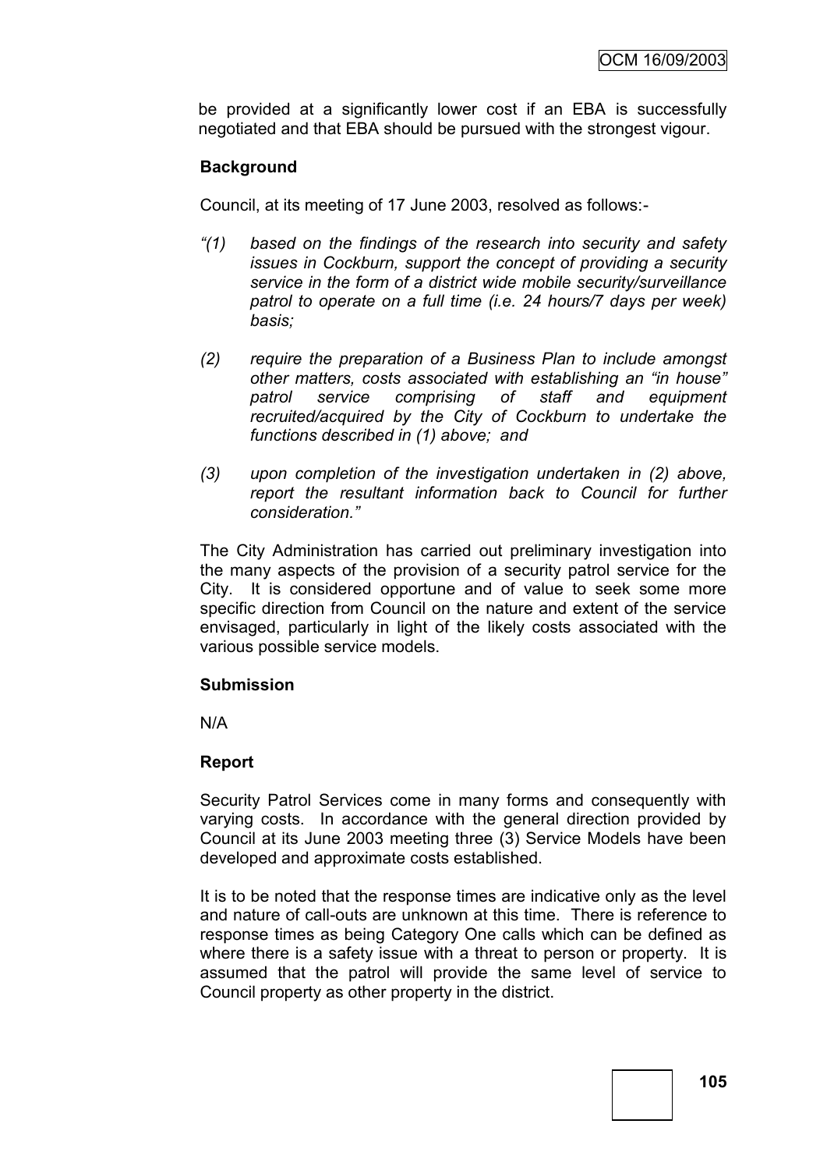be provided at a significantly lower cost if an EBA is successfully negotiated and that EBA should be pursued with the strongest vigour.

# **Background**

Council, at its meeting of 17 June 2003, resolved as follows:-

- *"(1) based on the findings of the research into security and safety issues in Cockburn, support the concept of providing a security service in the form of a district wide mobile security/surveillance patrol to operate on a full time (i.e. 24 hours/7 days per week) basis;*
- *(2) require the preparation of a Business Plan to include amongst other matters, costs associated with establishing an "in house" patrol service comprising of staff and equipment recruited/acquired by the City of Cockburn to undertake the functions described in (1) above; and*
- *(3) upon completion of the investigation undertaken in (2) above, report the resultant information back to Council for further consideration."*

The City Administration has carried out preliminary investigation into the many aspects of the provision of a security patrol service for the City. It is considered opportune and of value to seek some more specific direction from Council on the nature and extent of the service envisaged, particularly in light of the likely costs associated with the various possible service models.

#### **Submission**

N/A

## **Report**

Security Patrol Services come in many forms and consequently with varying costs. In accordance with the general direction provided by Council at its June 2003 meeting three (3) Service Models have been developed and approximate costs established.

It is to be noted that the response times are indicative only as the level and nature of call-outs are unknown at this time. There is reference to response times as being Category One calls which can be defined as where there is a safety issue with a threat to person or property. It is assumed that the patrol will provide the same level of service to Council property as other property in the district.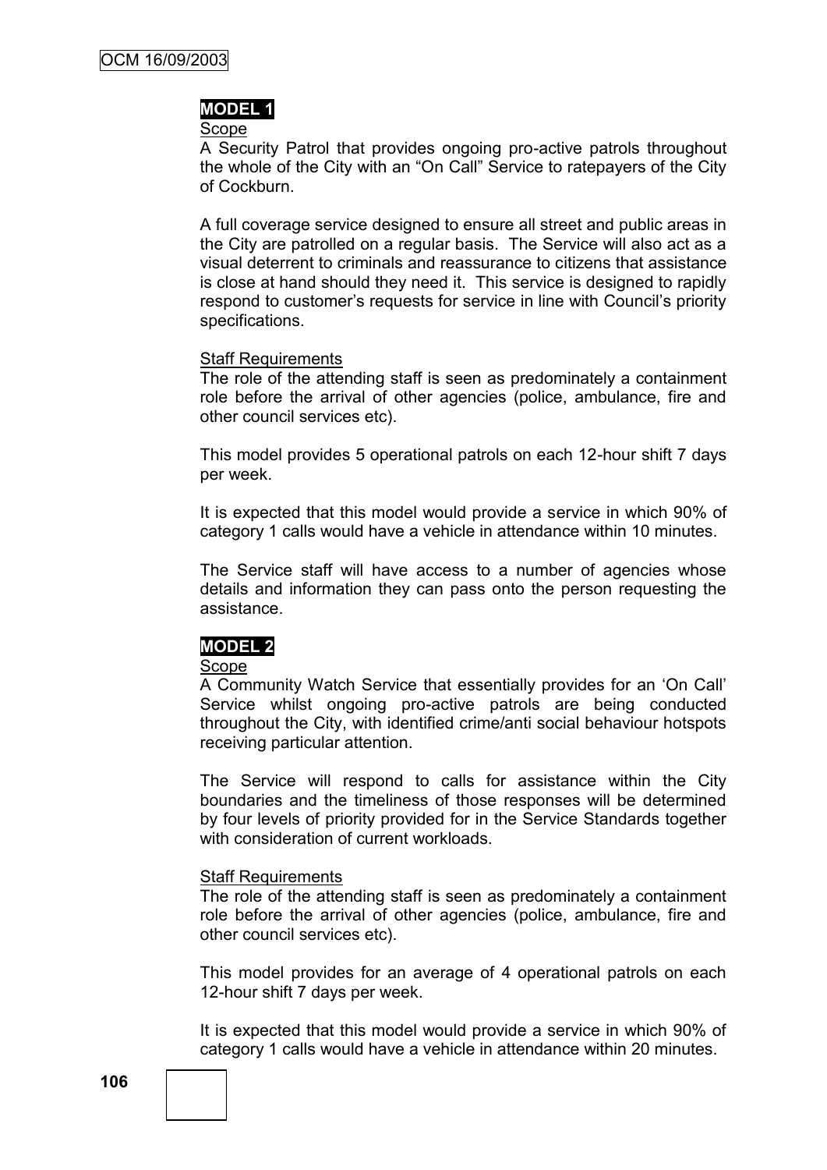### **MODEL 1**

Scope

A Security Patrol that provides ongoing pro-active patrols throughout the whole of the City with an "On Call" Service to ratepayers of the City of Cockburn.

A full coverage service designed to ensure all street and public areas in the City are patrolled on a regular basis. The Service will also act as a visual deterrent to criminals and reassurance to citizens that assistance is close at hand should they need it. This service is designed to rapidly respond to customer"s requests for service in line with Council"s priority specifications.

### Staff Requirements

The role of the attending staff is seen as predominately a containment role before the arrival of other agencies (police, ambulance, fire and other council services etc).

This model provides 5 operational patrols on each 12-hour shift 7 days per week.

It is expected that this model would provide a service in which 90% of category 1 calls would have a vehicle in attendance within 10 minutes.

The Service staff will have access to a number of agencies whose details and information they can pass onto the person requesting the assistance.

## **MODEL 2**

#### Scope

A Community Watch Service that essentially provides for an "On Call" Service whilst ongoing pro-active patrols are being conducted throughout the City, with identified crime/anti social behaviour hotspots receiving particular attention.

The Service will respond to calls for assistance within the City boundaries and the timeliness of those responses will be determined by four levels of priority provided for in the Service Standards together with consideration of current workloads.

#### Staff Requirements

The role of the attending staff is seen as predominately a containment role before the arrival of other agencies (police, ambulance, fire and other council services etc).

This model provides for an average of 4 operational patrols on each 12-hour shift 7 days per week.

It is expected that this model would provide a service in which 90% of category 1 calls would have a vehicle in attendance within 20 minutes.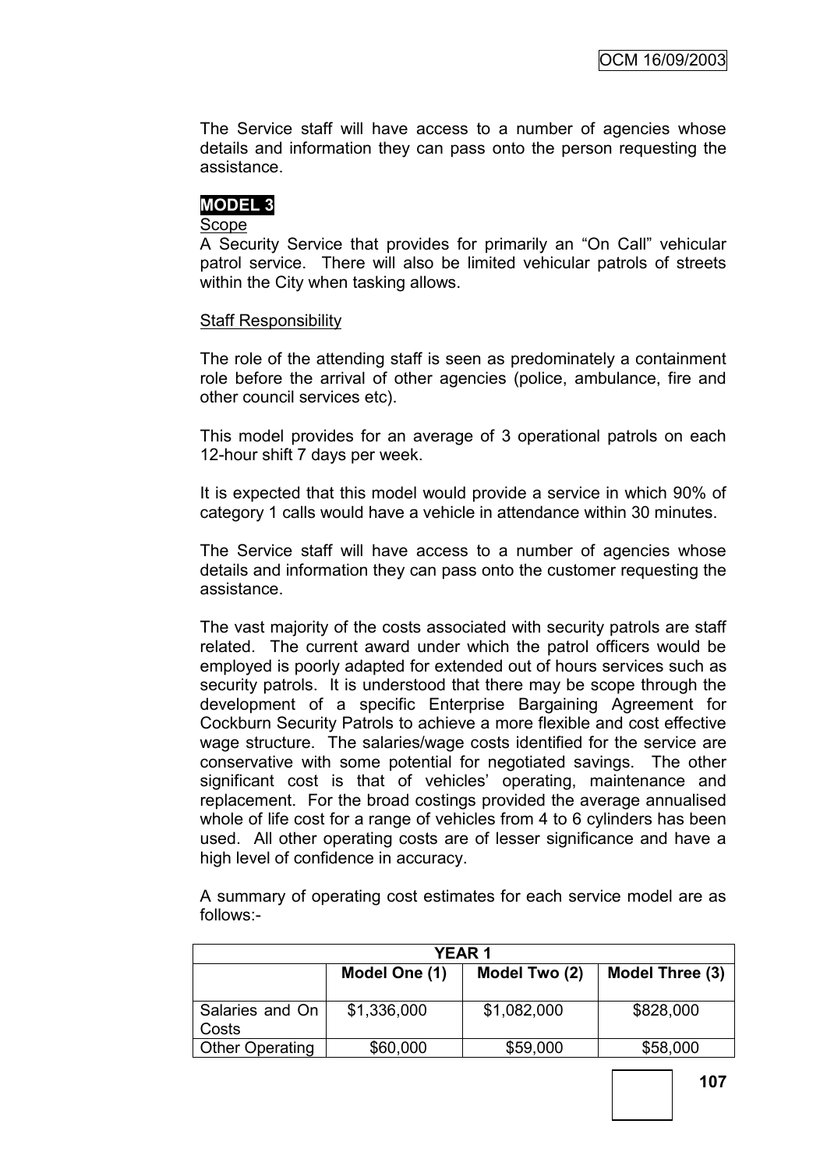The Service staff will have access to a number of agencies whose details and information they can pass onto the person requesting the assistance.

# **MODEL 3**

## Scope

A Security Service that provides for primarily an "On Call" vehicular patrol service. There will also be limited vehicular patrols of streets within the City when tasking allows.

## Staff Responsibility

The role of the attending staff is seen as predominately a containment role before the arrival of other agencies (police, ambulance, fire and other council services etc).

This model provides for an average of 3 operational patrols on each 12-hour shift 7 days per week.

It is expected that this model would provide a service in which 90% of category 1 calls would have a vehicle in attendance within 30 minutes.

The Service staff will have access to a number of agencies whose details and information they can pass onto the customer requesting the assistance.

The vast majority of the costs associated with security patrols are staff related. The current award under which the patrol officers would be employed is poorly adapted for extended out of hours services such as security patrols. It is understood that there may be scope through the development of a specific Enterprise Bargaining Agreement for Cockburn Security Patrols to achieve a more flexible and cost effective wage structure. The salaries/wage costs identified for the service are conservative with some potential for negotiated savings. The other significant cost is that of vehicles' operating, maintenance and replacement. For the broad costings provided the average annualised whole of life cost for a range of vehicles from 4 to 6 cylinders has been used. All other operating costs are of lesser significance and have a high level of confidence in accuracy.

A summary of operating cost estimates for each service model are as follows:-

| <b>YEAR1</b>             |               |               |                 |
|--------------------------|---------------|---------------|-----------------|
|                          | Model One (1) | Model Two (2) | Model Three (3) |
| Salaries and On<br>Costs | \$1,336,000   | \$1,082,000   | \$828,000       |
| <b>Other Operating</b>   | \$60,000      | \$59,000      | \$58,000        |

**107**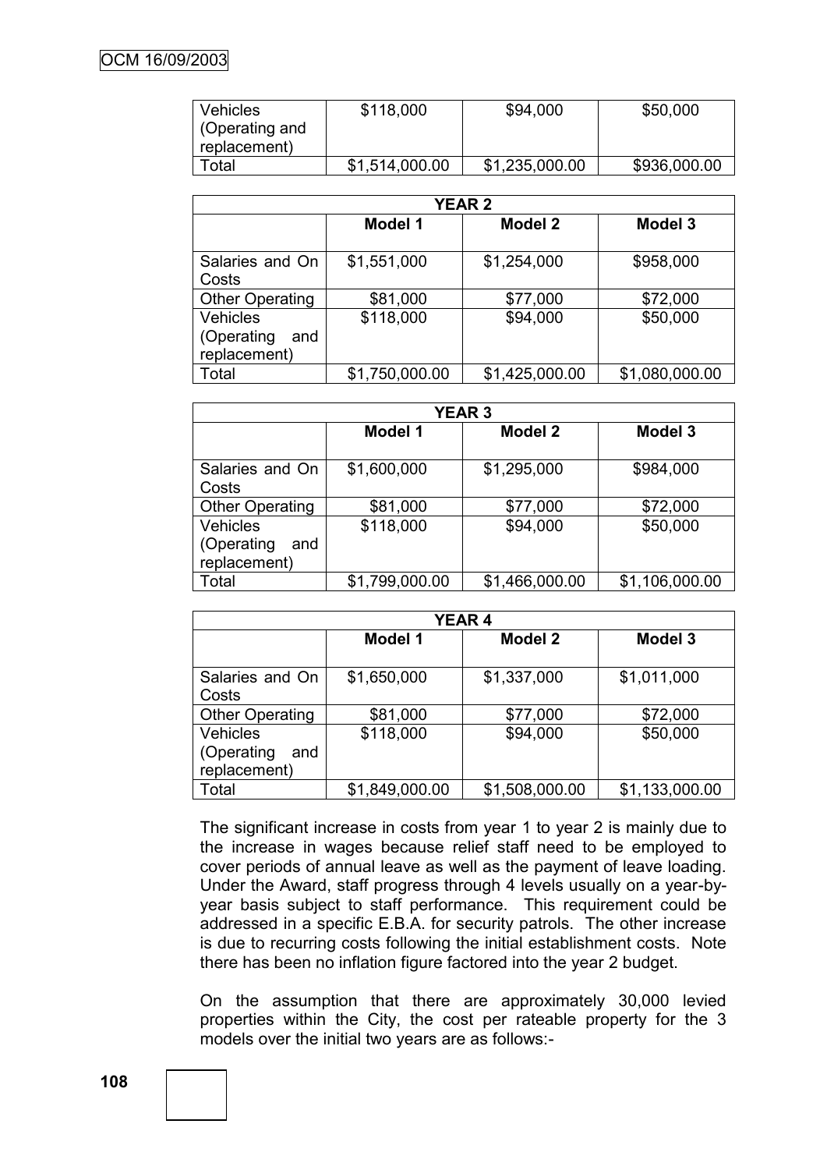| <b>Vehicles</b>                | \$118,000      | \$94,000       | \$50,000     |
|--------------------------------|----------------|----------------|--------------|
| (Operating and<br>replacement) |                |                |              |
| Total                          | \$1,514,000.00 | \$1,235,000.00 | \$936,000.00 |

| <b>YEAR 2</b>                                        |                |                |                |
|------------------------------------------------------|----------------|----------------|----------------|
|                                                      | Model 1        | <b>Model 2</b> | <b>Model 3</b> |
| Salaries and On                                      | \$1,551,000    | \$1,254,000    | \$958,000      |
| Costs<br><b>Other Operating</b>                      | \$81,000       | \$77,000       | \$72,000       |
| <b>Vehicles</b><br>(Operating<br>and<br>replacement) | \$118,000      | \$94,000       | \$50,000       |
| Total                                                | \$1,750,000.00 | \$1,425,000.00 | \$1,080,000.00 |

| <b>YEAR 3</b>                                        |                |                |                |
|------------------------------------------------------|----------------|----------------|----------------|
|                                                      | Model 1        | <b>Model 2</b> | <b>Model 3</b> |
| Salaries and On<br>Costs                             | \$1,600,000    | \$1,295,000    | \$984,000      |
| <b>Other Operating</b>                               | \$81,000       | \$77,000       | \$72,000       |
| <b>Vehicles</b><br>(Operating<br>and<br>replacement) | \$118,000      | \$94,000       | \$50,000       |
| Total                                                | \$1,799,000.00 | \$1,466,000.00 | \$1,106,000.00 |

| <b>YEAR 4</b>                                        |                |                |                |
|------------------------------------------------------|----------------|----------------|----------------|
|                                                      | <b>Model 1</b> | Model 2        | <b>Model 3</b> |
| Salaries and On<br>Costs                             | \$1,650,000    | \$1,337,000    | \$1,011,000    |
| <b>Other Operating</b>                               | \$81,000       | \$77,000       | \$72,000       |
| <b>Vehicles</b><br>(Operating<br>and<br>replacement) | \$118,000      | \$94,000       | \$50,000       |
| Total                                                | \$1,849,000.00 | \$1,508,000.00 | \$1,133,000.00 |

The significant increase in costs from year 1 to year 2 is mainly due to the increase in wages because relief staff need to be employed to cover periods of annual leave as well as the payment of leave loading. Under the Award, staff progress through 4 levels usually on a year-byyear basis subject to staff performance. This requirement could be addressed in a specific E.B.A. for security patrols. The other increase is due to recurring costs following the initial establishment costs. Note there has been no inflation figure factored into the year 2 budget.

On the assumption that there are approximately 30,000 levied properties within the City, the cost per rateable property for the 3 models over the initial two years are as follows:-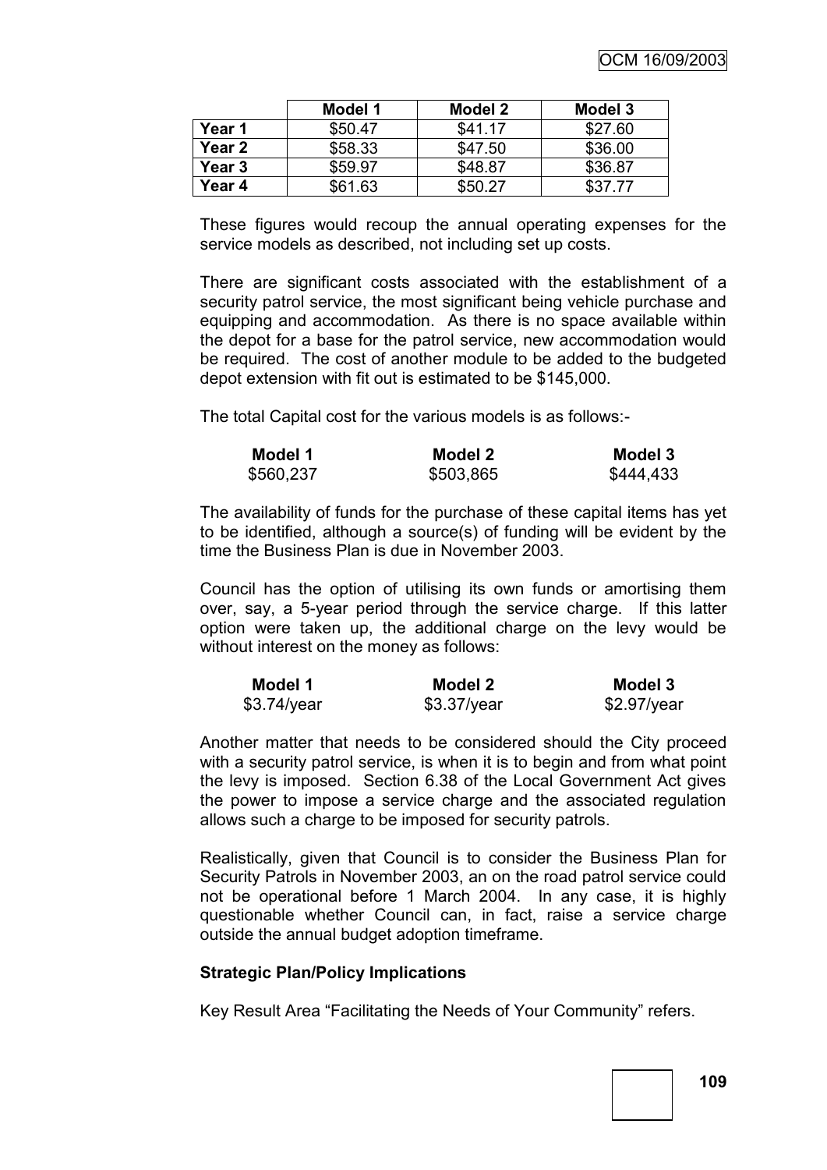|        | Model 1 | Model 2 | Model 3 |
|--------|---------|---------|---------|
| Year 1 | \$50.47 | \$41.17 | \$27.60 |
| Year 2 | \$58.33 | \$47.50 | \$36.00 |
| Year 3 | \$59.97 | \$48.87 | \$36.87 |
| Year 4 | \$61.63 | \$50.27 | \$37.77 |

These figures would recoup the annual operating expenses for the service models as described, not including set up costs.

There are significant costs associated with the establishment of a security patrol service, the most significant being vehicle purchase and equipping and accommodation. As there is no space available within the depot for a base for the patrol service, new accommodation would be required. The cost of another module to be added to the budgeted depot extension with fit out is estimated to be \$145,000.

The total Capital cost for the various models is as follows:-

| Model 1   | Model 2   | Model 3   |
|-----------|-----------|-----------|
| \$560,237 | \$503,865 | \$444,433 |

The availability of funds for the purchase of these capital items has yet to be identified, although a source(s) of funding will be evident by the time the Business Plan is due in November 2003.

Council has the option of utilising its own funds or amortising them over, say, a 5-year period through the service charge. If this latter option were taken up, the additional charge on the levy would be without interest on the money as follows:

| Model 1     | Model 2       | Model 3     |
|-------------|---------------|-------------|
| \$3.74/year | $$3.37$ /year | \$2.97/year |

Another matter that needs to be considered should the City proceed with a security patrol service, is when it is to begin and from what point the levy is imposed. Section 6.38 of the Local Government Act gives the power to impose a service charge and the associated regulation allows such a charge to be imposed for security patrols.

Realistically, given that Council is to consider the Business Plan for Security Patrols in November 2003, an on the road patrol service could not be operational before 1 March 2004. In any case, it is highly questionable whether Council can, in fact, raise a service charge outside the annual budget adoption timeframe.

#### **Strategic Plan/Policy Implications**

Key Result Area "Facilitating the Needs of Your Community" refers.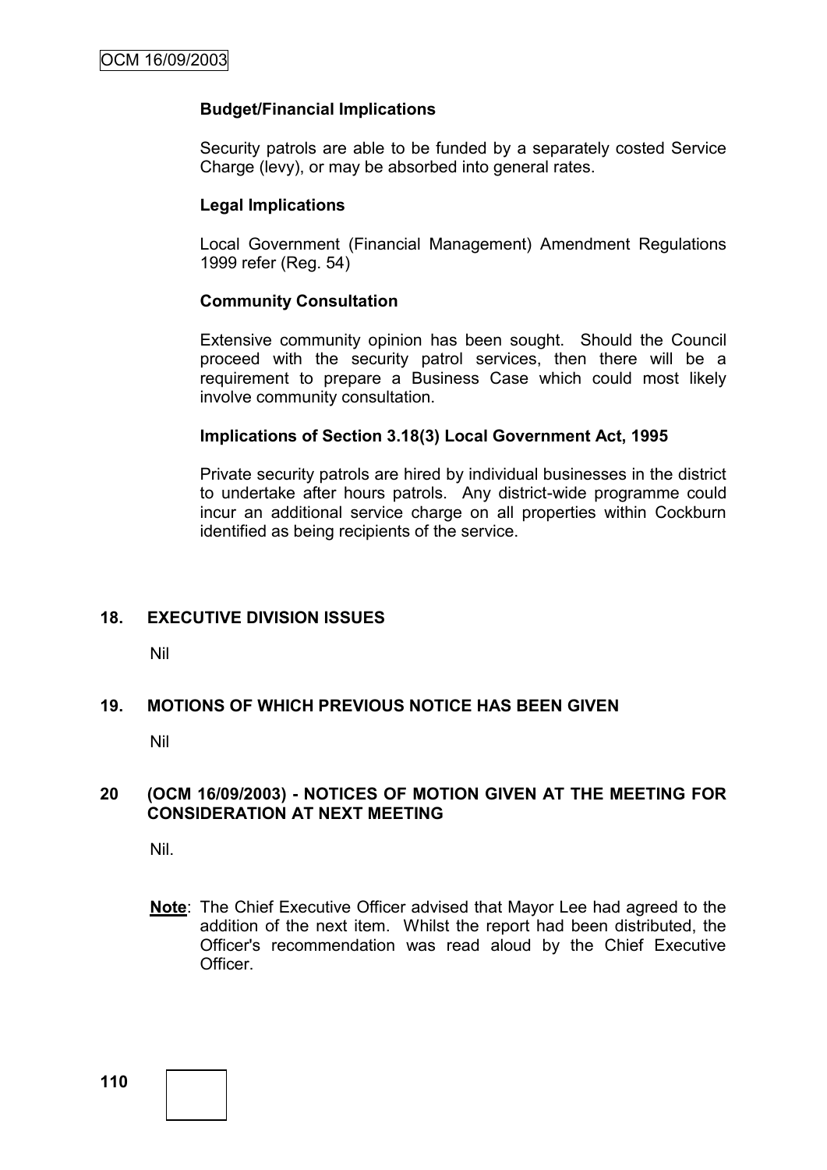## **Budget/Financial Implications**

Security patrols are able to be funded by a separately costed Service Charge (levy), or may be absorbed into general rates.

## **Legal Implications**

Local Government (Financial Management) Amendment Regulations 1999 refer (Reg. 54)

### **Community Consultation**

Extensive community opinion has been sought. Should the Council proceed with the security patrol services, then there will be a requirement to prepare a Business Case which could most likely involve community consultation.

### **Implications of Section 3.18(3) Local Government Act, 1995**

Private security patrols are hired by individual businesses in the district to undertake after hours patrols. Any district-wide programme could incur an additional service charge on all properties within Cockburn identified as being recipients of the service.

## **18. EXECUTIVE DIVISION ISSUES**

Nil

## **19. MOTIONS OF WHICH PREVIOUS NOTICE HAS BEEN GIVEN**

Nil

### **20 (OCM 16/09/2003) - NOTICES OF MOTION GIVEN AT THE MEETING FOR CONSIDERATION AT NEXT MEETING**

Nil.

**Note**: The Chief Executive Officer advised that Mayor Lee had agreed to the addition of the next item. Whilst the report had been distributed, the Officer's recommendation was read aloud by the Chief Executive Officer.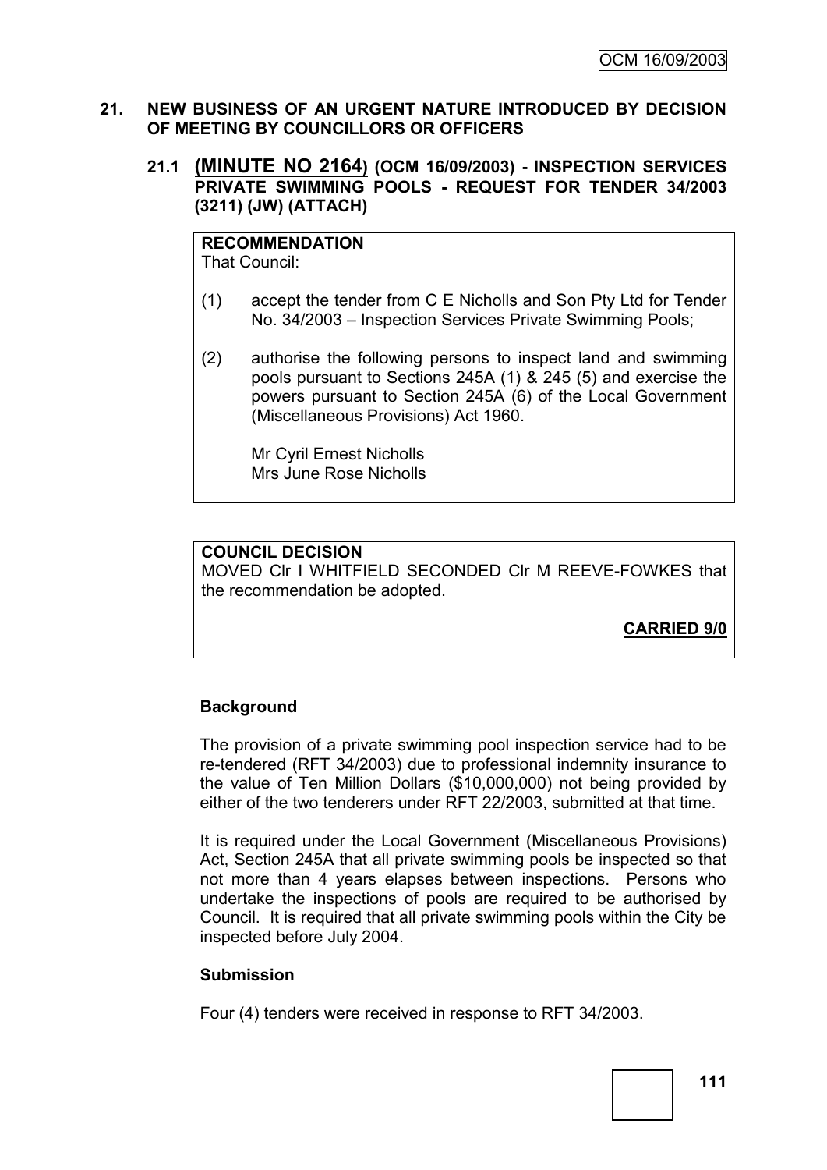### **21. NEW BUSINESS OF AN URGENT NATURE INTRODUCED BY DECISION OF MEETING BY COUNCILLORS OR OFFICERS**

## **21.1 (MINUTE NO 2164) (OCM 16/09/2003) - INSPECTION SERVICES PRIVATE SWIMMING POOLS - REQUEST FOR TENDER 34/2003 (3211) (JW) (ATTACH)**

**RECOMMENDATION** That Council:

- (1) accept the tender from C E Nicholls and Son Pty Ltd for Tender No. 34/2003 – Inspection Services Private Swimming Pools;
- (2) authorise the following persons to inspect land and swimming pools pursuant to Sections 245A (1) & 245 (5) and exercise the powers pursuant to Section 245A (6) of the Local Government (Miscellaneous Provisions) Act 1960.

Mr Cyril Ernest Nicholls Mrs June Rose Nicholls

# **COUNCIL DECISION**

MOVED Clr I WHITFIELD SECONDED Clr M REEVE-FOWKES that the recommendation be adopted.

**CARRIED 9/0**

# **Background**

The provision of a private swimming pool inspection service had to be re-tendered (RFT 34/2003) due to professional indemnity insurance to the value of Ten Million Dollars (\$10,000,000) not being provided by either of the two tenderers under RFT 22/2003, submitted at that time.

It is required under the Local Government (Miscellaneous Provisions) Act, Section 245A that all private swimming pools be inspected so that not more than 4 years elapses between inspections. Persons who undertake the inspections of pools are required to be authorised by Council. It is required that all private swimming pools within the City be inspected before July 2004.

## **Submission**

Four (4) tenders were received in response to RFT 34/2003.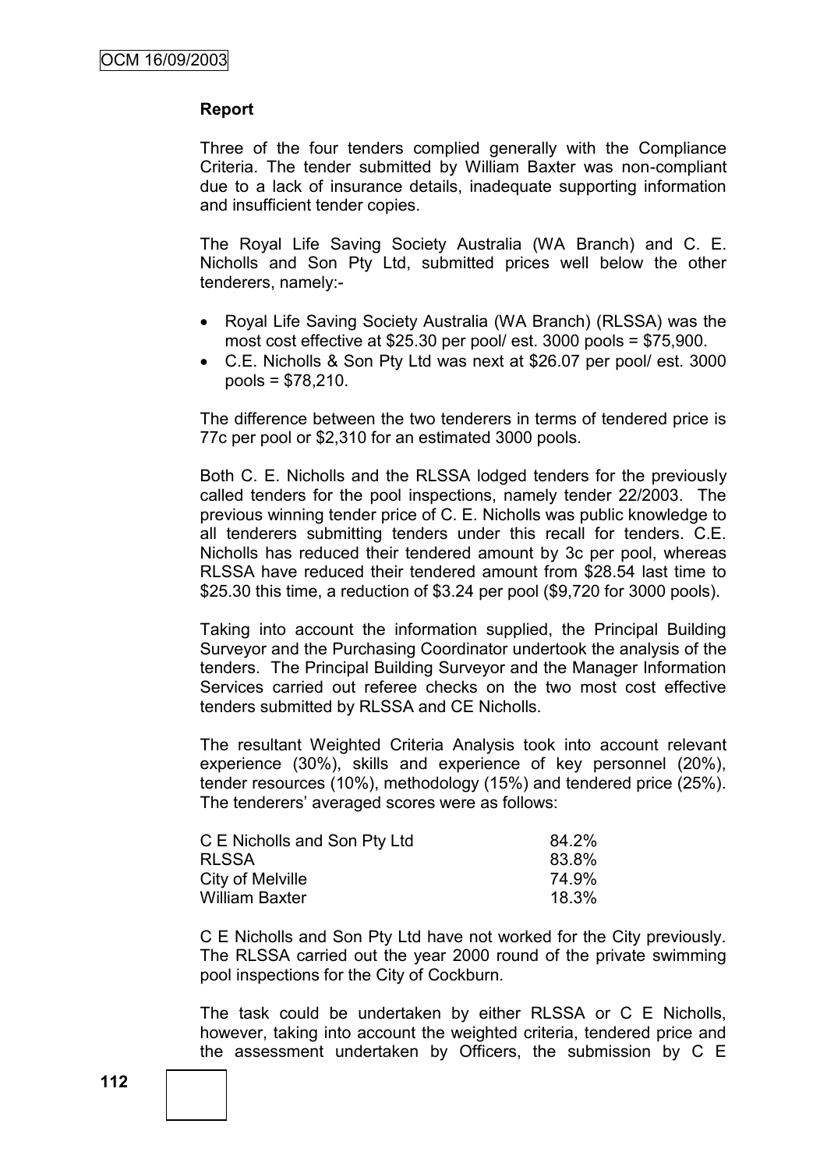### **Report**

Three of the four tenders complied generally with the Compliance Criteria. The tender submitted by William Baxter was non-compliant due to a lack of insurance details, inadequate supporting information and insufficient tender copies.

The Royal Life Saving Society Australia (WA Branch) and C. E. Nicholls and Son Pty Ltd, submitted prices well below the other tenderers, namely:-

- Royal Life Saving Society Australia (WA Branch) (RLSSA) was the most cost effective at \$25.30 per pool/ est. 3000 pools = \$75,900.
- C.E. Nicholls & Son Pty Ltd was next at \$26.07 per pool/ est. 3000 pools = \$78,210.

The difference between the two tenderers in terms of tendered price is 77c per pool or \$2,310 for an estimated 3000 pools.

Both C. E. Nicholls and the RLSSA lodged tenders for the previously called tenders for the pool inspections, namely tender 22/2003. The previous winning tender price of C. E. Nicholls was public knowledge to all tenderers submitting tenders under this recall for tenders. C.E. Nicholls has reduced their tendered amount by 3c per pool, whereas RLSSA have reduced their tendered amount from \$28.54 last time to \$25.30 this time, a reduction of \$3.24 per pool (\$9,720 for 3000 pools).

Taking into account the information supplied, the Principal Building Surveyor and the Purchasing Coordinator undertook the analysis of the tenders. The Principal Building Surveyor and the Manager Information Services carried out referee checks on the two most cost effective tenders submitted by RLSSA and CE Nicholls.

The resultant Weighted Criteria Analysis took into account relevant experience (30%), skills and experience of key personnel (20%), tender resources (10%), methodology (15%) and tendered price (25%). The tenderers' averaged scores were as follows:

| C E Nicholls and Son Pty Ltd | 84.2% |
|------------------------------|-------|
| <b>RLSSA</b>                 | 83.8% |
| City of Melville             | 74.9% |
| William Baxter               | 18.3% |

C E Nicholls and Son Pty Ltd have not worked for the City previously. The RLSSA carried out the year 2000 round of the private swimming pool inspections for the City of Cockburn.

The task could be undertaken by either RLSSA or C E Nicholls, however, taking into account the weighted criteria, tendered price and the assessment undertaken by Officers, the submission by C E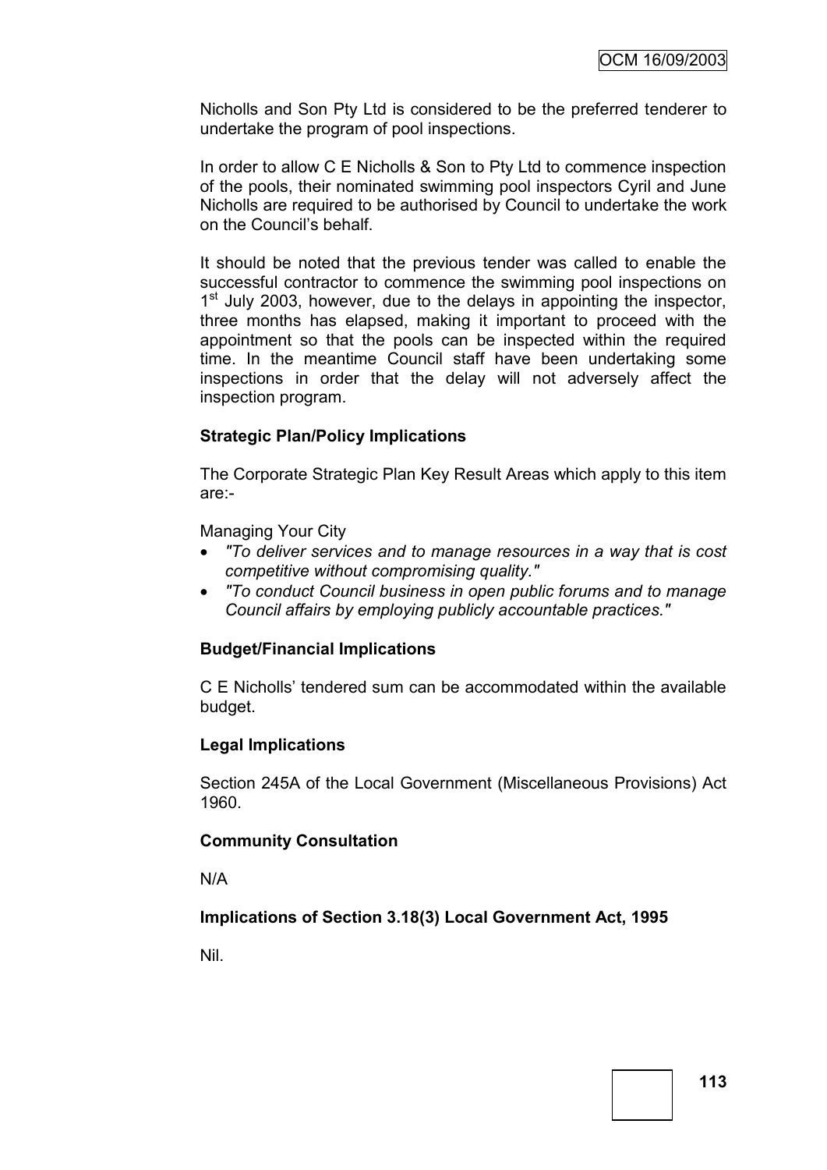Nicholls and Son Pty Ltd is considered to be the preferred tenderer to undertake the program of pool inspections.

In order to allow C E Nicholls & Son to Pty Ltd to commence inspection of the pools, their nominated swimming pool inspectors Cyril and June Nicholls are required to be authorised by Council to undertake the work on the Council"s behalf.

It should be noted that the previous tender was called to enable the successful contractor to commence the swimming pool inspections on 1<sup>st</sup> July 2003, however, due to the delays in appointing the inspector, three months has elapsed, making it important to proceed with the appointment so that the pools can be inspected within the required time. In the meantime Council staff have been undertaking some inspections in order that the delay will not adversely affect the inspection program.

## **Strategic Plan/Policy Implications**

The Corporate Strategic Plan Key Result Areas which apply to this item are:-

Managing Your City

- *"To deliver services and to manage resources in a way that is cost competitive without compromising quality."*
- *"To conduct Council business in open public forums and to manage Council affairs by employing publicly accountable practices."*

## **Budget/Financial Implications**

C E Nicholls" tendered sum can be accommodated within the available budget.

## **Legal Implications**

Section 245A of the Local Government (Miscellaneous Provisions) Act 1960.

#### **Community Consultation**

N/A

## **Implications of Section 3.18(3) Local Government Act, 1995**

Nil.